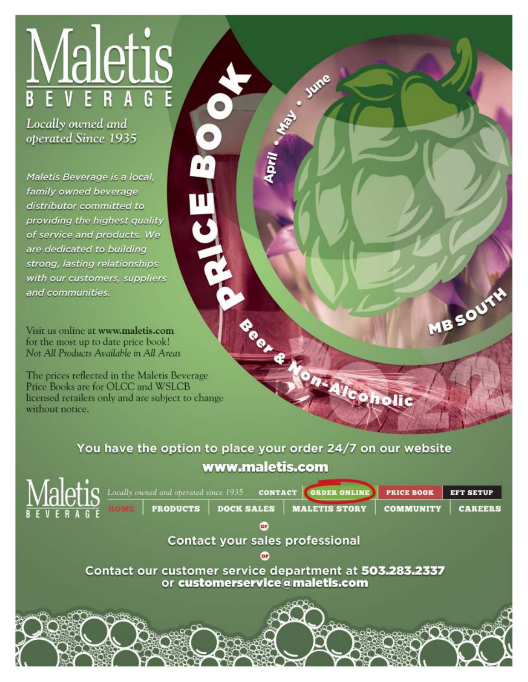# <u>Maletis</u> E B  $\mathbf{G}$

Locally owned and operated Since 1935

Maletis Beverage is a local. family owned beverage distributor committed to providing the highest quality of service and products. We are dedicated to building strong, lasting relationships with our customers, suppliers and communities.

Visit us online at www.maletis.com for the most up to date price book! Not All Products Available in All Areas

The prices reflected in the Maletis Beverage Price Books are for OLCC and WSLCB licensed retailers only and are subject to change without notice.

> You have the option to place your order 24/7 on our website www.maletis.com

**Trans** June

MBSOUTH

holic

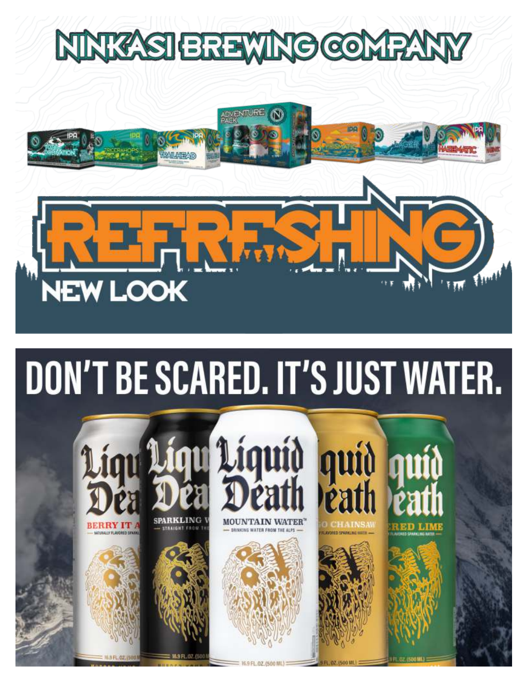# NNKYSIEREWNO COMPA



# DON'T BE SCARED. IT'S JUST WATER.

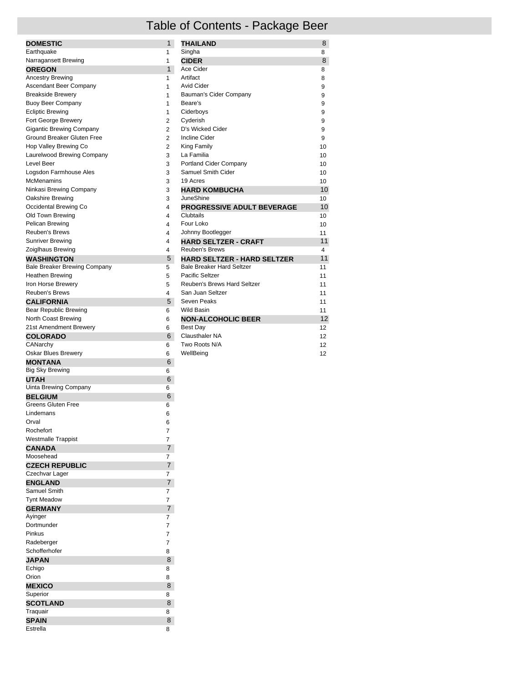### Table of Contents - Package Beer

| <b>DOMESTIC</b>                     | $\mathbf{1}$   | <b>THAILAND</b>                    | 8  |
|-------------------------------------|----------------|------------------------------------|----|
| Earthquake                          | 1              | Singha                             | 8  |
| Narragansett Brewing                | $\mathbf{1}$   | <b>CIDER</b>                       | 8  |
| <b>OREGON</b>                       | $\mathbf{1}$   | Ace Cider                          | 8  |
| <b>Ancestry Brewing</b>             | 1              | Artifact                           | 8  |
| <b>Ascendant Beer Company</b>       | $\mathbf{1}$   | <b>Avid Cider</b>                  | 9  |
| <b>Breakside Brewery</b>            | $\mathbf{1}$   | Bauman's Cider Company             | 9  |
| <b>Buoy Beer Company</b>            | $\mathbf{1}$   | Beare's                            | 9  |
| <b>Ecliptic Brewing</b>             | 1              | Ciderboys                          | 9  |
| Fort George Brewery                 | $\overline{2}$ | Cyderish                           | 9  |
| <b>Gigantic Brewing Company</b>     | $\overline{2}$ | D's Wicked Cider                   | 9  |
| Ground Breaker Gluten Free          | $\overline{2}$ | <b>Incline Cider</b>               | 9  |
| Hop Valley Brewing Co               | $\overline{2}$ | King Family                        | 10 |
| Laurelwood Brewing Company          | 3              | La Familia                         | 10 |
| Level Beer                          | 3              | Portland Cider Company             | 10 |
| Logsdon Farmhouse Ales              | 3              | Samuel Smith Cider                 | 10 |
| McMenamins                          | 3              | 19 Acres                           | 10 |
| Ninkasi Brewing Company             | 3              | <b>HARD KOMBUCHA</b>               | 10 |
| Oakshire Brewing                    | 3              | <b>JuneShine</b>                   | 10 |
| Occidental Brewing Co               | 4              | PROGRESSIVE ADULT BEVERAGE         | 10 |
| Old Town Brewing                    | 4              | Clubtails                          | 10 |
| Pelican Brewing                     | 4              | Four Loko                          | 10 |
| Reuben's Brews                      | 4              | Johnny Bootlegger                  | 11 |
| <b>Sunriver Brewing</b>             | 4              | <b>HARD SELTZER - CRAFT</b>        | 11 |
| Zoiglhaus Brewing                   | 4              | <b>Reuben's Brews</b>              | 4  |
| <b>WASHINGTON</b>                   | 5              | <b>HARD SELTZER - HARD SELTZER</b> | 11 |
| <b>Bale Breaker Brewing Company</b> | 5              | <b>Bale Breaker Hard Seltzer</b>   | 11 |
| Heathen Brewing                     | 5              | Pacific Seltzer                    | 11 |
| Iron Horse Brewery                  | 5              | Reuben's Brews Hard Seltzer        | 11 |
| Reuben's Brews                      | 4              | San Juan Seltzer                   | 11 |
| <b>CALIFORNIA</b>                   | 5              | Seven Peaks                        | 11 |
| Bear Republic Brewing               | 6              | Wild Basin                         | 11 |
| North Coast Brewing                 | 6              | <b>NON-ALCOHOLIC BEER</b>          | 12 |
| 21st Amendment Brewery              | 6              | <b>Best Day</b>                    | 12 |
| <b>COLORADO</b>                     | 6              | Clausthaler NA                     | 12 |
| CANarchy                            | 6              | Two Roots N/A                      | 12 |
| Oskar Blues Brewery                 | 6              | WellBeing                          | 12 |
| <b>MONTANA</b>                      | 6              |                                    |    |
| <b>Big Sky Brewing</b>              | 6              |                                    |    |
| <b>ITALI</b>                        | R.             |                                    |    |

| <b>Big Sky Brewing</b>    | 6              |
|---------------------------|----------------|
| <b>UTAH</b>               | 6              |
| Uinta Brewing Company     | 6              |
| <b>BELGIUM</b>            | 6              |
| <b>Greens Gluten Free</b> | 6              |
| Lindemans                 | 6              |
| Orval                     | 6              |
| Rochefort                 | $\overline{7}$ |
| <b>Westmalle Trappist</b> | $\overline{7}$ |
| <b>CANADA</b>             | $\overline{7}$ |
| Moosehead                 | 7              |
| <b>CZECH REPUBLIC</b>     | $\overline{7}$ |
| Czechvar Lager            | 7              |
| <b>ENGLAND</b>            | $\overline{7}$ |
| Samuel Smith              | 7              |
| <b>Tynt Meadow</b>        | 7              |
| <b>GERMANY</b>            | $\overline{7}$ |
| Ayinger                   | 7              |
| Dortmunder                | 7              |
| Pinkus                    | 7              |
| Radeberger                | $\overline{7}$ |
| Schofferhofer             | 8              |
| <b>JAPAN</b>              | 8              |
| Echigo                    | 8              |
| Orion                     | 8              |
| <b>MEXICO</b>             | 8              |
| Superior                  | 8              |
| <b>SCOTLAND</b>           | 8              |
| Traquair                  | 8              |
| <b>SPAIN</b>              | 8              |
| Estrella                  | 8              |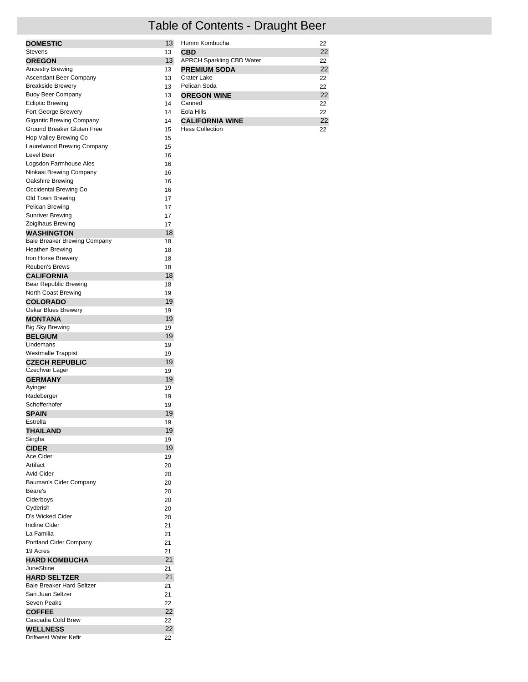# Table of Contents - Draught Beer

| <b>DOMESTIC</b>                  | 13 |
|----------------------------------|----|
| Stevens                          | 13 |
|                                  |    |
| <b>OREGON</b>                    | 13 |
| Ancestry Brewing                 | 13 |
| Ascendant Beer Company           | 13 |
| <b>Breakside Brewery</b>         | 13 |
| <b>Buoy Beer Company</b>         | 13 |
| <b>Ecliptic Brewing</b>          | 14 |
|                                  |    |
| Fort George Brewery              | 14 |
| <b>Gigantic Brewing Company</b>  | 14 |
| Ground Breaker Gluten Free       | 15 |
| Hop Valley Brewing Co            | 15 |
| Laurelwood Brewing Company       | 15 |
|                                  |    |
| Level Beer                       | 16 |
| Logsdon Farmhouse Ales           | 16 |
| Ninkasi Brewing Company          | 16 |
| Oakshire Brewing                 | 16 |
| Occidental Brewing Co            | 16 |
| Old Town Brewing                 |    |
|                                  | 17 |
| Pelican Brewing                  | 17 |
| <b>Sunriver Brewing</b>          | 17 |
| Zoiglhaus Brewing                | 17 |
| <b>WASHINGTON</b>                | 18 |
|                                  |    |
| Bale Breaker Brewing Company     | 18 |
| Heathen Brewing                  | 18 |
| Iron Horse Brewerv               | 18 |
| <b>Reuben's Brews</b>            | 18 |
| <b>CALIFORNIA</b>                | 18 |
|                                  |    |
| Bear Republic Brewing            | 18 |
| North Coast Brewing              | 19 |
| <b>COLORADO</b>                  | 19 |
| Oskar Blues Brewery              | 19 |
| MONTANA                          | 19 |
| Big Sky Brewing                  | 19 |
|                                  |    |
| <b>BELGIUM</b>                   | 19 |
| Lindemans                        | 19 |
| <b>Westmalle Trappist</b>        | 19 |
| <b>CZECH REPUBLIC</b>            | 19 |
|                                  |    |
| Czechvar Lager                   | 19 |
| <b>GERMANY</b>                   | 19 |
| Ayinger                          | 19 |
| Radeberger                       | 19 |
| Schofferhofer                    | 19 |
|                                  | 19 |
| <b>SPAIN</b>                     |    |
| Estrella                         | 19 |
| THAILAND                         | 19 |
| Singha                           | 19 |
| <b>CIDER</b>                     | 19 |
| Ace Cider                        | 19 |
|                                  |    |
| Artifact                         | 20 |
| <b>Avid Cider</b>                | 20 |
| Bauman's Cider Company           | 20 |
| Beare's                          | 20 |
| Ciderboys                        | 20 |
|                                  |    |
| Cyderish                         | 20 |
| D's Wicked Cider                 | 20 |
| <b>Incline Cider</b>             | 21 |
| La Familia                       | 21 |
|                                  |    |
| Portland Cider Company           | 21 |
| 19 Acres                         | 21 |
| <b>HARD KOMBUCHA</b>             | 21 |
| JuneShine                        | 21 |
| <b>HARD SELTZER</b>              | 21 |
|                                  |    |
| <b>Bale Breaker Hard Seltzer</b> | 21 |
| San Juan Seltzer                 | 21 |
| Seven Peaks                      | 22 |
| <b>COFFEE</b>                    | 22 |
| Cascadia Cold Brew               | 22 |
|                                  |    |
| <b>WELLNESS</b>                  | 22 |
| Driftwest Water Kefir            | 22 |

| Humm Kombucha                    | 22 |
|----------------------------------|----|
| <b>CBD</b>                       | 22 |
| <b>APRCH Sparkling CBD Water</b> | 22 |
| <b>PREMIUM SODA</b>              | 22 |
| Crater Lake                      | 22 |
| Pelican Soda                     | 22 |
| <b>OREGON WINE</b>               | 22 |
| Canned                           | 22 |
| Eola Hills                       | 22 |
| <b>CALIFORNIA WINE</b>           | 22 |
| <b>Hess Collection</b>           | 22 |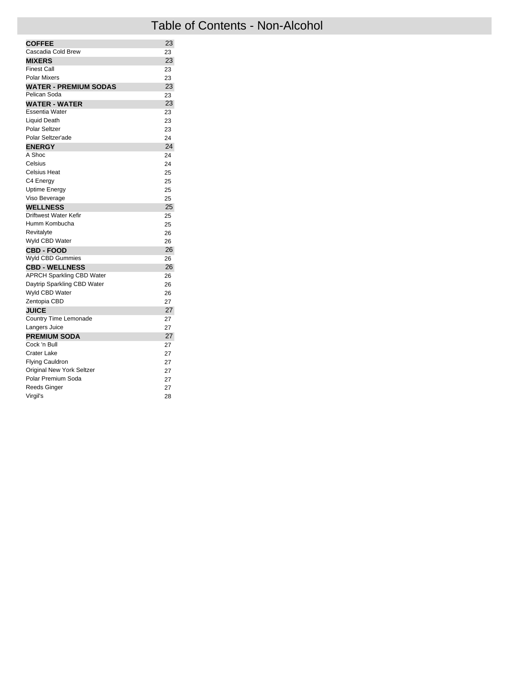| <b>COFFEE</b>                    | 23 |
|----------------------------------|----|
| Cascadia Cold Brew               | 23 |
| <b>MIXERS</b>                    | 23 |
| <b>Finest Call</b>               | 23 |
| <b>Polar Mixers</b>              | 23 |
| <b>WATER - PREMIUM SODAS</b>     | 23 |
| Pelican Soda                     | 23 |
| <b>WATER - WATER</b>             | 23 |
| <b>Essentia Water</b>            | 23 |
| <b>Liquid Death</b>              | 23 |
| Polar Seltzer                    | 23 |
| Polar Seltzer'ade                | 24 |
| <b>ENERGY</b>                    | 24 |
| A Shoc                           | 24 |
| Celsius                          | 24 |
| Celsius Heat                     | 25 |
| C4 Energy                        | 25 |
| Uptime Energy                    | 25 |
| Viso Beverage                    | 25 |
| <b>WELLNESS</b>                  | 25 |
| Driftwest Water Kefir            | 25 |
| Humm Kombucha                    | 25 |
| Revitalyte                       | 26 |
| Wyld CBD Water                   | 26 |
| <b>CBD - FOOD</b>                | 26 |
| Wyld CBD Gummies                 | 26 |
| <b>CBD - WELLNESS</b>            | 26 |
| <b>APRCH Sparkling CBD Water</b> | 26 |
| Daytrip Sparkling CBD Water      | 26 |
| Wyld CBD Water                   | 26 |
| Zentopia CBD                     | 27 |
| <b>JUICE</b>                     | 27 |
| Country Time Lemonade            | 27 |
| Langers Juice                    | 27 |
| <b>PREMIUM SODA</b>              | 27 |
| Cock 'n Bull                     | 27 |
| <b>Crater Lake</b>               | 27 |
| <b>Flying Cauldron</b>           | 27 |
| <b>Original New York Seltzer</b> | 27 |
| Polar Premium Soda               | 27 |
| <b>Reeds Ginger</b>              | 27 |
| Virgil's                         | 28 |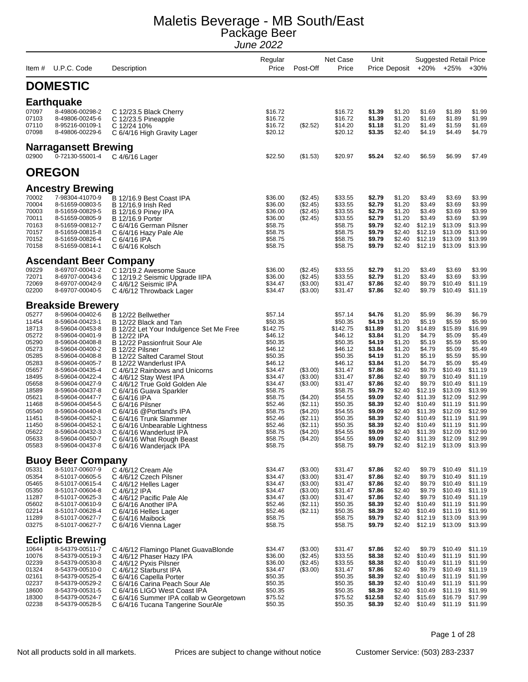| Item #         | U.P.C. Code                                | Description                                                      | Regular<br>Price   | Post-Off             | Net Case<br>Price  | Unit             | Price Deposit    |                    | <b>Suggested Retail Price</b><br>+20% +25% | $+30%$             |
|----------------|--------------------------------------------|------------------------------------------------------------------|--------------------|----------------------|--------------------|------------------|------------------|--------------------|--------------------------------------------|--------------------|
|                | <b>DOMESTIC</b>                            |                                                                  |                    |                      |                    |                  |                  |                    |                                            |                    |
|                |                                            |                                                                  |                    |                      |                    |                  |                  |                    |                                            |                    |
|                | <b>Earthquake</b>                          |                                                                  |                    |                      |                    |                  |                  |                    |                                            |                    |
| 07097<br>07103 | 8-49806-00298-2<br>8-49806-00245-6         | C 12/23.5 Black Cherry                                           | \$16.72<br>\$16.72 |                      | \$16.72<br>\$16.72 | \$1.39<br>\$1.39 | \$1.20<br>\$1.20 | \$1.69<br>\$1.69   | \$1.89<br>\$1.89                           | \$1.99<br>\$1.99   |
| 07110          | 8-95216-00109-1                            | C 12/23.5 Pineapple<br>C 12/24 10%                               | \$16.72            | (\$2.52)             | \$14.20            | \$1.18           | \$1.20           | \$1.49             | \$1.59                                     | \$1.69             |
| 07098          | 8-49806-00229-6                            | C 6/4/16 High Gravity Lager                                      | \$20.12            |                      | \$20.12            | \$3.35           | \$2.40           | \$4.19             | \$4.49                                     | \$4.79             |
|                | <b>Narragansett Brewing</b>                |                                                                  |                    |                      |                    |                  |                  |                    |                                            |                    |
| 02900          | 0-72130-55001-4                            | C 4/6/16 Lager                                                   | \$22.50            | (\$1.53)             | \$20.97            | \$5.24           | \$2.40           | \$6.59             | \$6.99                                     | \$7.49             |
|                | <b>OREGON</b>                              |                                                                  |                    |                      |                    |                  |                  |                    |                                            |                    |
|                | <b>Ancestry Brewing</b>                    |                                                                  |                    |                      |                    |                  |                  |                    |                                            |                    |
| 70002          | 7-98304-41070-9                            | B 12/16.9 Best Coast IPA                                         | \$36.00            | (\$2.45)             | \$33.55            | \$2.79           | \$1.20           | \$3.49             | \$3.69                                     | \$3.99             |
| 70004          | 8-51659-00803-5                            | B 12/16.9 Irish Red                                              | \$36.00            | (\$2.45)             | \$33.55            | \$2.79           | \$1.20           | \$3.49             | \$3.69                                     | \$3.99             |
| 70003          | 8-51659-00829-5                            | B 12/16.9 Piney IPA                                              | \$36.00            | (\$2.45)             | \$33.55            | \$2.79           | \$1.20           | \$3.49             | \$3.69                                     | \$3.99             |
| 70011<br>70163 | 8-51659-00805-9<br>8-51659-00812-7         | <b>B</b> 12/16.9 Porter<br>C 6/4/16 German Pilsner               | \$36.00<br>\$58.75 | (\$2.45)             | \$33.55<br>\$58.75 | \$2.79<br>\$9.79 | \$1.20<br>\$2.40 | \$3.49<br>\$12.19  | \$3.69<br>\$13.09                          | \$3.99<br>\$13.99  |
| 70157          | 8-51659-00815-8                            | C 6/4/16 Hazy Pale Ale                                           | \$58.75            |                      | \$58.75            | \$9.79           | \$2.40           | \$12.19            | \$13.09                                    | \$13.99            |
| 70152<br>70158 | 8-51659-00826-4<br>8-51659-00814-1         | C 6/4/16 IPA<br>C 6/4/16 Kolsch                                  | \$58.75<br>\$58.75 |                      | \$58.75<br>\$58.75 | \$9.79<br>\$9.79 | \$2.40<br>\$2.40 | \$12.19<br>\$12.19 | \$13.09<br>\$13.09                         | \$13.99<br>\$13.99 |
|                | <b>Ascendant Beer Company</b>              |                                                                  |                    |                      |                    |                  |                  |                    |                                            |                    |
| 09229          | 8-69707-00041-2                            | C 12/19.2 Awesome Sauce                                          | \$36.00            | (\$2.45)             | \$33.55            | \$2.79           | \$1.20           | \$3.49             | \$3.69                                     | \$3.99             |
| 72071          | 8-69707-00043-6                            | C 12/19.2 Seismic Upgrade IIPA                                   | \$36.00            | (\$2.45)             | \$33.55            | \$2.79           | \$1.20           | \$3.49             | \$3.69                                     | \$3.99             |
| 72069          | 8-69707-00042-9                            | C 4/6/12 Seismic IPA                                             | \$34.47            | (\$3.00)             | \$31.47            | \$7.86           | \$2.40           | \$9.79             | \$10.49                                    | \$11.19            |
| 02200          | 8-69707-00040-5                            | C 4/6/12 Throwback Lager                                         | \$34.47            | (\$3.00)             | \$31.47            | \$7.86           | \$2.40           | \$9.79             | \$10.49                                    | \$11.19            |
|                | <b>Breakside Brewery</b>                   |                                                                  |                    |                      |                    |                  |                  |                    |                                            |                    |
| 05277          | 8-59604-00402-6                            | B 12/22 Bellwether                                               | \$57.14            |                      | \$57.14            | \$4.76           | \$1.20           | \$5.99             | \$6.39                                     | \$6.79             |
| 11454          | 8-59604-00423-1                            | B 12/22 Black and Tan                                            | \$50.35            |                      | \$50.35            | \$4.19           | \$1.20           | \$5.19             | \$5.59                                     | \$5.99             |
| 18713          | 8-59604-00453-8                            | B 12/22 Let Your Indulgence Set Me Free                          | \$142.75           |                      | \$142.75           | \$11.89          | \$1.20           | \$14.89            | \$15.89<br>\$5.09                          | \$16.99<br>\$5.49  |
| 05272<br>05290 | 8-59604-00401-9<br>8-59604-00408-8         | B 12/22 IPA<br>B 12/22 Passionfruit Sour Ale                     | \$46.12<br>\$50.35 |                      | \$46.12<br>\$50.35 | \$3.84<br>\$4.19 | \$1.20<br>\$1.20 | \$4.79<br>\$5.19   | \$5.59                                     | \$5.99             |
| 05273          | 8-59604-00400-2                            | B 12/22 Pilsner                                                  | \$46.12            |                      | \$46.12            | \$3.84           | \$1.20           | \$4.79             | \$5.09                                     | \$5.49             |
| 05285          | 8-59604-00408-8                            | B 12/22 Salted Caramel Stout                                     | \$50.35            |                      | \$50.35            | \$4.19           | \$1.20           | \$5.19             | \$5.59                                     | \$5.99             |
| 05283          | 8-59604-00405-7                            | B 12/22 Wanderlust IPA                                           | \$46.12            |                      | \$46.12            | \$3.84           | \$1.20           | \$4.79             | \$5.09                                     | \$5.49             |
| 05657<br>18495 | 8-59604-00435-4<br>8-59604-00422-4         | C 4/6/12 Rainbows and Unicorns<br>C 4/6/12 Stay West IPA         | \$34.47<br>\$34.47 | (\$3.00)<br>(\$3.00) | \$31.47<br>\$31.47 | \$7.86<br>\$7.86 | \$2.40<br>\$2.40 | \$9.79<br>\$9.79   | \$10.49<br>\$10.49                         | \$11.19<br>\$11.19 |
| 05658          | 8-59604-00427-9                            | C 4/6/12 True Gold Golden Ale                                    | \$34.47            | (\$3.00)             | \$31.47            | \$7.86           | \$2.40           | \$9.79             | \$10.49                                    | \$11.19            |
| 18589          | 8-59604-00437-8                            | C 6/4/16 Guava Sparkler                                          | \$58.75            |                      | \$58.75            | \$9.79           | \$2.40           | \$12.19            | \$13.09                                    | \$13.99            |
| 05621          | 8-59604-00447-7                            | C 6/4/16 IPA                                                     | \$58.75            | (\$4.20)             | \$54.55            | \$9.09           | \$2.40           | \$11.39            | \$12.09                                    | \$12.99            |
| 11468<br>05540 | 8-59604-00454-5<br>8-59604-00440-8         | C 6/4/16 Pilsner                                                 | \$52.46<br>\$58.75 | (\$2.11)<br>(\$4.20) | \$50.35<br>\$54.55 | \$8.39<br>\$9.09 | \$2.40<br>\$2.40 | \$10.49<br>\$11.39 | \$11.19<br>\$12.09                         | \$11.99<br>\$12.99 |
| 11451          | 8-59604-00452-1                            | C 6/4/16 @Portland's IPA<br>C 6/4/16 Trunk Slammer               | \$52.46            | (\$2.11)             | \$50.35            | \$8.39           | \$2.40           | \$10.49            | \$11.19                                    | \$11.99            |
| 11450          | 8-59604-00452-1                            | C 6/4/16 Unbearable Lightness                                    | \$52.46            | (\$2.11)             | \$50.35            | \$8.39           | \$2.40           | \$10.49            | \$11.19                                    | \$11.99            |
| 05622          | 8-59604-00432-3                            | C 6/4/16 Wanderlust IPA                                          | \$58.75            | (\$4.20)             | \$54.55            | \$9.09           | \$2.40           | \$11.39            | \$12.09                                    | \$12.99            |
| 05633<br>05583 | 8-59604-00450-7<br>8-59604-00437-8         | C 6/4/16 What Rough Beast<br>C 6/4/16 Wanderjack IPA             | \$58.75<br>\$58.75 | $(*4.20)$            | \$54.55<br>\$58.75 | \$9.09<br>\$9.79 | \$2.40<br>\$2.40 | \$11.39<br>\$12.19 | \$12.09<br>\$13.09                         | \$12.99<br>\$13.99 |
|                | <b>Buoy Beer Company</b>                   |                                                                  |                    |                      |                    |                  |                  |                    |                                            |                    |
| 05331          | 8-51017-00607-9                            | C 4/6/12 Cream Ale                                               | \$34.47            | (\$3.00)             | \$31.47            | \$7.86           | \$2.40           | \$9.79             | \$10.49                                    | \$11.19            |
| 05354          | 8-51017-00605-5                            | C 4/6/12 Czech Pilsner                                           | \$34.47            | (\$3.00)             | \$31.47            | \$7.86           | \$2.40           | \$9.79             | \$10.49                                    | \$11.19            |
| 05465          | 8-51017-00615-4                            | C 4/6/12 Helles Lager                                            | \$34.47            | (\$3.00)             | \$31.47            | \$7.86           | \$2.40           | \$9.79             | \$10.49                                    | \$11.19            |
| 05350<br>11287 | 8-51017-00604-8<br>8-51017-00625-3         | C 4/6/12 IPA                                                     | \$34.47<br>\$34.47 | (\$3.00)             | \$31.47<br>\$31.47 | \$7.86<br>\$7.86 | \$2.40<br>\$2.40 | \$9.79<br>\$9.79   | \$10.49<br>\$10.49                         | \$11.19<br>\$11.19 |
| 05602          | 8-51017-00610-9                            | C 4/6/12 Pacific Pale Ale<br>C 6/4/16 Another IPA                | \$52.46            | (\$3.00)<br>(\$2.11) | \$50.35            | \$8.39           | \$2.40           | \$10.49            | \$11.19                                    | \$11.99            |
| 02214          | 8-51017-00628-4                            | C 6/4/16 Helles Lager                                            | \$52.46            | (\$2.11)             | \$50.35            | \$8.39           | \$2.40           | \$10.49            | \$11.19                                    | \$11.99            |
| 11289          | 8-51017-00627-7                            | C 6/4/16 Maibock                                                 | \$58.75<br>\$58.75 |                      | \$58.75<br>\$58.75 | \$9.79<br>\$9.79 | \$2.40<br>\$2.40 | \$12.19            | \$13.09                                    | \$13.99<br>\$13.99 |
| 03275          | 8-51017-00627-7                            | C 6/4/16 Vienna Lager                                            |                    |                      |                    |                  |                  | \$12.19            | \$13.09                                    |                    |
| 10644          | <b>Ecliptic Brewing</b><br>8-54379-00511-7 |                                                                  | \$34.47            | (\$3.00)             | \$31.47            | \$7.86           | \$2.40           | \$9.79             | \$10.49                                    | \$11.19            |
| 10076          | 8-54379-00519-3                            | C 4/6/12 Flamingo Planet GuavaBlonde<br>C 4/6/12 Phaser Hazy IPA | \$36.00            | (\$2.45)             | \$33.55            | \$8.38           | \$2.40           | \$10.49            | \$11.19                                    | \$11.99            |
| 02239          | 8-54379-00530-8                            | C 4/6/12 Pyxis Pilsner                                           | \$36.00            | (\$2.45)             | \$33.55            | \$8.38           | \$2.40           | \$10.49            | \$11.19                                    | \$11.99            |
| 01324          | 8-54379-00510-0                            | C 4/6/12 Starburst IPA                                           | \$34.47            | (\$3.00)             | \$31.47            | \$7.86           | \$2.40           | \$9.79             | \$10.49                                    | \$11.19            |
| 02161          | 8-54379-00525-4                            | C 6/4/16 Capella Porter                                          | \$50.35            |                      | \$50.35            | \$8.39           | \$2.40           | \$10.49            | \$11.19                                    | \$11.99            |
| 02237<br>18600 | 8-54379-00529-2<br>8-54379-00531-5         | C 6/4/16 Carina Peach Sour Ale<br>C 6/4/16 LIGO West Coast IPA   | \$50.35<br>\$50.35 |                      | \$50.35<br>\$50.35 | \$8.39<br>\$8.39 | \$2.40<br>\$2.40 | \$10.49<br>\$10.49 | \$11.19<br>\$11.19                         | \$11.99<br>\$11.99 |
| 18300          | 8-54379-00524-7                            | C 6/4/16 Summer IPA collab w Georgetown                          | \$75.52            |                      | \$75.52            | \$12.58          | \$2.40           | \$15.69            | \$16.79                                    | \$17.99            |
| 02238          | 8-54379-00528-5                            | C 6/4/16 Tucana Tangerine SourAle                                | \$50.35            |                      | \$50.35            | \$8.39           | \$2.40           | \$10.49            | \$11.19                                    | \$11.99            |

Page 1 of 28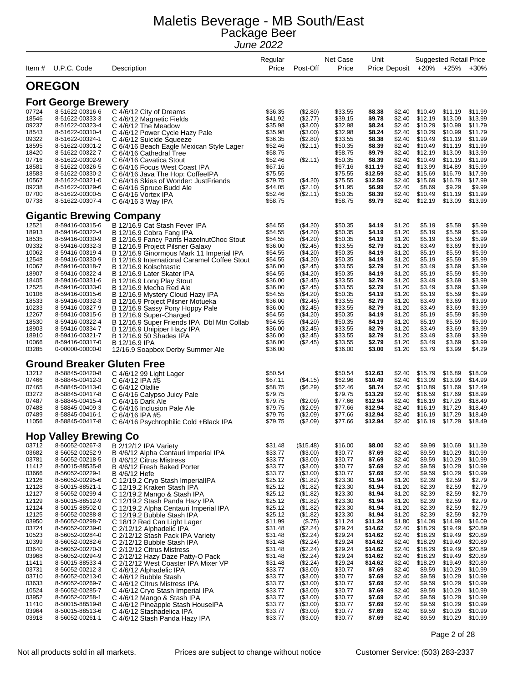| Item #         | U.P.C. Code                        | Description                                                                              | Regular<br>Price   | Post-Off             | Net Case<br>Price  | Unit               | Price Deposit    |                    | <b>Suggested Retail Price</b><br>$+20\% +25\%$ | $+30%$             |
|----------------|------------------------------------|------------------------------------------------------------------------------------------|--------------------|----------------------|--------------------|--------------------|------------------|--------------------|------------------------------------------------|--------------------|
|                |                                    |                                                                                          |                    |                      |                    |                    |                  |                    |                                                |                    |
|                | <b>OREGON</b>                      |                                                                                          |                    |                      |                    |                    |                  |                    |                                                |                    |
|                | <b>Fort George Brewery</b>         |                                                                                          |                    |                      |                    |                    |                  |                    |                                                |                    |
| 07724          | 8-51622-00316-6                    | C 4/6/12 City of Dreams                                                                  | \$36.35            | (\$2.80)             | \$33.55            | \$8.38             | \$2.40           | \$10.49            | \$11.19                                        | \$11.99            |
| 18546          | 8-51622-00333-3                    | C 4/6/12 Magnetic Fields                                                                 | \$41.92            | (\$2.77)             | \$39.15            | \$9.78             | \$2.40           | \$12.19            | \$13.09                                        | \$13.99            |
| 09237<br>18543 | 8-51622-00323-4<br>8-51622-00310-4 | C 4/6/12 The Meadow                                                                      | \$35.98<br>\$35.98 | (\$3.00)<br>(\$3.00) | \$32.98<br>\$32.98 | \$8.24<br>\$8.24   | \$2.40<br>\$2.40 | \$10.29<br>\$10.29 | \$10.99<br>\$10.99                             | \$11.79<br>\$11.79 |
| 09322          | 8-51622-00324-1                    | C 4/6/12 Power Cycle Hazy Pale<br>C 4/6/12 Suicide Squeeze                               | \$36.35            | (\$2.80)             | \$33.55            | \$8.38             | \$2.40           | \$10.49            | \$11.19                                        | \$11.99            |
| 18595          | 8-51622-00301-2                    | C 6/4/16 Beach Eagle Mexican Style Lager                                                 | \$52.46            | (\$2.11)             | \$50.35            | \$8.39             | \$2.40           | \$10.49            | \$11.19                                        | \$11.99            |
| 18420          | 8-51622-00322-7                    | C 6/4/16 Cathedral Tree                                                                  | \$58.75            |                      | \$58.75            | \$9.79             | \$2.40           | \$12.19            | \$13.09                                        | \$13.99            |
| 07716          | 8-51622-00302-9                    | C 6/4/16 Cavatica Stout                                                                  | \$52.46            | (\$2.11)             | \$50.35            | \$8.39             | \$2.40           | \$10.49            | \$11.19                                        | \$11.99            |
| 18581          | 8-51622-00326-5                    | C 6/4/16 Focus West Coast IPA                                                            | \$67.16            |                      | \$67.16            | \$11.19            | \$2.40           | \$13.99            | \$14.89                                        | \$15.99            |
| 18583<br>10567 | 8-51622-00330-2<br>8-51622-00321-0 | C 6/4/16 Java The Hop: CoffeelPA                                                         | \$75.55<br>\$79.75 | (\$4.20)             | \$75.55<br>\$75.55 | \$12.59<br>\$12.59 | \$2.40<br>\$2.40 | \$15.69<br>\$15.69 | \$16.79<br>\$16.79                             | \$17.99<br>\$17.99 |
| 09238          | 8-51622-00329-6                    | C 6/4/16 Skies of Wonder: JustFriends<br>C 6/4/16 Spruce Budd Ale                        | \$44.05            | (\$2.10)             | \$41.95            | \$6.99             | \$2.40           | \$8.69             | \$9.29                                         | \$9.99             |
| 07700          | 8-51622-00300-5                    | C 6/4/16 Vortex IPA                                                                      | \$52.46            | (S2.11)              | \$50.35            | \$8.39             | \$2.40           | \$10.49            | \$11.19                                        | \$11.99            |
| 07738          | 8-51622-00307-4                    | C 6/4/16 3 Way IPA                                                                       | \$58.75            |                      | \$58.75            | \$9.79             | \$2.40           | \$12.19            | \$13.09                                        | \$13.99            |
|                | <b>Gigantic Brewing</b>            | Company                                                                                  |                    |                      |                    |                    |                  |                    |                                                |                    |
| 12521          | 8-59416-00315-6                    | B 12/16.9 Cat Stash Fever IPA                                                            | \$54.55            | (\$4.20)             | \$50.35            | \$4.19             | \$1.20           | \$5.19             | \$5.59                                         | \$5.99             |
| 18913          | 8-59416-00322-4                    | B 12/16.9 Cobra Fang IPA                                                                 | \$54.55            | (\$4.20)             | \$50.35            | \$4.19             | \$1.20           | \$5.19             | \$5.59                                         | \$5.99             |
| 18535          | 8-59416-00330-9                    | B 12/16.9 Fancy Pants HazelnutChoc Stout                                                 | \$54.55            | (\$4.20)             | \$50.35            | \$4.19             | \$1.20           | \$5.19             | \$5.59                                         | \$5.99             |
| 09332<br>10062 | 8-59416-00332-3<br>8-59416-00319-4 | B 12/16.9 Project Pilsner Galaxy                                                         | \$36.00<br>\$54.55 | (\$2.45)<br>(\$4.20) | \$33.55<br>\$50.35 | \$2.79<br>\$4.19   | \$1.20<br>\$1.20 | \$3.49<br>\$5.19   | \$3.69<br>\$5.59                               | \$3.99<br>\$5.99   |
| 12548          | 8-59416-00330-9                    | B 12/16.9 Ginormous Mark 11 Imperial IPA<br>B 12/16.9 International Caramel Coffee Stout | \$54.55            | (\$4.20)             | \$50.35            | \$4.19             | \$1.20           | \$5.19             | \$5.59                                         | \$5.99             |
| 10067          | 8-59416-00318-7                    | B 12/16.9 Kolschtastic                                                                   | \$36.00            | (\$2.45)             | \$33.55            | \$2.79             | \$1.20           | \$3.49             | \$3.69                                         | \$3.99             |
| 18907          | 8-59416-00322-4                    | B 12/16.9 Later Skater IPA                                                               | \$54.55            | (\$4.20)             | \$50.35            | \$4.19             | \$1.20           | \$5.19             | \$5.59                                         | \$5.99             |
| 18405          | 8-59416-00331-6                    | B 12/16.9 Long Play Stout                                                                | \$36.00            | (\$2.45)             | \$33.55            | \$2.79             | \$1.20           | \$3.49             | \$3.69                                         | \$3.99             |
| 12525          | 8-59416-00333-0                    | B 12/16.9 Mecha Red Ale                                                                  | \$36.00            | (\$2.45)             | \$33.55            | \$2.79             | \$1.20           | \$3.49             | \$3.69                                         | \$3.99             |
| 10106          | 8-59416-00315-6                    | B 12/16.9 Mystery Cloud Hazy IPA                                                         | \$54.55            | (\$4.20)             | \$50.35            | \$4.19             | \$1.20           | \$5.19             | \$5.59                                         | \$5.99             |
| 18533<br>10233 | 8-59416-00332-3<br>8-59416-00327-9 | B 12/16.9 Project Pilsner Motueka<br>B 12/16.9 Sassy Pony Hoppy Pale                     | \$36.00<br>\$36.00 | (\$2.45)<br>(\$2.45) | \$33.55<br>\$33.55 | \$2.79<br>\$2.79   | \$1.20<br>\$1.20 | \$3.49<br>\$3.49   | \$3.69<br>\$3.69                               | \$3.99<br>\$3.99   |
| 12267          | 8-59416-00315-6                    | B 12/16.9 Super-Charged                                                                  | \$54.55            | (\$4.20)             | \$50.35            | \$4.19             | \$1.20           | \$5.19             | \$5.59                                         | \$5.99             |
| 18530          | 8-59416-00322-4                    | B 12/16.9 Super Friends IPA Dbl Mtn Collab                                               | \$54.55            | (\$4.20)             | \$50.35            | \$4.19             | \$1.20           | \$5.19             | \$5.59                                         | \$5.99             |
| 18903          | 8-59416-00334-7                    | B 12/16.9 Unipiper Hazy IPA                                                              | \$36.00            | (\$2.45)             | \$33.55            | \$2.79             | \$1.20           | \$3.49             | \$3.69                                         | \$3.99             |
| 18910          | 8-59416-00321-7                    | B 12/16.9 50 Shades IPA                                                                  | \$36.00            | (\$2.45)             | \$33.55            | \$2.79             | \$1.20           | \$3.49             | \$3.69                                         | \$3.99             |
| 10066<br>03285 | 8-59416-00317-0<br>0-00000-00000-0 | B 12/16.9 IPA<br>12/16.9 Soapbox Derby Summer Ale                                        | \$36.00<br>\$36.00 | (\$2.45)             | \$33.55<br>\$36.00 | \$2.79<br>\$3.00   | \$1.20<br>\$1.20 | \$3.49<br>\$3.79   | \$3.69<br>\$3.99                               | \$3.99<br>\$4.29   |
|                |                                    | <b>Ground Breaker Gluten Free</b>                                                        |                    |                      |                    |                    |                  |                    |                                                |                    |
| 13212          | 8-58845-00420-8                    |                                                                                          | \$50.54            |                      | \$50.54            | \$12.63            | \$2.40           | \$15.79            | \$16.89                                        | \$18.09            |
| 07466          | 8-58845-00412-3                    | C 4/6/12 99 Light Lager<br>C 6/4/12 IPA #5                                               | \$67.11            | (\$4.15)             | \$62.96            | \$10.49            | \$2.40           | \$13.09            | \$13.99                                        | \$14.99            |
| 07465          | 8-58845-00413-0                    | C 6/4/12 Olallie                                                                         | \$58.75            | (\$6.29)             | \$52.46            | \$8.74             | \$2.40           | \$10.89            | \$11.69                                        | \$12.49            |
| 03272          | 8-58845-00417-8                    | C 6/4/16 Calypso Juicy Pale                                                              | \$79.75            |                      | \$79.75            | \$13.29            | \$2.40           | \$16.59            | \$17.69                                        | \$18.99            |
| 07487          | 8-58845-00415-4                    | C 6/4/16 Dark Ale                                                                        | \$79.75            | (\$2.09)             | \$77.66            | \$12.94            | \$2.40           | \$16.19            | \$17.29                                        | \$18.49            |
| 07488          | 8-58845-00409-3                    | C 6/4/16 Inclusion Pale Ale                                                              | \$79.75            | (\$2.09)             | \$77.66            | \$12.94            | \$2.40           | \$16.19            | \$17.29                                        | \$18.49            |
| 07489<br>11056 | 8-58845-00416-1<br>8-58845-00417-8 | C 6/4/16 IPA #5<br>C 6/4/16 Psychrophilic Cold + Black IPA                               | \$79.75<br>\$79.75 | (\$2.09)<br>(\$2.09) | \$77.66<br>\$77.66 | \$12.94<br>\$12.94 | \$2.40<br>\$2.40 | \$16.19<br>\$16.19 | \$17.29<br>\$17.29                             | \$18.49<br>\$18.49 |
|                | <b>Hop Valley Brewing Co</b>       |                                                                                          |                    |                      |                    |                    |                  |                    |                                                |                    |
| 03712          | 8-56052-00267-3                    | B 2/12/12 IPA Variety                                                                    | \$31.48            | (\$15.48)            | \$16.00            | \$8.00             | \$2.40           | \$9.99             | \$10.69                                        | \$11.39            |
| 03682          | 8-56052-00252-9                    | B 4/6/12 Alpha Centauri Imperial IPA                                                     | \$33.77            | (\$3.00)             | \$30.77            | \$7.69             | \$2.40           | \$9.59             | \$10.29                                        | \$10.99            |
| 03781          | 8-56052-00218-5                    | B 4/6/12 Citrus Mistress                                                                 | \$33.77            | (\$3.00)             | \$30.77            | \$7.69             | \$2.40           | \$9.59             | \$10.29                                        | \$10.99            |
| 11412          | 8-50015-88535-8                    | B 4/6/12 Fresh Baked Porter                                                              | \$33.77            | (\$3.00)             | \$30.77            | \$7.69             | \$2.40           | \$9.59             | \$10.29                                        | \$10.99            |
| 03666          | 8-56052-00229-1                    | B 4/6/12 Hefe                                                                            | \$33.77            | (\$3.00)             | \$30.77            | \$7.69             | \$2.40           | \$9.59             | \$10.29                                        | \$10.99            |
| 12126          | 8-56052-00295-6                    | C 12/19.2 Cryo Stash ImperialIPA                                                         | \$25.12            | (\$1.82)             | \$23.30            | \$1.94             | \$1.20           | \$2.39             | \$2.59                                         | \$2.79             |
| 12128<br>12127 | 8-50015-88521-1<br>8-56052-00299-4 | C 12/19.2 Kraken Stash IPA<br>C 12/19.2 Mango & Stash IPA                                | \$25.12<br>\$25.12 | (\$1.82)<br>(\$1.82) | \$23.30<br>\$23.30 | \$1.94<br>\$1.94   | \$1.20<br>\$1.20 | \$2.39<br>\$2.39   | \$2.59<br>\$2.59                               | \$2.79<br>\$2.79   |
| 12129          | 8-50015-88512-9                    | C 12/19.2 Stash Panda Hazy IPA                                                           | \$25.12            | (\$1.82)             | \$23.30            | \$1.94             | \$1.20           | \$2.39             | \$2.59                                         | \$2.79             |
| 12124          | 8-50015-88502-0                    | C 12/19.2 Alpha Centauri Imperial IPA                                                    | \$25.12            | (\$1.82)             | \$23.30            | \$1.94             | \$1.20           | \$2.39             | \$2.59                                         | \$2.79             |
| 12125          | 8-56052-00288-8                    | C 12/19.2 Bubble Stash IPA                                                               | \$25.12            | (\$1.82)             | \$23.30            | \$1.94             | \$1.20           | \$2.39             | \$2.59                                         | \$2.79             |
| 03950          | 8-56052-00298-7                    | C 18/12 Red Can Light Lager                                                              | \$11.99            | (\$.75)              | \$11.24            | \$11.24            | \$1.80           | \$14.09            | \$14.99                                        | \$16.09            |
| 03724          | 8-56052-00239-0                    | C 2/12/12 Alphadelic IPA                                                                 | \$31.48            | (\$2.24)             | \$29.24            | \$14.62            | \$2.40           | \$18.29            | \$19.49                                        | \$20.89            |
| 10523<br>10399 | 8-56052-00284-0<br>8-56052-00282-6 | C 2/12/12 Stash Pack IPA Variety                                                         | \$31.48<br>\$31.48 | (\$2.24)<br>(\$2.24) | \$29.24<br>\$29.24 | \$14.62<br>\$14.62 | \$2.40<br>\$2.40 | \$18.29<br>\$18.29 | \$19.49<br>\$19.49                             | \$20.89<br>\$20.89 |
| 03640          | 8-56052-00270-3                    | C 2/12/12 Bubble Stash IPA<br>C 2/12/12 Citrus Mistress                                  | \$31.48            | (\$2.24)             | \$29.24            | \$14.62            | \$2.40           | \$18.29            | \$19.49                                        | \$20.89            |
| 03968          | 8-56052-00294-9                    | C 2/12/12 Hazy Daze Patty-O Pack                                                         | \$31.48            | (\$2.24)             | \$29.24            | \$14.62            | \$2.40           | \$18.29            | \$19.49                                        | \$20.89            |
| 11411          | 8-50015-88533-4                    | C 2/12/12 West Coaster IPA Mixer VP                                                      | \$31.48            | (\$2.24)             | \$29.24            | \$14.62            | \$2.40           | \$18.29            | \$19.49                                        | \$20.89            |
| 03731          | 8-56052-00212-3                    | C 4/6/12 Alphadelic IPA                                                                  | \$33.77            | (\$3.00)             | \$30.77            | \$7.69             | \$2.40           | \$9.59             | \$10.29                                        | \$10.99            |
| 03710          | 8-56052-00213-0                    | C 4/6/12 Bubble Stash                                                                    | \$33.77            | (\$3.00)             | \$30.77            | \$7.69             | \$2.40           | \$9.59             | \$10.29                                        | \$10.99            |
| 03633          | 8-56052-00269-7                    | C 4/6/12 Citrus Mistress IPA                                                             | \$33.77            | (\$3.00)             | \$30.77            | \$7.69             | \$2.40           | \$9.59             | \$10.29                                        | \$10.99            |
| 10524<br>03952 | 8-56052-00285-7<br>8-56052-00258-1 | C 4/6/12 Cryo Stash Imperial IPA<br>C 4/6/12 Mango & Stash IPA                           | \$33.77<br>\$33.77 | (\$3.00)<br>(\$3.00) | \$30.77<br>\$30.77 | \$7.69<br>\$7.69   | \$2.40<br>\$2.40 | \$9.59<br>\$9.59   | \$10.29<br>\$10.29                             | \$10.99<br>\$10.99 |
| 11410          | 8-50015-88519-8                    | C 4/6/12 Pineapple Stash HouselPA                                                        | \$33.77            | (\$3.00)             | \$30.77            | \$7.69             | \$2.40           | \$9.59             | \$10.29                                        | \$10.99            |
| 03964          | 8-50015-88513-6                    | C 4/6/12 Stashadelica IPA                                                                | \$33.77            | (\$3.00)             | \$30.77            | \$7.69             | \$2.40           | \$9.59             | \$10.29                                        | \$10.99            |
| 03918          | 8-56052-00261-1                    | C 4/6/12 Stash Panda Hazy IPA                                                            | \$33.77            | (\$3.00)             | \$30.77            | \$7.69             | \$2.40           | \$9.59             | \$10.29                                        | \$10.99            |

Page 2 of 28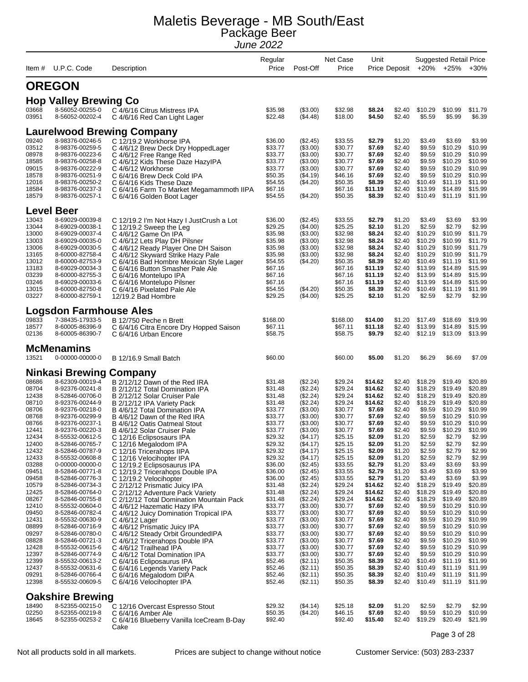|                |                                      |                                                                             | Regular            |                      | Net Case           | Unit               |                  |                    | <b>Suggested Retail Price</b> |                    |
|----------------|--------------------------------------|-----------------------------------------------------------------------------|--------------------|----------------------|--------------------|--------------------|------------------|--------------------|-------------------------------|--------------------|
| Item #         | U.P.C. Code                          | Description                                                                 | Price              | Post-Off             | Price              |                    | Price Deposit    |                    | +20% +25%                     | $+30%$             |
|                | <b>OREGON</b>                        |                                                                             |                    |                      |                    |                    |                  |                    |                               |                    |
|                | <b>Hop Valley Brewing Co</b>         |                                                                             |                    |                      |                    |                    |                  |                    |                               |                    |
| 03668<br>03951 | 8-56052-00255-0<br>8-56052-00202-4   | C 4/6/16 Citrus Mistress IPA<br>C 4/6/16 Red Can Light Lager                | \$35.98<br>\$22.48 | (\$3.00)<br>(\$4.48) | \$32.98<br>\$18.00 | \$8.24<br>\$4.50   | \$2.40<br>\$2.40 | \$10.29<br>\$5.59  | \$10.99<br>\$5.99             | \$11.79<br>\$6.39  |
|                |                                      | <b>Laurelwood Brewing Company</b>                                           |                    |                      |                    |                    |                  |                    |                               |                    |
| 09240          | 8-98376-00246-5                      | C 12/19.2 Workhorse IPA                                                     | \$36.00            | (\$2.45)             | \$33.55            | \$2.79             | \$1.20           | \$3.49             | \$3.69                        | \$3.99             |
| 03512          | 8-98376-00259-5                      | C 4/6/12 Brew Deck Dry HoppedLager                                          | \$33.77            | (\$3.00)             | \$30.77            | \$7.69             | \$2.40           | \$9.59             | \$10.29                       | \$10.99            |
| 08978          | 8-98376-00223-6                      | C 4/6/12 Free Range Red                                                     | \$33.77            | (\$3.00)             | \$30.77            | \$7.69             | \$2.40           | \$9.59             | \$10.29                       | \$10.99            |
| 18585<br>09015 | 8-98376-00258-8<br>8-98376-00222-9   | C 4/6/12 Kids These Daze HazylPA<br>C 4/6/12 Workhorse                      | \$33.77<br>\$33.77 | (\$3.00)<br>(\$3.00) | \$30.77<br>\$30.77 | \$7.69<br>\$7.69   | \$2.40<br>\$2.40 | \$9.59<br>\$9.59   | \$10.29<br>\$10.29            | \$10.99<br>\$10.99 |
| 18578          | 8-98376-00251-9                      | C 6/4/16 Brew Deck Cold IPA                                                 | \$50.35            | (\$4.19)             | \$46.16            | \$7.69             | \$2.40           | \$9.59             | \$10.29                       | \$10.99            |
| 12016<br>18584 | 8-98376-00250-2<br>8-98376-00237-3   | C 6/4/16 Kids These Daze                                                    | \$54.55<br>\$67.16 | (\$4.20)             | \$50.35<br>\$67.16 | \$8.39<br>\$11.19  | \$2.40<br>\$2.40 | \$10.49<br>\$13.99 | \$11.19<br>\$14.89            | \$11.99<br>\$15.99 |
| 18579          | 8-98376-00257-1                      | C 6/4/16 Farm To Market Megamammoth IIPA<br>C 6/4/16 Golden Boot Lager      | \$54.55            | (\$4.20)             | \$50.35            | \$8.39             | \$2.40           | \$10.49            | \$11.19                       | \$11.99            |
|                | <b>Level Beer</b>                    |                                                                             |                    |                      |                    |                    |                  |                    |                               |                    |
| 13043          | 8-69029-00039-8                      | C 12/19.2 I'm Not Hazy I JustCrush a Lot                                    | \$36.00            | (\$2.45)             | \$33.55            | \$2.79             | \$1.20           | \$3.49             | \$3.69                        | \$3.99             |
| 13044<br>13000 | 8-69029-00038-1<br>8-69029-00037-4   | C 12/19.2 Sweep the Leg                                                     | \$29.25<br>\$35.98 | (\$4.00)<br>(\$3.00) | \$25.25<br>\$32.98 | \$2.10<br>\$8.24   | \$1.20<br>\$2.40 | \$2.59<br>\$10.29  | \$2.79<br>\$10.99             | \$2.99<br>\$11.79  |
| 13003          | 8-69029-00035-0                      | C 4/6/12 Game On IPA<br>C 4/6/12 Lets Play DH Pilsner                       | \$35.98            | (\$3.00)             | \$32.98            | \$8.24             | \$2.40           | \$10.29            | \$10.99                       | \$11.79            |
| 13006          | 8-69029-00030-5                      | C 4/6/12 Ready Player One DH Saison                                         | \$35.98            | (\$3.00)             | \$32.98            | \$8.24             | \$2.40           | \$10.29            | \$10.99                       | \$11.79            |
| 13165<br>13012 | 8-60000-82758-4<br>8-60000-82753-9   | C 4/6/12 Skyward Strike Hazy Pale                                           | \$35.98<br>\$54.55 | (\$3.00)<br>(\$4.20) | \$32.98<br>\$50.35 | \$8.24<br>\$8.39   | \$2.40<br>\$2.40 | \$10.29<br>\$10.49 | \$10.99<br>\$11.19            | \$11.79<br>\$11.99 |
| 13183          | 8-69029-00034-3                      | C 6/4/16 Bad Hombre Mexican Style Lager<br>C 6/4/16 Button Smasher Pale Ale | \$67.16            |                      | \$67.16            | \$11.19            | \$2.40           | \$13.99            | \$14.89                       | \$15.99            |
| 03239          | 8-60000-82755-3                      | C 6/4/16 Montelupo IPA                                                      | \$67.16            |                      | \$67.16            | \$11.19            | \$2.40           | \$13.99            | \$14.89                       | \$15.99            |
| 03246<br>13015 | 8-69029-00033-6<br>8-60000-82750-8   | C 6/4/16 Montelupo Pilsner                                                  | \$67.16<br>\$54.55 | (\$4.20)             | \$67.16<br>\$50.35 | \$11.19<br>\$8.39  | \$2.40<br>\$2.40 | \$13.99<br>\$10.49 | \$14.89<br>\$11.19            | \$15.99<br>\$11.99 |
| 03227          | 8-60000-82759-1                      | C 6/4/16 Pixelated Pale Ale<br>12/19.2 Bad Hombre                           | \$29.25            | (\$4.00)             | \$25.25            | \$2.10             | \$1.20           | \$2.59             | \$2.79                        | \$2.99             |
|                | <b>Logsdon Farmhouse Ales</b>        |                                                                             |                    |                      |                    |                    |                  |                    |                               |                    |
| 09833          | 7-38435-17933-5                      | B 12/750 Peche n Brett                                                      | \$168.00           |                      | \$168.00           | \$14.00            | \$1.20           | \$17.49            | \$18.69                       | \$19.99            |
| 18577          | 8-60005-86396-9                      | C 6/4/16 Citra Encore Dry Hopped Saison                                     | \$67.11            |                      | \$67.11            | \$11.18            | \$2.40           | \$13.99            | \$14.89                       | \$15.99            |
| 02136          | 8-60005-86390-7                      | C 6/4/16 Urban Encore                                                       | \$58.75            |                      | \$58.75            | \$9.79             | \$2.40           | \$12.19            | \$13.09                       | \$13.99            |
| 13521          | <b>McMenamins</b><br>0-00000-00000-0 | B 12/16.9 Small Batch                                                       | \$60.00            |                      | \$60.00            | \$5.00             | \$1.20           | \$6.29             | \$6.69                        | \$7.09             |
|                |                                      |                                                                             |                    |                      |                    |                    |                  |                    |                               |                    |
|                | <b>Ninkasi Brewing Company</b>       |                                                                             |                    |                      |                    |                    |                  |                    |                               |                    |
| 08686          | 8-62309-00019-4                      | B 2/12/12 Dawn of the Red IRA                                               | \$31.48            | (\$2.24)             | \$29.24            | \$14.62            | \$2.40           | \$18.29            | \$19.49                       | \$20.89            |
| 08704<br>12438 | 8-92376-00241-8<br>8-52846-00706-0   | B 2/12/12 Total Domination IPA<br>B 2/12/12 Solar Cruiser Pale              | \$31.48<br>\$31.48 | (\$2.24)<br>(\$2.24) | \$29.24<br>\$29.24 | \$14.62<br>\$14.62 | \$2.40<br>\$2.40 | \$18.29<br>\$18.29 | \$19.49<br>\$19.49            | \$20.89<br>\$20.89 |
| 08710          | 8-92376-00244-9                      | B 2/12/12 IPA Variety Pack                                                  | \$31.48            | (\$2.24)             | \$29.24            | \$14.62            | \$2.40           | \$18.29            | \$19.49                       | \$20.89            |
| 08706          | 8-92376-00218-0                      | B 4/6/12 Total Domination IPA                                               | \$33.77            | (\$3.00)             | \$30.77            | \$7.69             | \$2.40           | \$9.59             | \$10.29                       | \$10.99            |
| 08768<br>08766 | 8-92376-00299-9<br>8-92376-00237-1   | B 4/6/12 Dawn of the Red IRA<br>B 4/6/12 Oatis Oatmeal Stout                | \$33.77<br>\$33.77 | (\$3.00)<br>(\$3.00) | \$30.77<br>\$30.77 | \$7.69<br>\$7.69   | \$2.40<br>\$2.40 | \$9.59<br>\$9.59   | \$10.29<br>\$10.29            | \$10.99<br>\$10.99 |
| 12441          | 8-92376-00220-3                      | B 4/6/12 Solar Cruiser Pale                                                 | \$33.77            | (\$3.00)             | \$30.77            | \$7.69             | \$2.40           | \$9.59             | \$10.29                       | \$10.99            |
| 12434          | 8-55532-00612-5                      | C 12/16 Eclipsosaurs IPA                                                    | \$29.32            | (\$4.17)             | \$25.15            | \$2.09             | \$1.20           | \$2.59             | \$2.79                        | \$2.99             |
| 12400<br>12432 | 8-52846-00765-7<br>8-52846-00787-9   | C 12/16 Megalodom IPA<br>C 12/16 Tricerahops IIPA                           | \$29.32<br>\$29.32 | (\$4.17)<br>(\$4.17) | \$25.15<br>\$25.15 | \$2.09<br>\$2.09   | \$1.20<br>\$1.20 | \$2.59<br>\$2.59   | \$2.79<br>\$2.79              | \$2.99<br>\$2.99   |
| 12433          | 8-55532-00608-8                      | C 12/16 Velocihopter IPA                                                    | \$29.32            | (\$4.17)             | \$25.15            | \$2.09             | \$1.20           | \$2.59             | \$2.79                        | \$2.99             |
| 03288          | 0-00000-00000-0                      | C 12/19.2 Eclipsosaurus IPA                                                 | \$36.00            | (\$2.45)             | \$33.55            | \$2.79             | \$1.20           | \$3.49             | \$3.69                        | \$3.99             |
| 09451<br>09458 | 8-52846-00771-8<br>8-52846-00776-3   | C 12/19.2 Tricerahops Double IPA<br>C 12/19.2 Velocihopter                  | \$36.00<br>\$36.00 | (\$2.45)<br>(\$2.45) | \$33.55<br>\$33.55 | \$2.79<br>\$2.79   | \$1.20<br>\$1.20 | \$3.49<br>\$3.49   | \$3.69<br>\$3.69              | \$3.99<br>\$3.99   |
| 10579          | 8-52846-00734-3                      | C 2/12/12 Prismatic Juicy IPA                                               | \$31.48            | (\$2.24)             | \$29.24            | \$14.62            | \$2.40           | \$18.29            | \$19.49                       | \$20.89            |
| 12425          | 8-52846-00764-0                      | C 2/12/12 Adventure Pack Variety                                            | \$31.48            | (\$2.24)             | \$29.24            | \$14.62            | \$2.40           | \$18.29            | \$19.49                       | \$20.89            |
| 08267<br>12410 | 8-52846-00755-8<br>8-55532-00604-0   | C 2/12/12 Total Domination Mountain Pack<br>C 4/6/12 Hazematic Hazy IPA     | \$31.48<br>\$33.77 | (\$2.24)<br>(\$3.00) | \$29.24<br>\$30.77 | \$14.62<br>\$7.69  | \$2.40<br>\$2.40 | \$18.29<br>\$9.59  | \$19.49<br>\$10.29            | \$20.89<br>\$10.99 |
| 09450          | 8-52846-00782-4                      | C 4/6/12 Juicy Domination Tropical IPA                                      | \$33.77            | (\$3.00)             | \$30.77            | \$7.69             | \$2.40           | \$9.59             | \$10.29                       | \$10.99            |
| 12431          | 8-55532-00630-9                      | C 4/6/12 Lager                                                              | \$33.77            | (\$3.00)             | \$30.77            | \$7.69             | \$2.40           | \$9.59             | \$10.29                       | \$10.99            |
| 08899<br>09297 | 8-52846-00716-9<br>8-52846-00780-0   | C 4/6/12 Prismatic Juicy IPA<br>C 4/6/12 Steady Orbit Grounded IPA          | \$33.77<br>\$33.77 | (\$3.00)<br>(\$3.00) | \$30.77<br>\$30.77 | \$7.69<br>\$7.69   | \$2.40<br>\$2.40 | \$9.59<br>\$9.59   | \$10.29<br>\$10.29            | \$10.99<br>\$10.99 |
| 08828          | 8-52846-00721-3                      | C 4/6/12 Tricerahops Double IPA                                             | \$33.77            | (\$3.00)             | \$30.77            | \$7.69             | \$2.40           | \$9.59             | \$10.29                       | \$10.99            |
| 12428          | 8-55532-00615-6                      | C 4/6/12 Trailhead IPA                                                      | \$33.77            | (\$3.00)             | \$30.77            | \$7.69             | \$2.40           | \$9.59             | \$10.29                       | \$10.99            |
| 12397<br>12399 | 8-52846-00774-9<br>8-55532-00613-2   | C 4/6/12 Total Domination IPA<br>C 6/4/16 Ecliposaurus IPA                  | \$33.77<br>\$52.46 | (\$3.00)<br>(\$2.11) | \$30.77<br>\$50.35 | \$7.69<br>\$8.39   | \$2.40<br>\$2.40 | \$9.59<br>\$10.49  | \$10.29<br>\$11.19            | \$10.99<br>\$11.99 |
| 12437          | 8-55532-00631-6                      | C 6/4/16 Legends Variety Pack                                               | \$52.46            | (\$2.11)             | \$50.35            | \$8.39             | \$2.40           | \$10.49            | \$11.19                       | \$11.99            |
| 09291<br>12398 | 8-52846-00766-4<br>8-55532-00609-5   | C 6/4/16 Megalodom DIPA<br>C 6/4/16 Velocihopter IPA                        | \$52.46<br>\$52.46 | (\$2.11)<br>(\$2.11) | \$50.35<br>\$50.35 | \$8.39<br>\$8.39   | \$2.40<br>\$2.40 | \$10.49<br>\$10.49 | \$11.19<br>\$11.19            | \$11.99<br>\$11.99 |
|                | <b>Oakshire Brewing</b>              |                                                                             |                    |                      |                    |                    |                  |                    |                               |                    |
| 18490          | 8-52355-00215-0                      | C 12/16 Overcast Espresso Stout                                             | \$29.32            | (\$4.14)             | \$25.18            | \$2.09             | \$1.20           | \$2.59             | \$2.79                        | \$2.99             |
| 02250          | 8-52355-00219-8                      | C 6/4/16 Amber Ale                                                          | \$50.35            | (\$4.20)             | \$46.15            | \$7.69             | \$2.40           | \$9.59             | \$10.29                       | \$10.99            |
| 18645          | 8-52355-00253-2                      | C 6/4/16 Blueberry Vanilla IceCream B-Day<br>Cake                           | \$92.40            |                      | \$92.40            | \$15.40            | \$2.40           | \$19.29            | \$20.49                       | \$21.99            |

Page 3 of 28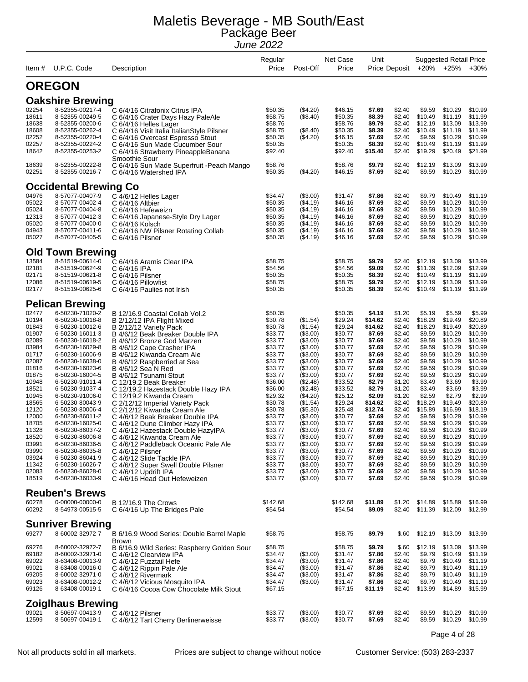| ltem #                                                                                                                                                                                                                        | U.P.C. Code                                                                                                                                                                                                                                                                                                                                                                                                                                                                             | Description                                                                                                                                                                                                                                                                                                                                                                                                                                                                                                                                                                                                                                                                                                                                                                                       | Regular<br>Price                                                                                                                                                                                                                                                                | Post-Off                                                                                                                                                                                                                                                                                        | Net Case<br>Price                                                                                                                                                                                                                                                               | Unit                                                                                                                                                                                                                                                       | Price Deposit                                                                                                                                                                                                                                          |                                                                                                                                                                                                                                                            | <b>Suggested Retail Price</b><br>+20% +25%                                                                                                                                                                                                                                  | $+30%$                                                                                                                                                                                                                                                                      |
|-------------------------------------------------------------------------------------------------------------------------------------------------------------------------------------------------------------------------------|-----------------------------------------------------------------------------------------------------------------------------------------------------------------------------------------------------------------------------------------------------------------------------------------------------------------------------------------------------------------------------------------------------------------------------------------------------------------------------------------|---------------------------------------------------------------------------------------------------------------------------------------------------------------------------------------------------------------------------------------------------------------------------------------------------------------------------------------------------------------------------------------------------------------------------------------------------------------------------------------------------------------------------------------------------------------------------------------------------------------------------------------------------------------------------------------------------------------------------------------------------------------------------------------------------|---------------------------------------------------------------------------------------------------------------------------------------------------------------------------------------------------------------------------------------------------------------------------------|-------------------------------------------------------------------------------------------------------------------------------------------------------------------------------------------------------------------------------------------------------------------------------------------------|---------------------------------------------------------------------------------------------------------------------------------------------------------------------------------------------------------------------------------------------------------------------------------|------------------------------------------------------------------------------------------------------------------------------------------------------------------------------------------------------------------------------------------------------------|--------------------------------------------------------------------------------------------------------------------------------------------------------------------------------------------------------------------------------------------------------|------------------------------------------------------------------------------------------------------------------------------------------------------------------------------------------------------------------------------------------------------------|-----------------------------------------------------------------------------------------------------------------------------------------------------------------------------------------------------------------------------------------------------------------------------|-----------------------------------------------------------------------------------------------------------------------------------------------------------------------------------------------------------------------------------------------------------------------------|
|                                                                                                                                                                                                                               | <b>OREGON</b>                                                                                                                                                                                                                                                                                                                                                                                                                                                                           |                                                                                                                                                                                                                                                                                                                                                                                                                                                                                                                                                                                                                                                                                                                                                                                                   |                                                                                                                                                                                                                                                                                 |                                                                                                                                                                                                                                                                                                 |                                                                                                                                                                                                                                                                                 |                                                                                                                                                                                                                                                            |                                                                                                                                                                                                                                                        |                                                                                                                                                                                                                                                            |                                                                                                                                                                                                                                                                             |                                                                                                                                                                                                                                                                             |
|                                                                                                                                                                                                                               | <b>Oakshire Brewing</b>                                                                                                                                                                                                                                                                                                                                                                                                                                                                 |                                                                                                                                                                                                                                                                                                                                                                                                                                                                                                                                                                                                                                                                                                                                                                                                   |                                                                                                                                                                                                                                                                                 |                                                                                                                                                                                                                                                                                                 |                                                                                                                                                                                                                                                                                 |                                                                                                                                                                                                                                                            |                                                                                                                                                                                                                                                        |                                                                                                                                                                                                                                                            |                                                                                                                                                                                                                                                                             |                                                                                                                                                                                                                                                                             |
| 02254<br>18611<br>18638<br>18608<br>02252                                                                                                                                                                                     | 8-52355-00217-4<br>8-52355-00249-5<br>8-52355-00200-6<br>8-52355-00262-4<br>8-52355-00220-4                                                                                                                                                                                                                                                                                                                                                                                             | C 6/4/16 Citrafonix Citrus IPA<br>C 6/4/16 Crater Days Hazy PaleAle<br>C 6/4/16 Helles Lager<br>C 6/4/16 Visit Italia ItalianStyle Pilsner<br>C 6/4/16 Overcast Espresso Stout                                                                                                                                                                                                                                                                                                                                                                                                                                                                                                                                                                                                                    | \$50.35<br>\$58.75<br>\$58.76<br>\$58.75<br>\$50.35                                                                                                                                                                                                                             | (\$4.20)<br>(\$8.40)<br>(\$8.40)<br>(\$4.20)                                                                                                                                                                                                                                                    | \$46.15<br>\$50.35<br>\$58.76<br>\$50.35<br>\$46.15                                                                                                                                                                                                                             | \$7.69<br>\$8.39<br>\$9.79<br>\$8.39<br>\$7.69                                                                                                                                                                                                             | \$2.40<br>\$2.40<br>\$2.40<br>\$2.40<br>\$2.40                                                                                                                                                                                                         | \$9.59<br>\$10.49<br>\$12.19<br>\$10.49<br>\$9.59                                                                                                                                                                                                          | \$10.29<br>\$11.19<br>\$13.09<br>\$11.19<br>\$10.29                                                                                                                                                                                                                         | \$10.99<br>\$11.99<br>\$13.99<br>\$11.99<br>\$10.99                                                                                                                                                                                                                         |
| 02257<br>18642                                                                                                                                                                                                                | 8-52355-00224-2<br>8-52355-00253-2                                                                                                                                                                                                                                                                                                                                                                                                                                                      | C 6/4/16 Sun Made Cucumber Sour<br>C 6/4/16 Strawberry PineappleBanana<br>Smoothie Sour                                                                                                                                                                                                                                                                                                                                                                                                                                                                                                                                                                                                                                                                                                           | \$50.35<br>\$92.40                                                                                                                                                                                                                                                              |                                                                                                                                                                                                                                                                                                 | \$50.35<br>\$92.40                                                                                                                                                                                                                                                              | \$8.39<br>\$15.40                                                                                                                                                                                                                                          | \$2.40<br>\$2.40                                                                                                                                                                                                                                       | \$10.49<br>\$19.29                                                                                                                                                                                                                                         | \$11.19<br>\$20.49                                                                                                                                                                                                                                                          | \$11.99<br>\$21.99                                                                                                                                                                                                                                                          |
| 18639<br>02251                                                                                                                                                                                                                | 8-52355-00222-8<br>8-52355-00216-7                                                                                                                                                                                                                                                                                                                                                                                                                                                      | C 6/4/16 Sun Made Superfruit - Peach Mango<br>C 6/4/16 Watershed IPA                                                                                                                                                                                                                                                                                                                                                                                                                                                                                                                                                                                                                                                                                                                              | \$58.76<br>\$50.35                                                                                                                                                                                                                                                              | (\$4.20)                                                                                                                                                                                                                                                                                        | \$58.76<br>\$46.15                                                                                                                                                                                                                                                              | \$9.79<br>\$7.69                                                                                                                                                                                                                                           | \$2.40<br>\$2.40                                                                                                                                                                                                                                       | \$12.19<br>\$9.59                                                                                                                                                                                                                                          | \$13.09<br>\$10.29                                                                                                                                                                                                                                                          | \$13.99<br>\$10.99                                                                                                                                                                                                                                                          |
|                                                                                                                                                                                                                               | <b>Occidental Brewing Co</b>                                                                                                                                                                                                                                                                                                                                                                                                                                                            |                                                                                                                                                                                                                                                                                                                                                                                                                                                                                                                                                                                                                                                                                                                                                                                                   |                                                                                                                                                                                                                                                                                 |                                                                                                                                                                                                                                                                                                 |                                                                                                                                                                                                                                                                                 |                                                                                                                                                                                                                                                            |                                                                                                                                                                                                                                                        |                                                                                                                                                                                                                                                            |                                                                                                                                                                                                                                                                             |                                                                                                                                                                                                                                                                             |
| 04976<br>05022<br>05024<br>12313<br>05020<br>04943<br>05027                                                                                                                                                                   | 8-57077-00407-9<br>8-57077-00402-4<br>8-57077-00404-8<br>8-57077-00412-3<br>8-57077-00400-0<br>8-57077-00411-6<br>8-57077-00405-5                                                                                                                                                                                                                                                                                                                                                       | C 4/6/12 Helles Lager<br>C 6/4/16 Altbier<br>C 6/4/16 Hefeweizn<br>C 6/4/16 Japanese-Style Dry Lager<br>C 6/4/16 Kolsch<br>C 6/4/16 NW Pilsner Rotating Collab<br>C 6/4/16 Pilsner                                                                                                                                                                                                                                                                                                                                                                                                                                                                                                                                                                                                                | \$34.47<br>\$50.35<br>\$50.35<br>\$50.35<br>\$50.35<br>\$50.35<br>\$50.35                                                                                                                                                                                                       | (\$3.00)<br>(\$4.19)<br>( \$4.19)<br>( \$4.19)<br>( \$4.19)<br>(\$4.19)<br>(\$4.19)                                                                                                                                                                                                             | \$31.47<br>\$46.16<br>\$46.16<br>\$46.16<br>\$46.16<br>\$46.16<br>\$46.16                                                                                                                                                                                                       | \$7.86<br>\$7.69<br>\$7.69<br>\$7.69<br>\$7.69<br>\$7.69<br>\$7.69                                                                                                                                                                                         | \$2.40<br>\$2.40<br>\$2.40<br>\$2.40<br>\$2.40<br>\$2.40<br>\$2.40                                                                                                                                                                                     | \$9.79<br>\$9.59<br>\$9.59<br>\$9.59<br>\$9.59<br>\$9.59<br>\$9.59                                                                                                                                                                                         | \$10.49<br>\$10.29<br>\$10.29<br>\$10.29<br>\$10.29<br>\$10.29<br>\$10.29                                                                                                                                                                                                   | \$11.19<br>\$10.99<br>\$10.99<br>\$10.99<br>\$10.99<br>\$10.99<br>\$10.99                                                                                                                                                                                                   |
|                                                                                                                                                                                                                               | <b>Old Town Brewing</b>                                                                                                                                                                                                                                                                                                                                                                                                                                                                 |                                                                                                                                                                                                                                                                                                                                                                                                                                                                                                                                                                                                                                                                                                                                                                                                   |                                                                                                                                                                                                                                                                                 |                                                                                                                                                                                                                                                                                                 |                                                                                                                                                                                                                                                                                 |                                                                                                                                                                                                                                                            |                                                                                                                                                                                                                                                        |                                                                                                                                                                                                                                                            |                                                                                                                                                                                                                                                                             |                                                                                                                                                                                                                                                                             |
| 13584<br>02181<br>02171<br>12086<br>02177                                                                                                                                                                                     | 8-51519-00614-0<br>8-51519-00624-9<br>8-51519-00621-8<br>8-51519-00619-5<br>8-51519-00625-6                                                                                                                                                                                                                                                                                                                                                                                             | C 6/4/16 Aramis Clear IPA<br>C 6/4/16 IPA<br>C 6/4/16 Pilsner<br>C 6/4/16 Pillowfist<br>C 6/4/16 Paulies not Irish                                                                                                                                                                                                                                                                                                                                                                                                                                                                                                                                                                                                                                                                                | \$58.75<br>\$54.56<br>\$50.35<br>\$58.75<br>\$50.35                                                                                                                                                                                                                             |                                                                                                                                                                                                                                                                                                 | \$58.75<br>\$54.56<br>\$50.35<br>\$58.75<br>\$50.35                                                                                                                                                                                                                             | \$9.79<br>\$9.09<br>\$8.39<br>\$9.79<br>\$8.39                                                                                                                                                                                                             | \$2.40<br>\$2.40<br>\$2.40<br>\$2.40<br>\$2.40                                                                                                                                                                                                         | \$12.19<br>\$11.39<br>\$10.49<br>\$12.19<br>\$10.49                                                                                                                                                                                                        | \$13.09<br>\$12.09<br>\$11.19<br>\$13.09<br>\$11.19                                                                                                                                                                                                                         | \$13.99<br>\$12.99<br>\$11.99<br>\$13.99<br>\$11.99                                                                                                                                                                                                                         |
|                                                                                                                                                                                                                               | <b>Pelican Brewing</b>                                                                                                                                                                                                                                                                                                                                                                                                                                                                  |                                                                                                                                                                                                                                                                                                                                                                                                                                                                                                                                                                                                                                                                                                                                                                                                   |                                                                                                                                                                                                                                                                                 |                                                                                                                                                                                                                                                                                                 |                                                                                                                                                                                                                                                                                 |                                                                                                                                                                                                                                                            |                                                                                                                                                                                                                                                        |                                                                                                                                                                                                                                                            |                                                                                                                                                                                                                                                                             |                                                                                                                                                                                                                                                                             |
| 02477<br>10194<br>01843<br>01907<br>02089<br>03984<br>01717<br>02087<br>01816<br>01875<br>10948<br>18521<br>10945<br>18565<br>12120<br>12000<br>18705<br>11328<br>18520<br>03991<br>03990<br>03924<br>11342<br>02083<br>18519 | 6-50230-71020-2<br>6-50230-10018-8<br>6-50230-10012-6<br>6-50230-16011-3<br>6-50230-16018-2<br>6-50230-16029-8<br>6-50230-16006-9<br>6-50230-16038-0<br>6-50230-16023-6<br>6-50230-16004-5<br>6-50230-91011-4<br>6-50230-91037-4<br>6-50230-91006-0<br>6-50230-80043-9<br>6-50230-80006-4<br>6-50230-86011-2<br>6-50230-16025-0<br>6-50230-86037-2<br>6-50230-86006-8<br>6-50230-86036-5<br>6-50230-86035-8<br>6-50230-86041-9<br>6-50230-16026-7<br>6-50230-86028-0<br>6-50230-36033-9 | B 12/16.9 Coastal Collab Vol.2<br>B 2/12/12 IPA Flight Mixed<br>B 2/12/12 Variety Pack<br>B 4/6/12 Beak Breaker Double IPA<br>B 4/6/12 Bronze God Marzen<br>B 4/6/12 Cape Crasher IPA<br>B 4/6/12 Kiwanda Cream Ale<br>B 4/6/12 Raspberried at Sea<br>B 4/6/12 Sea N Red<br>B 4/6/12 Tsunami Stout<br>C 12/19.2 Beak Breaker<br>C 12/19.2 Hazestack Double Hazy IPA<br>C 12/19.2 Kiwanda Cream<br>C 2/12/12 Imperial Variety Pack<br>C 2/12/12 Kiwanda Cream Ale<br>C 4/6/12 Beak Breaker Double IPA<br>C 4/6/12 Dune Climber Hazy IPA<br>C 4/6/12 Hazestack Double HazylPA<br>C 4/6/12 Kiwanda Cream Ale<br>C 4/6/12 Paddleback Oceanic Pale Ale<br>C 4/6/12 Pilsner<br>C 4/6/12 Slide Tackle IPA<br>C 4/6/12 Super Swell Double Pilsner<br>C 4/6/12 Updrift IPA<br>C 4/6/16 Head Out Hefeweizen | \$50.35<br>\$30.78<br>\$30.78<br>\$33.77<br>\$33.77<br>\$33.77<br>\$33.77<br>\$33.77<br>\$33.77<br>\$33.77<br>\$36.00<br>\$36.00<br>\$29.32<br>\$30.78<br>\$30.78<br>\$33.77<br>\$33.77<br>\$33.77<br>\$33.77<br>\$33.77<br>\$33.77<br>\$33.77<br>\$33.77<br>\$33.77<br>\$33.77 | (\$1.54)<br>(\$1.54)<br>(\$3.00)<br>(\$3.00)<br>(\$3.00)<br>(\$3.00)<br>(\$3.00)<br>(\$3.00)<br>(\$3.00)<br>(\$2.48)<br>(\$2.48)<br>(\$4.20)<br>(\$1.54)<br>(\$5.30)<br>(\$3.00)<br>$($ \$3.00)<br>(\$3.00)<br>(\$3.00)<br>(\$3.00)<br>(\$3.00)<br>(\$3.00)<br>(\$3.00)<br>(\$3.00)<br>(\$3.00) | \$50.35<br>\$29.24<br>\$29.24<br>\$30.77<br>\$30.77<br>\$30.77<br>\$30.77<br>\$30.77<br>\$30.77<br>\$30.77<br>\$33.52<br>\$33.52<br>\$25.12<br>\$29.24<br>\$25.48<br>\$30.77<br>\$30.77<br>\$30.77<br>\$30.77<br>\$30.77<br>\$30.77<br>\$30.77<br>\$30.77<br>\$30.77<br>\$30.77 | \$4.19<br>\$14.62<br>\$14.62<br>\$7.69<br>\$7.69<br>\$7.69<br>\$7.69<br>\$7.69<br>\$7.69<br>\$7.69<br>\$2.79<br>\$2.79<br>\$2.09<br>\$14.62<br>\$12.74<br>\$7.69<br>\$7.69<br>\$7.69<br>\$7.69<br>\$7.69<br>\$7.69<br>\$7.69<br>\$7.69<br>\$7.69<br>\$7.69 | \$1.20<br>\$2.40<br>\$2.40<br>\$2.40<br>\$2.40<br>\$2.40<br>\$2.40<br>\$2.40<br>\$2.40<br>\$2.40<br>\$1.20<br>\$1.20<br>\$1.20<br>\$2.40<br>\$2.40<br>\$2.40<br>\$2.40<br>\$2.40<br>\$2.40<br>\$2.40<br>\$2.40<br>\$2.40<br>\$2.40<br>\$2.40<br>\$2.40 | \$5.19<br>\$18.29<br>\$18.29<br>\$9.59<br>\$9.59<br>\$9.59<br>\$9.59<br>\$9.59<br>\$9.59<br>\$9.59<br>\$3.49<br>\$3.49<br>\$2.59<br>\$18.29<br>\$15.89<br>\$9.59<br>\$9.59<br>\$9.59<br>\$9.59<br>\$9.59<br>\$9.59<br>\$9.59<br>\$9.59<br>\$9.59<br>\$9.59 | \$5.59<br>\$19.49<br>\$19.49<br>\$10.29<br>\$10.29<br>\$10.29<br>\$10.29<br>\$10.29<br>\$10.29<br>\$10.29<br>\$3.69<br>\$3.69<br>\$2.79<br>\$19.49<br>\$16.99<br>\$10.29<br>\$10.29<br>\$10.29<br>\$10.29<br>\$10.29<br>\$10.29<br>\$10.29<br>\$10.29<br>\$10.29<br>\$10.29 | \$5.99<br>\$20.89<br>\$20.89<br>\$10.99<br>\$10.99<br>\$10.99<br>\$10.99<br>\$10.99<br>\$10.99<br>\$10.99<br>\$3.99<br>\$3.99<br>\$2.99<br>\$20.89<br>\$18.19<br>\$10.99<br>\$10.99<br>\$10.99<br>\$10.99<br>\$10.99<br>\$10.99<br>\$10.99<br>\$10.99<br>\$10.99<br>\$10.99 |
| 60278<br>60292                                                                                                                                                                                                                | <b>Reuben's Brews</b><br>0-00000-00000-0<br>8-54973-00515-5                                                                                                                                                                                                                                                                                                                                                                                                                             | B 12/16.9 The Crows<br>C 6/4/16 Up The Bridges Pale                                                                                                                                                                                                                                                                                                                                                                                                                                                                                                                                                                                                                                                                                                                                               | \$142.68<br>\$54.54                                                                                                                                                                                                                                                             |                                                                                                                                                                                                                                                                                                 | \$142.68<br>\$54.54                                                                                                                                                                                                                                                             | \$11.89<br>\$9.09                                                                                                                                                                                                                                          | \$1.20<br>\$2.40                                                                                                                                                                                                                                       | \$14.89<br>\$11.39                                                                                                                                                                                                                                         | \$15.89<br>\$12.09                                                                                                                                                                                                                                                          | \$16.99<br>\$12.99                                                                                                                                                                                                                                                          |
|                                                                                                                                                                                                                               | <b>Sunriver Brewing</b>                                                                                                                                                                                                                                                                                                                                                                                                                                                                 |                                                                                                                                                                                                                                                                                                                                                                                                                                                                                                                                                                                                                                                                                                                                                                                                   |                                                                                                                                                                                                                                                                                 |                                                                                                                                                                                                                                                                                                 |                                                                                                                                                                                                                                                                                 |                                                                                                                                                                                                                                                            |                                                                                                                                                                                                                                                        |                                                                                                                                                                                                                                                            |                                                                                                                                                                                                                                                                             |                                                                                                                                                                                                                                                                             |
| 69277                                                                                                                                                                                                                         | 8-60002-32972-7                                                                                                                                                                                                                                                                                                                                                                                                                                                                         | B 6/16.9 Wood Series: Double Barrel Maple                                                                                                                                                                                                                                                                                                                                                                                                                                                                                                                                                                                                                                                                                                                                                         | \$58.75                                                                                                                                                                                                                                                                         |                                                                                                                                                                                                                                                                                                 | \$58.75                                                                                                                                                                                                                                                                         | \$9.79                                                                                                                                                                                                                                                     | \$.60                                                                                                                                                                                                                                                  | \$12.19                                                                                                                                                                                                                                                    | \$13.09                                                                                                                                                                                                                                                                     | \$13.99                                                                                                                                                                                                                                                                     |
| 69276<br>69182<br>69022<br>69021<br>69205<br>69023<br>69126                                                                                                                                                                   | 8-60002-32972-7<br>8-60002-32971-0<br>8-63408-00013-9<br>8-63408-00016-0<br>8-60002-32971-0<br>8-63408-00012-2<br>8-63408-00019-1                                                                                                                                                                                                                                                                                                                                                       | <b>Brown</b><br>B 6/16.9 Wild Series: Raspberry Golden Sour<br>C 4/6/12 Clearview IPA<br>C 4/6/12 Fuzztail Hefe<br>C 4/6/12 Rippin Pale Ale<br>C 4/6/12 Rivermark<br>C 4/6/12 Vicious Mosquito IPA<br>C 6/4/16 Cocoa Cow Chocolate Milk Stout                                                                                                                                                                                                                                                                                                                                                                                                                                                                                                                                                     | \$58.75<br>\$34.47<br>\$34.47<br>\$34.47<br>\$34.47<br>\$34.47<br>\$67.15                                                                                                                                                                                                       | (\$3.00)<br>(\$3.00)<br>(\$3.00)<br>(\$3.00)<br>(\$3.00)                                                                                                                                                                                                                                        | \$58.75<br>\$31.47<br>\$31.47<br>\$31.47<br>\$31.47<br>\$31.47<br>\$67.15                                                                                                                                                                                                       | \$9.79<br>\$7.86<br>\$7.86<br>\$7.86<br>\$7.86<br>\$7.86<br>\$11.19                                                                                                                                                                                        | \$.60<br>\$2.40<br>\$2.40<br>\$2.40<br>\$2.40<br>\$2.40<br>\$2.40                                                                                                                                                                                      | \$12.19<br>\$9.79<br>\$9.79<br>\$9.79<br>\$9.79<br>\$9.79<br>\$13.99                                                                                                                                                                                       | \$13.09<br>\$10.49<br>\$10.49<br>\$10.49<br>\$10.49<br>\$10.49<br>\$14.89                                                                                                                                                                                                   | \$13.99<br>\$11.19<br>\$11.19<br>\$11.19<br>\$11.19<br>\$11.19<br>\$15.99                                                                                                                                                                                                   |
|                                                                                                                                                                                                                               | <b>Zoiglhaus Brewing</b>                                                                                                                                                                                                                                                                                                                                                                                                                                                                |                                                                                                                                                                                                                                                                                                                                                                                                                                                                                                                                                                                                                                                                                                                                                                                                   |                                                                                                                                                                                                                                                                                 |                                                                                                                                                                                                                                                                                                 |                                                                                                                                                                                                                                                                                 |                                                                                                                                                                                                                                                            |                                                                                                                                                                                                                                                        |                                                                                                                                                                                                                                                            |                                                                                                                                                                                                                                                                             |                                                                                                                                                                                                                                                                             |
| 09021<br>12599                                                                                                                                                                                                                | 8-50697-00413-9<br>8-50697-00419-1                                                                                                                                                                                                                                                                                                                                                                                                                                                      | C 4/6/12 Pilsner<br>C 4/6/12 Tart Cherry Berlinerweisse                                                                                                                                                                                                                                                                                                                                                                                                                                                                                                                                                                                                                                                                                                                                           | \$33.77<br>\$33.77                                                                                                                                                                                                                                                              | (\$3.00)<br>(\$3.00)                                                                                                                                                                                                                                                                            | \$30.77<br>\$30.77                                                                                                                                                                                                                                                              | \$7.69<br>\$7.69                                                                                                                                                                                                                                           | \$2.40<br>\$2.40                                                                                                                                                                                                                                       | \$9.59<br>\$9.59                                                                                                                                                                                                                                           | \$10.29<br>\$10.29                                                                                                                                                                                                                                                          | \$10.99<br>\$10.99                                                                                                                                                                                                                                                          |

Page 4 of 28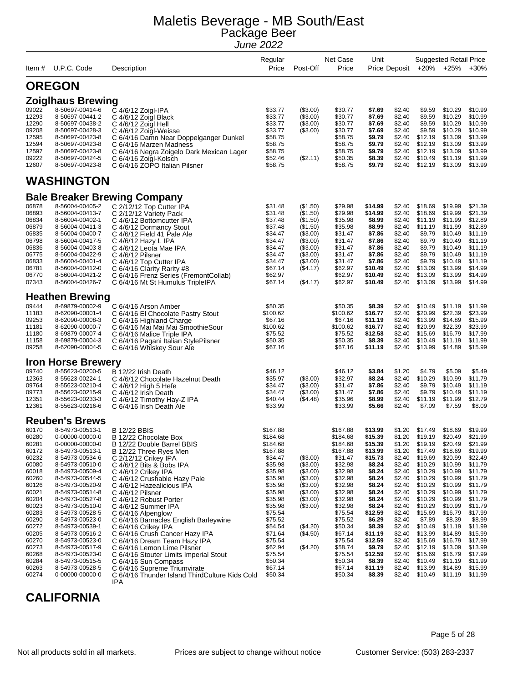| Item #         | U.P.C. Code                        | Description                                                         | Regular<br>Price     | Post-Off             | Net Case<br>Price    | Unit               | Price Deposit    |                           | <b>Suggested Retail Price</b><br>+20% +25% | $+30%$             |
|----------------|------------------------------------|---------------------------------------------------------------------|----------------------|----------------------|----------------------|--------------------|------------------|---------------------------|--------------------------------------------|--------------------|
|                | <b>OREGON</b>                      |                                                                     |                      |                      |                      |                    |                  |                           |                                            |                    |
|                | <b>Zoiglhaus Brewing</b>           |                                                                     |                      |                      |                      |                    |                  |                           |                                            |                    |
| 09022          | 8-50697-00414-6                    | C 4/6/12 Zoigl-IPA                                                  | \$33.77              | (\$3.00)             | \$30.77              | \$7.69             | \$2.40           | \$9.59                    | \$10.29                                    | \$10.99            |
| 12293          | 8-50697-00441-2                    | C 4/6/12 Zoigl Black                                                | \$33.77              | (\$3.00)             | \$30.77              | \$7.69             | \$2.40           | \$9.59                    | \$10.29                                    | \$10.99            |
| 12290          | 8-50697-00438-2                    | C 4/6/12 Zoigl Hell                                                 | \$33.77              | (\$3.00)             | \$30.77              | \$7.69             | \$2.40           | \$9.59                    | \$10.29                                    | \$10.99            |
| 09208          | 8-50697-00428-3                    | C 4/6/12 Zoigl-Weisse                                               | \$33.77              | (\$3.00)             | \$30.77              | \$7.69             | \$2.40           | \$9.59                    | \$10.29                                    | \$10.99            |
| 12595<br>12594 | 8-50697-00423-8<br>8-50697-00423-8 | C 6/4/16 Damn Near Doppelganger Dunkel<br>C 6/4/16 Marzen Madness   | \$58.75<br>\$58.75   |                      | \$58.75<br>\$58.75   | \$9.79<br>\$9.79   | \$2.40<br>\$2.40 | \$12.19<br>\$12.19        | \$13.09<br>\$13.09                         | \$13.99<br>\$13.99 |
| 12597          | 8-50697-00423-8                    | C 6/4/16 Negra Zoigelo Dark Mexican Lager                           | \$58.75              |                      | \$58.75              | \$9.79             | \$2.40           | \$12.19                   | \$13.09                                    | \$13.99            |
| 09222          | 8-50697-00424-5                    | C 6/4/16 Zoigl-Kolsch                                               | \$52.46              | (\$2.11)             | \$50.35              | \$8.39             | \$2.40           | \$10.49                   | \$11.19                                    | \$11.99            |
| 12607          | 8-50697-00423-8                    | C 6/4/16 ZOPO Italian Pilsner                                       | \$58.75              |                      | \$58.75              | \$9.79             | \$2.40           | \$12.19                   | \$13.09                                    | \$13.99            |
|                | <b>WASHINGTON</b>                  |                                                                     |                      |                      |                      |                    |                  |                           |                                            |                    |
|                |                                    | <b>Bale Breaker Brewing Company</b>                                 |                      |                      |                      |                    |                  |                           |                                            |                    |
| 06878          | 8-56004-00405-2                    | C 2/12/12 Top Cutter IPA                                            | \$31.48              | (\$1.50)             | \$29.98              | \$14.99            | \$2.40           | \$18.69                   | \$19.99                                    | \$21.39            |
| 06893          | 8-56004-00413-7                    | C 2/12/12 Variety Pack                                              | \$31.48              | (\$1.50)             | \$29.98              | \$14.99            | \$2.40           | \$18.69                   | \$19.99                                    | \$21.39            |
| 06834          | 8-56004-00402-1                    | C 4/6/12 Bottomcutter IPA                                           | \$37.48              | (\$1.50)             | \$35.98              | \$8.99             | \$2.40           | \$11.19                   | \$11.99                                    | \$12.89            |
| 06879<br>06835 | 8-56004-00411-3<br>8-56004-00400-7 | C 4/6/12 Dormancy Stout<br>C 4/6/12 Field 41 Pale Ale               | \$37.48<br>\$34.47   | (\$1.50)<br>(\$3.00) | \$35.98<br>\$31.47   | \$8.99<br>\$7.86   | \$2.40<br>\$2.40 | \$11.19<br>\$9.79         | \$11.99<br>\$10.49                         | \$12.89<br>\$11.19 |
| 06798          | 8-56004-00417-5                    | C $4/6/12$ Hazy L IPA                                               | \$34.47              | (\$3.00)             | \$31.47              | \$7.86             | \$2.40           | \$9.79                    | \$10.49                                    | \$11.19            |
| 06836          | 8-56004-00403-8                    | C 4/6/12 Leota Mae IPA                                              | \$34.47              | (\$3.00)             | \$31.47              | \$7.86             | \$2.40           | \$9.79                    | \$10.49                                    | \$11.19            |
| 06775          | 8-56004-00422-9                    | C 4/6/12 Pilsner                                                    | \$34.47              | (\$3.00)             | \$31.47              | \$7.86             | \$2.40           | \$9.79                    | \$10.49                                    | \$11.19            |
| 06833<br>06781 | 8-56004-00401-4<br>8-56004-00412-0 | C 4/6/12 Top Cutter IPA                                             | \$34.47<br>\$67.14   | (\$3.00)             | \$31.47<br>\$62.97   | \$7.86<br>\$10.49  | \$2.40<br>\$2.40 | \$9.79<br>\$13.09         | \$10.49<br>\$13.99                         | \$11.19<br>\$14.99 |
| 06770          | 8-56004-00421-2                    | C 6/4/16 Clarity Rarity #8<br>C 6/4/16 Frenz Series (FremontCollab) | \$62.97              | (\$4.17)             | \$62.97              | \$10.49            | \$2.40           | \$13.09                   | \$13.99                                    | \$14.99            |
| 07343          | 8-56004-00426-7                    | C 6/4/16 Mt St Humulus TripleIPA                                    | \$67.14              | ( \$4.17)            | \$62.97              | \$10.49            | \$2.40           | \$13.09                   | \$13.99                                    | \$14.99            |
|                | <b>Heathen Brewing</b>             |                                                                     |                      |                      |                      |                    |                  |                           |                                            |                    |
| 09444          | 8-69879-00002-9                    | C 6/4/16 Arson Amber                                                | \$50.35              |                      | \$50.35              | \$8.39             | \$2.40           | \$10.49                   | \$11.19                                    | \$11.99            |
| 11183          | 8-62090-00001-4                    | C 6/4/16 El Chocolate Pastry Stout                                  | \$100.62             |                      | \$100.62             | \$16.77            | \$2.40           | \$20.99                   | \$22.39                                    | \$23.99            |
| 09253<br>11181 | 8-62090-00008-3<br>8-62090-00000-7 | C 6/4/16 Highland Charge<br>C 6/4/16 Mai Mai Mai SmoothieSour       | \$67.16<br>\$100.62  |                      | \$67.16<br>\$100.62  | \$11.19<br>\$16.77 | \$2.40<br>\$2.40 | \$13.99<br>\$20.99        | \$14.89<br>\$22.39                         | \$15.99<br>\$23.99 |
| 11180          | 8-69879-00007-4                    | C 6/4/16 Malice Triple IPA                                          | \$75.52              |                      | \$75.52              | \$12.58            | \$2.40           | \$15.69                   | \$16.79                                    | \$17.99            |
| 11158          | 8-69879-00004-3                    | C 6/4/16 Pagani Italian StylePilsner                                | \$50.35              |                      | \$50.35              | \$8.39             | \$2.40           | \$10.49                   | \$11.19                                    | \$11.99            |
| 09258          | 8-62090-00004-5                    | C 6/4/16 Whiskey Sour Ale                                           | \$67.16              |                      | \$67.16              | \$11.19            | \$2.40           | \$13.99                   | \$14.89                                    | \$15.99            |
|                | <b>Iron Horse Brewery</b>          |                                                                     |                      |                      |                      |                    |                  |                           |                                            |                    |
| 09740          | 8-55623-00200-5                    | B 12/22 Irish Death                                                 | \$46.12              |                      | \$46.12              | \$3.84             | \$1.20           | \$4.79                    | \$5.09                                     | \$5.49             |
| 12363<br>09764 | 8-55623-00224-1<br>8-55623-00210-4 | C 4/6/12 Chocolate Hazelnut Death                                   | \$35.97<br>\$34.47   | (\$3.00)<br>(\$3.00) | \$32.97<br>\$31.47   | \$8.24<br>\$7.86   | \$2.40<br>\$2.40 | \$10.29<br>\$9.79         | \$10.99<br>\$10.49                         | \$11.79<br>\$11.19 |
| 09773          | 8-55623-00215-9                    | C 4/6/12 High 5 Hefe<br>C 4/6/12 Irish Death                        | \$34.47              | (\$3.00)             | \$31.47              | \$7.86             | \$2.40           | \$9.79                    | \$10.49                                    | \$11.19            |
| 12351          | 8-55623-00233-3                    | C 4/6/12 Timothy Hay-Z IPA                                          | \$40.44              | (\$4.48)             | \$35.96              | \$8.99             | \$2.40           | \$11.19                   | \$11.99                                    | \$12.79            |
| 12361          | 8-55623-00216-6                    | C 6/4/16 Irish Death Ale                                            | \$33.99              |                      | \$33.99              | \$5.66             | \$2.40           | \$7.09                    | \$7.59                                     | \$8.09             |
|                | <b>Reuben's Brews</b>              |                                                                     |                      |                      |                      |                    |                  |                           |                                            |                    |
| 60170          | 8-54973-00513-1                    | <b>B 12/22 BBIS</b>                                                 | \$167.88             |                      | \$167.88             | \$13.99            | \$1.20           | \$17.49                   | \$18.69                                    | \$19.99            |
| 60280<br>60281 | 0-00000-00000-0<br>0-00000-00000-0 | B 12/22 Chocolate Box<br>B 12/22 Double Barrel BBIS                 | \$184.68<br>\$184.68 |                      | \$184.68<br>\$184.68 | \$15.39<br>\$15.39 | \$1.20           | \$1.20 \$19.19<br>\$19.19 | \$20.49<br>\$20.49                         | \$21.99<br>\$21.99 |
| 60172          | 8-54973-00513-1                    | B 12/22 Three Ryes Men                                              | \$167.88             |                      | \$167.88             | \$13.99            | \$1.20           | \$17.49                   | \$18.69                                    | \$19.99            |
| 60232          | 8-54973-00534-6                    | C 2/12/12 Crikey IPA                                                | \$34.47              | (\$3.00)             | \$31.47              | \$15.73            | \$2.40           | \$19.69                   | \$20.99                                    | \$22.49            |
| 60080          | 8-54973-00510-0                    | C 4/6/12 Bits & Bobs IPA                                            | \$35.98              | (\$3.00)             | \$32.98              | \$8.24             | \$2.40           | \$10.29                   | \$10.99                                    | \$11.79            |
| 60018          | 8-54973-00509-4                    | C 4/6/12 Crikey IPA                                                 | \$35.98              | (\$3.00)             | \$32.98              | \$8.24             | \$2.40           | \$10.29                   | \$10.99<br>\$10.99                         | \$11.79            |
| 60260<br>60126 | 8-54973-00544-5<br>8-54973-00520-9 | C 4/6/12 Crushable Hazy Pale<br>C 4/6/12 Hazealicious IPA           | \$35.98<br>\$35.98   | (\$3.00)<br>(\$3.00) | \$32.98<br>\$32.98   | \$8.24<br>\$8.24   | \$2.40<br>\$2.40 | \$10.29<br>\$10.29        | \$10.99                                    | \$11.79<br>\$11.79 |
| 60021          | 8-54973-00514-8                    | C 4/6/12 Pilsner                                                    | \$35.98              | (\$3.00)             | \$32.98              | \$8.24             | \$2.40           | \$10.29                   | \$10.99                                    | \$11.79            |
| 60204          | 8-54973-00527-8                    | C 4/6/12 Robust Porter                                              | \$35.98              | (\$3.00)             | \$32.98              | \$8.24             | \$2.40           | \$10.29                   | \$10.99                                    | \$11.79            |
| 60023          | 8-54973-00510-0                    | C 4/6/12 Summer IPA                                                 | \$35.98              | (\$3.00)             | \$32.98              | \$8.24             | \$2.40           | \$10.29                   | \$10.99                                    | \$11.79            |
| 60283<br>60290 | 8-54973-00528-5<br>8-54973-00523-0 | C 6/4/16 Alpenglow                                                  | \$75.54<br>\$75.52   |                      | \$75.54<br>\$75.52   | \$12.59<br>\$6.29  | \$2.40<br>\$2.40 | \$15.69<br>\$7.89         | \$16.79<br>\$8.39                          | \$17.99<br>\$8.99  |
| 60272          | 8-54973-00539-1                    | C 6/4/16 Barnacles English Barleywine<br>C 6/4/16 Crikey IPA        | \$54.54              | (\$4.20)             | \$50.34              | \$8.39             | \$2.40           | \$10.49                   | \$11.19                                    | \$11.99            |
| 60205          | 8-54973-00516-2                    | C 6/4/16 Crush Cancer Hazy IPA                                      | \$71.64              | (\$4.50)             | \$67.14              | \$11.19            | \$2.40           | \$13.99                   | \$14.89                                    | \$15.99            |
| 60270          | 8-54973-00523-0                    | C 6/4/16 Dream Team Hazy IPA                                        | \$75.54              |                      | \$75.54              | \$12.59            | \$2.40           | \$15.69                   | \$16.79                                    | \$17.99            |
| 60273          | 8-54973-00517-9                    | C 6/4/16 Lemon Lime Pilsner                                         | \$62.94              | (\$4.20)             | \$58.74              | \$9.79             | \$2.40           | \$12.19                   | \$13.09                                    | \$13.99            |
| 60268<br>60284 | 8-54973-00523-0<br>8-54973-00515-5 | C 6/4/16 Stouter Limits Imperial Stout                              | \$75.54<br>\$50.34   |                      | \$75.54<br>\$50.34   | \$12.59<br>\$8.39  | \$2.40<br>\$2.40 | \$15.69<br>\$10.49        | \$16.79<br>\$11.19                         | \$17.99<br>\$11.99 |
| 60263          | 8-54973-00528-5                    | C 6/4/16 Sun Compass<br>C 6/4/16 Supreme Triumvirate                | \$67.14              |                      | \$67.14              | \$11.19            | \$2.40           | \$13.99                   | \$14.89                                    | \$15.99            |
| 60274          | 0-00000-00000-0                    | C 6/4/16 Thunder Island ThirdCulture Kids Cold<br>IPA               | \$50.34              |                      | \$50.34              | \$8.39             | \$2.40           | \$10.49                   | \$11.19                                    | \$11.99            |

#### **CALIFORNIA**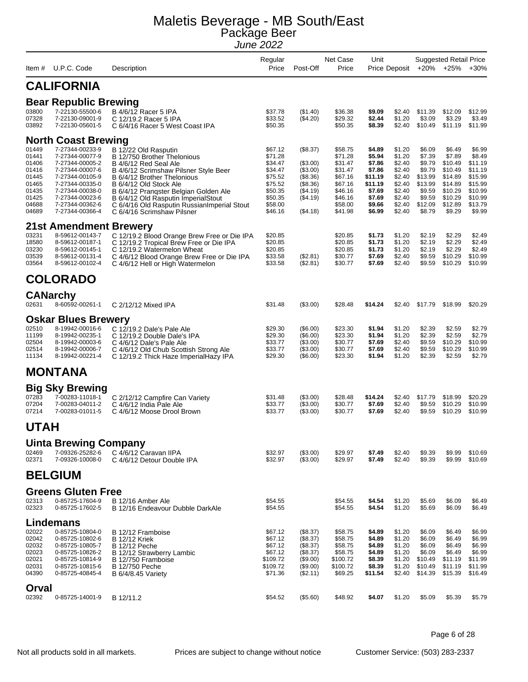|                |                                              |                                                                                        | Regular<br>Price    |                         | Net Case             | Unit              |                  |                   | <b>Suggested Retail Price</b> |                    |
|----------------|----------------------------------------------|----------------------------------------------------------------------------------------|---------------------|-------------------------|----------------------|-------------------|------------------|-------------------|-------------------------------|--------------------|
| Item #         | U.P.C. Code                                  | Description                                                                            |                     | Post-Off                | Price                |                   | Price Deposit    | +20%              | $+25%$                        | $+30%$             |
|                | <b>CALIFORNIA</b>                            |                                                                                        |                     |                         |                      |                   |                  |                   |                               |                    |
|                | <b>Bear Republic Brewing</b>                 |                                                                                        |                     |                         |                      |                   |                  |                   |                               |                    |
| 03800<br>07328 | 7-22130-55500-6<br>7-22130-09001-9           | B 4/6/12 Racer 5 IPA<br>C 12/19.2 Racer 5 IPA                                          | \$37.78<br>\$33.52  | (\$1.40)<br>(\$4.20)    | \$36.38<br>\$29.32   | \$9.09<br>\$2.44  | \$2.40<br>\$1.20 | \$11.39<br>\$3.09 | \$12.09<br>\$3.29             | \$12.99<br>\$3.49  |
| 03892          | 7-22130-05601-5                              | C 6/4/16 Racer 5 West Coast IPA                                                        | \$50.35             |                         | \$50.35              | \$8.39            | \$2.40           | \$10.49           | \$11.19                       | \$11.99            |
|                | <b>North Coast Brewing</b>                   |                                                                                        |                     |                         |                      |                   |                  |                   |                               |                    |
| 01449<br>01441 | 7-27344-00233-9<br>7-27344-00077-9           | B 12/22 Old Rasputin<br>B 12/750 Brother Thelonious                                    | \$67.12<br>\$71.28  | (\$8.37)                | \$58.75<br>\$71.28   | \$4.89<br>\$5.94  | \$1.20<br>\$1.20 | \$6.09<br>\$7.39  | \$6.49<br>\$7.89              | \$6.99<br>\$8.49   |
| 01406          | 7-27344-00005-2                              | B 4/6/12 Red Seal Ale                                                                  | \$34.47             | ( \$3.00)               | \$31.47              | \$7.86            | \$2.40           | \$9.79            | \$10.49                       | \$11.19            |
| 01416<br>01445 | 7-27344-00007-6<br>7-27344-00105-9           | B 4/6/12 Scrimshaw Pilsner Style Beer<br>B 6/4/12 Brother Thelonious                   | \$34.47<br>\$75.52  | (\$3.00)<br>$($ \$8.36) | \$31.47<br>\$67.16   | \$7.86<br>\$11.19 | \$2.40<br>\$2.40 | \$9.79<br>\$13.99 | \$10.49<br>\$14.89            | \$11.19<br>\$15.99 |
| 01465          | 7-27344-00335-0                              | B 6/4/12 Old Stock Ale                                                                 | \$75.52             | $($ \$8.36)             | \$67.16              | \$11.19           | \$2.40           | \$13.99           | \$14.89                       | \$15.99            |
| 01435<br>01425 | 7-27344-00038-0<br>7-27344-00023-6           | B 6/4/12 Pranqster Belgian Golden Ale<br>B 6/4/12 Old Rasputin ImperialStout           | \$50.35<br>\$50.35  | (\$4.19)<br>( \$4.19)   | \$46.16<br>\$46.16   | \$7.69<br>\$7.69  | \$2.40<br>\$2.40 | \$9.59<br>\$9.59  | \$10.29<br>\$10.29            | \$10.99<br>\$10.99 |
| 04688          | 7-27344-00362-6                              | C 6/4/16 Old Rasputin Russian Imperial Stout                                           | \$58.00             |                         | \$58.00              | \$9.66            | \$2.40           | \$12.09           | \$12.89                       | \$13.79            |
| 04689          | 7-27344-00366-4                              | C 6/4/16 Scrimshaw Pilsner                                                             | \$46.16             | (\$4.18)                | \$41.98              | \$6.99            | \$2.40           | \$8.79            | \$9.29                        | \$9.99             |
|                | <b>21st Amendment Brewery</b>                |                                                                                        |                     |                         |                      |                   |                  |                   |                               |                    |
| 03231<br>18580 | 8-59612-00143-7<br>8-59612-00187-1           | C 12/19.2 Blood Orange Brew Free or Die IPA<br>C 12/19.2 Tropical Brew Free or Die IPA | \$20.85<br>\$20.85  |                         | \$20.85<br>\$20.85   | \$1.73<br>\$1.73  | \$1.20<br>\$1.20 | \$2.19<br>\$2.19  | \$2.29<br>\$2.29              | \$2.49<br>\$2.49   |
| 03230          | 8-59612-00145-1                              | C 12/19.2 Watermelon Wheat                                                             | \$20.85             |                         | \$20.85              | \$1.73            | \$1.20           | \$2.19            | \$2.29                        | \$2.49             |
| 03539<br>03564 | 8-59612-00131-4<br>8-59612-00102-4           | C 4/6/12 Blood Orange Brew Free or Die IPA<br>C 4/6/12 Hell or High Watermelon         | \$33.58<br>\$33.58  | (\$2.81)<br>(\$2.81)    | \$30.77<br>\$30.77   | \$7.69<br>\$7.69  | \$2.40<br>\$2.40 | \$9.59<br>\$9.59  | \$10.29<br>\$10.29            | \$10.99<br>\$10.99 |
|                | <b>COLORADO</b>                              |                                                                                        |                     |                         |                      |                   |                  |                   |                               |                    |
|                |                                              |                                                                                        |                     |                         |                      |                   |                  |                   |                               |                    |
| 02631          | <b>CANarchy</b><br>8-60592-00261-1           | C 2/12/12 Mixed IPA                                                                    | \$31.48             | (\$3.00)                | \$28.48              | \$14.24           | \$2.40           | \$17.79           | \$18.99                       | \$20.29            |
|                | <b>Oskar Blues Brewery</b>                   |                                                                                        |                     |                         |                      |                   |                  |                   |                               |                    |
| 02510          | 8-19942-00016-6                              | C 12/19.2 Dale's Pale Ale                                                              | \$29.30             | $(\$6.00)$              | \$23.30              | \$1.94            | \$1.20           | \$2.39            | \$2.59                        | \$2.79             |
| 11199          | 8-19942-00235-1                              | C 12/19.2 Double Dale's IPA                                                            | \$29.30             | (\$6.00)                | \$23.30              | \$1.94            | \$1.20           | \$2.39            | \$2.59                        | \$2.79             |
| 02504<br>02514 | 8-19942-00003-6<br>8-19942-00006-7           | C 4/6/12 Dale's Pale Ale<br>C 4/6/12 Old Chub Scottish Strong Ale                      | \$33.77<br>\$33.77  | (\$3.00)<br>(\$3.00)    | \$30.77<br>\$30.77   | \$7.69<br>\$7.69  | \$2.40<br>\$2.40 | \$9.59<br>\$9.59  | \$10.29<br>\$10.29            | \$10.99<br>\$10.99 |
| 11134          | 8-19942-00221-4                              | C 12/19.2 Thick Haze ImperialHazy IPA                                                  | \$29.30             | $(\$6.00)$              | \$23.30              | \$1.94            | \$1.20           | \$2.39            | \$2.59                        | \$2.79             |
|                | <b>MONTANA</b>                               |                                                                                        |                     |                         |                      |                   |                  |                   |                               |                    |
|                | <b>Big Sky Brewing</b>                       |                                                                                        |                     |                         |                      |                   |                  |                   |                               |                    |
| 07283          | 7-00283-11018-1                              | C 2/12/12 Campfire Can Variety                                                         | \$31.48             | (\$3.00)                | \$28.48              | \$14.24           | \$2.40           | \$17.79           | \$18.99                       | \$20.29            |
| 07204<br>07214 | 7-00283-04011-2<br>7-00283-01011-5           | C 4/6/12 India Pale Ale<br>C 4/6/12 Moose Drool Brown                                  | \$33.77<br>\$33.77  | (\$3.00)<br>(\$3.00)    | \$30.77<br>\$30.77   | \$7.69<br>\$7.69  | \$2.40<br>\$2.40 | \$9.59<br>\$9.59  | \$10.29<br>\$10.29            | \$10.99<br>\$10.99 |
| <b>UTAH</b>    |                                              |                                                                                        |                     |                         |                      |                   |                  |                   |                               |                    |
|                | <b>Uinta Brewing Company</b>                 |                                                                                        |                     |                         |                      |                   |                  |                   |                               |                    |
| 02469<br>02371 | 7-09326-25282-6<br>7-09326-10008-0           | C 4/6/12 Caravan IIPA<br>C 4/6/12 Detour Double IPA                                    | \$32.97<br>\$32.97  | (\$3.00)<br>(\$3.00)    | \$29.97<br>\$29.97   | \$7.49<br>\$7.49  | \$2.40<br>\$2.40 | \$9.39<br>\$9.39  | \$9.99<br>\$9.99              | \$10.69<br>\$10.69 |
|                | <b>BELGIUM</b>                               |                                                                                        |                     |                         |                      |                   |                  |                   |                               |                    |
|                |                                              |                                                                                        |                     |                         |                      |                   |                  |                   |                               |                    |
| 02313          | <b>Greens Gluten Free</b><br>0-85725-17604-9 | B 12/16 Amber Ale                                                                      | \$54.55             |                         | \$54.55              | \$4.54            | \$1.20           | \$5.69            | \$6.09                        | \$6.49             |
| 02323          | 0-85725-17602-5                              | B 12/16 Endeavour Dubble DarkAle                                                       | \$54.55             |                         | \$54.55              | \$4.54            | \$1.20           | \$5.69            | \$6.09                        | \$6.49             |
|                | Lindemans                                    |                                                                                        |                     |                         |                      |                   |                  |                   |                               |                    |
| 02022          | 0-85725-10804-0                              | B 12/12 Framboise                                                                      | \$67.12             | (\$8.37)                | \$58.75              | \$4.89            | \$1.20           | \$6.09            | \$6.49                        | \$6.99             |
| 02042<br>02032 | 0-85725-10802-6<br>0-85725-10805-7           | <b>B</b> 12/12 Kriek<br><b>B</b> 12/12 Peche                                           | \$67.12<br>\$67.12  | (\$8.37)<br>(\$8.37)    | \$58.75<br>\$58.75   | \$4.89<br>\$4.89  | \$1.20<br>\$1.20 | \$6.09<br>\$6.09  | \$6.49<br>\$6.49              | \$6.99<br>\$6.99   |
| 02023          | 0-85725-10826-2                              | B 12/12 Strawberry Lambic                                                              | \$67.12<br>\$109.72 | (\$8.37)                | \$58.75              | \$4.89<br>\$8.39  | \$1.20           | \$6.09<br>\$10.49 | \$6.49                        | \$6.99<br>\$11.99  |
| 02021<br>02031 | 0-85725-10814-9<br>0-85725-10815-6           | B 12/750 Framboise<br><b>B</b> 12/750 Peche                                            | \$109.72            | (\$9.00)<br>(\$9.00)    | \$100.72<br>\$100.72 | \$8.39            | \$1.20<br>\$1.20 | \$10.49           | \$11.19<br>\$11.19            | \$11.99            |
| 04390          | 0-85725-40845-4                              | <b>B</b> 6/4/8.45 Variety                                                              | \$71.36             | (\$2.11)                | \$69.25              | \$11.54           | \$2.40           | \$14.39           | \$15.39                       | \$16.49            |
| Orval          |                                              |                                                                                        |                     |                         |                      |                   |                  |                   |                               |                    |
| 02392          | 0-85725-14001-9                              | B 12/11.2                                                                              | \$54.52             | (\$5.60)                | \$48.92              | \$4.07            | \$1.20           | \$5.09            | \$5.39                        | \$5.79             |

Page 6 of 28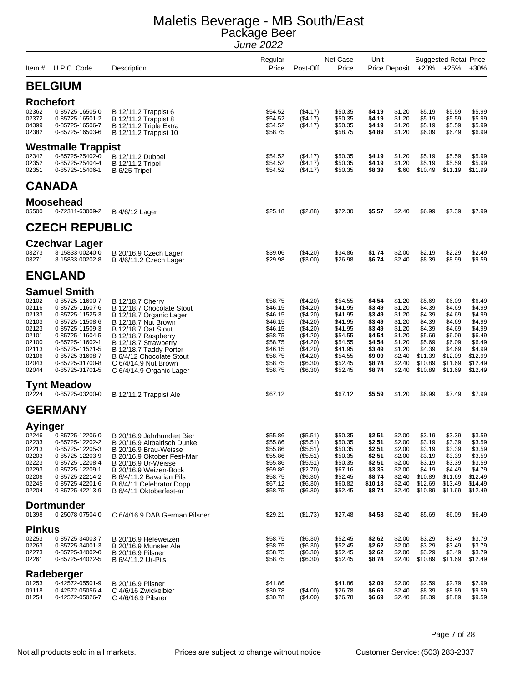| ltem #                                                                                          | U.P.C. Code                                                                                                                                                                                                                          | Description                                                                                                                                                                                                                                                                                   | Regular<br>Price                                                                                                      | Post-Off                                                                                                                         | Net Case<br>Price                                                                                                     | Unit                                                                                                       | Price Deposit                                                                                              |                                                                                                               | <b>Suggested Retail Price</b><br>+20% +25%                                                                    | $+30%$                                                                                                        |
|-------------------------------------------------------------------------------------------------|--------------------------------------------------------------------------------------------------------------------------------------------------------------------------------------------------------------------------------------|-----------------------------------------------------------------------------------------------------------------------------------------------------------------------------------------------------------------------------------------------------------------------------------------------|-----------------------------------------------------------------------------------------------------------------------|----------------------------------------------------------------------------------------------------------------------------------|-----------------------------------------------------------------------------------------------------------------------|------------------------------------------------------------------------------------------------------------|------------------------------------------------------------------------------------------------------------|---------------------------------------------------------------------------------------------------------------|---------------------------------------------------------------------------------------------------------------|---------------------------------------------------------------------------------------------------------------|
|                                                                                                 | <b>BELGIUM</b>                                                                                                                                                                                                                       |                                                                                                                                                                                                                                                                                               |                                                                                                                       |                                                                                                                                  |                                                                                                                       |                                                                                                            |                                                                                                            |                                                                                                               |                                                                                                               |                                                                                                               |
| 02362<br>02372<br>04399<br>02382                                                                | <b>Rochefort</b><br>0-85725-16505-0<br>0-85725-16501-2<br>0-85725-16506-7<br>0-85725-16503-6                                                                                                                                         | B 12/11.2 Trappist 6<br>B 12/11.2 Trappist 8<br>B 12/11.2 Triple Extra<br>B 12/11.2 Trappist 10                                                                                                                                                                                               | \$54.52<br>\$54.52<br>\$54.52<br>\$58.75                                                                              | ( \$4.17)<br>(\$4.17)<br>(\$4.17)                                                                                                | \$50.35<br>\$50.35<br>\$50.35<br>\$58.75                                                                              | \$4.19<br>\$4.19<br>\$4.19<br>\$4.89                                                                       | \$1.20<br>\$1.20<br>\$1.20<br>\$1.20                                                                       | \$5.19<br>\$5.19<br>\$5.19<br>\$6.09                                                                          | \$5.59<br>\$5.59<br>\$5.59<br>\$6.49                                                                          | \$5.99<br>\$5.99<br>\$5.99<br>\$6.99                                                                          |
|                                                                                                 | <b>Westmalle Trappist</b>                                                                                                                                                                                                            |                                                                                                                                                                                                                                                                                               |                                                                                                                       |                                                                                                                                  |                                                                                                                       |                                                                                                            |                                                                                                            |                                                                                                               |                                                                                                               |                                                                                                               |
| 02342<br>02352<br>02351                                                                         | 0-85725-25402-0<br>0-85725-25404-4<br>0-85725-15406-1                                                                                                                                                                                | B 12/11.2 Dubbel<br><b>B</b> 12/11.2 Tripel<br>B 6/25 Tripel                                                                                                                                                                                                                                  | \$54.52<br>\$54.52<br>\$54.52                                                                                         | ( \$4.17)<br>(\$4.17)<br>(\$4.17)                                                                                                | \$50.35<br>\$50.35<br>\$50.35                                                                                         | \$4.19<br>\$4.19<br>\$8.39                                                                                 | \$1.20<br>\$1.20<br>\$.60                                                                                  | \$5.19<br>\$5.19<br>\$10.49                                                                                   | \$5.59<br>\$5.59<br>\$11.19                                                                                   | \$5.99<br>\$5.99<br>\$11.99                                                                                   |
|                                                                                                 | <b>CANADA</b>                                                                                                                                                                                                                        |                                                                                                                                                                                                                                                                                               |                                                                                                                       |                                                                                                                                  |                                                                                                                       |                                                                                                            |                                                                                                            |                                                                                                               |                                                                                                               |                                                                                                               |
| 05500                                                                                           | <b>Moosehead</b><br>0-72311-63009-2                                                                                                                                                                                                  | B 4/6/12 Lager                                                                                                                                                                                                                                                                                | \$25.18                                                                                                               | (\$2.88)                                                                                                                         | \$22.30                                                                                                               | \$5.57                                                                                                     | \$2.40                                                                                                     | \$6.99                                                                                                        | \$7.39                                                                                                        | \$7.99                                                                                                        |
|                                                                                                 | <b>CZECH REPUBLIC</b>                                                                                                                                                                                                                |                                                                                                                                                                                                                                                                                               |                                                                                                                       |                                                                                                                                  |                                                                                                                       |                                                                                                            |                                                                                                            |                                                                                                               |                                                                                                               |                                                                                                               |
| 03273<br>03271                                                                                  | <b>Czechvar Lager</b><br>8-15833-00240-0<br>8-15833-00202-8                                                                                                                                                                          | B 20/16.9 Czech Lager<br>B 4/6/11.2 Czech Lager                                                                                                                                                                                                                                               | \$39.06<br>\$29.98                                                                                                    | (\$4.20)<br>(\$3.00)                                                                                                             | \$34.86<br>\$26.98                                                                                                    | \$1.74<br>\$6.74                                                                                           | \$2.00<br>\$2.40                                                                                           | \$2.19<br>\$8.39                                                                                              | \$2.29<br>\$8.99                                                                                              | \$2.49<br>\$9.59                                                                                              |
|                                                                                                 | <b>ENGLAND</b>                                                                                                                                                                                                                       |                                                                                                                                                                                                                                                                                               |                                                                                                                       |                                                                                                                                  |                                                                                                                       |                                                                                                            |                                                                                                            |                                                                                                               |                                                                                                               |                                                                                                               |
| 02102<br>02116<br>02133<br>02103<br>02123<br>02101<br>02100<br>02113<br>02106<br>02043<br>02044 | <b>Samuel Smith</b><br>0-85725-11600-7<br>0-85725-11607-6<br>0-85725-11525-3<br>0-85725-11508-6<br>0-85725-11509-3<br>0-85725-11604-5<br>0-85725-11602-1<br>0-85725-11521-5<br>0-85725-31608-7<br>0-85725-31700-8<br>0-85725-31701-5 | <b>B</b> 12/18.7 Cherry<br>B 12/18.7 Chocolate Stout<br>B 12/18.7 Organic Lager<br>B 12/18.7 Nut Brown<br><b>B</b> 12/18.7 Oat Stout<br>B 12/18.7 Raspberry<br>B 12/18.7 Strawberry<br>B 12/18.7 Taddy Porter<br>B 6/4/12 Chocolate Stout<br>C 6/4/14.9 Nut Brown<br>C 6/4/14.9 Organic Lager | \$58.75<br>\$46.15<br>\$46.15<br>\$46.15<br>\$46.15<br>\$58.75<br>\$58.75<br>\$46.15<br>\$58.75<br>\$58.75<br>\$58.75 | (\$4.20)<br>(\$4.20)<br>(\$4.20)<br>(\$4.20)<br>(\$4.20)<br>(\$4.20)<br>(\$4.20)<br>(\$4.20)<br>(\$4.20)<br>(\$6.30)<br>(\$6.30) | \$54.55<br>\$41.95<br>\$41.95<br>\$41.95<br>\$41.95<br>\$54.55<br>\$54.55<br>\$41.95<br>\$54.55<br>\$52.45<br>\$52.45 | \$4.54<br>\$3.49<br>\$3.49<br>\$3.49<br>\$3.49<br>\$4.54<br>\$4.54<br>\$3.49<br>\$9.09<br>\$8.74<br>\$8.74 | \$1.20<br>\$1.20<br>\$1.20<br>\$1.20<br>\$1.20<br>\$1.20<br>\$1.20<br>\$1.20<br>\$2.40<br>\$2.40<br>\$2.40 | \$5.69<br>\$4.39<br>\$4.39<br>\$4.39<br>\$4.39<br>\$5.69<br>\$5.69<br>\$4.39<br>\$11.39<br>\$10.89<br>\$10.89 | \$6.09<br>\$4.69<br>\$4.69<br>\$4.69<br>\$4.69<br>\$6.09<br>\$6.09<br>\$4.69<br>\$12.09<br>\$11.69<br>\$11.69 | \$6.49<br>\$4.99<br>\$4.99<br>\$4.99<br>\$4.99<br>\$6.49<br>\$6.49<br>\$4.99<br>\$12.99<br>\$12.49<br>\$12.49 |
| 02224                                                                                           | <b>Tynt Meadow</b><br>0-85725-03200-0                                                                                                                                                                                                | B 12/11.2 Trappist Ale                                                                                                                                                                                                                                                                        | \$67.12                                                                                                               |                                                                                                                                  | \$67.12                                                                                                               | \$5.59                                                                                                     | \$1.20                                                                                                     | \$6.99                                                                                                        | \$7.49                                                                                                        | \$7.99                                                                                                        |
|                                                                                                 | <b>GERMANY</b>                                                                                                                                                                                                                       |                                                                                                                                                                                                                                                                                               |                                                                                                                       |                                                                                                                                  |                                                                                                                       |                                                                                                            |                                                                                                            |                                                                                                               |                                                                                                               |                                                                                                               |
| <b>Ayinger</b><br>02233<br>02213<br>02203<br>02223<br>02293<br>02206<br>02245<br>02204          | 02246 0-85725-12206-0<br>0-85725-12202-2<br>0-85725-12205-3<br>0-85725-12203-9<br>0-85725-12208-4<br>0-85725-12209-1<br>0-85725-22214-2<br>0-85725-42201-6<br>0-85725-42213-9                                                        | B 20/16.9 Jahrhundert Bier<br>B 20/16.9 Altbairisch Dunkel<br>B 20/16.9 Brau-Weisse<br>B 20/16.9 Oktober Fest-Mar<br>B 20/16.9 Ur-Weisse<br>B 20/16.9 Weizen-Bock<br>B 6/4/11.2 Bavarian Pils<br>B 6/4/11 Celebrator Dopp<br>B 6/4/11 Oktoberfest-ar                                          | \$55.86<br>\$55.86<br>\$55.86<br>\$55.86<br>\$55.86<br>\$69.86<br>\$58.75<br>\$67.12<br>\$58.75                       | (\$5.51)<br>(\$5.51)<br>(\$5.51)<br>(\$5.51)<br>(\$5.51)<br>(\$2.70)<br>(\$6.30)<br>(\$6.30)<br>(\$6.30)                         | \$50.35<br>\$50.35<br>\$50.35<br>\$50.35<br>\$50.35<br>\$67.16<br>\$52.45<br>\$60.82<br>\$52.45                       | \$2.51<br>\$2.51<br>\$2.51<br>\$2.51<br>\$2.51<br>\$3.35<br>\$8.74<br>\$10.13<br>\$8.74                    | \$2.00<br>\$2.00<br>\$2.00<br>\$2.00<br>\$2.00<br>\$2.00<br>\$2.40<br>\$2.40<br>\$2.40                     | \$3.19<br>\$3.19<br>\$3.19<br>\$3.19<br>\$3.19<br>\$4.19<br>\$10.89<br>\$12.69<br>\$10.89                     | \$3.39<br>\$3.39<br>\$3.39<br>\$3.39<br>\$3.39<br>\$4.49<br>\$11.69<br>\$13.49<br>\$11.69                     | \$3.59<br>\$3.59<br>\$3.59<br>\$3.59<br>\$3.59<br>\$4.79<br>\$12.49<br>\$14.49<br>\$12.49                     |
|                                                                                                 | <b>Dortmunder</b>                                                                                                                                                                                                                    |                                                                                                                                                                                                                                                                                               |                                                                                                                       |                                                                                                                                  |                                                                                                                       |                                                                                                            |                                                                                                            |                                                                                                               |                                                                                                               |                                                                                                               |
| 01398                                                                                           | 0-25078-07504-0                                                                                                                                                                                                                      | C 6/4/16.9 DAB German Pilsner                                                                                                                                                                                                                                                                 | \$29.21                                                                                                               | (\$1.73)                                                                                                                         | \$27.48                                                                                                               | \$4.58                                                                                                     | \$2.40                                                                                                     | \$5.69                                                                                                        | \$6.09                                                                                                        | \$6.49                                                                                                        |
| <b>Pinkus</b><br>02253<br>02263<br>02273<br>02261                                               | 0-85725-34003-7<br>0-85725-34001-3<br>0-85725-34002-0<br>0-85725-44022-5                                                                                                                                                             | B 20/16.9 Hefeweizen<br>B 20/16.9 Munster Ale<br><b>B</b> 20/16.9 Pilsner<br>B 6/4/11.2 Ur-Pils                                                                                                                                                                                               | \$58.75<br>\$58.75<br>\$58.75<br>\$58.75                                                                              | (\$6.30)<br>(\$6.30)<br>(\$6.30)<br>(\$6.30)                                                                                     | \$52.45<br>\$52.45<br>\$52.45<br>\$52.45                                                                              | \$2.62<br>\$2.62<br>\$2.62<br>\$8.74                                                                       | \$2.00<br>\$2.00<br>\$2.00<br>\$2.40                                                                       | \$3.29<br>\$3.29<br>\$3.29<br>\$10.89                                                                         | \$3.49<br>\$3.49<br>\$3.49<br>\$11.69                                                                         | \$3.79<br>\$3.79<br>\$3.79<br>\$12.49                                                                         |
| 01253<br>09118<br>01254                                                                         | Radeberger<br>0-42572-05501-9<br>0-42572-05056-4<br>0-42572-05026-7                                                                                                                                                                  | <b>B</b> 20/16.9 Pilsner<br>C 4/6/16 Zwickelbier<br>C 4/6/16.9 Pilsner                                                                                                                                                                                                                        | \$41.86<br>\$30.78<br>\$30.78                                                                                         | (\$4.00)<br>(\$4.00)                                                                                                             | \$41.86<br>\$26.78<br>\$26.78                                                                                         | \$2.09<br>\$6.69<br>\$6.69                                                                                 | \$2.00<br>\$2.40<br>\$2.40                                                                                 | \$2.59<br>\$8.39<br>\$8.39                                                                                    | \$2.79<br>\$8.89<br>\$8.89                                                                                    | \$2.99<br>\$9.59<br>\$9.59                                                                                    |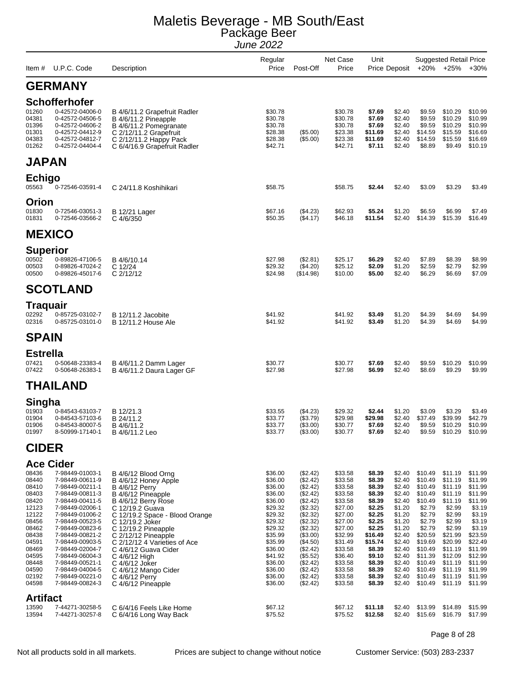| Item #                                                                                                                                                | U.P.C. Code                                                                                                                                                                                                                                                                                                                     | Description                                                                                                                                                                                                                                                                                                                                                                  | Regular<br>Price                                                                                                                                                                        | Post-Off                                                                                                                                                                                                 | Net Case<br>Price                                                                                                                                                                       | Unit                                                                                                                                                                     | Price Deposit                                                                                                                                                          |                                                                                                                                                                                     | <b>Suggested Retail Price</b><br>$+20\%$ $+25\%$                                                                                                                                    | $+30%$                                                                                                                                                                              |
|-------------------------------------------------------------------------------------------------------------------------------------------------------|---------------------------------------------------------------------------------------------------------------------------------------------------------------------------------------------------------------------------------------------------------------------------------------------------------------------------------|------------------------------------------------------------------------------------------------------------------------------------------------------------------------------------------------------------------------------------------------------------------------------------------------------------------------------------------------------------------------------|-----------------------------------------------------------------------------------------------------------------------------------------------------------------------------------------|----------------------------------------------------------------------------------------------------------------------------------------------------------------------------------------------------------|-----------------------------------------------------------------------------------------------------------------------------------------------------------------------------------------|--------------------------------------------------------------------------------------------------------------------------------------------------------------------------|------------------------------------------------------------------------------------------------------------------------------------------------------------------------|-------------------------------------------------------------------------------------------------------------------------------------------------------------------------------------|-------------------------------------------------------------------------------------------------------------------------------------------------------------------------------------|-------------------------------------------------------------------------------------------------------------------------------------------------------------------------------------|
|                                                                                                                                                       | <b>GERMANY</b>                                                                                                                                                                                                                                                                                                                  |                                                                                                                                                                                                                                                                                                                                                                              |                                                                                                                                                                                         |                                                                                                                                                                                                          |                                                                                                                                                                                         |                                                                                                                                                                          |                                                                                                                                                                        |                                                                                                                                                                                     |                                                                                                                                                                                     |                                                                                                                                                                                     |
|                                                                                                                                                       | <b>Schofferhofer</b>                                                                                                                                                                                                                                                                                                            |                                                                                                                                                                                                                                                                                                                                                                              |                                                                                                                                                                                         |                                                                                                                                                                                                          |                                                                                                                                                                                         |                                                                                                                                                                          |                                                                                                                                                                        |                                                                                                                                                                                     |                                                                                                                                                                                     |                                                                                                                                                                                     |
| 01260<br>04381<br>01396<br>01301<br>04383<br>01262                                                                                                    | 0-42572-04006-0<br>0-42572-04506-5<br>0-42572-04606-2<br>0-42572-04412-9<br>0-42572-04812-7<br>0-42572-04404-4                                                                                                                                                                                                                  | B 4/6/11.2 Grapefruit Radler<br>B 4/6/11.2 Pineapple<br>B 4/6/11.2 Pomegranate<br>C 2/12/11.2 Grapefruit<br>C 2/12/11.2 Happy Pack<br>C 6/4/16.9 Grapefruit Radler                                                                                                                                                                                                           | \$30.78<br>\$30.78<br>\$30.78<br>\$28.38<br>\$28.38<br>\$42.71                                                                                                                          | (\$5.00)<br>$(\$5.00)$                                                                                                                                                                                   | \$30.78<br>\$30.78<br>\$30.78<br>\$23.38<br>\$23.38<br>\$42.71                                                                                                                          | \$7.69<br>\$7.69<br>\$7.69<br>\$11.69<br>\$11.69<br>\$7.11                                                                                                               | \$2.40<br>\$2.40<br>\$2.40<br>\$2.40<br>\$2.40<br>\$2.40                                                                                                               | \$9.59<br>\$9.59<br>\$9.59<br>\$14.59<br>\$14.59<br>\$8.89                                                                                                                          | \$10.29<br>\$10.29<br>\$10.29<br>\$15.59<br>\$15.59<br>\$9.49                                                                                                                       | \$10.99<br>\$10.99<br>\$10.99<br>\$16.69<br>\$16.69<br>\$10.19                                                                                                                      |
| <b>JAPAN</b>                                                                                                                                          |                                                                                                                                                                                                                                                                                                                                 |                                                                                                                                                                                                                                                                                                                                                                              |                                                                                                                                                                                         |                                                                                                                                                                                                          |                                                                                                                                                                                         |                                                                                                                                                                          |                                                                                                                                                                        |                                                                                                                                                                                     |                                                                                                                                                                                     |                                                                                                                                                                                     |
| Echigo                                                                                                                                                |                                                                                                                                                                                                                                                                                                                                 |                                                                                                                                                                                                                                                                                                                                                                              |                                                                                                                                                                                         |                                                                                                                                                                                                          |                                                                                                                                                                                         |                                                                                                                                                                          |                                                                                                                                                                        |                                                                                                                                                                                     |                                                                                                                                                                                     |                                                                                                                                                                                     |
| 05563                                                                                                                                                 | 0-72546-03591-4                                                                                                                                                                                                                                                                                                                 | C 24/11.8 Koshihikari                                                                                                                                                                                                                                                                                                                                                        | \$58.75                                                                                                                                                                                 |                                                                                                                                                                                                          | \$58.75                                                                                                                                                                                 | \$2.44                                                                                                                                                                   | \$2.40                                                                                                                                                                 | \$3.09                                                                                                                                                                              | \$3.29                                                                                                                                                                              | \$3.49                                                                                                                                                                              |
| Orion                                                                                                                                                 |                                                                                                                                                                                                                                                                                                                                 |                                                                                                                                                                                                                                                                                                                                                                              |                                                                                                                                                                                         |                                                                                                                                                                                                          |                                                                                                                                                                                         |                                                                                                                                                                          |                                                                                                                                                                        |                                                                                                                                                                                     |                                                                                                                                                                                     |                                                                                                                                                                                     |
| 01830<br>01831                                                                                                                                        | 0-72546-03051-3<br>0-72546-03566-2                                                                                                                                                                                                                                                                                              | <b>B</b> 12/21 Lager<br>C 4/6/350                                                                                                                                                                                                                                                                                                                                            | \$67.16<br>\$50.35                                                                                                                                                                      | (\$4.23)<br>(\$4.17)                                                                                                                                                                                     | \$62.93<br>\$46.18                                                                                                                                                                      | \$5.24<br>\$11.54                                                                                                                                                        | \$1.20<br>\$2.40                                                                                                                                                       | \$6.59<br>\$14.39                                                                                                                                                                   | \$6.99<br>\$15.39                                                                                                                                                                   | \$7.49<br>\$16.49                                                                                                                                                                   |
| <b>MEXICO</b>                                                                                                                                         |                                                                                                                                                                                                                                                                                                                                 |                                                                                                                                                                                                                                                                                                                                                                              |                                                                                                                                                                                         |                                                                                                                                                                                                          |                                                                                                                                                                                         |                                                                                                                                                                          |                                                                                                                                                                        |                                                                                                                                                                                     |                                                                                                                                                                                     |                                                                                                                                                                                     |
| <b>Superior</b>                                                                                                                                       |                                                                                                                                                                                                                                                                                                                                 |                                                                                                                                                                                                                                                                                                                                                                              |                                                                                                                                                                                         |                                                                                                                                                                                                          |                                                                                                                                                                                         |                                                                                                                                                                          |                                                                                                                                                                        |                                                                                                                                                                                     |                                                                                                                                                                                     |                                                                                                                                                                                     |
| 00502<br>00503<br>00500                                                                                                                               | 0-89826-47106-5<br>0-89826-47024-2<br>0-89826-45017-6                                                                                                                                                                                                                                                                           | B 4/6/10.14<br>C 12/24<br>C 2/12/12                                                                                                                                                                                                                                                                                                                                          | \$27.98<br>\$29.32<br>\$24.98                                                                                                                                                           | (\$2.81)<br>(\$4.20)<br>(\$14.98)                                                                                                                                                                        | \$25.17<br>\$25.12<br>\$10.00                                                                                                                                                           | \$6.29<br>\$2.09<br>\$5.00                                                                                                                                               | \$2.40<br>\$1.20<br>\$2.40                                                                                                                                             | \$7.89<br>\$2.59<br>\$6.29                                                                                                                                                          | \$8.39<br>\$2.79<br>\$6.69                                                                                                                                                          | \$8.99<br>\$2.99<br>\$7.09                                                                                                                                                          |
|                                                                                                                                                       | <b>SCOTLAND</b>                                                                                                                                                                                                                                                                                                                 |                                                                                                                                                                                                                                                                                                                                                                              |                                                                                                                                                                                         |                                                                                                                                                                                                          |                                                                                                                                                                                         |                                                                                                                                                                          |                                                                                                                                                                        |                                                                                                                                                                                     |                                                                                                                                                                                     |                                                                                                                                                                                     |
| Traquair                                                                                                                                              |                                                                                                                                                                                                                                                                                                                                 |                                                                                                                                                                                                                                                                                                                                                                              |                                                                                                                                                                                         |                                                                                                                                                                                                          |                                                                                                                                                                                         |                                                                                                                                                                          |                                                                                                                                                                        |                                                                                                                                                                                     |                                                                                                                                                                                     |                                                                                                                                                                                     |
| 02292<br>02316                                                                                                                                        | 0-85725-03102-7<br>0-85725-03101-0                                                                                                                                                                                                                                                                                              | B 12/11.2 Jacobite<br>B 12/11.2 House Ale                                                                                                                                                                                                                                                                                                                                    | \$41.92<br>\$41.92                                                                                                                                                                      |                                                                                                                                                                                                          | \$41.92<br>\$41.92                                                                                                                                                                      | \$3.49<br>\$3.49                                                                                                                                                         | \$1.20<br>\$1.20                                                                                                                                                       | \$4.39<br>\$4.39                                                                                                                                                                    | \$4.69<br>\$4.69                                                                                                                                                                    | \$4.99<br>\$4.99                                                                                                                                                                    |
| <b>SPAIN</b>                                                                                                                                          |                                                                                                                                                                                                                                                                                                                                 |                                                                                                                                                                                                                                                                                                                                                                              |                                                                                                                                                                                         |                                                                                                                                                                                                          |                                                                                                                                                                                         |                                                                                                                                                                          |                                                                                                                                                                        |                                                                                                                                                                                     |                                                                                                                                                                                     |                                                                                                                                                                                     |
| <b>Estrella</b>                                                                                                                                       |                                                                                                                                                                                                                                                                                                                                 |                                                                                                                                                                                                                                                                                                                                                                              |                                                                                                                                                                                         |                                                                                                                                                                                                          |                                                                                                                                                                                         |                                                                                                                                                                          |                                                                                                                                                                        |                                                                                                                                                                                     |                                                                                                                                                                                     |                                                                                                                                                                                     |
| 07421<br>07422                                                                                                                                        | 0-50648-23383-4<br>0-50648-26383-1                                                                                                                                                                                                                                                                                              | B 4/6/11.2 Damm Lager<br>B 4/6/11.2 Daura Lager GF                                                                                                                                                                                                                                                                                                                           | \$30.77<br>\$27.98                                                                                                                                                                      |                                                                                                                                                                                                          | \$30.77<br>\$27.98                                                                                                                                                                      | \$7.69<br>\$6.99                                                                                                                                                         | \$2.40<br>\$2.40                                                                                                                                                       | \$9.59<br>\$8.69                                                                                                                                                                    | \$10.29<br>\$9.29                                                                                                                                                                   | \$10.99<br>\$9.99                                                                                                                                                                   |
|                                                                                                                                                       | <b>THAILAND</b>                                                                                                                                                                                                                                                                                                                 |                                                                                                                                                                                                                                                                                                                                                                              |                                                                                                                                                                                         |                                                                                                                                                                                                          |                                                                                                                                                                                         |                                                                                                                                                                          |                                                                                                                                                                        |                                                                                                                                                                                     |                                                                                                                                                                                     |                                                                                                                                                                                     |
| Singha                                                                                                                                                |                                                                                                                                                                                                                                                                                                                                 |                                                                                                                                                                                                                                                                                                                                                                              |                                                                                                                                                                                         |                                                                                                                                                                                                          |                                                                                                                                                                                         |                                                                                                                                                                          |                                                                                                                                                                        |                                                                                                                                                                                     |                                                                                                                                                                                     |                                                                                                                                                                                     |
| 01903<br>01904                                                                                                                                        | 0-84543-63103-7<br>0-84543-57103-6                                                                                                                                                                                                                                                                                              | B 12/21.3<br>B 24/11.2                                                                                                                                                                                                                                                                                                                                                       | \$33.55<br>\$33.77                                                                                                                                                                      | (\$4.23)<br>(\$3.79)                                                                                                                                                                                     | \$29.32<br>\$29.98                                                                                                                                                                      | \$2.44<br>\$29.98                                                                                                                                                        | \$1.20<br>\$2.40                                                                                                                                                       | \$3.09<br>\$37.49                                                                                                                                                                   | \$3.29<br>\$39.99                                                                                                                                                                   | \$3.49<br>\$42.79                                                                                                                                                                   |
| 01906<br>01997                                                                                                                                        | 0-84543-80007-5<br>8-50999-17140-1                                                                                                                                                                                                                                                                                              | B 4/6/11.2<br>B 4/6/11.2 Leo                                                                                                                                                                                                                                                                                                                                                 | \$33.77<br>\$33.77                                                                                                                                                                      | (\$3.00)<br>(\$3.00)                                                                                                                                                                                     | \$30.77<br>\$30.77                                                                                                                                                                      | \$7.69<br>\$7.69                                                                                                                                                         | \$2.40<br>\$2.40                                                                                                                                                       | \$9.59<br>\$9.59                                                                                                                                                                    | \$10.29<br>\$10.29                                                                                                                                                                  | \$10.99<br>\$10.99                                                                                                                                                                  |
| <b>CIDER</b>                                                                                                                                          |                                                                                                                                                                                                                                                                                                                                 |                                                                                                                                                                                                                                                                                                                                                                              |                                                                                                                                                                                         |                                                                                                                                                                                                          |                                                                                                                                                                                         |                                                                                                                                                                          |                                                                                                                                                                        |                                                                                                                                                                                     |                                                                                                                                                                                     |                                                                                                                                                                                     |
|                                                                                                                                                       | <b>Ace Cider</b>                                                                                                                                                                                                                                                                                                                |                                                                                                                                                                                                                                                                                                                                                                              |                                                                                                                                                                                         |                                                                                                                                                                                                          |                                                                                                                                                                                         |                                                                                                                                                                          |                                                                                                                                                                        |                                                                                                                                                                                     |                                                                                                                                                                                     |                                                                                                                                                                                     |
| 08436<br>08440<br>08410<br>08403<br>08420<br>12123<br>12122<br>08456<br>08462<br>08438<br>04591<br>08469<br>04595<br>08448<br>04590<br>02192<br>04598 | 7-98449-01003-1<br>7-98449-00611-9<br>7-98449-00211-1<br>7-98449-00811-3<br>7-98449-00411-5<br>7-98449-02006-1<br>7-98449-01006-2<br>7-98449-00523-5<br>7-98449-00823-6<br>7-98449-00821-2<br>7-98449-00903-5<br>7-98449-02004-7<br>7-98449-06004-3<br>7-98449-00521-1<br>7-98449-04004-5<br>7-98449-00221-0<br>7-98449-00824-3 | B 4/6/12 Blood Orng<br>B 4/6/12 Honey Apple<br><b>B</b> 4/6/12 Perry<br>B 4/6/12 Pineapple<br>B 4/6/12 Berry Rose<br>C 12/19.2 Guava<br>C 12/19.2 Space - Blood Orange<br>C 12/19.2 Joker<br>C 12/19.2 Pineapple<br>C 2/12/12 Pineapple<br>C 2/12/12 4 Varieties of Ace<br>C 4/6/12 Guava Cider<br>C 4/6/12 High<br>C 4/6/12 Joker<br>C 4/6/12 Mango Cider<br>C 4/6/12 Perry | \$36.00<br>\$36.00<br>\$36.00<br>\$36.00<br>\$36.00<br>\$29.32<br>\$29.32<br>\$29.32<br>\$29.32<br>\$35.99<br>\$35.99<br>\$36.00<br>\$41.92<br>\$36.00<br>\$36.00<br>\$36.00<br>\$36.00 | (\$2.42)<br>(\$2.42)<br>(\$2.42)<br>(\$2.42)<br>(\$2.42)<br>(\$2.32)<br>(\$2.32)<br>(\$2.32)<br>(\$2.32)<br>(\$3.00)<br>(\$4.50)<br>(\$2.42)<br>(\$5.52)<br>(\$2.42)<br>(\$2.42)<br>(\$2.42)<br>(\$2.42) | \$33.58<br>\$33.58<br>\$33.58<br>\$33.58<br>\$33.58<br>\$27.00<br>\$27.00<br>\$27.00<br>\$27.00<br>\$32.99<br>\$31.49<br>\$33.58<br>\$36.40<br>\$33.58<br>\$33.58<br>\$33.58<br>\$33.58 | \$8.39<br>\$8.39<br>\$8.39<br>\$8.39<br>\$8.39<br>\$2.25<br>\$2.25<br>\$2.25<br>\$2.25<br>\$16.49<br>\$15.74<br>\$8.39<br>\$9.10<br>\$8.39<br>\$8.39<br>\$8.39<br>\$8.39 | \$2.40<br>\$2.40<br>\$2.40<br>\$2.40<br>\$2.40<br>\$1.20<br>\$1.20<br>\$1.20<br>\$1.20<br>\$2.40<br>\$2.40<br>\$2.40<br>\$2.40<br>\$2.40<br>\$2.40<br>\$2.40<br>\$2.40 | \$10.49<br>\$10.49<br>\$10.49<br>\$10.49<br>\$10.49<br>\$2.79<br>\$2.79<br>\$2.79<br>\$2.79<br>\$20.59<br>\$19.69<br>\$10.49<br>\$11.39<br>\$10.49<br>\$10.49<br>\$10.49<br>\$10.49 | \$11.19<br>\$11.19<br>\$11.19<br>\$11.19<br>\$11.19<br>\$2.99<br>\$2.99<br>\$2.99<br>\$2.99<br>\$21.99<br>\$20.99<br>\$11.19<br>\$12.09<br>\$11.19<br>\$11.19<br>\$11.19<br>\$11.19 | \$11.99<br>\$11.99<br>\$11.99<br>\$11.99<br>\$11.99<br>\$3.19<br>\$3.19<br>\$3.19<br>\$3.19<br>\$23.59<br>\$22.49<br>\$11.99<br>\$12.99<br>\$11.99<br>\$11.99<br>\$11.99<br>\$11.99 |
| <b>Artifact</b>                                                                                                                                       |                                                                                                                                                                                                                                                                                                                                 | C 4/6/12 Pineapple                                                                                                                                                                                                                                                                                                                                                           |                                                                                                                                                                                         |                                                                                                                                                                                                          |                                                                                                                                                                                         |                                                                                                                                                                          |                                                                                                                                                                        |                                                                                                                                                                                     |                                                                                                                                                                                     |                                                                                                                                                                                     |
| 13590<br>13594                                                                                                                                        | 7-44271-30258-5<br>7-44271-30257-8                                                                                                                                                                                                                                                                                              | C 6/4/16 Feels Like Home<br>C 6/4/16 Long Way Back                                                                                                                                                                                                                                                                                                                           | \$67.12<br>\$75.52                                                                                                                                                                      |                                                                                                                                                                                                          | \$67.12<br>\$75.52                                                                                                                                                                      | \$11.18<br>\$12.58                                                                                                                                                       | \$2.40<br>\$2.40                                                                                                                                                       | \$13.99<br>\$15.69                                                                                                                                                                  | \$14.89<br>\$16.79                                                                                                                                                                  | \$15.99<br>\$17.99                                                                                                                                                                  |

Page 8 of 28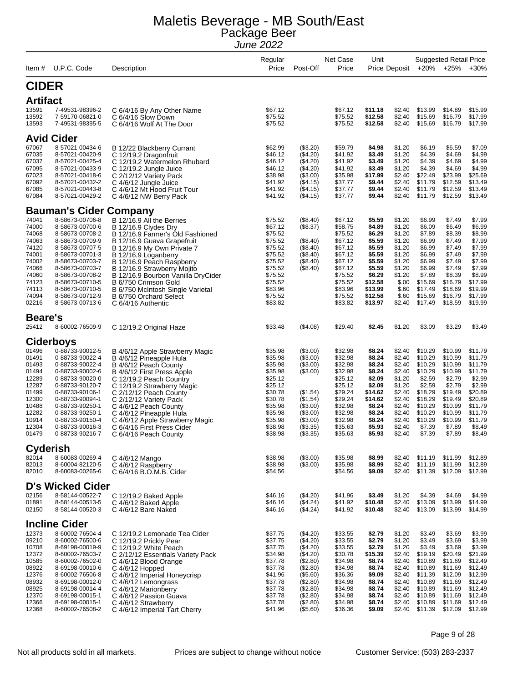| Item#                                                                                                             | U.P.C. Code                                                                                                                                                                                                                                                             | Description                                                                                                                                                                                                                                                                                                                                                                             | Regular<br>Price                                                                                                                            | Post-Off                                                                                                                          | Net Case<br>Price                                                                                                                           | Unit                                                                                                                               | Price Deposit                                                                                                                  | $+20%$                                                                                                                                  | <b>Suggested Retail Price</b><br>+25%                                                                                                   | $+30%$                                                                                                                                  |
|-------------------------------------------------------------------------------------------------------------------|-------------------------------------------------------------------------------------------------------------------------------------------------------------------------------------------------------------------------------------------------------------------------|-----------------------------------------------------------------------------------------------------------------------------------------------------------------------------------------------------------------------------------------------------------------------------------------------------------------------------------------------------------------------------------------|---------------------------------------------------------------------------------------------------------------------------------------------|-----------------------------------------------------------------------------------------------------------------------------------|---------------------------------------------------------------------------------------------------------------------------------------------|------------------------------------------------------------------------------------------------------------------------------------|--------------------------------------------------------------------------------------------------------------------------------|-----------------------------------------------------------------------------------------------------------------------------------------|-----------------------------------------------------------------------------------------------------------------------------------------|-----------------------------------------------------------------------------------------------------------------------------------------|
| <b>CIDER</b>                                                                                                      |                                                                                                                                                                                                                                                                         |                                                                                                                                                                                                                                                                                                                                                                                         |                                                                                                                                             |                                                                                                                                   |                                                                                                                                             |                                                                                                                                    |                                                                                                                                |                                                                                                                                         |                                                                                                                                         |                                                                                                                                         |
| <b>Artifact</b>                                                                                                   |                                                                                                                                                                                                                                                                         |                                                                                                                                                                                                                                                                                                                                                                                         |                                                                                                                                             |                                                                                                                                   |                                                                                                                                             |                                                                                                                                    |                                                                                                                                |                                                                                                                                         |                                                                                                                                         |                                                                                                                                         |
| 13591<br>13592<br>13593                                                                                           | 7-49531-98396-2<br>7-59170-06821-0<br>7-49531-98395-5                                                                                                                                                                                                                   | C 6/4/16 By Any Other Name<br>C 6/4/16 Slow Down<br>C 6/4/16 Wolf At The Door                                                                                                                                                                                                                                                                                                           | \$67.12<br>\$75.52<br>\$75.52                                                                                                               |                                                                                                                                   | \$67.12<br>\$75.52<br>\$75.52                                                                                                               | \$11.18<br>\$12.58<br>\$12.58                                                                                                      | \$2.40<br>\$2.40<br>\$2.40                                                                                                     | \$13.99<br>\$15.69<br>\$15.69                                                                                                           | \$14.89<br>\$16.79<br>\$16.79                                                                                                           | \$15.99<br>\$17.99<br>\$17.99                                                                                                           |
|                                                                                                                   | <b>Avid Cider</b>                                                                                                                                                                                                                                                       |                                                                                                                                                                                                                                                                                                                                                                                         |                                                                                                                                             |                                                                                                                                   |                                                                                                                                             |                                                                                                                                    |                                                                                                                                |                                                                                                                                         |                                                                                                                                         |                                                                                                                                         |
| 67067<br>67035<br>67037<br>67095<br>67023<br>67092<br>67085<br>67084                                              | 8-57021-00434-6<br>8-57021-00420-9<br>8-57021-00425-4<br>8-57021-00433-9<br>8-57021-00418-6<br>8-57021-00432-2<br>8-57021-00443-8<br>8-57021-00429-2                                                                                                                    | B 12/22 Blackberry Currant<br>C 12/19.2 Dragonfruit<br>C 12/19.2 Watermelon Rhubard<br>C 12/19.2 Jungle Juice<br>C 2/12/12 Variety Pack<br>C 4/6/12 Jungle Juice<br>C 4/6/12 Mt Hood Fruit Tour<br>C 4/6/12 NW Berry Pack                                                                                                                                                               | \$62.99<br>\$46.12<br>\$46.12<br>\$46.12<br>\$38.98<br>\$41.92<br>\$41.92<br>\$41.92                                                        | (\$3.20)<br>(\$4.20)<br>(\$4.20)<br>(\$4.20)<br>(\$3.00)<br>( \$4.15)<br>( \$4.15)<br>( \$4.15)                                   | \$59.79<br>\$41.92<br>\$41.92<br>\$41.92<br>\$35.98<br>\$37.77<br>\$37.77<br>\$37.77                                                        | \$4.98<br>\$3.49<br>\$3.49<br>\$3.49<br>\$17.99<br>\$9.44<br>\$9.44<br>\$9.44                                                      | \$1.20<br>\$1.20<br>\$1.20<br>\$1.20<br>\$2.40<br>\$2.40<br>\$2.40<br>\$2.40                                                   | \$6.19<br>\$4.39<br>\$4.39<br>\$4.39<br>\$22.49<br>\$11.79<br>\$11.79<br>\$11.79                                                        | \$6.59<br>\$4.69<br>\$4.69<br>\$4.69<br>\$23.99<br>\$12.59<br>\$12.59<br>\$12.59                                                        | \$7.09<br>\$4.99<br>\$4.99<br>\$4.99<br>\$25.69<br>\$13.49<br>\$13.49<br>\$13.49                                                        |
|                                                                                                                   | <b>Bauman's Cider Company</b>                                                                                                                                                                                                                                           |                                                                                                                                                                                                                                                                                                                                                                                         |                                                                                                                                             |                                                                                                                                   |                                                                                                                                             |                                                                                                                                    |                                                                                                                                |                                                                                                                                         |                                                                                                                                         |                                                                                                                                         |
| 74041<br>74000<br>74068<br>74063<br>74120<br>74001<br>74002<br>74066<br>74060<br>74123<br>74113<br>74094<br>02216 | 8-58673-00706-8<br>8-58673-00700-6<br>8-58673-00708-2<br>8-58673-00709-9<br>8-58673-00707-5<br>8-58673-00701-3<br>8-58673-00703-7<br>8-58673-00703-7<br>8-58673-00708-2<br>8-58673-00710-5<br>8-58673-00710-5<br>8-58673-00712-9<br>8-58673-00713-6                     | B 12/16.9 All the Berries<br>B 12/16.9 Clydes Dry<br>B 12/16.9 Farmer's Old Fashioned<br>B 12/16.9 Guava Grapefruit<br>B 12/16.9 My Own Private 7<br>B 12/16.9 Loganberry<br>B 12/16.9 Peach Raspberry<br>B 12/16.9 Strawberry Mojito<br>B 12/16.9 Bourbon Vanilla DryCider<br>B 6/750 Crimson Gold<br>B 6/750 McIntosh Single Varietal<br>B 6/750 Orchard Select<br>C 6/4/16 Authentic | \$75.52<br>\$67.12<br>\$75.52<br>\$75.52<br>\$75.52<br>\$75.52<br>\$75.52<br>\$75.52<br>\$75.52<br>\$75.52<br>\$83.96<br>\$75.52<br>\$83.82 | (\$8.40)<br>(\$8.37)<br>(\$8.40)<br>(\$8.40)<br>(\$8.40)<br>(\$8.40)<br>(\$8.40)                                                  | \$67.12<br>\$58.75<br>\$75.52<br>\$67.12<br>\$67.12<br>\$67.12<br>\$67.12<br>\$67.12<br>\$75.52<br>\$75.52<br>\$83.96<br>\$75.52<br>\$83.82 | \$5.59<br>\$4.89<br>\$6.29<br>\$5.59<br>\$5.59<br>\$5.59<br>\$5.59<br>\$5.59<br>\$6.29<br>\$12.58<br>\$13.99<br>\$12.58<br>\$13.97 | \$1.20<br>\$1.20<br>\$1.20<br>\$1.20<br>\$1.20<br>\$1.20<br>\$1.20<br>\$1.20<br>\$1.20<br>\$.00<br>\$.60<br>\$.60<br>\$2.40    | \$6.99<br>\$6.09<br>\$7.89<br>\$6.99<br>\$6.99<br>\$6.99<br>\$6.99<br>\$6.99<br>\$7.89<br>\$15.69<br>\$17.49<br>\$15.69<br>\$17.49      | \$7.49<br>\$6.49<br>\$8.39<br>\$7.49<br>\$7.49<br>\$7.49<br>\$7.49<br>\$7.49<br>\$8.39<br>\$16.79<br>\$18.69<br>\$16.79<br>\$18.59      | \$7.99<br>\$6.99<br>\$8.99<br>\$7.99<br>\$7.99<br>\$7.99<br>\$7.99<br>\$7.99<br>\$8.99<br>\$17.99<br>\$19.99<br>\$17.99<br>\$19.99      |
| <b>Beare's</b>                                                                                                    |                                                                                                                                                                                                                                                                         |                                                                                                                                                                                                                                                                                                                                                                                         |                                                                                                                                             |                                                                                                                                   |                                                                                                                                             |                                                                                                                                    |                                                                                                                                |                                                                                                                                         |                                                                                                                                         |                                                                                                                                         |
| 25412                                                                                                             | 8-60002-76509-9                                                                                                                                                                                                                                                         | C 12/19.2 Original Haze                                                                                                                                                                                                                                                                                                                                                                 | \$33.48                                                                                                                                     | (\$4.08)                                                                                                                          | \$29.40                                                                                                                                     | \$2.45                                                                                                                             | \$1.20                                                                                                                         | \$3.09                                                                                                                                  | \$3.29                                                                                                                                  | \$3.49                                                                                                                                  |
| 01496<br>01491<br>01493<br>01494<br>12289<br>12287<br>01499<br>12300<br>10488<br>12282<br>10914<br>12304<br>01479 | <b>Ciderboys</b><br>0-88733-90012-5<br>0-88733-90022-4<br>0-88733-90022-4<br>0-88733-90002-6<br>0-88733-90020-0<br>0-88733-90120-7<br>0-88733-90106-1<br>0-88733-90094-1<br>0-88733-90250-1<br>0-88733-90250-1<br>0-88733-90150-4<br>0-88733-90016-3<br>0-88733-90216-7 | B 4/6/12 Apple Strawberry Magic<br>B 4/6/12 Pineapple Hula<br>B 4/6/12 Peach County<br>B 4/6/12 First Press Apple<br>C 12/19.2 Peach Country<br>C 12/19.2 Strawberry Magic<br>C 2/12/12 Peach County<br>C 2/12/12 Variety Pack<br>C 4/6/12 Peach County<br>C 4/6/12 Pineapple Hula<br>C 4/6/12 Apple Strawberry Magic<br>C 6/4/16 First Press Cider<br>C 6/4/16 Peach County            | \$35.98<br>\$35.98<br>\$35.98<br>\$35.98<br>\$25.12<br>\$25.12<br>\$30.78<br>\$30.78<br>\$35.98<br>\$35.98<br>\$35.98<br>\$38.98<br>\$38.98 | (\$3.00)<br>(\$3.00)<br>(\$3.00)<br>(\$3.00)<br>(\$1.54)<br>(\$1.54)<br>(\$3.00)<br>(\$3.00)<br>(\$3.00)<br>( \$3.35)<br>(\$3.35) | \$32.98<br>\$32.98<br>\$32.98<br>\$32.98<br>\$25.12<br>\$25.12<br>\$29.24<br>\$29.24<br>\$32.98<br>\$32.98<br>\$32.98<br>\$35.63<br>\$35.63 | \$8.24<br>\$8.24<br>\$8.24<br>\$8.24<br>\$2.09<br>\$2.09<br>\$14.62<br>\$14.62<br>\$8.24<br>\$8.24<br>\$8.24<br>\$5.93<br>\$5.93   | \$2.40<br>\$2.40<br>\$2.40<br>\$2.40<br>\$1.20<br>\$1.20<br>\$2.40<br>\$2.40<br>\$2.40<br>\$2.40<br>\$2.40<br>\$2.40<br>\$2.40 | \$10.29<br>\$10.29<br>\$10.29<br>\$10.29<br>\$2.59<br>\$2.59<br>\$18.29<br>\$18.29<br>\$10.29<br>\$10.29<br>\$10.29<br>\$7.39<br>\$7.39 | \$10.99<br>\$10.99<br>\$10.99<br>\$10.99<br>\$2.79<br>\$2.79<br>\$19.49<br>\$19.49<br>\$10.99<br>\$10.99<br>\$10.99<br>\$7.89<br>\$7.89 | \$11.79<br>\$11.79<br>\$11.79<br>\$11.79<br>\$2.99<br>\$2.99<br>\$20.89<br>\$20.89<br>\$11.79<br>\$11.79<br>\$11.79<br>\$8.49<br>\$8.49 |
| <b>Cyderish</b>                                                                                                   |                                                                                                                                                                                                                                                                         |                                                                                                                                                                                                                                                                                                                                                                                         |                                                                                                                                             |                                                                                                                                   |                                                                                                                                             |                                                                                                                                    |                                                                                                                                |                                                                                                                                         |                                                                                                                                         |                                                                                                                                         |
| 82014<br>82013<br>82010                                                                                           | 8-60083-00269-4<br>8-60004-82120-5<br>8-60083-00265-6                                                                                                                                                                                                                   | C 4/6/12 Mango<br>C 4/6/12 Raspberry<br>C 6/4/16 B.O.M.B. Cider                                                                                                                                                                                                                                                                                                                         | \$38.98<br>\$38.98<br>\$54.56                                                                                                               | (\$3.00)<br>(\$3.00)                                                                                                              | \$35.98<br>\$35.98<br>\$54.56                                                                                                               | \$8.99<br>\$8.99<br>\$9.09                                                                                                         | \$2.40<br>\$2.40<br>\$2.40                                                                                                     | \$11.19<br>\$11.19<br>\$11.39                                                                                                           | \$11.99<br>\$11.99<br>\$12.09                                                                                                           | \$12.89<br>\$12.89<br>\$12.99                                                                                                           |
|                                                                                                                   | <b>D's Wicked Cider</b>                                                                                                                                                                                                                                                 |                                                                                                                                                                                                                                                                                                                                                                                         |                                                                                                                                             |                                                                                                                                   |                                                                                                                                             |                                                                                                                                    |                                                                                                                                |                                                                                                                                         |                                                                                                                                         |                                                                                                                                         |
| 02156<br>01891<br>02150                                                                                           | 8-58144-00522-7<br>8-58144-00513-5<br>8-58144-00520-3                                                                                                                                                                                                                   | C 12/19.2 Baked Apple<br>C 4/6/12 Baked Apple<br>C 4/6/12 Bare Naked                                                                                                                                                                                                                                                                                                                    | \$46.16<br>\$46.16<br>\$46.16                                                                                                               | (\$4.20)<br>(\$4.24)<br>(\$4.24)                                                                                                  | \$41.96<br>\$41.92<br>\$41.92                                                                                                               | \$3.49<br>\$10.48<br>\$10.48                                                                                                       | \$1.20<br>\$2.40<br>\$2.40                                                                                                     | \$4.39<br>\$13.09<br>\$13.09                                                                                                            | \$4.69<br>\$13.99<br>\$13.99                                                                                                            | \$4.99<br>\$14.99<br>\$14.99                                                                                                            |
|                                                                                                                   | <b>Incline Cider</b>                                                                                                                                                                                                                                                    |                                                                                                                                                                                                                                                                                                                                                                                         |                                                                                                                                             |                                                                                                                                   |                                                                                                                                             |                                                                                                                                    |                                                                                                                                |                                                                                                                                         |                                                                                                                                         |                                                                                                                                         |
| 12373<br>09210<br>10708<br>12372<br>10585<br>08922<br>12376<br>08932<br>08925<br>12370                            | 8-60002-76504-4<br>8-60002-76500-6<br>8-69198-00019-9<br>8-60002-76503-7<br>8-60002-76502-0<br>8-69198-00010-6<br>8-60002-76506-8<br>8-69198-00012-0<br>8-69198-00014-4                                                                                                 | C 12/19.2 Lemonade Tea Cider<br>C 12/19.2 Prickly Pear<br>C 12/19.2 White Peach<br>C 2/12/12 Essentials Variety Pack<br>C 4/6/12 Blood Orange<br>$C$ 4/6/12 Hopped<br>C 4/6/12 Imperial Honeycrisp<br>C 4/6/12 Lemongrass<br>C 4/6/12 Marionberry                                                                                                                                       | \$37.75<br>\$37.75<br>\$37.75<br>\$34.98<br>\$37.78<br>\$37.78<br>\$41.96<br>\$37.78<br>\$37.78<br>\$37.78                                  | (\$4.20)<br>(\$4.20)<br>(\$4.20)<br>(\$4.20)<br>(\$2.80)<br>(\$2.80)<br>(\$5.60)<br>(\$2.80)<br>(\$2.80)                          | \$33.55<br>\$33.55<br>\$33.55<br>\$30.78<br>\$34.98<br>\$34.98<br>\$36.36<br>\$34.98<br>\$34.98                                             | \$2.79<br>\$2.79<br>\$2.79<br>\$15.39<br>\$8.74<br>\$8.74<br>\$9.09<br>\$8.74<br>\$8.74<br>\$8.74                                  | \$1.20<br>\$1.20<br>\$1.20<br>\$2.40<br>\$2.40<br>\$2.40<br>\$2.40<br>\$2.40<br>\$2.40<br>\$2.40                               | \$3.49<br>\$3.49<br>\$3.49<br>\$19.19<br>\$10.89<br>\$10.89<br>\$11.39<br>\$10.89<br>\$10.89<br>\$10.89                                 | \$3.69<br>\$3.69<br>\$3.69<br>\$20.49<br>\$11.69<br>\$11.69<br>\$12.09<br>\$11.69<br>\$11.69<br>\$11.69                                 | \$3.99<br>\$3.99<br>\$3.99<br>\$21.99<br>\$12.49<br>\$12.49<br>\$12.99<br>\$12.49<br>\$12.49<br>\$12.49                                 |
| 12366<br>12368                                                                                                    | 8-69198-00015-1<br>8-69198-00015-1<br>8-60002-76508-2                                                                                                                                                                                                                   | C 4/6/12 Passion Guava<br>C 4/6/12 Strawberry<br>C 4/6/12 Imperial Tart Cherry                                                                                                                                                                                                                                                                                                          | \$37.78<br>\$41.96                                                                                                                          | (\$2.80)<br>(\$2.80)<br>(\$5.60)                                                                                                  | \$34.98<br>\$34.98<br>\$36.36                                                                                                               | \$8.74<br>\$9.09                                                                                                                   | \$2.40<br>\$2.40                                                                                                               | \$10.89<br>\$11.39                                                                                                                      | \$11.69<br>\$12.09                                                                                                                      | \$12.49<br>\$12.99                                                                                                                      |

Page 9 of 28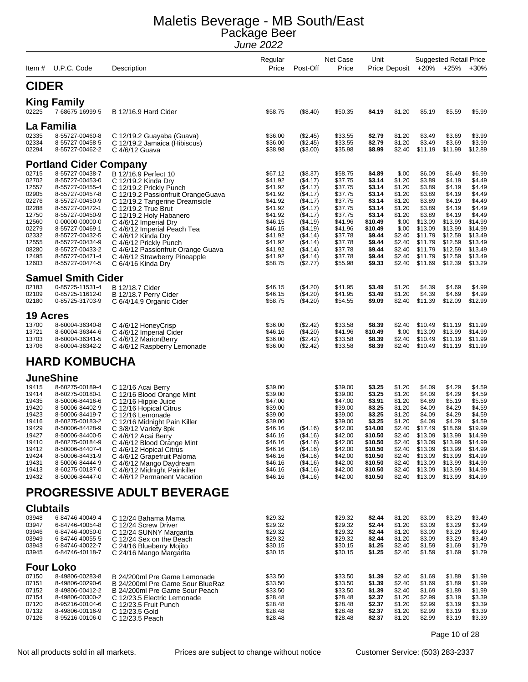| ltem #           | U.P.C. Code                        | Description                                                  | Regular<br>Price   | Post-Off             | Net Case<br>Price  | Unit               | Price Deposit    |                    | <b>Suggested Retail Price</b><br>+20% +25% | $+30%$             |
|------------------|------------------------------------|--------------------------------------------------------------|--------------------|----------------------|--------------------|--------------------|------------------|--------------------|--------------------------------------------|--------------------|
| <b>CIDER</b>     |                                    |                                                              |                    |                      |                    |                    |                  |                    |                                            |                    |
|                  | <b>King Family</b>                 |                                                              |                    |                      |                    |                    |                  |                    |                                            |                    |
| 02225            | 7-68675-16999-5                    | B 12/16.9 Hard Cider                                         | \$58.75            | (\$8.40)             | \$50.35            | \$4.19             | \$1.20           | \$5.19             | \$5.59                                     | \$5.99             |
|                  | La Familia                         |                                                              |                    |                      |                    |                    |                  |                    |                                            |                    |
| 02335            | 8-55727-00460-8                    | C 12/19.2 Guayaba (Guava)                                    | \$36.00            | (\$2.45)             | \$33.55            | \$2.79             | \$1.20           | \$3.49             | \$3.69                                     | \$3.99             |
| 02334            | 8-55727-00458-5                    | C 12/19.2 Jamaica (Hibiscus)                                 | \$36.00            | $(\$2.45)$           | \$33.55            | \$2.79             | \$1.20           | \$3.49             | \$3.69                                     | \$3.99             |
| 02294            | 8-55727-00462-2                    | C 4/6/12 Guava                                               | \$38.98            | (\$3.00)             | \$35.98            | \$8.99             | \$2.40           | \$11.19            | \$11.99                                    | \$12.89            |
|                  | <b>Portland Cider Company</b>      |                                                              |                    |                      |                    |                    |                  |                    |                                            |                    |
| 02715            | 8-55727-00438-7                    | B 12/16.9 Perfect 10                                         | \$67.12            | (\$8.37)             | \$58.75            | \$4.89             | \$.00            | \$6.09             | \$6.49                                     | \$6.99             |
| 02702<br>12557   | 8-55727-00453-0<br>8-55727-00455-4 | C 12/19.2 Kinda Dry<br>C 12/19.2 Prickly Punch               | \$41.92<br>\$41.92 | (\$4.17)<br>(\$4.17) | \$37.75<br>\$37.75 | \$3.14<br>\$3.14   | \$1.20<br>\$1.20 | \$3.89<br>\$3.89   | \$4.19<br>\$4.19                           | \$4.49<br>\$4.49   |
| 02905            | 8-55727-00457-8                    | C 12/19.2 Passionfruit OrangeGuava                           | \$41.92            | (\$4.17)             | \$37.75            | \$3.14             | \$1.20           | \$3.89             | \$4.19                                     | \$4.49             |
| 02276            | 8-55727-00450-9                    | C 12/19.2 Tangerine Dreamsicle                               | \$41.92            | (\$4.17)             | \$37.75            | \$3.14             | \$1.20           | \$3.89             | \$4.19                                     | \$4.49             |
| 02288            | 8-55727-00472-1                    | C 12/19.2 True Brut                                          | \$41.92<br>\$41.92 | (\$4.17)             | \$37.75            | \$3.14             | \$1.20           | \$3.89             | \$4.19                                     | \$4.49<br>\$4.49   |
| 12750<br>12560   | 8-55727-00450-9<br>0-00000-00000-0 | C 12/19.2 Holy Habanero<br>C 4/6/12 Imperial Dry             | \$46.15            | (\$4.17)<br>(\$4.19) | \$37.75<br>\$41.96 | \$3.14<br>\$10.49  | \$1.20<br>\$.00  | \$3.89<br>\$13.09  | \$4.19<br>\$13.99                          | \$14.99            |
| 02279            | 8-55727-00469-1                    | C 4/6/12 Imperial Peach Tea                                  | \$46.15            | (\$4.19)             | \$41.96            | \$10.49            | \$.00            | \$13.09            | \$13.99                                    | \$14.99            |
| 02332            | 8-55727-00432-5                    | C 4/6/12 Kinda Dry                                           | \$41.92            | (\$4.14)             | \$37.78            | \$9.44             | \$2.40           | \$11.79            | \$12.59                                    | \$13.49            |
| 12555<br>08280   | 8-55727-00434-9<br>8-55727-00433-2 | C 4/6/12 Prickly Punch<br>C 4/6/12 Passionfruit Orange Guava | \$41.92<br>\$41.92 | (\$4.14)<br>(\$4.14) | \$37.78<br>\$37.78 | \$9.44<br>\$9.44   | \$2.40<br>\$2.40 | \$11.79<br>\$11.79 | \$12.59<br>\$12.59                         | \$13.49<br>\$13.49 |
| 12495            | 8-55727-00471-4                    | C 4/6/12 Strawberry Pineapple                                | \$41.92            | (\$4.14)             | \$37.78            | \$9.44             | \$2.40           | \$11.79            | \$12.59                                    | \$13.49            |
| 12603            | 8-55727-00474-5                    | C 6/4/16 Kinda Dry                                           | \$58.75            | (\$2.77)             | \$55.98            | \$9.33             | \$2.40           | \$11.69            | \$12.39                                    | \$13.29            |
|                  | <b>Samuel Smith Cider</b>          |                                                              |                    |                      |                    |                    |                  |                    |                                            |                    |
| 02183            | 0-85725-11531-4                    | <b>B</b> 12/18.7 Cider                                       | \$46.15            | (\$4.20)             | \$41.95            | \$3.49             | \$1.20           | \$4.39             | \$4.69                                     | \$4.99             |
| 02109            | 0-85725-11612-0                    | B 12/18.7 Perry Cider                                        | \$46.15            | (\$4.20)             | \$41.95            | \$3.49             | \$1.20           | \$4.39             | \$4.69                                     | \$4.99             |
| 02180            | 0-85725-31703-9                    | C 6/4/14.9 Organic Cider                                     | \$58.75            | (\$4.20)             | \$54.55            | \$9.09             | \$2.40           | \$11.39            | \$12.09                                    | \$12.99            |
| <b>19 Acres</b>  |                                    |                                                              |                    |                      |                    |                    |                  |                    |                                            |                    |
| 13700            | 8-60004-36340-8                    | C 4/6/12 HoneyCrisp                                          | \$36.00            | (\$2.42)             | \$33.58            | \$8.39             | \$2.40           | \$10.49            | \$11.19                                    | \$11.99            |
| 13721<br>13703   | 8-60004-36344-6<br>8-60004-36341-5 | C 4/6/12 Imperial Cider                                      | \$46.16<br>\$36.00 | (\$4.20)<br>(\$2.42) | \$41.96<br>\$33.58 | \$10.49<br>\$8.39  | \$.00<br>\$2.40  | \$13.09<br>\$10.49 | \$13.99<br>\$11.19                         | \$14.99<br>\$11.99 |
| 13706            | 8-60004-36342-2                    | C 4/6/12 MarionBerry<br>C 4/6/12 Raspberry Lemonade          | \$36.00            | (\$2.42)             | \$33.58            | \$8.39             | \$2.40           | \$10.49            | \$11.19                                    | \$11.99            |
|                  | <b>HARD KOMBUCHA</b>               |                                                              |                    |                      |                    |                    |                  |                    |                                            |                    |
|                  | JuneShine                          |                                                              |                    |                      |                    |                    |                  |                    |                                            |                    |
| 19415            | 8-60275-00189-4                    |                                                              | \$39.00            |                      | \$39.00            | \$3.25             | \$1.20           | \$4.09             | \$4.29                                     | \$4.59             |
| 19414            | 8-60275-00180-1                    | C 12/16 Acai Berry<br>C 12/16 Blood Orange Mint              | \$39.00            |                      | \$39.00            | \$3.25             | \$1.20           | \$4.09             | \$4.29                                     | \$4.59             |
| 19435            | 8-50006-84416-6                    | C 12/16 Hippie Juice                                         | \$47.00            |                      | \$47.00            | \$3.91             | \$1.20           | \$4.89             | \$5.19                                     | \$5.59             |
| 19420            | 8-50006-84402-9                    | C 12/16 Hopical Citrus                                       | \$39.00            |                      | \$39.00            | \$3.25             | \$1.20           | \$4.09             | \$4.29                                     | \$4.59             |
| 19423<br>19416   | 8-50006-84419-7<br>8-60275-00183-2 | C 12/16 Lemonade<br>C 12/16 Midnight Pain Killer             | \$39.00<br>\$39.00 |                      | \$39.00<br>\$39.00 | \$3.25<br>\$3.25   | \$1.20<br>\$1.20 | \$4.09<br>\$4.09   | \$4.29<br>\$4.29                           | \$4.59<br>\$4.59   |
| 19429            | 8-50006-84428-9                    | C 3/8/12 Variety 8pk                                         | \$46.16            | (\$4.16)             | \$42.00            | \$14.00            | \$2.40           | \$17.49            | \$18.69                                    | \$19.99            |
| 19427            | 8-50006-84400-5                    | C 4/6/12 Acai Berry                                          | \$46.16            | (\$4.16)             | \$42.00            | \$10.50            | \$2.40           | \$13.09            | \$13.99                                    | \$14.99            |
| 19410<br>19412   | 8-60275-00184-9<br>8-50006-84407-4 | C 4/6/12 Blood Orange Mint<br>C 4/6/12 Hopical Citrus        | \$46.16<br>\$46.16 | (\$4.16)<br>(\$4.16) | \$42.00<br>\$42.00 | \$10.50<br>\$10.50 | \$2.40<br>\$2.40 | \$13.09<br>\$13.09 | \$13.99<br>\$13.99                         | \$14.99<br>\$14.99 |
| 19424            | 8-50006-84431-9                    | C 4/6/12 Grapefruit Paloma                                   | \$46.16            | (\$4.16)             | \$42.00            | \$10.50            | \$2.40           | \$13.09            | \$13.99                                    | \$14.99            |
| 19431            | 8-50006-84444-9                    | C 4/6/12 Mango Daydream                                      | \$46.16            | (\$4.16)             | \$42.00            | \$10.50            | \$2.40           | \$13.09            | \$13.99                                    | \$14.99            |
| 19413<br>19432   | 8-60275-00187-0<br>8-50006-84447-0 | C 4/6/12 Midnight Painkiller<br>C 4/6/12 Permanent Vacation  | \$46.16<br>\$46.16 | (\$4.16)<br>(\$4.16) | \$42.00<br>\$42.00 | \$10.50<br>\$10.50 | \$2.40<br>\$2.40 | \$13.09<br>\$13.09 | \$13.99<br>\$13.99                         | \$14.99<br>\$14.99 |
|                  |                                    | PROGRESSIVE ADULT BEVERAGE                                   |                    |                      |                    |                    |                  |                    |                                            |                    |
| <b>Clubtails</b> |                                    |                                                              |                    |                      |                    |                    |                  |                    |                                            |                    |
| 03948            | 6-84746-40049-4                    | C 12/24 Bahama Mama                                          | \$29.32            |                      | \$29.32            | \$2.44             | \$1.20           | \$3.09             | \$3.29                                     | \$3.49             |
| 03947            | 6-84746-40054-8                    | C 12/24 Screw Driver                                         | \$29.32            |                      | \$29.32            | \$2.44             | \$1.20           | \$3.09             | \$3.29                                     | \$3.49             |
| 03946            | 6-84746-40050-0                    | C 12/24 SUNNY Margarita                                      | \$29.32            |                      | \$29.32            | \$2.44             | \$1.20           | \$3.09             | \$3.29                                     | \$3.49             |
| 03949<br>03943   | 6-84746-40055-5<br>6-84746-40022-7 | C 12/24 Sex on the Beach<br>C 24/16 Blueberry Mojito         | \$29.32<br>\$30.15 |                      | \$29.32<br>\$30.15 | \$2.44<br>\$1.25   | \$1.20<br>\$2.40 | \$3.09<br>\$1.59   | \$3.29<br>\$1.69                           | \$3.49<br>\$1.79   |
| 03945            | 6-84746-40118-7                    | C 24/16 Mango Margarita                                      | \$30.15            |                      | \$30.15            | \$1.25             | \$2.40           | \$1.59             | \$1.69                                     | \$1.79             |
|                  | <b>Four Loko</b>                   |                                                              |                    |                      |                    |                    |                  |                    |                                            |                    |
| 07150            | 8-49806-00283-8                    | B 24/200ml Pre Game Lemonade                                 | \$33.50            |                      | \$33.50            | \$1.39             | \$2.40           | \$1.69             | \$1.89                                     | \$1.99             |
| 07151            | 8-49806-00290-6                    | B 24/200ml Pre Game Sour BlueRaz                             | \$33.50            |                      | \$33.50            | \$1.39             | \$2.40           | \$1.69             | \$1.89                                     | \$1.99             |
| 07152<br>07154   | 8-49806-00412-2<br>8-49806-00300-2 | B 24/200ml Pre Game Sour Peach                               | \$33.50<br>\$28.48 |                      | \$33.50<br>\$28.48 | \$1.39<br>\$2.37   | \$2.40<br>\$1.20 | \$1.69<br>\$2.99   | \$1.89<br>\$3.19                           | \$1.99             |
| 07120            | 8-95216-00104-6                    | C 12/23.5 Electric Lemonade<br>C 12/23.5 Fruit Punch         | \$28.48            |                      | \$28.48            | \$2.37             | \$1.20           | \$2.99             | \$3.19                                     | \$3.39<br>\$3.39   |
| 07132            | 8-49806-00116-9                    | C 12/23.5 Gold                                               | \$28.48            |                      | \$28.48            | \$2.37             | \$1.20           | \$2.99             | \$3.19                                     | \$3.39             |
| 07126            | 8-95216-00106-0                    | C 12/23.5 Peach                                              | \$28.48            |                      | \$28.48            | \$2.37             | \$1.20           | \$2.99             | \$3.19                                     | \$3.39             |

Page 10 of 28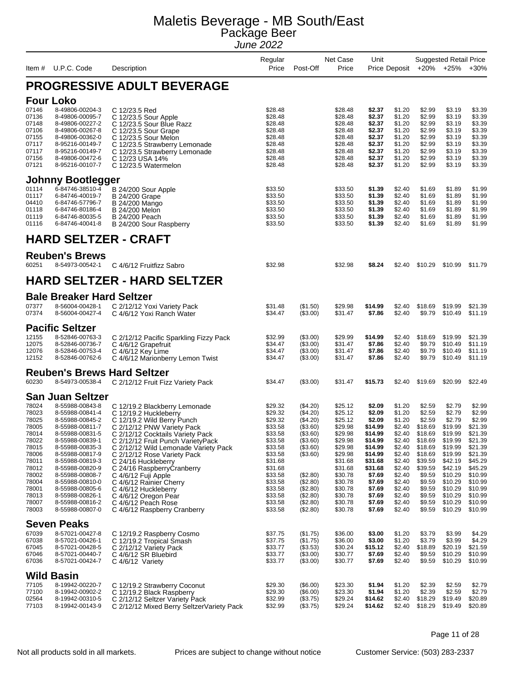| Item $#$                                                                                                                                                                                  | U.P.C. Code                                                                                                                                                                                                                                                                                                                                                                                                                                                  | Description                                                                                                                                                                                                                                                                                                                                                                                                                                                                                                                                                                                                      | Regular<br>Price                                                                                                                                                                                                                    | Post-Off                                                                                                                                                                                                                              | Net Case<br>Price                                                                                                                                                                                                                   | Unit                                                                                                                                                                                                                   |                                                                                                                                                                                                                | Price Deposit +20% +25%                                                                                                                                                                                                | <b>Suggested Retail Price</b>                                                                                                                                                                                                  | $+30%$                                                                                                                                                                                                                         |
|-------------------------------------------------------------------------------------------------------------------------------------------------------------------------------------------|--------------------------------------------------------------------------------------------------------------------------------------------------------------------------------------------------------------------------------------------------------------------------------------------------------------------------------------------------------------------------------------------------------------------------------------------------------------|------------------------------------------------------------------------------------------------------------------------------------------------------------------------------------------------------------------------------------------------------------------------------------------------------------------------------------------------------------------------------------------------------------------------------------------------------------------------------------------------------------------------------------------------------------------------------------------------------------------|-------------------------------------------------------------------------------------------------------------------------------------------------------------------------------------------------------------------------------------|---------------------------------------------------------------------------------------------------------------------------------------------------------------------------------------------------------------------------------------|-------------------------------------------------------------------------------------------------------------------------------------------------------------------------------------------------------------------------------------|------------------------------------------------------------------------------------------------------------------------------------------------------------------------------------------------------------------------|----------------------------------------------------------------------------------------------------------------------------------------------------------------------------------------------------------------|------------------------------------------------------------------------------------------------------------------------------------------------------------------------------------------------------------------------|--------------------------------------------------------------------------------------------------------------------------------------------------------------------------------------------------------------------------------|--------------------------------------------------------------------------------------------------------------------------------------------------------------------------------------------------------------------------------|
|                                                                                                                                                                                           |                                                                                                                                                                                                                                                                                                                                                                                                                                                              | <b>PROGRESSIVE ADULT BEVERAGE</b>                                                                                                                                                                                                                                                                                                                                                                                                                                                                                                                                                                                |                                                                                                                                                                                                                                     |                                                                                                                                                                                                                                       |                                                                                                                                                                                                                                     |                                                                                                                                                                                                                        |                                                                                                                                                                                                                |                                                                                                                                                                                                                        |                                                                                                                                                                                                                                |                                                                                                                                                                                                                                |
| 07146<br>07136<br>07148<br>07106<br>07155<br>07117<br>07117<br>07156<br>07121                                                                                                             | <b>Four Loko</b><br>8-49806-00204-3<br>8-49806-00095-7<br>8-49806-00227-2<br>8-49806-00267-8<br>8-49806-00362-0<br>8-95216-00149-7<br>8-95216-00149-7<br>8-49806-00472-6<br>8-95216-00107-7                                                                                                                                                                                                                                                                  | C 12/23.5 Red<br>C 12/23.5 Sour Apple<br>C 12/23.5 Sour Blue Razz<br>C 12/23.5 Sour Grape<br>C 12/23.5 Sour Melon<br>C 12/23.5 Strawberry Lemonade<br>C 12/23.5 Strawberry Lemonade<br>C 12/23 USA 14%<br>C 12/23.5 Watermelon                                                                                                                                                                                                                                                                                                                                                                                   | \$28.48<br>\$28.48<br>\$28.48<br>\$28.48<br>\$28.48<br>\$28.48<br>\$28.48<br>\$28.48<br>\$28.48                                                                                                                                     |                                                                                                                                                                                                                                       | \$28.48<br>\$28.48<br>\$28.48<br>\$28.48<br>\$28.48<br>\$28.48<br>\$28.48<br>\$28.48<br>\$28.48                                                                                                                                     | \$2.37<br>\$2.37<br>\$2.37<br>\$2.37<br>\$2.37<br>\$2.37<br>\$2.37<br>\$2.37<br>\$2.37                                                                                                                                 | \$1.20<br>\$1.20<br>\$1.20<br>\$1.20<br>\$1.20<br>\$1.20<br>\$1.20<br>\$1.20<br>\$1.20                                                                                                                         | \$2.99<br>\$2.99<br>\$2.99<br>\$2.99<br>\$2.99<br>\$2.99<br>\$2.99<br>\$2.99<br>\$2.99                                                                                                                                 | \$3.19<br>\$3.19<br>\$3.19<br>\$3.19<br>\$3.19<br>\$3.19<br>\$3.19<br>\$3.19<br>\$3.19                                                                                                                                         | \$3.39<br>\$3.39<br>\$3.39<br>\$3.39<br>\$3.39<br>\$3.39<br>\$3.39<br>\$3.39<br>\$3.39                                                                                                                                         |
| 01114<br>01117<br>04410<br>01118<br>01119<br>01116                                                                                                                                        | Johnny Bootlegger<br>6-84746-38510-4<br>6-84746-40019-7<br>6-84746-57796-7<br>6-84746-80186-4<br>6-84746-80035-5<br>6-84746-40041-8                                                                                                                                                                                                                                                                                                                          | B 24/200 Sour Apple<br><b>B 24/200 Grape</b><br>B 24/200 Mango<br><b>B</b> 24/200 Melon<br>B 24/200 Peach<br>B 24/200 Sour Raspberry                                                                                                                                                                                                                                                                                                                                                                                                                                                                             | \$33.50<br>\$33.50<br>\$33.50<br>\$33.50<br>\$33.50<br>\$33.50                                                                                                                                                                      |                                                                                                                                                                                                                                       | \$33.50<br>\$33.50<br>\$33.50<br>\$33.50<br>\$33.50<br>\$33.50                                                                                                                                                                      | \$1.39<br>\$1.39<br>\$1.39<br>\$1.39<br>\$1.39<br>\$1.39                                                                                                                                                               | \$2.40<br>\$2.40<br>\$2.40<br>\$2.40<br>\$2.40<br>\$2.40                                                                                                                                                       | \$1.69<br>\$1.69<br>\$1.69<br>\$1.69<br>\$1.69<br>\$1.69                                                                                                                                                               | \$1.89<br>\$1.89<br>\$1.89<br>\$1.89<br>\$1.89<br>\$1.89                                                                                                                                                                       | \$1.99<br>\$1.99<br>\$1.99<br>\$1.99<br>\$1.99<br>\$1.99                                                                                                                                                                       |
| 60251                                                                                                                                                                                     | <b>Reuben's Brews</b><br>8-54973-00542-1                                                                                                                                                                                                                                                                                                                                                                                                                     | <b>HARD SELTZER - CRAFT</b><br>C 4/6/12 Fruitfizz Sabro                                                                                                                                                                                                                                                                                                                                                                                                                                                                                                                                                          | \$32.98                                                                                                                                                                                                                             |                                                                                                                                                                                                                                       | \$32.98                                                                                                                                                                                                                             | \$8.24                                                                                                                                                                                                                 | \$2.40                                                                                                                                                                                                         | \$10.29                                                                                                                                                                                                                | \$10.99                                                                                                                                                                                                                        | \$11.79                                                                                                                                                                                                                        |
|                                                                                                                                                                                           |                                                                                                                                                                                                                                                                                                                                                                                                                                                              | <b>HARD SELTZER - HARD SELTZER</b>                                                                                                                                                                                                                                                                                                                                                                                                                                                                                                                                                                               |                                                                                                                                                                                                                                     |                                                                                                                                                                                                                                       |                                                                                                                                                                                                                                     |                                                                                                                                                                                                                        |                                                                                                                                                                                                                |                                                                                                                                                                                                                        |                                                                                                                                                                                                                                |                                                                                                                                                                                                                                |
| 07377<br>07374                                                                                                                                                                            | <b>Bale Breaker Hard Seltzer</b><br>8-56004-00428-1<br>8-56004-00427-4<br><b>Pacific Seltzer</b>                                                                                                                                                                                                                                                                                                                                                             | C 2/12/12 Yoxi Variety Pack<br>C 4/6/12 Yoxi Ranch Water                                                                                                                                                                                                                                                                                                                                                                                                                                                                                                                                                         | \$31.48<br>\$34.47                                                                                                                                                                                                                  | (\$1.50)<br>(\$3.00)                                                                                                                                                                                                                  | \$29.98<br>\$31.47                                                                                                                                                                                                                  | \$14.99<br>\$7.86                                                                                                                                                                                                      | \$2.40<br>\$2.40                                                                                                                                                                                               | \$18.69<br>\$9.79                                                                                                                                                                                                      | \$19.99<br>\$10.49                                                                                                                                                                                                             | \$21.39<br>\$11.19                                                                                                                                                                                                             |
| 12155<br>12075<br>12076<br>12152                                                                                                                                                          | 8-52846-00763-3<br>8-52846-00736-7<br>8-52846-00753-4<br>8-52846-00762-6                                                                                                                                                                                                                                                                                                                                                                                     | C 2/12/12 Pacific Sparkling Fizzy Pack<br>C 4/6/12 Grapefruit<br>C 4/6/12 Key Lime<br>C 4/6/12 Marionberry Lemon Twist                                                                                                                                                                                                                                                                                                                                                                                                                                                                                           | \$32.99<br>\$34.47<br>\$34.47<br>\$34.47                                                                                                                                                                                            | (\$3.00)<br>(\$3.00)<br>(\$3.00)<br>(\$3.00)                                                                                                                                                                                          | \$29.99<br>\$31.47<br>\$31.47<br>\$31.47                                                                                                                                                                                            | \$14.99<br>\$7.86<br>\$7.86<br>\$7.86                                                                                                                                                                                  | \$2.40<br>\$2.40<br>\$2.40<br>\$2.40                                                                                                                                                                           | \$18.69<br>\$9.79<br>\$9.79<br>\$9.79                                                                                                                                                                                  | \$19.99<br>\$10.49<br>\$10.49<br>\$10.49                                                                                                                                                                                       | \$21.39<br>\$11.19<br>\$11.19<br>\$11.19                                                                                                                                                                                       |
| 60230                                                                                                                                                                                     | 8-54973-00538-4                                                                                                                                                                                                                                                                                                                                                                                                                                              | <b>Reuben's Brews Hard Seltzer</b><br>C 2/12/12 Fruit Fizz Variety Pack                                                                                                                                                                                                                                                                                                                                                                                                                                                                                                                                          | \$34.47                                                                                                                                                                                                                             | (\$3.00)                                                                                                                                                                                                                              | \$31.47                                                                                                                                                                                                                             | \$15.73                                                                                                                                                                                                                | \$2.40                                                                                                                                                                                                         | \$19.69                                                                                                                                                                                                                | \$20.99                                                                                                                                                                                                                        | \$22.49                                                                                                                                                                                                                        |
| 78024<br>78023<br>78025<br>78005<br>78014<br>78022<br>78015<br>78006<br>78011<br>78012<br>78002<br>78004<br>78001<br>78013<br>78007<br>78003<br>67039<br>67038<br>67045<br>67046<br>67036 | <b>San Juan Seltzer</b><br>8-55988-00843-8<br>8-55988-00841-4<br>8-55988-00845-2<br>8-55988-00811-7<br>8-55988-00831-5<br>8-55988-00839-1<br>8-55988-00835-3<br>8-55988-00817-9<br>8-55988-00819-3<br>8-55988-00820-9<br>8-55988-00808-7<br>8-55988-00810-0<br>8-55988-00805-6<br>8-55988-00826-1<br>8-55988-00816-2<br>8-55988-00807-0<br><b>Seven Peaks</b><br>8-57021-00427-8<br>8-57021-00426-1<br>8-57021-00428-5<br>8-57021-00440-7<br>8-57021-00424-7 | C 12/19.2 Blackberry Lemonade<br>C 12/19.2 Huckleberry<br>C 12/19.2 Wild Berry Punch<br>C 2/12/12 PNW Variety Pack<br>C 2/12/12 Cocktails Variety Pack<br>C 2/12/12 Fruit Punch VarietyPack<br>C 2/12/12 Wild Lemonade Variety Pack<br>C 2/12/12 Rose Variety Pack<br>C 24/16 Huckleberry<br>C 24/16 Raspberry Cranberry<br>C 4/6/12 Fuji Apple<br>C 4/6/12 Rainier Cherry<br>C 4/6/12 Huckleberry<br>C 4/6/12 Oregon Pear<br>C 4/6/12 Peach Rose<br>C 4/6/12 Raspberry Cranberry<br>C 12/19.2 Raspberry Cosmo<br>C 12/19.2 Tropical Smash<br>C 2/12/12 Variety Pack<br>C 4/6/12 SR Bluebird<br>C 4/6/12 Variety | \$29.32<br>\$29.32<br>\$29.32<br>\$33.58<br>\$33.58<br>\$33.58<br>\$33.58<br>\$33.58<br>\$31.68<br>\$31.68<br>\$33.58<br>\$33.58<br>\$33.58<br>\$33.58<br>\$33.58<br>\$33.58<br>\$37.75<br>\$37.75<br>\$33.77<br>\$33.77<br>\$33.77 | (\$4.20)<br>(\$4.20)<br>(\$4.20)<br>$(\$3.60)$<br>$($ \$3.60)<br>(\$3.60)<br>(\$3.60)<br>(\$3.60)<br>(\$2.80)<br>(\$2.80)<br>(\$2.80)<br>(\$2.80)<br>(\$2.80)<br>(\$2.80)<br>(\$1.75)<br>(\$1.75)<br>(\$3.53)<br>(\$3.00)<br>(\$3.00) | \$25.12<br>\$25.12<br>\$25.12<br>\$29.98<br>\$29.98<br>\$29.98<br>\$29.98<br>\$29.98<br>\$31.68<br>\$31.68<br>\$30.78<br>\$30.78<br>\$30.78<br>\$30.78<br>\$30.78<br>\$30.78<br>\$36.00<br>\$36.00<br>\$30.24<br>\$30.77<br>\$30.77 | \$2.09<br>\$2.09<br>\$2.09<br>\$14.99<br>\$14.99<br>\$14.99<br>\$14.99<br>\$14.99<br>\$31.68<br>\$31.68<br>\$7.69<br>\$7.69<br>\$7.69<br>\$7.69<br>\$7.69<br>\$7.69<br>\$3.00<br>\$3.00<br>\$15.12<br>\$7.69<br>\$7.69 | \$1.20<br>\$1.20<br>\$1.20<br>\$2.40<br>\$2.40<br>\$2.40<br>\$2.40<br>\$2.40<br>\$2.40<br>\$2.40<br>\$2.40<br>\$2.40<br>\$2.40<br>\$2.40<br>\$2.40<br>\$2.40<br>\$1.20<br>\$1.20<br>\$2.40<br>\$2.40<br>\$2.40 | \$2.59<br>\$2.59<br>\$2.59<br>\$18.69<br>\$18.69<br>\$18.69<br>\$18.69<br>\$18.69<br>\$39.59<br>\$39.59<br>\$9.59<br>\$9.59<br>\$9.59<br>\$9.59<br>\$9.59<br>\$9.59<br>\$3.79<br>\$3.79<br>\$18.89<br>\$9.59<br>\$9.59 | \$2.79<br>\$2.79<br>\$2.79<br>\$19.99<br>\$19.99<br>\$19.99<br>\$19.99<br>\$19.99<br>\$42.19<br>\$42.19<br>\$10.29<br>\$10.29<br>\$10.29<br>\$10.29<br>\$10.29<br>\$10.29<br>\$3.99<br>\$3.99<br>\$20.19<br>\$10.29<br>\$10.29 | \$2.99<br>\$2.99<br>\$2.99<br>\$21.39<br>\$21.39<br>\$21.39<br>\$21.39<br>\$21.39<br>\$45.29<br>\$45.29<br>\$10.99<br>\$10.99<br>\$10.99<br>\$10.99<br>\$10.99<br>\$10.99<br>\$4.29<br>\$4.29<br>\$21.59<br>\$10.99<br>\$10.99 |
| 77105<br>77100<br>02564<br>77103                                                                                                                                                          | <b>Wild Basin</b><br>8-19942-00220-7<br>8-19942-00902-2<br>8-19942-00310-5<br>8-19942-00143-9                                                                                                                                                                                                                                                                                                                                                                | C 12/19.2 Strawberry Coconut<br>C 12/19.2 Black Raspberry<br>C 2/12/12 Seltzer Variety Pack<br>C 2/12/12 Mixed Berry SeltzerVariety Pack                                                                                                                                                                                                                                                                                                                                                                                                                                                                         | \$29.30<br>\$29.30<br>\$32.99<br>\$32.99                                                                                                                                                                                            | $($ \$6.00)<br>$($ \$6.00)<br>(\$3.75)<br>(\$3.75)                                                                                                                                                                                    | \$23.30<br>\$23.30<br>\$29.24<br>\$29.24                                                                                                                                                                                            | \$1.94<br>\$1.94<br>\$14.62<br>\$14.62                                                                                                                                                                                 | \$1.20<br>\$1.20<br>\$2.40<br>\$2.40                                                                                                                                                                           | \$2.39<br>\$2.39<br>\$18.29<br>\$18.29                                                                                                                                                                                 | \$2.59<br>\$2.59<br>\$19.49<br>\$19.49                                                                                                                                                                                         | \$2.79<br>\$2.79<br>\$20.89<br>\$20.89                                                                                                                                                                                         |

Page 11 of 28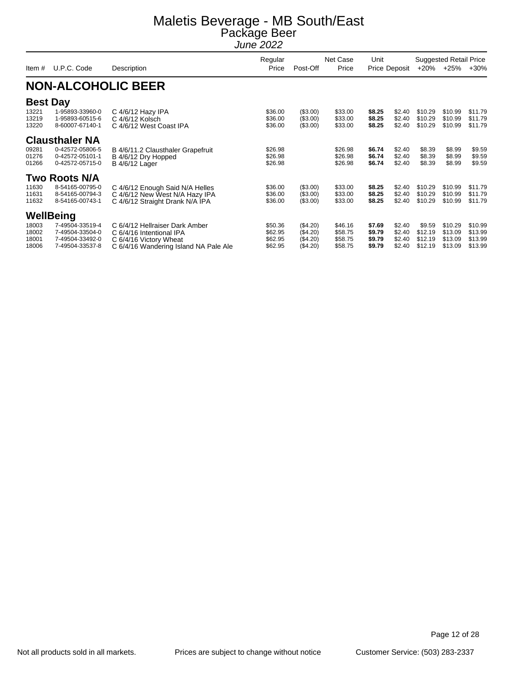| Item $#$                                   | U.P.C. Code                                                                           | Description                                                                                                                   | Regular<br>Price                         | Net Case<br>Post-Off<br>Price                |                                          | Unit                                 | Price Deposit                        |                                         | <b>Suggested Retail Price</b><br>+20% +25% | $+30%$                                   |
|--------------------------------------------|---------------------------------------------------------------------------------------|-------------------------------------------------------------------------------------------------------------------------------|------------------------------------------|----------------------------------------------|------------------------------------------|--------------------------------------|--------------------------------------|-----------------------------------------|--------------------------------------------|------------------------------------------|
|                                            |                                                                                       | <b>NON-ALCOHOLIC BEER</b>                                                                                                     |                                          |                                              |                                          |                                      |                                      |                                         |                                            |                                          |
| <b>Best Day</b><br>13221<br>13219<br>13220 | 1-95893-33960-0<br>1-95893-60515-6<br>8-60007-67140-1                                 | C $4/6/12$ Hazy IPA<br>C 4/6/12 Kolsch<br>C 4/6/12 West Coast IPA                                                             | \$36.00<br>\$36.00<br>\$36.00            | (\$3.00)<br>(\$3.00)<br>(\$3.00)             | \$33.00<br>\$33.00<br>\$33.00            | \$8.25<br>\$8.25<br>\$8.25           | \$2.40<br>\$2.40<br>\$2.40           | \$10.29<br>\$10.29<br>\$10.29           | \$10.99<br>\$10.99<br>\$10.99              | \$11.79<br>\$11.79<br>\$11.79            |
| 09281<br>01276<br>01266                    | <b>Clausthaler NA</b><br>0-42572-05806-5<br>0-42572-05101-1<br>0-42572-05715-0        | B 4/6/11.2 Clausthaler Grapefruit<br>B 4/6/12 Dry Hopped<br><b>B</b> 4/6/12 Lager                                             | \$26.98<br>\$26.98<br>\$26.98            |                                              | \$26.98<br>\$26.98<br>\$26.98            | \$6.74<br>\$6.74<br>\$6.74           | \$2.40<br>\$2.40<br>\$2.40           | \$8.39<br>\$8.39<br>\$8.39              | \$8.99<br>\$8.99<br>\$8.99                 | \$9.59<br>\$9.59<br>\$9.59               |
| 11630<br>11631<br>11632                    | <b>Two Roots N/A</b><br>8-54165-00795-0<br>8-54165-00794-3<br>8-54165-00743-1         | C 4/6/12 Enough Said N/A Helles<br>C 4/6/12 New West N/A Hazy IPA<br>C 4/6/12 Straight Drank N/A IPA                          | \$36.00<br>\$36.00<br>\$36.00            | (\$3.00)<br>(\$3.00)<br>(\$3.00)             | \$33.00<br>\$33.00<br>\$33.00            | \$8.25<br>\$8.25<br>\$8.25           | \$2.40<br>\$2.40<br>\$2.40           | \$10.29<br>\$10.29<br>\$10.29           | \$10.99<br>\$10.99<br>\$10.99              | \$11.79<br>\$11.79<br>\$11.79            |
| 18003<br>18002<br>18001<br>18006           | WellBeing<br>7-49504-33519-4<br>7-49504-33504-0<br>7-49504-33492-0<br>7-49504-33537-8 | C 6/4/12 Hellraiser Dark Amber<br>C 6/4/16 Intentional IPA<br>C 6/4/16 Victory Wheat<br>C 6/4/16 Wandering Island NA Pale Ale | \$50.36<br>\$62.95<br>\$62.95<br>\$62.95 | (\$4.20)<br>(\$4.20)<br>(\$4.20)<br>(\$4.20) | \$46.16<br>\$58.75<br>\$58.75<br>\$58.75 | \$7.69<br>\$9.79<br>\$9.79<br>\$9.79 | \$2.40<br>\$2.40<br>\$2.40<br>\$2.40 | \$9.59<br>\$12.19<br>\$12.19<br>\$12.19 | \$10.29<br>\$13.09<br>\$13.09<br>\$13.09   | \$10.99<br>\$13.99<br>\$13.99<br>\$13.99 |

Page 12 of 28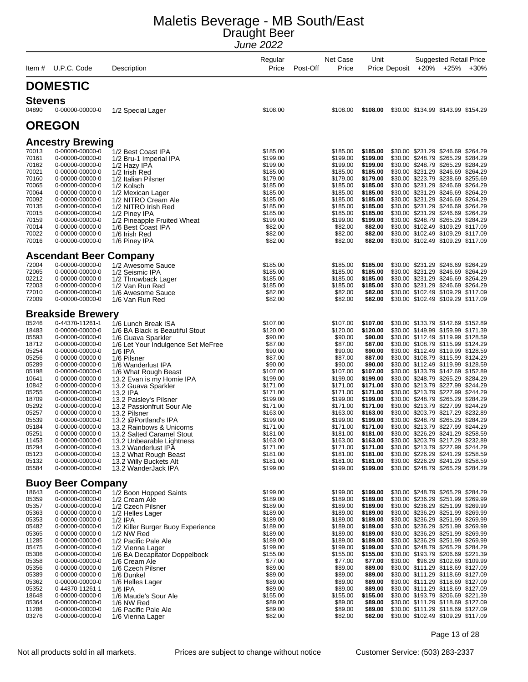| Item #         | U.P.C. Code                        | Description                                       | Regular<br>Price     | Post-Off | Net Case<br>Price    | Unit                 | Price Deposit | <b>Suggested Retail Price</b><br>+20% +25%                               | $+30%$ |
|----------------|------------------------------------|---------------------------------------------------|----------------------|----------|----------------------|----------------------|---------------|--------------------------------------------------------------------------|--------|
|                |                                    |                                                   |                      |          |                      |                      |               |                                                                          |        |
|                | <b>DOMESTIC</b>                    |                                                   |                      |          |                      |                      |               |                                                                          |        |
| <b>Stevens</b> |                                    |                                                   |                      |          |                      |                      |               |                                                                          |        |
| 04890          | 0-00000-00000-0                    | 1/2 Special Lager                                 | \$108.00             |          | \$108.00             | \$108.00             |               | \$30.00 \$134.99 \$143.99 \$154.29                                       |        |
|                | <b>OREGON</b>                      |                                                   |                      |          |                      |                      |               |                                                                          |        |
|                | <b>Ancestry Brewing</b>            |                                                   |                      |          |                      |                      |               |                                                                          |        |
| 70013          | 0-00000-00000-0                    | 1/2 Best Coast IPA                                | \$185.00             |          | \$185.00             | \$185.00             |               | \$30.00 \$231.29 \$246.69 \$264.29                                       |        |
| 70161          | 0-00000-00000-0                    | 1/2 Bru-1 Imperial IPA                            | \$199.00             |          | \$199.00             | \$199.00             |               | \$30.00 \$248.79 \$265.29 \$284.29                                       |        |
| 70162          | 0-00000-00000-0                    | 1/2 Hazy IPA                                      | \$199.00             |          | \$199.00             | \$199.00             |               | \$30.00 \$248.79 \$265.29 \$284.29                                       |        |
| 70021<br>70160 | 0-00000-00000-0<br>0-00000-00000-0 | 1/2 Irish Red                                     | \$185.00<br>\$179.00 |          | \$185.00<br>\$179.00 | \$185.00<br>\$179.00 |               | \$30.00 \$231.29 \$246.69 \$264.29<br>\$30.00 \$223.79 \$238.69 \$255.69 |        |
| 70065          | 0-00000-00000-0                    | 1/2 Italian Pilsner<br>1/2 Kolsch                 | \$185.00             |          | \$185.00             | \$185.00             |               | \$30.00 \$231.29 \$246.69 \$264.29                                       |        |
| 70064          | 0-00000-00000-0                    | 1/2 Mexican Lager                                 | \$185.00             |          | \$185.00             | \$185.00             |               | \$30.00 \$231.29 \$246.69 \$264.29                                       |        |
| 70092          | 0-00000-00000-0                    | 1/2 NITRO Cream Ale                               | \$185.00             |          | \$185.00             | \$185.00             |               | \$30.00 \$231.29 \$246.69 \$264.29                                       |        |
| 70135<br>70015 | 0-00000-00000-0                    | 1/2 NITRO Irish Red                               | \$185.00<br>\$185.00 |          | \$185.00<br>\$185.00 | \$185.00<br>\$185.00 |               | \$30.00 \$231.29 \$246.69 \$264.29<br>\$30.00 \$231.29 \$246.69 \$264.29 |        |
| 70159          | 0-00000-00000-0<br>0-00000-00000-0 | 1/2 Piney IPA<br>1/2 Pineapple Fruited Wheat      | \$199.00             |          | \$199.00             | \$199.00             |               | \$30.00 \$248.79 \$265.29 \$284.29                                       |        |
| 70014          | 0-00000-00000-0                    | 1/6 Best Coast IPA                                | \$82.00              |          | \$82.00              | \$82.00              |               | \$30.00 \$102.49 \$109.29 \$117.09                                       |        |
| 70022          | 0-00000-00000-0                    | 1/6 Irish Red                                     | \$82.00              |          | \$82.00              | \$82.00              |               | \$30.00 \$102.49 \$109.29 \$117.09                                       |        |
| 70016          | 0-00000-00000-0                    | 1/6 Piney IPA                                     | \$82.00              |          | \$82.00              | \$82.00              |               | \$30.00 \$102.49 \$109.29 \$117.09                                       |        |
|                | <b>Ascendant Beer Company</b>      |                                                   |                      |          |                      |                      |               |                                                                          |        |
| 72004          | 0-00000-00000-0                    | 1/2 Awesome Sauce                                 | \$185.00             |          | \$185.00             | \$185.00             |               | \$30.00 \$231.29 \$246.69 \$264.29                                       |        |
| 72065          | 0-00000-00000-0                    | 1/2 Seismic IPA                                   | \$185.00             |          | \$185.00             | \$185.00             |               | \$30.00 \$231.29 \$246.69 \$264.29                                       |        |
| 02212<br>72003 | 0-00000-00000-0<br>0-00000-00000-0 | 1/2 Throwback Lager<br>1/2 Van Run Red            | \$185.00<br>\$185.00 |          | \$185.00<br>\$185.00 | \$185.00<br>\$185.00 |               | \$30.00 \$231.29 \$246.69 \$264.29<br>\$30.00 \$231.29 \$246.69 \$264.29 |        |
| 72010          | 0-00000-00000-0                    | 1/6 Awesome Sauce                                 | \$82.00              |          | \$82.00              | \$82.00              |               | \$30.00 \$102.49 \$109.29 \$117.09                                       |        |
| 72009          | 0-00000-00000-0                    | 1/6 Van Run Red                                   | \$82.00              |          | \$82.00              | \$82.00              |               | \$30.00 \$102.49 \$109.29 \$117.09                                       |        |
|                | <b>Breakside Brewery</b>           |                                                   |                      |          |                      |                      |               |                                                                          |        |
| 05246          | 0-44370-11261-1                    | 1/6 Lunch Break ISA                               | \$107.00             |          | \$107.00             | \$107.00             |               | \$30.00 \$133.79 \$142.69 \$152.89                                       |        |
| 18483          | 0-00000-00000-0                    | 1/6 BA Black is Beautiful Stout                   | \$120.00             |          | \$120.00             | \$120.00             |               | \$30.00 \$149.99 \$159.99 \$171.39                                       |        |
| 05593          | 0-00000-00000-0                    | 1/6 Guava Sparkler                                | \$90.00              |          | \$90.00              | \$90.00              |               | \$30.00 \$112.49 \$119.99 \$128.59                                       |        |
| 18712<br>05254 | 0-00000-00000-0<br>0-00000-00000-0 | 1/6 Let Your Indulgence Set MeFree<br>1/6 IPA     | \$87.00<br>\$90.00   |          | \$87.00<br>\$90.00   | \$87.00<br>\$90.00   |               | \$30.00 \$108.79 \$115.99 \$124.29<br>\$30.00 \$112.49 \$119.99 \$128.59 |        |
| 05256          | 0-00000-00000-0                    | 1/6 Pilsner                                       | \$87.00              |          | \$87.00              | \$87.00              |               | \$30.00 \$108.79 \$115.99 \$124.29                                       |        |
| 05289          | 0-00000-00000-0                    | 1/6 Wanderlust IPA                                | \$90.00              |          | \$90.00              | \$90.00              |               | \$30.00 \$112.49 \$119.99 \$128.59                                       |        |
| 05198          | 0-00000-00000-0                    | 1/6 What Rough Beast                              | \$107.00             |          | \$107.00             | \$107.00             |               | \$30.00 \$133.79 \$142.69 \$152.89                                       |        |
| 10641<br>10842 | 0-00000-00000-0<br>0-00000-00000-0 | 13.2 Evan is my Homie IPA<br>13.2 Guava Sparkler  | \$199.00<br>\$171.00 |          | \$199.00<br>\$171.00 | \$199.00<br>\$171.00 |               | \$30.00 \$248.79 \$265.29 \$284.29<br>\$30.00 \$213.79 \$227.99 \$244.29 |        |
| 05255          | 0-00000-00000-0                    | 13.2 IPA                                          | \$171.00             |          | \$171.00             | \$171.00             |               | \$30.00 \$213.79 \$227.99 \$244.29                                       |        |
| 18709          | 0-00000-00000-0                    | 13.2 Paisley's Pilsner                            | \$199.00             |          | \$199.00             | \$199.00             |               | \$30.00 \$248.79 \$265.29 \$284.29                                       |        |
| 05292          | 0-00000-00000-0                    | 13.2 Passionfruit Sour Ale                        | \$171.00             |          | \$171.00             | \$171.00             |               | \$30.00 \$213.79 \$227.99 \$244.29                                       |        |
| 05257<br>05539 | 0-00000-00000-0<br>0-00000-00000-0 | 13.2 Pilsner<br>13.2 @Portland's IPA              | \$163.00<br>\$199.00 |          | \$163.00<br>\$199.00 | \$163.00<br>\$199.00 |               | \$30.00 \$203.79 \$217.29 \$232.89<br>\$30.00 \$248.79 \$265.29 \$284.29 |        |
| 05184          | 0-00000-00000-0                    | 13.2 Rainbows & Unicorns                          | \$171.00             |          | \$171.00             | \$171.00             |               | \$30.00 \$213.79 \$227.99 \$244.29                                       |        |
| 05251          | 0-00000-00000-0                    | 13.2 Salted Caramel Stout                         | \$181.00             |          | \$181.00             | \$181.00             |               | \$30.00 \$226.29 \$241.29 \$258.59                                       |        |
| 11453          | 0-00000-00000-0                    | 13.2 Unbearable Lightness                         | \$163.00             |          | \$163.00             | \$163.00             |               | \$30.00 \$203.79 \$217.29 \$232.89                                       |        |
| 05294<br>05123 | 0-00000-00000-0<br>0-00000-00000-0 | 13.2 Wanderlust IPA<br>13.2 What Rough Beast      | \$171.00<br>\$181.00 |          | \$171.00<br>\$181.00 | \$171.00<br>\$181.00 |               | \$30.00 \$213.79 \$227.99 \$244.29<br>\$30.00 \$226.29 \$241.29 \$258.59 |        |
| 05132          | 0-00000-00000-0                    | 13.2 Willy Buckets Alt                            | \$181.00             |          | \$181.00             | \$181.00             |               | \$30.00 \$226.29 \$241.29 \$258.59                                       |        |
| 05584          | 0-00000-00000-0                    | 13.2 WanderJack IPA                               | \$199.00             |          | \$199.00             | \$199.00             |               | \$30.00 \$248.79 \$265.29 \$284.29                                       |        |
|                | <b>Buoy Beer Company</b>           |                                                   |                      |          |                      |                      |               |                                                                          |        |
| 18643          | 0-00000-00000-0                    | 1/2 Boon Hopped Saints                            | \$199.00             |          | \$199.00             | \$199.00             |               | \$30.00 \$248.79 \$265.29 \$284.29                                       |        |
| 05359          | 0-00000-00000-0                    | 1/2 Cream Ale                                     | \$189.00             |          | \$189.00             | \$189.00             |               | \$30.00 \$236.29 \$251.99 \$269.99                                       |        |
| 05357<br>05363 | 0-00000-00000-0<br>0-00000-00000-0 | 1/2 Czech Pilsner<br>1/2 Helles Lager             | \$189.00<br>\$189.00 |          | \$189.00<br>\$189.00 | \$189.00<br>\$189.00 |               | \$30.00 \$236.29 \$251.99 \$269.99<br>\$30.00 \$236.29 \$251.99 \$269.99 |        |
| 05353          | 0-00000-00000-0                    | $1/2$ IPA                                         | \$189.00             |          | \$189.00             | \$189.00             |               | \$30.00 \$236.29 \$251.99 \$269.99                                       |        |
| 05482          | 0-00000-00000-0                    | 1/2 Killer Burger Buoy Experience                 | \$189.00             |          | \$189.00             | \$189.00             |               | \$30.00 \$236.29 \$251.99 \$269.99                                       |        |
| 05365          | 0-00000-00000-0                    | 1/2 NW Red                                        | \$189.00             |          | \$189.00             | \$189.00             |               | \$30.00 \$236.29 \$251.99 \$269.99                                       |        |
| 11285<br>05475 | 0-00000-00000-0<br>0-00000-00000-0 | 1/2 Pacific Pale Ale                              | \$189.00             |          | \$189.00             | \$189.00             |               | \$30.00 \$236.29 \$251.99 \$269.99<br>\$30.00 \$248.79 \$265.29 \$284.29 |        |
| 05306          | 0-00000-00000-0                    | 1/2 Vienna Lager<br>1/6 BA Decapitator Doppelbock | \$199.00<br>\$155.00 |          | \$199.00<br>\$155.00 | \$199.00<br>\$155.00 |               | \$30.00 \$193.79 \$206.69 \$221.39                                       |        |
| 05358          | 0-00000-00000-0                    | 1/6 Cream Ale                                     | \$77.00              |          | \$77.00              | \$77.00              |               | \$30.00 \$96.29 \$102.69 \$109.99                                        |        |
| 05356          | 0-00000-00000-0                    | 1/6 Czech Pilsner                                 | \$89.00              |          | \$89.00              | \$89.00              |               | \$30.00 \$111.29 \$118.69 \$127.09                                       |        |
| 05389<br>05362 | 0-00000-00000-0                    | 1/6 Dunkel                                        | \$89.00<br>\$89.00   |          | \$89.00<br>\$89.00   | \$89.00<br>\$89.00   |               | \$30.00 \$111.29 \$118.69 \$127.09                                       |        |
| 05352          | 0-00000-00000-0<br>0-44370-11261-1 | 1/6 Helles Lager<br>$1/6$ IPA                     | \$89.00              |          | \$89.00              | \$89.00              |               | \$30.00 \$111.29 \$118.69 \$127.09<br>\$30.00 \$111.29 \$118.69 \$127.09 |        |
| 18648          | 0-00000-00000-0                    | 1/6 Maude's Sour Ale                              | \$155.00             |          | \$155.00             | \$155.00             |               | \$30.00 \$193.79 \$206.69 \$221.39                                       |        |
| 05364          | 0-00000-00000-0                    | 1/6 NW Red                                        | \$89.00              |          | \$89.00              | \$89.00              |               | \$30.00 \$111.29 \$118.69 \$127.09                                       |        |
| 11286<br>03276 | 0-00000-00000-0<br>0-00000-00000-0 | 1/6 Pacific Pale Ale<br>1/6 Vienna Lager          | \$89.00<br>\$82.00   |          | \$89.00<br>\$82.00   | \$89.00<br>\$82.00   |               | \$30.00 \$111.29 \$118.69 \$127.09<br>\$30.00 \$102.49 \$109.29 \$117.09 |        |
|                |                                    |                                                   |                      |          |                      |                      |               |                                                                          |        |

Page 13 of 28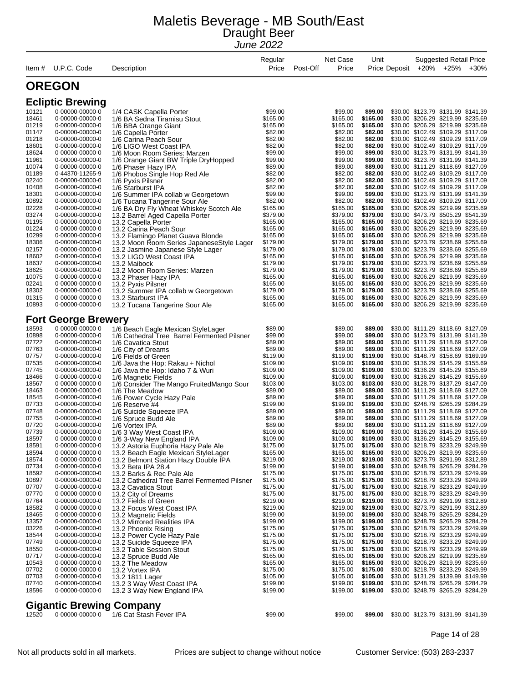| Item $#$       | U.P.C. Code                        | Description                                                          | Regular<br>Price     | Net Case<br>Post-Off<br>Price | Unit                 | Price Deposit |                                                                          | Suggested Retail Price<br>+20% +25% | $+30%$ |
|----------------|------------------------------------|----------------------------------------------------------------------|----------------------|-------------------------------|----------------------|---------------|--------------------------------------------------------------------------|-------------------------------------|--------|
|                | <b>OREGON</b>                      |                                                                      |                      |                               |                      |               |                                                                          |                                     |        |
|                | <b>Ecliptic Brewing</b>            |                                                                      |                      |                               |                      |               |                                                                          |                                     |        |
| 10121          | 0-00000-00000-0                    | 1/4 CASK Capella Porter                                              | \$99.00              | \$99.00                       | \$99.00              |               | \$30.00 \$123.79 \$131.99 \$141.39                                       |                                     |        |
| 18461          | 0-00000-00000-0                    | 1/6 BA Sedna Tiramisu Stout                                          | \$165.00             | \$165.00                      | \$165.00             |               | \$30.00 \$206.29 \$219.99 \$235.69                                       |                                     |        |
| 01219          | 0-00000-00000-0                    | 1/6 BBA Orange Giant                                                 | \$165.00             | \$165.00                      | \$165.00             |               | \$30.00 \$206.29 \$219.99 \$235.69                                       |                                     |        |
| 01147          | 0-00000-00000-0                    | 1/6 Capella Porter                                                   | \$82.00              | \$82.00                       | \$82.00              |               | \$30.00 \$102.49 \$109.29 \$117.09                                       |                                     |        |
| 01218          | 0-00000-00000-0                    | 1/6 Carina Peach Sour                                                | \$82.00              | \$82.00                       | \$82.00<br>\$82.00   |               | \$30.00 \$102.49 \$109.29 \$117.09                                       |                                     |        |
| 18601<br>18624 | 0-00000-00000-0<br>0-00000-00000-0 | 1/6 LIGO West Coast IPA                                              | \$82.00<br>\$99.00   | \$82.00<br>\$99.00            | \$99.00              |               | \$30.00 \$102.49 \$109.29 \$117.09<br>\$30.00 \$123.79 \$131.99 \$141.39 |                                     |        |
| 11961          | 0-00000-00000-0                    | 1/6 Moon Room Series: Marzen<br>1/6 Orange Giant BW Triple DryHopped | \$99.00              | \$99.00                       | \$99.00              |               | \$30.00 \$123.79 \$131.99 \$141.39                                       |                                     |        |
| 10074          | 0-00000-00000-0                    | 1/6 Phaser Hazy IPA                                                  | \$89.00              | \$89.00                       | \$89.00              |               | \$30.00 \$111.29 \$118.69 \$127.09                                       |                                     |        |
| 01189          | 0-44370-11265-9                    | 1/6 Phobos Single Hop Red Ale                                        | \$82.00              | \$82.00                       | \$82.00              |               | \$30.00 \$102.49 \$109.29 \$117.09                                       |                                     |        |
| 02240          | 0-00000-00000-0                    | 1/6 Pyxis Pilsner                                                    | \$82.00              | \$82.00                       | \$82.00              |               | \$30.00 \$102.49 \$109.29 \$117.09                                       |                                     |        |
| 10408          | 0-00000-00000-0                    | 1/6 Starburst IPA                                                    | \$82.00              | \$82.00                       | \$82.00              |               | \$30.00 \$102.49 \$109.29 \$117.09                                       |                                     |        |
| 18301          | 0-00000-00000-0                    | 1/6 Summer IPA collab w Georgetown                                   | \$99.00              | \$99.00                       | \$99.00              |               | \$30.00 \$123.79 \$131.99 \$141.39                                       |                                     |        |
| 10892          | 0-00000-00000-0                    | 1/6 Tucana Tangerine Sour Ale                                        | \$82.00              | \$82.00                       | \$82.00              |               | \$30.00 \$102.49 \$109.29 \$117.09                                       |                                     |        |
| 02228<br>03274 | 0-00000-00000-0<br>0-00000-00000-0 | 1/6 BA Dry Fly Wheat Whiskey Scotch Ale                              | \$165.00<br>\$379.00 | \$165.00<br>\$379.00          | \$165.00<br>\$379.00 |               | \$30.00 \$206.29 \$219.99 \$235.69<br>\$30.00 \$473.79 \$505.29 \$541.39 |                                     |        |
| 01195          | 0-00000-00000-0                    | 13.2 Barrel Aged Capella Porter<br>13.2 Capella Porter               | \$165.00             | \$165.00                      | \$165.00             |               | \$30.00 \$206.29 \$219.99 \$235.69                                       |                                     |        |
| 01224          | 0-00000-00000-0                    | 13.2 Carina Peach Sour                                               | \$165.00             | \$165.00                      | \$165.00             |               | \$30.00 \$206.29 \$219.99 \$235.69                                       |                                     |        |
| 10299          | 0-00000-00000-0                    | 13.2 Flamingo Planet Guava Blonde                                    | \$165.00             | \$165.00                      | \$165.00             |               | \$30.00 \$206.29 \$219.99 \$235.69                                       |                                     |        |
| 18306          | 0-00000-00000-0                    | 13.2 Moon Room Series JapaneseStyle Lager                            | \$179.00             | \$179.00                      | \$179.00             |               | \$30.00 \$223.79 \$238.69 \$255.69                                       |                                     |        |
| 02157          | 0-00000-00000-0                    | 13.2 Jasmine Japanese Style Lager                                    | \$179.00             | \$179.00                      | \$179.00             |               | \$30.00 \$223.79 \$238.69 \$255.69                                       |                                     |        |
| 18602          | 0-00000-00000-0                    | 13.2 LIGO West Coast IPA                                             | \$165.00             | \$165.00                      | \$165.00             |               | \$30.00 \$206.29 \$219.99 \$235.69                                       |                                     |        |
| 18637          | 0-00000-00000-0                    | 13.2 Maibock                                                         | \$179.00             | \$179.00                      | \$179.00             |               | \$30.00 \$223.79 \$238.69 \$255.69                                       |                                     |        |
| 18625          | 0-00000-00000-0                    | 13.2 Moon Room Series: Marzen                                        | \$179.00             | \$179.00                      | \$179.00             |               | \$30.00 \$223.79 \$238.69 \$255.69                                       |                                     |        |
| 10075          | 0-00000-00000-0                    | 13.2 Phaser Hazy IPA                                                 | \$165.00             | \$165.00                      | \$165.00             |               | \$30.00 \$206.29 \$219.99 \$235.69                                       |                                     |        |
| 02241          | 0-00000-00000-0                    | 13.2 Pyxis Pilsner                                                   | \$165.00             | \$165.00                      | \$165.00             |               | \$30.00 \$206.29 \$219.99 \$235.69<br>\$30.00 \$223.79 \$238.69 \$255.69 |                                     |        |
| 18302<br>01315 | 0-00000-00000-0<br>0-00000-00000-0 | 13.2 Summer IPA collab w Georgetown<br>13.2 Starburst IPA            | \$179.00<br>\$165.00 | \$179.00<br>\$165.00          | \$179.00<br>\$165.00 |               | \$30.00 \$206.29 \$219.99 \$235.69                                       |                                     |        |
| 10893          | 0-00000-00000-0                    | 13.2 Tucana Tangerine Sour Ale                                       | \$165.00             | \$165.00                      | \$165.00             |               | \$30.00 \$206.29 \$219.99 \$235.69                                       |                                     |        |
|                |                                    |                                                                      |                      |                               |                      |               |                                                                          |                                     |        |
|                | <b>Fort George Brewery</b>         |                                                                      |                      |                               |                      |               |                                                                          |                                     |        |
| 18593          | 0-00000-00000-0                    | 1/6 Beach Eagle Mexican StyleLager                                   | \$89.00              | \$89.00                       | \$89.00              |               | \$30.00 \$111.29 \$118.69 \$127.09                                       |                                     |        |
| 10898          | 0-00000-00000-0                    | 1/6 Cathedral Tree Barrel Fermented Pilsner                          | \$99.00              | \$99.00                       | \$99.00              |               | \$30.00 \$123.79 \$131.99 \$141.39                                       |                                     |        |
| 07722          | 0-00000-00000-0                    | 1/6 Cavatica Stout                                                   | \$89.00              | \$89.00                       | \$89.00              |               | \$30.00 \$111.29 \$118.69 \$127.09                                       |                                     |        |
| 07763          | 0-00000-00000-0                    | 1/6 City of Dreams                                                   | \$89.00              | \$89.00                       | \$89.00              |               | \$30.00 \$111.29 \$118.69 \$127.09                                       |                                     |        |
| 07757<br>07535 | 0-00000-00000-0<br>0-00000-00000-0 | 1/6 Fields of Green                                                  | \$119.00<br>\$109.00 | \$119.00<br>\$109.00          | \$119.00<br>\$109.00 |               | \$30.00 \$148.79 \$158.69 \$169.99<br>\$30.00 \$136.29 \$145.29 \$155.69 |                                     |        |
| 07745          | 0-00000-00000-0                    | 1/6 Java the Hop: Rakau + Nichol<br>1/6 Java the Hop: Idaho 7 & Wuri | \$109.00             | \$109.00                      | \$109.00             |               | \$30.00 \$136.29 \$145.29 \$155.69                                       |                                     |        |
| 18466          | 0-00000-00000-0                    | 1/6 Magnetic Fields                                                  | \$109.00             | \$109.00                      | \$109.00             |               | \$30.00 \$136.29 \$145.29 \$155.69                                       |                                     |        |
| 18567          | 0-00000-00000-0                    | 1/6 Consider The Mango FruitedMango Sour                             | \$103.00             | \$103.00                      | \$103.00             |               | \$30.00 \$128.79 \$137.29 \$147.09                                       |                                     |        |
| 18463          | 0-00000-00000-0                    | 1/6 The Meadow                                                       | \$89.00              | \$89.00                       | \$89.00              |               | \$30.00 \$111.29 \$118.69 \$127.09                                       |                                     |        |
| 18545          | 0-00000-00000-0                    | 1/6 Power Cycle Hazy Pale                                            | \$89.00              | \$89.00                       | \$89.00              |               | \$30.00 \$111.29 \$118.69 \$127.09                                       |                                     |        |
| 07733          | 0-00000-00000-0                    | 1/6 Reserve #4                                                       | \$199.00             | \$199.00                      | \$199.00             |               | \$30.00 \$248.79 \$265.29 \$284.29                                       |                                     |        |
| 07748          | 0-00000-00000-0                    | 1/6 Suicide Squeeze IPA                                              | \$89.00              | \$89.00                       | \$89.00              |               | \$30.00 \$111.29 \$118.69 \$127.09                                       |                                     |        |
| 07755<br>07720 | 0-00000-00000-0<br>0-00000-00000-0 | 1/6 Spruce Budd Ale<br>1/6 Vortex IPA                                | \$89.00<br>\$89.00   | \$89.00<br>\$89.00            | \$89.00<br>\$89.00   |               | \$30.00 \$111.29 \$118.69 \$127.09<br>\$30.00 \$111.29 \$118.69 \$127.09 |                                     |        |
| 07739          | 0-00000-00000-0                    | 1/6 3 Way West Coast IPA                                             | \$109.00             | \$109.00                      | \$109.00             |               | \$30.00 \$136.29 \$145.29 \$155.69                                       |                                     |        |
| 18597          | 0-00000-00000-0                    | 1/6 3-Way New England IPA                                            | \$109.00             | \$109.00                      | \$109.00             |               | \$30.00 \$136.29 \$145.29 \$155.69                                       |                                     |        |
| 18591          | 0-00000-00000-0                    | 13.2 Astoria Euphoria Hazy Pale Ale                                  | \$175.00             | \$175.00                      | \$175.00             |               | \$30.00 \$218.79 \$233.29 \$249.99                                       |                                     |        |
| 18594          | 0-00000-00000-0                    | 13.2 Beach Eagle Mexican StyleLager                                  | \$165.00             | \$165.00                      | \$165.00             |               | \$30.00 \$206.29 \$219.99 \$235.69                                       |                                     |        |
| 18574          | 0-00000-00000-0                    | 13.2 Belmont Station Hazy Double IPA                                 | \$219.00             | \$219.00                      | \$219.00             |               | \$30.00 \$273.79 \$291.99 \$312.89                                       |                                     |        |
| 07734          | 0-00000-00000-0                    | 13.2 Beta IPA 28.4                                                   | \$199.00             | \$199.00                      | \$199.00             |               | \$30.00 \$248.79 \$265.29 \$284.29                                       |                                     |        |
| 18592          | 0-00000-00000-0                    | 13.2 Barks & Rec Pale Ale                                            | \$175.00             | \$175.00                      | \$175.00             |               | \$30.00 \$218.79 \$233.29 \$249.99                                       |                                     |        |
| 10897          | 0-00000-00000-0                    | 13.2 Cathedral Tree Barrel Fermented Pilsner                         | \$175.00             | \$175.00                      | \$175.00             |               | \$30.00 \$218.79 \$233.29 \$249.99                                       |                                     |        |
| 07707<br>07770 | 0-00000-00000-0<br>0-00000-00000-0 | 13.2 Cavatica Stout<br>13.2 City of Dreams                           | \$175.00<br>\$175.00 | \$175.00<br>\$175.00          | \$175.00<br>\$175.00 |               | \$30.00 \$218.79 \$233.29 \$249.99<br>\$30.00 \$218.79 \$233.29 \$249.99 |                                     |        |
| 07764          | 0-00000-00000-0                    | 13.2 Fields of Green                                                 | \$219.00             | \$219.00                      | \$219.00             |               | \$30.00 \$273.79 \$291.99 \$312.89                                       |                                     |        |
| 18582          | 0-00000-00000-0                    | 13.2 Focus West Coast IPA                                            | \$219.00             | \$219.00                      | \$219.00             |               | \$30.00 \$273.79 \$291.99 \$312.89                                       |                                     |        |
| 18465          | 0-00000-00000-0                    | 13.2 Magnetic Fields                                                 | \$199.00             | \$199.00                      | \$199.00             |               | \$30.00 \$248.79 \$265.29 \$284.29                                       |                                     |        |
| 13357          | 0-00000-00000-0                    | 13.2 Mirrored Realities IPA                                          | \$199.00             | \$199.00                      | \$199.00             |               | \$30.00 \$248.79 \$265.29 \$284.29                                       |                                     |        |
| 03226          | 0-00000-00000-0                    | 13.2 Phoenix Rising                                                  | \$175.00             | \$175.00                      | \$175.00             |               | \$30.00 \$218.79 \$233.29 \$249.99                                       |                                     |        |
| 18544          | 0-00000-00000-0                    | 13.2 Power Cycle Hazy Pale                                           | \$175.00             | \$175.00                      | \$175.00             |               | \$30.00 \$218.79 \$233.29 \$249.99                                       |                                     |        |
| 07749          | 0-00000-00000-0                    | 13.2 Suicide Squeeze IPA                                             | \$175.00             | \$175.00                      | \$175.00             |               | \$30.00 \$218.79 \$233.29 \$249.99                                       |                                     |        |
| 18550          | 0-00000-00000-0                    | 13.2 Table Session Stout                                             | \$175.00             | \$175.00                      | \$175.00             |               | \$30.00 \$218.79 \$233.29 \$249.99                                       |                                     |        |
| 07717<br>10543 | 0-00000-00000-0<br>0-00000-00000-0 | 13.2 Spruce Budd Ale                                                 | \$165.00<br>\$165.00 | \$165.00<br>\$165.00          | \$165.00<br>\$165.00 |               | \$30.00 \$206.29 \$219.99 \$235.69<br>\$30.00 \$206.29 \$219.99 \$235.69 |                                     |        |
| 07702          | 0-00000-00000-0                    | 13.2 The Meadow<br>13.2 Vortex IPA                                   | \$175.00             | \$175.00                      | \$175.00             |               | \$30.00 \$218.79 \$233.29 \$249.99                                       |                                     |        |
| 07703          | 0-00000-00000-0                    | 13.2 1811 Lager                                                      | \$105.00             | \$105.00                      | \$105.00             |               | \$30.00 \$131.29 \$139.99 \$149.99                                       |                                     |        |
| 07740          | 0-00000-00000-0                    | 13.2 3 Way West Coast IPA                                            | \$199.00             | \$199.00                      | \$199.00             |               | \$30.00 \$248.79 \$265.29 \$284.29                                       |                                     |        |
| 18596          | 0-00000-00000-0                    | 13.2 3 Way New England IPA                                           | \$199.00             | \$199.00                      | \$199.00             |               | \$30.00 \$248.79 \$265.29 \$284.29                                       |                                     |        |
|                | <b>Gigantic Brewing Company</b>    |                                                                      |                      |                               |                      |               |                                                                          |                                     |        |
| 12520          | 0-00000-00000-0                    | 1/6 Cat Stash Fever IPA                                              | \$99.00              | \$99.00                       | \$99.00              |               | \$30.00 \$123.79 \$131.99 \$141.39                                       |                                     |        |

Page 14 of 28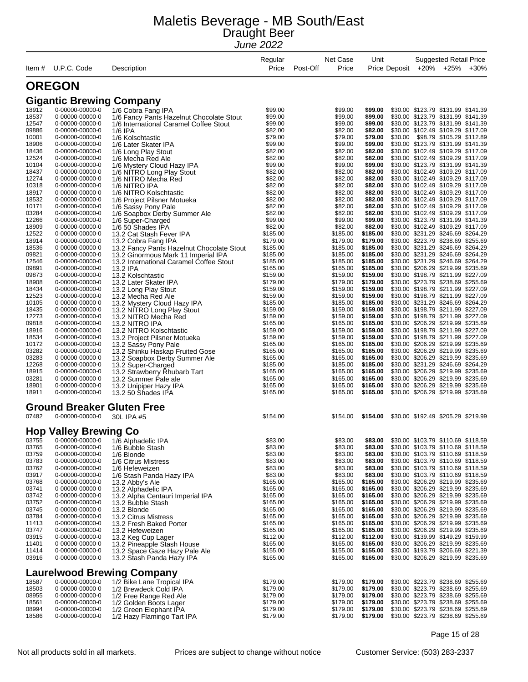|                |                                    |                                                            | Regular              | Net Case             | Unit                 |               |                                                                          | <b>Suggested Retail Price</b> |        |
|----------------|------------------------------------|------------------------------------------------------------|----------------------|----------------------|----------------------|---------------|--------------------------------------------------------------------------|-------------------------------|--------|
| Item #         | U.P.C. Code                        | Description                                                | Price                | Post-Off<br>Price    |                      | Price Deposit | +20%                                                                     | +25%                          | $+30%$ |
|                | <b>OREGON</b>                      |                                                            |                      |                      |                      |               |                                                                          |                               |        |
|                | <b>Gigantic Brewing Company</b>    |                                                            |                      |                      |                      |               |                                                                          |                               |        |
| 18912          | 0-00000-00000-0                    | 1/6 Cobra Fang IPA                                         | \$99.00              | \$99.00              | \$99.00              |               | \$30.00 \$123.79 \$131.99 \$141.39                                       |                               |        |
| 18537          | 0-00000-00000-0                    | 1/6 Fancy Pants Hazelnut Chocolate Stout                   | \$99.00              | \$99.00              | \$99.00              |               | \$30.00 \$123.79 \$131.99 \$141.39                                       |                               |        |
| 12547          | 0-00000-00000-0                    | 1/6 International Caramel Coffee Stout                     | \$99.00              | \$99.00              | \$99.00              |               | \$30.00 \$123.79 \$131.99 \$141.39                                       |                               |        |
| 09886          | 0-00000-00000-0                    | $1/6$ IPA                                                  | \$82.00              | \$82.00              | \$82.00              |               | \$30.00 \$102.49 \$109.29 \$117.09                                       |                               |        |
| 10001          | 0-00000-00000-0                    | 1/6 Kolschtastic                                           | \$79.00              | \$79.00              | \$79.00              | \$30.00       | \$98.79 \$105.29 \$112.89                                                |                               |        |
| 18906          | 0-00000-00000-0                    | 1/6 Later Skater IPA                                       | \$99.00              | \$99.00              | \$99.00              |               | \$30.00 \$123.79 \$131.99 \$141.39                                       |                               |        |
| 18436          | 0-00000-00000-0                    | 1/6 Long Play Stout                                        | \$82.00              | \$82.00              | \$82.00              |               | \$30.00 \$102.49 \$109.29 \$117.09                                       |                               |        |
| 12524          | 0-00000-00000-0                    | 1/6 Mecha Red Ale                                          | \$82.00              | \$82.00              | \$82.00              |               | \$30.00 \$102.49 \$109.29 \$117.09                                       |                               |        |
| 10104          | 0-00000-00000-0                    | 1/6 Mystery Cloud Hazy IPA                                 | \$99.00              | \$99.00              | \$99.00              |               | \$30.00 \$123.79 \$131.99 \$141.39                                       |                               |        |
| 18437          | 0-00000-00000-0                    | 1/6 NITRO Long Play Stout                                  | \$82.00              | \$82.00              | \$82.00              |               | \$30.00 \$102.49 \$109.29 \$117.09                                       |                               |        |
| 12274<br>10318 | 0-00000-00000-0<br>0-00000-00000-0 | 1/6 NITRO Mecha Red                                        | \$82.00<br>\$82.00   | \$82.00<br>\$82.00   | \$82.00<br>\$82.00   |               | \$30.00 \$102.49 \$109.29 \$117.09<br>\$30.00 \$102.49 \$109.29 \$117.09 |                               |        |
| 18917          | 0-00000-00000-0                    | 1/6 NITRO IPA<br>1/6 NITRO Kolschtastic                    | \$82.00              | \$82.00              | \$82.00              |               | \$30.00 \$102.49 \$109.29 \$117.09                                       |                               |        |
| 18532          | 0-00000-00000-0                    | 1/6 Project Pilsner Motueka                                | \$82.00              | \$82.00              | \$82.00              |               | \$30.00 \$102.49 \$109.29 \$117.09                                       |                               |        |
| 10171          | 0-00000-00000-0                    | 1/6 Sassy Pony Pale                                        | \$82.00              | \$82.00              | \$82.00              |               | \$30.00 \$102.49 \$109.29 \$117.09                                       |                               |        |
| 03284          | 0-00000-00000-0                    | 1/6 Soapbox Derby Summer Ale                               | \$82.00              | \$82.00              | \$82.00              |               | \$30.00 \$102.49 \$109.29 \$117.09                                       |                               |        |
| 12266          | 0-00000-00000-0                    | 1/6 Super-Charged                                          | \$99.00              | \$99.00              | \$99.00              |               | \$30.00 \$123.79 \$131.99 \$141.39                                       |                               |        |
| 18909          | 0-00000-00000-0                    | 1/6 50 Shades IPA                                          | \$82.00              | \$82.00              | \$82.00              |               | \$30.00 \$102.49 \$109.29 \$117.09                                       |                               |        |
| 12522          | 0-00000-00000-0                    | 13.2 Cat Stash Fever IPA                                   | \$185.00             | \$185.00             | \$185.00             |               | \$30.00 \$231.29 \$246.69 \$264.29                                       |                               |        |
| 18914          | 0-00000-00000-0                    | 13.2 Cobra Fang IPA                                        | \$179.00             | \$179.00             | \$179.00             |               | \$30.00 \$223.79 \$238.69 \$255.69                                       |                               |        |
| 18536          | 0-00000-00000-0                    | 13.2 Fancy Pants Hazelnut Chocolate Stout                  | \$185.00             | \$185.00             | \$185.00             |               | \$30.00 \$231.29 \$246.69 \$264.29                                       |                               |        |
| 09821          | 0-00000-00000-0                    | 13.2 Ginormous Mark 11 Imperial IPA                        | \$185.00             | \$185.00             | \$185.00             |               | \$30.00 \$231.29 \$246.69 \$264.29                                       |                               |        |
| 12546          | 0-00000-00000-0                    | 13.2 International Caramel Coffee Stout                    | \$185.00             | \$185.00             | \$185.00             |               | \$30.00 \$231.29 \$246.69 \$264.29                                       |                               |        |
| 09891          | 0-00000-00000-0                    | 13.2 IPA                                                   | \$165.00             | \$165.00             | \$165.00             |               | \$30.00 \$206.29 \$219.99 \$235.69                                       |                               |        |
| 09873          | 0-00000-00000-0                    | 13.2 Kolschtastic                                          | \$159.00             | \$159.00             | \$159.00             |               | \$30.00 \$198.79 \$211.99 \$227.09                                       |                               |        |
| 18908<br>18434 | 0-00000-00000-0<br>0-00000-00000-0 | 13.2 Later Skater IPA                                      | \$179.00<br>\$159.00 | \$179.00<br>\$159.00 | \$179.00<br>\$159.00 |               | \$30.00 \$223.79 \$238.69 \$255.69<br>\$30.00 \$198.79 \$211.99 \$227.09 |                               |        |
| 12523          | 0-00000-00000-0                    | 13.2 Long Play Stout<br>13.2 Mecha Red Ale                 | \$159.00             | \$159.00             | \$159.00             |               | \$30.00 \$198.79 \$211.99 \$227.09                                       |                               |        |
| 10105          | 0-00000-00000-0                    | 13.2 Mystery Cloud Hazy IPA                                | \$185.00             | \$185.00             | \$185.00             |               | \$30.00 \$231.29 \$246.69 \$264.29                                       |                               |        |
| 18435          | 0-00000-00000-0                    | 13.2 NITRO Long Play Stout                                 | \$159.00             | \$159.00             | \$159.00             |               | \$30.00 \$198.79 \$211.99 \$227.09                                       |                               |        |
| 12273          | 0-00000-00000-0                    | 13.2 NITRO Mecha Red                                       | \$159.00             | \$159.00             | \$159.00             |               | \$30.00 \$198.79 \$211.99 \$227.09                                       |                               |        |
| 09818          | 0-00000-00000-0                    | 13.2 NITRO IPA                                             | \$165.00             | \$165.00             | \$165.00             |               | \$30.00 \$206.29 \$219.99 \$235.69                                       |                               |        |
| 18916          | 0-00000-00000-0                    | 13.2 NITRO Kolschtastic                                    | \$159.00             | \$159.00             | \$159.00             |               | \$30.00 \$198.79 \$211.99 \$227.09                                       |                               |        |
| 18534          | 0-00000-00000-0                    | 13.2 Project Pilsner Motueka                               | \$159.00             | \$159.00             | \$159.00             |               | \$30.00 \$198.79 \$211.99 \$227.09                                       |                               |        |
| 10172          | 0-00000-00000-0                    | 13.2 Sassy Pony Pale                                       | \$165.00             | \$165.00             | \$165.00             |               | \$30.00 \$206.29 \$219.99 \$235.69                                       |                               |        |
| 03282          | 0-00000-00000-0                    | 13.2 Shinku Haskap Fruited Gose                            | \$165.00             | \$165.00             | \$165.00             |               | \$30.00 \$206.29 \$219.99 \$235.69                                       |                               |        |
| 03283          | 0-00000-00000-0                    | 13.2 Soapbox Derby Summer Ale                              | \$165.00             | \$165.00             | \$165.00             |               | \$30.00 \$206.29 \$219.99 \$235.69                                       |                               |        |
| 12268          | 0-00000-00000-0                    | 13.2 Super-Charged                                         | \$185.00             | \$185.00             | \$185.00             |               | \$30.00 \$231.29 \$246.69 \$264.29                                       |                               |        |
| 18915          | 0-00000-00000-0                    | 13.2 Strawberry Rhubarb Tart                               | \$165.00             | \$165.00             | \$165.00             |               | \$30.00 \$206.29 \$219.99 \$235.69                                       |                               |        |
| 03281          | 0-00000-00000-0                    | 13.2 Summer Pale ale                                       | \$165.00             | \$165.00             | \$165.00             |               | \$30.00 \$206.29 \$219.99 \$235.69                                       |                               |        |
| 18901          | 0-00000-00000-0                    | 13.2 Unipiper Hazy IPA                                     | \$165.00<br>\$165.00 | \$165.00             | \$165.00             |               | \$30.00 \$206.29 \$219.99 \$235.69<br>\$30.00 \$206.29 \$219.99 \$235.69 |                               |        |
| 18911          | 0-00000-00000-0                    | 13.2 50 Shades IPA                                         |                      | \$165.00             | \$165.00             |               |                                                                          |                               |        |
|                |                                    | <b>Ground Breaker Gluten Free</b>                          |                      |                      |                      |               |                                                                          |                               |        |
| 07482          | 0-00000-00000-0                    | 30L IPA #5                                                 | \$154.00             | \$154.00             | \$154.00             |               | \$30.00 \$192.49 \$205.29 \$219.99                                       |                               |        |
|                | <b>Hop Valley Brewing Co</b>       |                                                            |                      |                      |                      |               |                                                                          |                               |        |
| 03755          | 0-00000-00000-0                    | 1/6 Alphadelic IPA                                         | \$83.00              | \$83.00              | \$83.00              |               | \$30.00 \$103.79 \$110.69 \$118.59                                       |                               |        |
| 03765          | 0-00000-00000-0                    | 1/6 Bubble Stash                                           | \$83.00              | \$83.00              | \$83.00              |               | \$30.00 \$103.79 \$110.69 \$118.59                                       |                               |        |
| 03759          | 0-00000-00000-0                    | 1/6 Blonde                                                 | \$83.00              | \$83.00              | \$83.00<br>\$83.00   |               | \$30.00 \$103.79 \$110.69 \$118.59<br>\$30.00 \$103.79 \$110.69 \$118.59 |                               |        |
| 03783<br>03762 | 0-00000-00000-0<br>0-00000-00000-0 | 1/6 Citrus Mistress                                        | \$83.00<br>\$83.00   | \$83.00<br>\$83.00   | \$83.00              |               | \$30.00 \$103.79 \$110.69 \$118.59                                       |                               |        |
| 03917          | 0-00000-00000-0                    | 1/6 Hefeweizen<br>1/6 Stash Panda Hazy IPA                 | \$83.00              | \$83.00              | \$83.00              |               | \$30.00 \$103.79 \$110.69 \$118.59                                       |                               |        |
| 03768          | 0-00000-00000-0                    | 13.2 Abby's Ale                                            | \$165.00             | \$165.00             | \$165.00             |               | \$30.00 \$206.29 \$219.99 \$235.69                                       |                               |        |
| 03741          | 0-00000-00000-0                    | 13.2 Alphadelic IPA                                        | \$165.00             | \$165.00             | \$165.00             |               | \$30.00 \$206.29 \$219.99 \$235.69                                       |                               |        |
| 03742          | 0-00000-00000-0                    | 13.2 Alpha Centauri Imperial IPA                           | \$165.00             | \$165.00             | \$165.00             |               | \$30.00 \$206.29 \$219.99 \$235.69                                       |                               |        |
| 03752          | 0-00000-00000-0                    | 13.2 Bubble Stash                                          | \$165.00             | \$165.00             | \$165.00             |               | \$30.00 \$206.29 \$219.99 \$235.69                                       |                               |        |
| 03745          | 0-00000-00000-0                    | 13.2 Blonde                                                | \$165.00             | \$165.00             | \$165.00             |               | \$30.00 \$206.29 \$219.99 \$235.69                                       |                               |        |
| 03784          | 0-00000-00000-0                    | 13.2 Citrus Mistress                                       | \$165.00             | \$165.00             | \$165.00             |               | \$30.00 \$206.29 \$219.99 \$235.69                                       |                               |        |
| 11413          | 0-00000-00000-0                    | 13.2 Fresh Baked Porter                                    | \$165.00             | \$165.00             | \$165.00             |               | \$30.00 \$206.29 \$219.99 \$235.69                                       |                               |        |
| 03747          | 0-00000-00000-0                    | 13.2 Hefeweizen                                            | \$165.00             | \$165.00             | \$165.00             |               | \$30.00 \$206.29 \$219.99 \$235.69                                       |                               |        |
| 03915          | 0-00000-00000-0                    | 13.2 Keg Cup Lager                                         | \$112.00             | \$112.00             | \$112.00             |               | \$30.00 \$139.99 \$149.29 \$159.99                                       |                               |        |
| 11401          | 0-00000-00000-0                    | 13.2 Pineapple Stash House                                 | \$165.00             | \$165.00             | \$165.00             |               | \$30.00 \$206.29 \$219.99 \$235.69                                       |                               |        |
| 11414<br>03916 | 0-00000-00000-0<br>0-00000-00000-0 | 13.2 Space Gaze Hazy Pale Ale<br>13.2 Stash Panda Hazy IPA | \$155.00<br>\$165.00 | \$155.00<br>\$165.00 | \$155.00<br>\$165.00 |               | \$30.00 \$193.79 \$206.69 \$221.39<br>\$30.00 \$206.29 \$219.99 \$235.69 |                               |        |
|                |                                    |                                                            |                      |                      |                      |               |                                                                          |                               |        |
|                |                                    | <b>Laurelwood Brewing Company</b>                          |                      |                      |                      |               |                                                                          |                               |        |
| 18587          | 0-00000-00000-0                    | 1/2 Bike Lane Tropical IPA                                 | \$179.00             | \$179.00             | \$179.00             |               | \$30.00 \$223.79 \$238.69 \$255.69                                       |                               |        |
| 18503<br>08955 | 0-00000-00000-0                    | 1/2 Brewdeck Cold IPA                                      | \$179.00<br>\$179.00 | \$179.00<br>\$179.00 | \$179.00             |               | \$30.00 \$223.79 \$238.69 \$255.69<br>\$30.00 \$223.79 \$238.69 \$255.69 |                               |        |
| 18561          | 0-00000-00000-0<br>0-00000-00000-0 | 1/2 Free Range Red Ale<br>1/2 Golden Boots Lager           | \$179.00             | \$179.00             | \$179.00<br>\$179.00 |               | \$30.00 \$223.79 \$238.69 \$255.69                                       |                               |        |
| 08994          | 0-00000-00000-0                    | 1/2 Green Elephant IPA                                     | \$179.00             | \$179.00             | \$179.00             |               | \$30.00 \$223.79 \$238.69 \$255.69                                       |                               |        |
| 18586          | 0-00000-00000-0                    | 1/2 Hazy Flamingo Tart IPA                                 | \$179.00             | \$179.00             | \$179.00             |               | \$30.00 \$223.79 \$238.69 \$255.69                                       |                               |        |

Page 15 of 28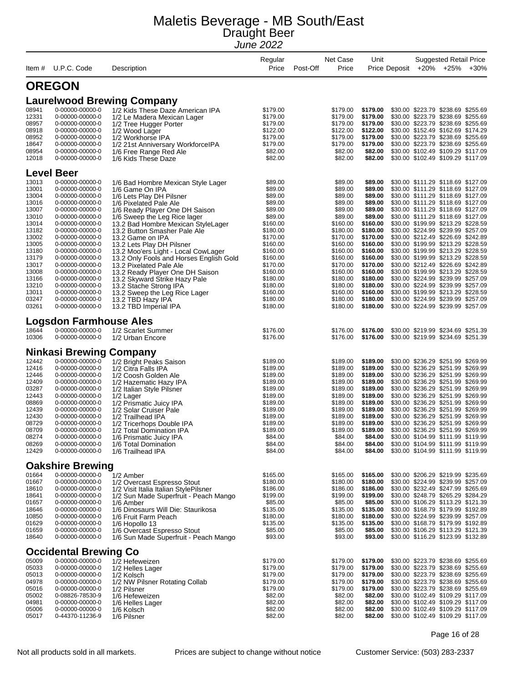| Item#          | U.P.C. Code                                | Description                                                                    | Regular<br>Price     | Net Case<br>Post-Off<br>Price | Unit                 | Price Deposit | <b>Suggested Retail Price</b><br>+20% +25%                               | $+30%$ |
|----------------|--------------------------------------------|--------------------------------------------------------------------------------|----------------------|-------------------------------|----------------------|---------------|--------------------------------------------------------------------------|--------|
|                |                                            |                                                                                |                      |                               |                      |               |                                                                          |        |
|                | <b>OREGON</b>                              |                                                                                |                      |                               |                      |               |                                                                          |        |
|                |                                            | <b>Laurelwood Brewing Company</b>                                              |                      |                               |                      |               |                                                                          |        |
| 08941          | 0-00000-00000-0                            | 1/2 Kids These Daze American IPA                                               | \$179.00             | \$179.00                      | \$179.00             |               | \$30.00 \$223.79 \$238.69 \$255.69                                       |        |
| 12331          | 0-00000-00000-0                            | 1/2 Le Madera Mexican Lager                                                    | \$179.00             | \$179.00                      | \$179.00             |               | \$30.00 \$223.79 \$238.69 \$255.69                                       |        |
| 08957          | 0-00000-00000-0                            | 1/2 Tree Hugger Porter                                                         | \$179.00             | \$179.00                      | \$179.00             |               | \$30.00 \$223.79 \$238.69 \$255.69                                       |        |
| 08918          | 0-00000-00000-0                            | 1/2 Wood Lager                                                                 | \$122.00             | \$122.00                      | \$122.00             |               | \$30.00 \$152.49 \$162.69 \$174.29                                       |        |
| 08952          | 0-00000-00000-0                            | 1/2 Workhorse IPA                                                              | \$179.00             | \$179.00                      | \$179.00             |               | \$30.00 \$223.79 \$238.69 \$255.69<br>\$30.00 \$223.79 \$238.69 \$255.69 |        |
| 18647<br>08954 | 0-00000-00000-0<br>0-00000-00000-0         | 1/2 21st Anniversary WorkforceIPA                                              | \$179.00<br>\$82.00  | \$179.00<br>\$82.00           | \$179.00<br>\$82.00  |               | \$30.00 \$102.49 \$109.29 \$117.09                                       |        |
| 12018          | 0-00000-00000-0                            | 1/6 Free Range Red Ale<br>1/6 Kids These Daze                                  | \$82.00              | \$82.00                       | \$82.00              |               | \$30.00 \$102.49 \$109.29 \$117.09                                       |        |
|                | <b>Level Beer</b>                          |                                                                                |                      |                               |                      |               |                                                                          |        |
| 13013          | 0-00000-00000-0                            | 1/6 Bad Hombre Mexican Style Lager                                             | \$89.00              | \$89.00                       | \$89.00              |               | \$30.00 \$111.29 \$118.69 \$127.09                                       |        |
| 13001          | 0-00000-00000-0                            | 1/6 Game On IPA                                                                | \$89.00              | \$89.00                       | \$89.00              |               | \$30.00 \$111.29 \$118.69 \$127.09                                       |        |
| 13004          | 0-00000-00000-0                            | 1/6 Lets Play DH Pilsner                                                       | \$89.00              | \$89.00                       | \$89.00              |               | \$30.00 \$111.29 \$118.69 \$127.09                                       |        |
| 13016          | 0-00000-00000-0                            | 1/6 Pixelated Pale Ale                                                         | \$89.00              | \$89.00                       | \$89.00              |               | \$30.00 \$111.29 \$118.69 \$127.09                                       |        |
| 13007          | 0-00000-00000-0                            | 1/6 Ready Player One DH Saison                                                 | \$89.00              | \$89.00                       | \$89.00              |               | \$30.00 \$111.29 \$118.69 \$127.09                                       |        |
| 13010          | 0-00000-00000-0                            | 1/6 Sweep the Leg Rice lager                                                   | \$89.00              | \$89.00                       | \$89.00              |               | \$30.00 \$111.29 \$118.69 \$127.09                                       |        |
| 13014          | 0-00000-00000-0                            | 13.2 Bad Hombre Mexican StyleLager                                             | \$160.00             | \$160.00                      | \$160.00             |               | \$30.00 \$199.99 \$213.29 \$228.59                                       |        |
| 13182          | 0-00000-00000-0                            | 13.2 Button Smasher Pale Ale                                                   | \$180.00             | \$180.00                      | \$180.00             |               | \$30.00 \$224.99 \$239.99 \$257.09                                       |        |
| 13002          | 0-00000-00000-0                            | 13.2 Game on IPA                                                               | \$170.00             | \$170.00                      | \$170.00             |               | \$30.00 \$212.49 \$226.69 \$242.89                                       |        |
| 13005          | 0-00000-00000-0                            | 13.2 Lets Play DH Pilsner                                                      | \$160.00             | \$160.00                      | \$160.00             |               | \$30.00 \$199.99 \$213.29 \$228.59                                       |        |
| 13180          | 0-00000-00000-0                            | 13.2 Moo'ers Light - Local CowLager                                            | \$160.00             | \$160.00                      | \$160.00             |               | \$30.00 \$199.99 \$213.29 \$228.59                                       |        |
| 13179          | 0-00000-00000-0                            | 13.2 Only Fools and Horses English Gold                                        | \$160.00             | \$160.00                      | \$160.00             |               | \$30.00 \$199.99 \$213.29 \$228.59                                       |        |
| 13017          | 0-00000-00000-0                            | 13.2 Pixelated Pale Ale                                                        | \$170.00             | \$170.00                      | \$170.00             |               | \$30.00 \$212.49 \$226.69 \$242.89                                       |        |
| 13008          | 0-00000-00000-0                            | 13.2 Ready Player One DH Saison                                                | \$160.00             | \$160.00                      | \$160.00             |               | \$30.00 \$199.99 \$213.29 \$228.59                                       |        |
| 13166          | 0-00000-00000-0                            | 13.2 Skyward Strike Hazy Pale                                                  | \$180.00             | \$180.00                      | \$180.00             |               | \$30.00 \$224.99 \$239.99 \$257.09                                       |        |
| 13210          | 0-00000-00000-0                            | 13.2 Stache Strong IPA                                                         | \$180.00             | \$180.00                      | \$180.00             |               | \$30.00 \$224.99 \$239.99 \$257.09                                       |        |
| 13011<br>03247 | 0-00000-00000-0<br>0-00000-00000-0         | 13.2 Sweep the Leg Rice Lager                                                  | \$160.00<br>\$180.00 | \$160.00<br>\$180.00          | \$160.00<br>\$180.00 |               | \$30.00 \$199.99 \$213.29 \$228.59<br>\$30.00 \$224.99 \$239.99 \$257.09 |        |
| 03261          | 0-00000-00000-0                            | 13.2 TBD Hazy IPA<br>13.2 TBD Imperial IPA                                     | \$180.00             | \$180.00                      | \$180.00             |               | \$30.00 \$224.99 \$239.99 \$257.09                                       |        |
|                | <b>Logsdon Farmhouse Ales</b>              |                                                                                |                      |                               |                      |               |                                                                          |        |
| 18644          | 0-00000-00000-0                            | 1/2 Scarlet Summer                                                             | \$176.00             | \$176.00                      | \$176.00             |               | \$30.00 \$219.99 \$234.69 \$251.39                                       |        |
| 10306          | 0-00000-00000-0                            | 1/2 Urban Encore                                                               | \$176.00             | \$176.00                      | \$176.00             |               | \$30.00 \$219.99 \$234.69 \$251.39                                       |        |
|                | Ninkasi Brewing                            | Company                                                                        |                      |                               |                      |               |                                                                          |        |
| 12442          | 0-00000-00000-0                            | 1/2 Bright Peaks Saison                                                        | \$189.00             | \$189.00                      | \$189.00             |               | \$30.00 \$236.29 \$251.99 \$269.99                                       |        |
| 12416          | 0-00000-00000-0                            | 1/2 Citra Falls IPA                                                            | \$189.00             | \$189.00                      | \$189.00             |               | \$30.00 \$236.29 \$251.99 \$269.99                                       |        |
| 12446          | 0-00000-00000-0                            | 1/2 Coosh Golden Ale                                                           | \$189.00             | \$189.00                      | \$189.00             |               | \$30.00 \$236.29 \$251.99 \$269.99                                       |        |
| 12409          | 0-00000-00000-0                            | 1/2 Hazematic Hazy IPA                                                         | \$189.00             | \$189.00                      | \$189.00             |               | \$30.00 \$236.29 \$251.99 \$269.99                                       |        |
| 03287          | 0-00000-00000-0                            | 1/2 Italian Style Pilsner                                                      | \$189.00             | \$189.00                      | \$189.00             |               | \$30.00 \$236.29 \$251.99 \$269.99                                       |        |
| 12443          | 0-00000-00000-0                            | 1/2 Lager                                                                      | \$189.00             | \$189.00                      | \$189.00             |               | \$30.00 \$236.29 \$251.99 \$269.99                                       |        |
| 08869          | 0-00000-00000-0                            | 1/2 Prismatic Juicy IPA                                                        | \$189.00             | \$189.00                      | \$189.00             |               | \$30.00 \$236.29 \$251.99 \$269.99                                       |        |
| 12439          | 0-00000-00000-0                            | 1/2 Solar Cruiser Pale                                                         | \$189.00             | \$189.00                      | \$189.00             |               | \$30.00 \$236.29 \$251.99 \$269.99                                       |        |
| 12430          | 0-00000-00000-0                            | 1/2 Trailhead IPA                                                              | \$189.00             | \$189.00                      | \$189.00             |               | \$30.00 \$236.29 \$251.99 \$269.99                                       |        |
| 08729          | 0-00000-00000-0                            | 1/2 Tricerhops Double IPA                                                      | \$189.00             | \$189.00                      | \$189.00             |               | \$30.00 \$236.29 \$251.99 \$269.99                                       |        |
| 08709          | 0-00000-00000-0                            | 1/2 Total Domination IPA                                                       | \$189.00             | \$189.00                      | \$189.00             |               | \$30.00 \$236.29 \$251.99 \$269.99                                       |        |
| 08274          | 0-00000-00000-0                            | 1/6 Prismatic Juicy IPA                                                        | \$84.00              | \$84.00                       | \$84.00              |               | \$30.00 \$104.99 \$111.99 \$119.99<br>\$30.00 \$104.99 \$111.99 \$119.99 |        |
| 08269          | 0-00000-00000-0                            | 1/6 Total Domination                                                           | \$84.00              | \$84.00                       | \$84.00              |               | \$30.00 \$104.99 \$111.99 \$119.99                                       |        |
| 12429          | 0-00000-00000-0                            | 1/6 Trailhead IPA                                                              | \$84.00              | \$84.00                       | \$84.00              |               |                                                                          |        |
| 01664          | <b>Oakshire Brewing</b><br>0-00000-00000-0 |                                                                                | \$165.00             | \$165.00                      | \$165.00             |               | \$30.00 \$206.29 \$219.99 \$235.69                                       |        |
| 01667          | 0-00000-00000-0                            | 1/2 Amber                                                                      | \$180.00             | \$180.00                      | \$180.00             |               | \$30.00 \$224.99 \$239.99 \$257.09                                       |        |
| 18610          | 0-00000-00000-0                            | 1/2 Overcast Espresso Stout                                                    | \$186.00             | \$186.00                      | \$186.00             |               | \$30.00 \$232.49 \$247.99 \$265.69                                       |        |
| 18641          | 0-00000-00000-0                            | 1/2 Visit Italia Italian StylePilsner<br>1/2 Sun Made Superfruit - Peach Mango | \$199.00             | \$199.00                      | \$199.00             |               | \$30.00 \$248.79 \$265.29 \$284.29                                       |        |
| 01657          | 0-00000-00000-0                            | 1/6 Amber                                                                      | \$85.00              | \$85.00                       | \$85.00              |               | \$30.00 \$106.29 \$113.29 \$121.39                                       |        |
| 18646          | 0-00000-00000-0                            | 1/6 Dinosaurs Will Die: Staurikosa                                             | \$135.00             | \$135.00                      | \$135.00             |               | \$30.00 \$168.79 \$179.99 \$192.89                                       |        |
| 10850          | 0-00000-00000-0                            | 1/6 Fruit Farm Peach                                                           | \$180.00             | \$180.00                      | \$180.00             |               | \$30.00 \$224.99 \$239.99 \$257.09                                       |        |
| 01629          | 0-00000-00000-0                            | 1/6 Hopollo 13                                                                 | \$135.00             | \$135.00                      | \$135.00             |               | \$30.00 \$168.79 \$179.99 \$192.89                                       |        |
| 01659          | 0-00000-00000-0                            | 1/6 Overcast Espresso Stout                                                    | \$85.00              | \$85.00                       | \$85.00              |               | \$30.00 \$106.29 \$113.29 \$121.39                                       |        |
| 18640          | 0-00000-00000-0                            | 1/6 Sun Made Superfruit - Peach Mango                                          | \$93.00              | \$93.00                       | \$93.00              |               | \$30.00 \$116.29 \$123.99 \$132.89                                       |        |
|                | <b>Occidental Brewing Co</b>               |                                                                                |                      |                               |                      |               |                                                                          |        |
| 05009          | 0-00000-00000-0                            | 1/2 Hefeweizen                                                                 | \$179.00             | \$179.00                      | \$179.00             |               | \$30.00 \$223.79 \$238.69 \$255.69                                       |        |
| 05033          | 0-00000-00000-0                            | 1/2 Helles Lager                                                               | \$179.00             | \$179.00                      | \$179.00             |               | \$30.00 \$223.79 \$238.69 \$255.69                                       |        |
| 05013          | 0-00000-00000-0                            | 1/2 Kolsch                                                                     | \$179.00             | \$179.00                      | \$179.00             |               | \$30.00 \$223.79 \$238.69 \$255.69                                       |        |
| 04978          | 0-00000-00000-0                            | 1/2 NW Pilsner Rotating Collab                                                 | \$179.00             | \$179.00                      | \$179.00             |               | \$30.00 \$223.79 \$238.69 \$255.69                                       |        |
| 05016          | 0-00000-00000-0                            | 1/2 Pilsner                                                                    | \$179.00             | \$179.00                      | \$179.00             |               | \$30.00 \$223.79 \$238.69 \$255.69                                       |        |
| 05002          | 0-08826-78530-9                            | 1/6 Hefeweizen                                                                 | \$82.00              | \$82.00                       | \$82.00              |               | \$30.00 \$102.49 \$109.29 \$117.09                                       |        |
| 04981          | 0-00000-00000-0                            | 1/6 Helles Lager                                                               | \$82.00              | \$82.00                       | \$82.00              |               | \$30.00 \$102.49 \$109.29 \$117.09                                       |        |
| 05006          | 0-00000-00000-0                            | 1/6 Kolsch                                                                     | \$82.00              | \$82.00                       | \$82.00              |               | \$30.00 \$102.49 \$109.29 \$117.09                                       |        |
| 05017          | 0-44370-11236-9                            | 1/6 Pilsner                                                                    | \$82.00              | \$82.00                       | \$82.00              |               | \$30.00 \$102.49 \$109.29 \$117.09                                       |        |

Page 16 of 28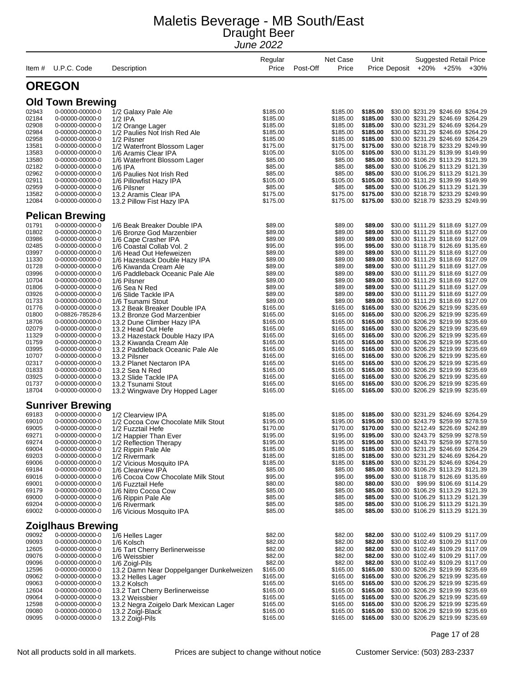| Item #         | U.P.C. Code                        | Description                                               | Regular<br>Price     | Post-Off | Net Case<br>Price    | Unit                 | Price Deposit |                                                                          | <b>Suggested Retail Price</b><br>+20% +25% | $+30%$ |
|----------------|------------------------------------|-----------------------------------------------------------|----------------------|----------|----------------------|----------------------|---------------|--------------------------------------------------------------------------|--------------------------------------------|--------|
|                | <b>OREGON</b>                      |                                                           |                      |          |                      |                      |               |                                                                          |                                            |        |
|                | <b>Old Town Brewing</b>            |                                                           |                      |          |                      |                      |               |                                                                          |                                            |        |
| 02943          | 0-00000-00000-0                    | 1/2 Galaxy Pale Ale                                       | \$185.00             |          | \$185.00             | \$185.00             |               | \$30.00 \$231.29 \$246.69 \$264.29                                       |                                            |        |
| 02184          | 0-00000-00000-0                    | $1/2$ IPA                                                 | \$185.00             |          | \$185.00             | \$185.00             |               | \$30.00 \$231.29 \$246.69 \$264.29                                       |                                            |        |
| 02908          | 0-00000-00000-0                    | 1/2 Orange Lager                                          | \$185.00             |          | \$185.00             | \$185.00             |               | \$30.00 \$231.29 \$246.69 \$264.29                                       |                                            |        |
| 02984          | 0-00000-00000-0                    | 1/2 Paulies Not Irish Red Ale                             | \$185.00             |          | \$185.00             | \$185.00             |               | \$30.00 \$231.29 \$246.69 \$264.29                                       |                                            |        |
| 02958<br>13581 | 0-00000-00000-0<br>0-00000-00000-0 | 1/2 Pilsner                                               | \$185.00<br>\$175.00 |          | \$185.00<br>\$175.00 | \$185.00<br>\$175.00 |               | \$30.00 \$231.29 \$246.69 \$264.29<br>\$30.00 \$218.79 \$233.29 \$249.99 |                                            |        |
| 13583          | 0-00000-00000-0                    | 1/2 Waterfront Blossom Lager<br>1/6 Aramis Clear IPA      | \$105.00             |          | \$105.00             | \$105.00             |               | \$30.00 \$131.29 \$139.99 \$149.99                                       |                                            |        |
| 13580          | 0-00000-00000-0                    | 1/6 Waterfront Blossom Lager                              | \$85.00              |          | \$85.00              | \$85.00              |               | \$30.00 \$106.29 \$113.29 \$121.39                                       |                                            |        |
| 02182          | 0-00000-00000-0                    | $1/6$ IPA                                                 | \$85.00              |          | \$85.00              | \$85.00              |               | \$30.00 \$106.29 \$113.29 \$121.39                                       |                                            |        |
| 02962          | 0-00000-00000-0                    | 1/6 Paulies Not Irish Red                                 | \$85.00              |          | \$85.00              | \$85.00              |               | \$30.00 \$106.29 \$113.29 \$121.39                                       |                                            |        |
| 02911<br>02959 | 0-00000-00000-0<br>0-00000-00000-0 | 1/6 Pillowfist Hazy IPA<br>1/6 Pilsner                    | \$105.00<br>\$85.00  |          | \$105.00<br>\$85.00  | \$105.00<br>\$85.00  |               | \$30.00 \$131.29 \$139.99 \$149.99<br>\$30.00 \$106.29 \$113.29 \$121.39 |                                            |        |
| 13582          | 0-00000-00000-0                    | 13.2 Aramis Clear IPA                                     | \$175.00             |          | \$175.00             | \$175.00             |               | \$30.00 \$218.79 \$233.29 \$249.99                                       |                                            |        |
| 12084          | 0-00000-00000-0                    | 13.2 Pillow Fist Hazy IPA                                 | \$175.00             |          | \$175.00             | \$175.00             |               | \$30.00 \$218.79 \$233.29 \$249.99                                       |                                            |        |
|                | <b>Pelican Brewing</b>             |                                                           |                      |          |                      |                      |               |                                                                          |                                            |        |
| 01791          | 0-00000-00000-0                    | 1/6 Beak Breaker Double IPA                               | \$89.00              |          | \$89.00              | \$89.00              |               | \$30.00 \$111.29 \$118.69 \$127.09                                       |                                            |        |
| 01802          | 0-00000-00000-0                    | 1/6 Bronze God Marzenbier                                 | \$89.00              |          | \$89.00              | \$89.00              |               | \$30.00 \$111.29 \$118.69 \$127.09                                       |                                            |        |
| 03986<br>02485 | 0-00000-00000-0<br>0-00000-00000-0 | 1/6 Cape Crasher IPA<br>1/6 Coastal Collab Vol. 2         | \$89.00<br>\$95.00   |          | \$89.00<br>\$95.00   | \$89.00<br>\$95.00   |               | \$30.00 \$111.29 \$118.69 \$127.09<br>\$30.00 \$118.79 \$126.69 \$135.69 |                                            |        |
| 03997          | 0-00000-00000-0                    | 1/6 Head Out Hefeweizen                                   | \$89.00              |          | \$89.00              | \$89.00              |               | \$30.00 \$111.29 \$118.69 \$127.09                                       |                                            |        |
| 11330          | 0-00000-00000-0                    | 1/6 Hazestack Double Hazy IPA                             | \$89.00              |          | \$89.00              | \$89.00              |               | \$30.00 \$111.29 \$118.69 \$127.09                                       |                                            |        |
| 01728          | 0-00000-00000-0                    | 1/6 Kiwanda Cream Ale                                     | \$89.00              |          | \$89.00              | \$89.00              |               | \$30.00 \$111.29 \$118.69 \$127.09                                       |                                            |        |
| 03996          | 0-00000-00000-0                    | 1/6 Paddleback Oceanic Pale Ale                           | \$89.00              |          | \$89.00              | \$89.00              |               | \$30.00 \$111.29 \$118.69 \$127.09                                       |                                            |        |
| 10704          | 0-00000-00000-0                    | 1/6 Pilsner                                               | \$89.00              |          | \$89.00              | \$89.00              |               | \$30.00 \$111.29 \$118.69 \$127.09                                       |                                            |        |
| 01806<br>03926 | 0-00000-00000-0<br>0-00000-00000-0 | 1/6 Sea N Red<br>1/6 Slide Tackle IPA                     | \$89.00<br>\$89.00   |          | \$89.00<br>\$89.00   | \$89.00<br>\$89.00   |               | \$30.00 \$111.29 \$118.69 \$127.09<br>\$30.00 \$111.29 \$118.69 \$127.09 |                                            |        |
| 01733          | 0-00000-00000-0                    | 1/6 Tsunami Stout                                         | \$89.00              |          | \$89.00              | \$89.00              |               | \$30.00 \$111.29 \$118.69 \$127.09                                       |                                            |        |
| 01776          | 0-00000-00000-0                    | 13.2 Beak Breaker Double IPA                              | \$165.00             |          | \$165.00             | \$165.00             |               | \$30.00 \$206.29 \$219.99 \$235.69                                       |                                            |        |
| 01800          | 0-08826-78528-6                    | 13.2 Bronze God Marzenbier                                | \$165.00             |          | \$165.00             | \$165.00             |               | \$30.00 \$206.29 \$219.99 \$235.69                                       |                                            |        |
| 18706          | 0-00000-00000-0                    | 13.2 Dune Climber Hazy IPA                                | \$165.00             |          | \$165.00             | \$165.00             |               | \$30.00 \$206.29 \$219.99 \$235.69                                       |                                            |        |
| 02079          | 0-00000-00000-0                    | 13.2 Head Out Hefe                                        | \$165.00             |          | \$165.00             | \$165.00             |               | \$30.00 \$206.29 \$219.99 \$235.69                                       |                                            |        |
| 11329<br>01759 | 0-00000-00000-0<br>0-00000-00000-0 | 13.2 Hazestack Double Hazy IPA<br>13.2 Kiwanda Cream Ale  | \$165.00<br>\$165.00 |          | \$165.00<br>\$165.00 | \$165.00<br>\$165.00 |               | \$30.00 \$206.29 \$219.99 \$235.69<br>\$30.00 \$206.29 \$219.99 \$235.69 |                                            |        |
| 03995          | 0-00000-00000-0                    | 13.2 Paddleback Oceanic Pale Ale                          | \$165.00             |          | \$165.00             | \$165.00             |               | \$30.00 \$206.29 \$219.99 \$235.69                                       |                                            |        |
| 10707          | 0-00000-00000-0                    | 13.2 Pilsner                                              | \$165.00             |          | \$165.00             | \$165.00             |               | \$30.00 \$206.29 \$219.99 \$235.69                                       |                                            |        |
| 02317          | 0-00000-00000-0                    | 13.2 Planet Nectaron IPA                                  | \$165.00             |          | \$165.00             | \$165.00             |               | \$30.00 \$206.29 \$219.99 \$235.69                                       |                                            |        |
| 01833          | 0-00000-00000-0                    | 13.2 Sea N Red                                            | \$165.00             |          | \$165.00             | \$165.00             |               | \$30.00 \$206.29 \$219.99 \$235.69                                       |                                            |        |
| 03925<br>01737 | 0-00000-00000-0<br>0-00000-00000-0 | 13.2 Slide Tackle IPA                                     | \$165.00<br>\$165.00 |          | \$165.00<br>\$165.00 | \$165.00<br>\$165.00 |               | \$30.00 \$206.29 \$219.99 \$235.69<br>\$30.00 \$206.29 \$219.99 \$235.69 |                                            |        |
| 18704          | 0-00000-00000-0                    | 13.2 Tsunami Stout<br>13.2 Wingwave Dry Hopped Lager      | \$165.00             |          | \$165.00             | \$165.00             |               | \$30.00 \$206.29 \$219.99 \$235.69                                       |                                            |        |
|                | <b>Sunriver Brewing</b>            |                                                           |                      |          |                      |                      |               |                                                                          |                                            |        |
| 69183          | 0-00000-00000-0                    | 1/2 Clearview IPA                                         | \$185.00             |          | \$185.00             | \$185.00             |               | \$30.00 \$231.29 \$246.69 \$264.29                                       |                                            |        |
| 69010          | 0-00000-00000-0                    | 1/2 Cocoa Cow Chocolate Milk Stout                        | \$195.00             |          | \$195.00             | \$195.00             |               | \$30.00 \$243.79 \$259.99 \$278.59                                       |                                            |        |
| 69005          | 0-00000-00000-0                    | 1/2 Fuzztail Hefe                                         | \$170.00             |          | \$170.00             | \$170.00             |               | \$30.00 \$212.49 \$226.69 \$242.89                                       |                                            |        |
| 69271          | 0-00000-00000-0                    | 1/2 Happier Than Ever                                     | \$195.00             |          | \$195.00             | \$195.00             |               | \$30.00 \$243.79 \$259.99 \$278.59                                       |                                            |        |
| 69274<br>69004 | 0-00000-00000-0<br>0-00000-00000-0 | 1/2 Reflection Therapy<br>1/2 Rippin Pale Ale             | \$195.00<br>\$185.00 |          | \$195.00<br>\$185.00 | \$195.00<br>\$185.00 |               | \$30.00 \$243.79 \$259.99 \$278.59<br>\$30.00 \$231.29 \$246.69 \$264.29 |                                            |        |
| 69203          | 0-00000-00000-0                    | 1/2 Rivermark                                             | \$185.00             |          | \$185.00             | \$185.00             |               | \$30.00 \$231.29 \$246.69 \$264.29                                       |                                            |        |
| 69006          | 0-00000-00000-0                    | 1/2 Vicious Mosquito IPA                                  | \$185.00             |          | \$185.00             | \$185.00             |               | \$30.00 \$231.29 \$246.69 \$264.29                                       |                                            |        |
| 69184          | 0-00000-00000-0                    | 1/6 Clearview IPA                                         | \$85.00              |          | \$85.00              | \$85.00              |               | \$30.00 \$106.29 \$113.29 \$121.39                                       |                                            |        |
| 69016          | 0-00000-00000-0                    | 1/6 Cocoa Cow Chocolate Milk Stout                        | \$95.00              |          | \$95.00              | \$95.00              |               | \$30.00 \$118.79 \$126.69 \$135.69                                       |                                            |        |
| 69001<br>69179 | 0-00000-00000-0                    | 1/6 Fuzztail Hefe                                         | \$80.00<br>\$85.00   |          | \$80.00              | \$80.00<br>\$85.00   | \$30.00       |                                                                          | \$99.99 \$106.69 \$114.29                  |        |
| 69000          | 0-00000-00000-0<br>0-00000-00000-0 | 1/6 Nitro Cocoa Cow<br>1/6 Rippin Pale Ale                | \$85.00              |          | \$85.00<br>\$85.00   | \$85.00              |               | \$30.00 \$106.29 \$113.29 \$121.39<br>\$30.00 \$106.29 \$113.29 \$121.39 |                                            |        |
| 69204          | 0-00000-00000-0                    | 1/6 Rivermark                                             | \$85.00              |          | \$85.00              | \$85.00              |               | \$30.00 \$106.29 \$113.29 \$121.39                                       |                                            |        |
| 69002          | 0-00000-00000-0                    | 1/6 Vicious Mosquito IPA                                  | \$85.00              |          | \$85.00              | \$85.00              |               | \$30.00 \$106.29 \$113.29 \$121.39                                       |                                            |        |
|                | <b>Zoiglhaus Brewing</b>           |                                                           |                      |          |                      |                      |               |                                                                          |                                            |        |
| 09092          | 0-00000-00000-0                    | 1/6 Helles Lager                                          | \$82.00              |          | \$82.00              | \$82.00              |               | \$30.00 \$102.49 \$109.29 \$117.09                                       |                                            |        |
| 09093          | 0-00000-00000-0                    | 1/6 Kolsch                                                | \$82.00              |          | \$82.00              | \$82.00              |               | \$30.00 \$102.49 \$109.29 \$117.09                                       |                                            |        |
| 12605<br>09076 | 0-00000-00000-0                    | 1/6 Tart Cherry Berlinerweisse                            | \$82.00              |          | \$82.00              | \$82.00<br>\$82.00   |               | \$30.00 \$102.49 \$109.29 \$117.09                                       |                                            |        |
| 09096          | 0-00000-00000-0<br>0-00000-00000-0 | 1/6 Weissbier<br>1/6 Zoigl-Pils                           | \$82.00<br>\$82.00   |          | \$82.00<br>\$82.00   | \$82.00              |               | \$30.00 \$102.49 \$109.29 \$117.09<br>\$30.00 \$102.49 \$109.29 \$117.09 |                                            |        |
| 12596          | 0-00000-00000-0                    | 13.2 Damn Near Doppelganger Dunkelweizen                  | \$165.00             |          | \$165.00             | \$165.00             |               | \$30.00 \$206.29 \$219.99 \$235.69                                       |                                            |        |
| 09062          | 0-00000-00000-0                    | 13.2 Helles Lager                                         | \$165.00             |          | \$165.00             | \$165.00             |               | \$30.00 \$206.29 \$219.99 \$235.69                                       |                                            |        |
| 09063          | 0-00000-00000-0                    | 13.2 Kolsch                                               | \$165.00             |          | \$165.00             | \$165.00             |               | \$30.00 \$206.29 \$219.99 \$235.69                                       |                                            |        |
| 12604          | 0-00000-00000-0                    | 13.2 Tart Cherry Berlinerweisse                           | \$165.00             |          | \$165.00             | \$165.00             |               | \$30.00 \$206.29 \$219.99 \$235.69                                       |                                            |        |
| 09064<br>12598 | 0-00000-00000-0                    | 13.2 Weissbier                                            | \$165.00             |          | \$165.00             | \$165.00<br>\$165.00 |               | \$30.00 \$206.29 \$219.99 \$235.69<br>\$30.00 \$206.29 \$219.99 \$235.69 |                                            |        |
| 09080          | 0-00000-00000-0<br>0-00000-00000-0 | 13.2 Negra Zoigelo Dark Mexican Lager<br>13.2 Zoigl-Black | \$165.00<br>\$165.00 |          | \$165.00<br>\$165.00 | \$165.00             |               | \$30.00 \$206.29 \$219.99 \$235.69                                       |                                            |        |
| 09095          | 0-00000-00000-0                    | 13.2 Zoigl-Pils                                           | \$165.00             |          | \$165.00             | \$165.00             |               | \$30.00 \$206.29 \$219.99 \$235.69                                       |                                            |        |

Page 17 of 28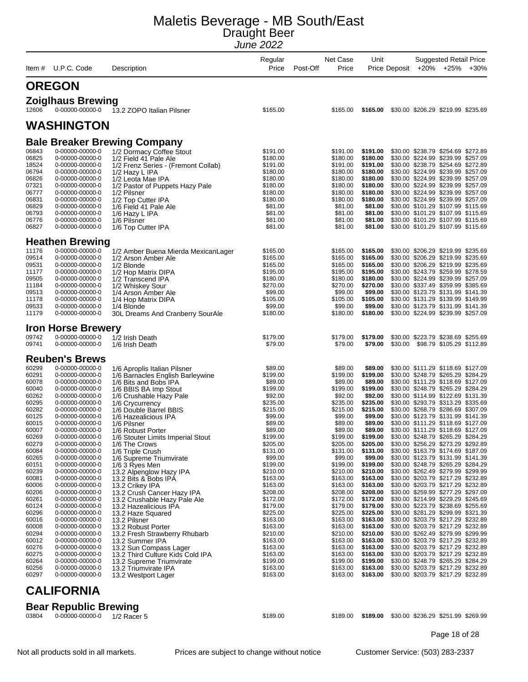| Item #         | U.P.C. Code                                 | Description                                                      | Regular<br>Price     | Post-Off | Net Case<br>Price    | Unit                 | Price Deposit | <b>Suggested Retail Price</b><br>+20% +25% +30%                          |  |
|----------------|---------------------------------------------|------------------------------------------------------------------|----------------------|----------|----------------------|----------------------|---------------|--------------------------------------------------------------------------|--|
|                | <b>OREGON</b>                               |                                                                  |                      |          |                      |                      |               |                                                                          |  |
|                |                                             |                                                                  |                      |          |                      |                      |               |                                                                          |  |
| 12606          | <b>Zoiglhaus Brewing</b><br>0-00000-00000-0 | 13.2 ZOPO Italian Pilsner                                        | \$165.00             |          | \$165.00             | \$165.00             |               | \$30.00 \$206.29 \$219.99 \$235.69                                       |  |
|                | <b>WASHINGTON</b>                           |                                                                  |                      |          |                      |                      |               |                                                                          |  |
|                |                                             | <b>Bale Breaker Brewing Company</b>                              |                      |          |                      |                      |               |                                                                          |  |
| 06843          | 0-00000-00000-0                             | 1/2 Dormacy Coffee Stout                                         | \$191.00             |          | \$191.00             | \$191.00             |               | \$30.00 \$238.79 \$254.69 \$272.89                                       |  |
| 06825          | 0-00000-00000-0                             | 1/2 Field 41 Pale Ale                                            | \$180.00             |          | \$180.00             | \$180.00             |               | \$30.00 \$224.99 \$239.99 \$257.09                                       |  |
| 18524          | 0-00000-00000-0                             | 1/2 Frenz Series - (Fremont Collab)                              | \$191.00             |          | \$191.00<br>\$180.00 | \$191.00             |               | \$30.00 \$238.79 \$254.69 \$272.89                                       |  |
| 06794<br>06826 | 0-00000-00000-0<br>0-00000-00000-0          | 1/2 Hazy L IPA<br>1/2 Leota Mae IPA                              | \$180.00<br>\$180.00 |          | \$180.00             | \$180.00<br>\$180.00 |               | \$30.00 \$224.99 \$239.99 \$257.09<br>\$30.00 \$224.99 \$239.99 \$257.09 |  |
| 07321          | 0-00000-00000-0                             | 1/2 Pastor of Puppets Hazy Pale                                  | \$180.00             |          | \$180.00             | \$180.00             |               | \$30.00 \$224.99 \$239.99 \$257.09                                       |  |
| 06777          | 0-00000-00000-0                             | 1/2 Pilsner                                                      | \$180.00             |          | \$180.00             | \$180.00             |               | \$30.00 \$224.99 \$239.99 \$257.09                                       |  |
| 06831<br>06829 | 0-00000-00000-0<br>0-00000-00000-0          | 1/2 Top Cutter IPA<br>1/6 Field 41 Pale Ale                      | \$180.00<br>\$81.00  |          | \$180.00<br>\$81.00  | \$180.00<br>\$81.00  |               | \$30.00 \$224.99 \$239.99 \$257.09<br>\$30.00 \$101.29 \$107.99 \$115.69 |  |
| 06793          | 0-00000-00000-0                             | 1/6 Hazy L IPA                                                   | \$81.00              |          | \$81.00              | \$81.00              |               | \$30.00 \$101.29 \$107.99 \$115.69                                       |  |
| 06776<br>06827 | 0-00000-00000-0<br>0-00000-00000-0          | 1/6 Pilsner<br>1/6 Top Cutter IPA                                | \$81.00<br>\$81.00   |          | \$81.00<br>\$81.00   | \$81.00<br>\$81.00   |               | \$30.00 \$101.29 \$107.99 \$115.69<br>\$30.00 \$101.29 \$107.99 \$115.69 |  |
|                | <b>Heathen Brewing</b>                      |                                                                  |                      |          |                      |                      |               |                                                                          |  |
| 11176          | 0-00000-00000-0                             | 1/2 Amber Buena Mierda MexicanLager                              | \$165.00             |          | \$165.00             | \$165.00             |               | \$30.00 \$206.29 \$219.99 \$235.69                                       |  |
| 09514          | 0-00000-00000-0                             | 1/2 Arson Amber Ale                                              | \$165.00             |          | \$165.00             | \$165.00             |               | \$30.00 \$206.29 \$219.99 \$235.69                                       |  |
| 09531          | 0-00000-00000-0                             | 1/2 Blonde                                                       | \$165.00             |          | \$165.00             | \$165.00             |               | \$30.00 \$206.29 \$219.99 \$235.69                                       |  |
| 11177<br>09505 | 0-00000-00000-0<br>0-00000-00000-0          | 1/2 Hop Matrix DIPA<br>1/2 Transcend IPA                         | \$195.00<br>\$180.00 |          | \$195.00<br>\$180.00 | \$195.00<br>\$180.00 |               | \$30.00 \$243.79 \$259.99 \$278.59<br>\$30.00 \$224.99 \$239.99 \$257.09 |  |
| 11184          | 0-00000-00000-0                             | 1/2 Whiskey Sour                                                 | \$270.00             |          | \$270.00             | \$270.00             |               | \$30.00 \$337.49 \$359.99 \$385.69                                       |  |
| 09513          | 0-00000-00000-0                             | 1/4 Arson Amber Ale                                              | \$99.00              |          | \$99.00              | \$99.00              |               | \$30.00 \$123.79 \$131.99 \$141.39                                       |  |
| 11178<br>09533 | 0-00000-00000-0<br>0-00000-00000-0          | 1/4 Hop Matrix DIPA<br>1/4 Blonde                                | \$105.00<br>\$99.00  |          | \$105.00<br>\$99.00  | \$105.00<br>\$99.00  |               | \$30.00 \$131.29 \$139.99 \$149.99<br>\$30.00 \$123.79 \$131.99 \$141.39 |  |
| 11179          | 0-00000-00000-0                             | 30L Dreams And Cranberry SourAle                                 | \$180.00             |          | \$180.00             | \$180.00             |               | \$30.00 \$224.99 \$239.99 \$257.09                                       |  |
|                | <b>Iron Horse Brewery</b>                   |                                                                  |                      |          |                      |                      |               |                                                                          |  |
| 09742          | 0-00000-00000-0                             | 1/2 Irish Death                                                  | \$179.00             |          | \$179.00             | \$179.00             |               | \$30.00 \$223.79 \$238.69 \$255.69                                       |  |
| 09741          | 0-00000-00000-0                             | 1/6 Irish Death                                                  | \$79.00              |          | \$79.00              | \$79.00              |               | \$30.00 \$98.79 \$105.29 \$112.89                                        |  |
|                | <b>Reuben's Brews</b>                       |                                                                  |                      |          |                      |                      |               |                                                                          |  |
| 60299<br>60291 | 0-00000-00000-0<br>0-00000-00000-0          | 1/6 Aproplis Italian Pilsner<br>1/6 Barnacles English Barleywine | \$89.00<br>\$199.00  |          | \$89.00<br>\$199.00  | \$89.00<br>\$199.00  |               | \$30.00 \$111.29 \$118.69 \$127.09<br>\$30.00 \$248.79 \$265.29 \$284.29 |  |
| 60078          | 0-00000-00000-0                             | 1/6 Bits and Bobs IPA                                            | \$89.00              |          | \$89.00              | \$89.00              |               | \$30.00 \$111.29 \$118.69 \$127.09                                       |  |
| 60040          | 0-00000-00000-0                             | 1/6 BBIS BA Imp Stout                                            | \$199.00             |          | \$199.00             | \$199.00             |               | \$30.00 \$248.79 \$265.29 \$284.29                                       |  |
| 60262<br>60295 | 0-00000-00000-0<br>0-00000-00000-0          | 1/6 Crushable Hazy Pale<br>1/6 Crycurrency                       | \$92.00<br>\$235.00  |          | \$92.00<br>\$235.00  | \$92.00<br>\$235.00  |               | \$30.00 \$114.99 \$122.69 \$131.39<br>\$30.00 \$293.79 \$313.29 \$335.69 |  |
| 60282          | 0-00000-00000-0                             | 1/6 Double Barrel BBIS                                           | \$215.00             |          | \$215.00             | \$215.00             |               | \$30.00 \$268.79 \$286.69 \$307.09                                       |  |
| 60125          | 0-00000-00000-0                             | 1/6 Hazealicious IPA                                             | \$99.00              |          | \$99.00              | \$99.00              |               | \$30.00 \$123.79 \$131.99 \$141.39                                       |  |
| 60015<br>60007 | 0-00000-00000-0<br>0-00000-00000-0          | 1/6 Pilsner                                                      | \$89.00<br>\$89.00   |          | \$89.00<br>\$89.00   | \$89.00<br>\$89.00   |               | \$30.00 \$111.29 \$118.69 \$127.09<br>\$30.00 \$111.29 \$118.69 \$127.09 |  |
| 60269          | 0-00000-00000-0                             | 1/6 Robust Porter<br>1/6 Stouter Limits Imperial Stout           | \$199.00             |          | \$199.00             | \$199.00             |               | \$30.00 \$248.79 \$265.29 \$284.29                                       |  |
| 60279          | 0-00000-00000-0                             | 1/6 The Crows                                                    | \$205.00             |          | \$205.00             | \$205.00             |               | \$30.00 \$256.29 \$273.29 \$292.89                                       |  |
| 60084          | 0-00000-00000-0                             | 1/6 Triple Crush                                                 | \$131.00             |          | \$131.00             | \$131.00             |               | \$30.00 \$163.79 \$174.69 \$187.09                                       |  |
| 60265<br>60151 | 0-00000-00000-0<br>0-00000-00000-0          | 1/6 Supreme Triumvirate<br>1/6 3 Ryes Men                        | \$99.00<br>\$199.00  |          | \$99.00<br>\$199.00  | \$99.00<br>\$199.00  |               | \$30.00 \$123.79 \$131.99 \$141.39<br>\$30.00 \$248.79 \$265.29 \$284.29 |  |
| 60239          | 0-00000-00000-0                             | 13.2 Alpenglow Hazy IPA                                          | \$210.00             |          | \$210.00             | \$210.00             |               | \$30.00 \$262.49 \$279.99 \$299.99                                       |  |
| 60081          | 0-00000-00000-0                             | 13.2 Bits & Bobs IPA                                             | \$163.00             |          | \$163.00             | \$163.00             |               | \$30.00 \$203.79 \$217.29 \$232.89                                       |  |
| 60006<br>60206 | 0-00000-00000-0<br>0-00000-00000-0          | 13.2 Crikey IPA                                                  | \$163.00<br>\$208.00 |          | \$163.00<br>\$208.00 | \$163.00<br>\$208.00 |               | \$30.00 \$203.79 \$217.29 \$232.89<br>\$30.00 \$259.99 \$277.29 \$297.09 |  |
| 60261          | 0-00000-00000-0                             | 13.2 Crush Cancer Hazy IPA<br>13.2 Crushable Hazy Pale Ale       | \$172.00             |          | \$172.00             | \$172.00             |               | \$30.00 \$214.99 \$229.29 \$245.69                                       |  |
| 60124          | 0-00000-00000-0                             | 13.2 Hazealicious IPA                                            | \$179.00             |          | \$179.00             | \$179.00             |               | \$30.00 \$223.79 \$238.69 \$255.69                                       |  |
| 60296          | 0-00000-00000-0                             | 13.2 Haze Squared                                                | \$225.00             |          | \$225.00             | \$225.00             |               | \$30.00 \$281.29 \$299.99 \$321.39                                       |  |
| 60016<br>60008 | 0-00000-00000-0<br>0-00000-00000-0          | 13.2 Pilsner<br>13.2 Robust Porter                               | \$163.00<br>\$163.00 |          | \$163.00<br>\$163.00 | \$163.00<br>\$163.00 |               | \$30.00 \$203.79 \$217.29 \$232.89<br>\$30.00 \$203.79 \$217.29 \$232.89 |  |
| 60294          | 0-00000-00000-0                             | 13.2 Fresh Strawberry Rhubarb                                    | \$210.00             |          | \$210.00             | \$210.00             |               | \$30.00 \$262.49 \$279.99 \$299.99                                       |  |
| 60012          | 0-00000-00000-0                             | 13.2 Summer IPA                                                  | \$163.00             |          | \$163.00             | \$163.00             |               | \$30.00 \$203.79 \$217.29 \$232.89                                       |  |
| 60276<br>60275 | 0-00000-00000-0<br>0-00000-00000-0          | 13.2 Sun Compass Lager<br>13.2 Third Culture Kids Cold IPA       | \$163.00<br>\$163.00 |          | \$163.00<br>\$163.00 | \$163.00<br>\$163.00 |               | \$30.00 \$203.79 \$217.29 \$232.89<br>\$30.00 \$203.79 \$217.29 \$232.89 |  |
| 60264          | 0-00000-00000-0                             | 13.2 Supreme Triumvirate                                         | \$199.00             |          | \$199.00             | \$199.00             |               | \$30.00 \$248.79 \$265.29 \$284.29                                       |  |
| 60256          | 0-00000-00000-0                             | 13.2 Triumvirate IPA                                             | \$163.00             |          | \$163.00             | \$163.00             |               | \$30.00 \$203.79 \$217.29 \$232.89                                       |  |
| 60297          | 0-00000-00000-0                             | 13.2 Westport Lager                                              | \$163.00             |          | \$163.00             | \$163.00             |               | \$30.00 \$203.79 \$217.29 \$232.89                                       |  |
|                | <b>CALIFORNIA</b>                           |                                                                  |                      |          |                      |                      |               |                                                                          |  |
|                | <b>Bear Republic Brewing</b>                |                                                                  |                      |          |                      |                      |               |                                                                          |  |
| 03804          | 0-00000-00000-0                             | 1/2 Racer 5                                                      | \$189.00             |          | \$189.00             | \$189.00             |               | \$30.00 \$236.29 \$251.99 \$269.99                                       |  |

Page 18 of 28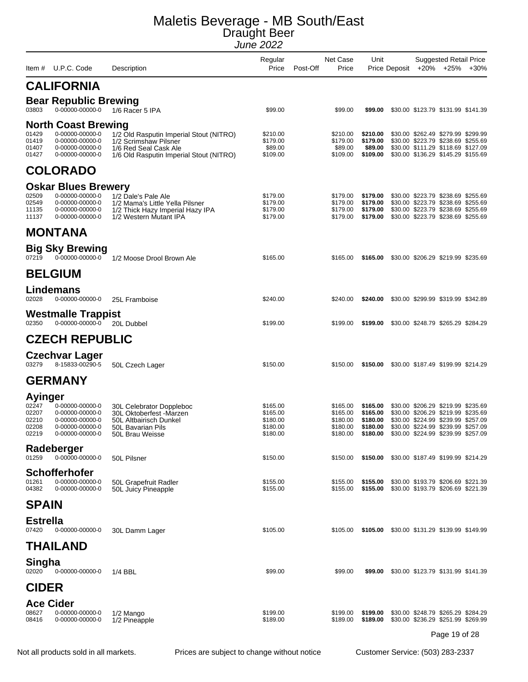| Item #                                                      | U.P.C. Code                                                                                            | Description                                                                                                                          | Regular<br>Price                                         | Post-Off | Net Case<br>Price                                        | Unit                                                     | Price Deposit +20% +25% | <b>Suggested Retail Price</b>                                                                                                                                                              | $+30%$ |
|-------------------------------------------------------------|--------------------------------------------------------------------------------------------------------|--------------------------------------------------------------------------------------------------------------------------------------|----------------------------------------------------------|----------|----------------------------------------------------------|----------------------------------------------------------|-------------------------|--------------------------------------------------------------------------------------------------------------------------------------------------------------------------------------------|--------|
|                                                             | <b>CALIFORNIA</b>                                                                                      |                                                                                                                                      |                                                          |          |                                                          |                                                          |                         |                                                                                                                                                                                            |        |
| 03803                                                       | <b>Bear Republic Brewing</b><br>0-00000-00000-0                                                        | 1/6 Racer 5 IPA                                                                                                                      | \$99.00                                                  |          | \$99.00                                                  | \$99.00                                                  |                         | \$30.00 \$123.79 \$131.99 \$141.39                                                                                                                                                         |        |
| 01429<br>01419<br>01407<br>01427                            | <b>North Coast Brewing</b><br>0-00000-00000-0<br>0-00000-00000-0<br>0-00000-00000-0<br>0-00000-00000-0 | 1/2 Old Rasputin Imperial Stout (NITRO)<br>1/2 Scrimshaw Pilsner<br>1/6 Red Seal Cask Ale<br>1/6 Old Rasputin Imperial Stout (NITRO) | \$210.00<br>\$179.00<br>\$89.00<br>\$109.00              |          | \$210.00<br>\$179.00<br>\$89.00<br>\$109.00              | \$210.00<br>\$179.00<br>\$89.00<br>\$109.00              |                         | \$30.00 \$262.49 \$279.99 \$299.99<br>\$30.00 \$223.79 \$238.69 \$255.69<br>\$30.00 \$111.29 \$118.69 \$127.09<br>\$30.00 \$136.29 \$145.29 \$155.69                                       |        |
|                                                             | <b>COLORADO</b>                                                                                        |                                                                                                                                      |                                                          |          |                                                          |                                                          |                         |                                                                                                                                                                                            |        |
| 02509<br>02549<br>11135<br>11137                            | <b>Oskar Blues Brewery</b><br>0-00000-00000-0<br>0-00000-00000-0<br>0-00000-00000-0<br>0-00000-00000-0 | 1/2 Dale's Pale Ale<br>1/2 Mama's Little Yella Pilsner<br>1/2 Thick Hazy Imperial Hazy IPA<br>1/2 Western Mutant IPA                 | \$179.00<br>\$179.00<br>\$179.00<br>\$179.00             |          | \$179.00<br>\$179.00<br>\$179.00<br>\$179.00             | \$179.00<br>\$179.00<br>\$179.00<br>\$179.00             |                         | \$30.00 \$223.79 \$238.69 \$255.69<br>\$30.00 \$223.79 \$238.69 \$255.69<br>\$30.00 \$223.79 \$238.69 \$255.69<br>\$30.00 \$223.79 \$238.69 \$255.69                                       |        |
|                                                             | <b>MONTANA</b>                                                                                         |                                                                                                                                      |                                                          |          |                                                          |                                                          |                         |                                                                                                                                                                                            |        |
| 07219                                                       | <b>Big Sky Brewing</b><br>0-00000-00000-0                                                              | 1/2 Moose Drool Brown Ale                                                                                                            | \$165.00                                                 |          | \$165.00                                                 | \$165.00                                                 |                         | \$30.00 \$206.29 \$219.99 \$235.69                                                                                                                                                         |        |
|                                                             | <b>BELGIUM</b>                                                                                         |                                                                                                                                      |                                                          |          |                                                          |                                                          |                         |                                                                                                                                                                                            |        |
| 02028                                                       | Lindemans<br>0-00000-00000-0                                                                           | 25L Framboise                                                                                                                        | \$240.00                                                 |          | \$240.00                                                 | \$240.00                                                 |                         | \$30.00 \$299.99 \$319.99 \$342.89                                                                                                                                                         |        |
| 02350                                                       | <b>Westmalle Trappist</b><br>0-00000-00000-0                                                           | 20L Dubbel                                                                                                                           | \$199.00                                                 |          | \$199.00                                                 | \$199.00                                                 |                         | \$30.00 \$248.79 \$265.29 \$284.29                                                                                                                                                         |        |
|                                                             | <b>CZECH REPUBLIC</b>                                                                                  |                                                                                                                                      |                                                          |          |                                                          |                                                          |                         |                                                                                                                                                                                            |        |
| 03279                                                       | <b>Czechvar Lager</b><br>8-15833-00290-5                                                               | 50L Czech Lager                                                                                                                      | \$150.00                                                 |          | \$150.00                                                 | \$150.00                                                 |                         | \$30.00 \$187.49 \$199.99 \$214.29                                                                                                                                                         |        |
|                                                             | <b>GERMANY</b>                                                                                         |                                                                                                                                      |                                                          |          |                                                          |                                                          |                         |                                                                                                                                                                                            |        |
| <b>Ayinger</b><br>02247<br>02207<br>02210<br>02208<br>02219 | 0-00000-00000-0<br>0-00000-00000-0<br>0-00000-00000-0<br>0-00000-00000-0<br>0-00000-00000-0            | 30L Celebrator Doppleboc<br>30L Oktoberfest -Marzen<br>50L Altbairisch Dunkel<br>50L Bavarian Pils<br>50L Brau Weisse                | \$165.00<br>\$165.00<br>\$180.00<br>\$180.00<br>\$180.00 |          | \$165.00<br>\$165.00<br>\$180.00<br>\$180.00<br>\$180.00 | \$165.00<br>\$165.00<br>\$180.00<br>\$180.00<br>\$180.00 |                         | \$30.00 \$206.29 \$219.99 \$235.69<br>\$30.00 \$206.29 \$219.99 \$235.69<br>\$30.00 \$224.99 \$239.99 \$257.09<br>\$30.00 \$224.99 \$239.99 \$257.09<br>\$30.00 \$224.99 \$239.99 \$257.09 |        |
| 01259                                                       | Radeberger<br>0-00000-00000-0                                                                          | 50L Pilsner                                                                                                                          | \$150.00                                                 |          | \$150.00                                                 | \$150.00                                                 |                         | \$30.00 \$187.49 \$199.99 \$214.29                                                                                                                                                         |        |
| 01261<br>04382                                              | <b>Schofferhofer</b><br>0-00000-00000-0<br>0-00000-00000-0                                             | 50L Grapefruit Radler<br>50L Juicy Pineapple                                                                                         | \$155.00<br>\$155.00                                     |          | \$155.00<br>\$155.00                                     | \$155.00<br>\$155.00                                     |                         | \$30.00 \$193.79 \$206.69 \$221.39<br>\$30.00 \$193.79 \$206.69 \$221.39                                                                                                                   |        |
| <b>SPAIN</b>                                                |                                                                                                        |                                                                                                                                      |                                                          |          |                                                          |                                                          |                         |                                                                                                                                                                                            |        |
| <b>Estrella</b><br>07420                                    | 0-00000-00000-0                                                                                        | 30L Damm Lager                                                                                                                       | \$105.00                                                 |          | \$105.00                                                 | \$105.00                                                 |                         | \$30.00 \$131.29 \$139.99 \$149.99                                                                                                                                                         |        |
|                                                             | <b>THAILAND</b>                                                                                        |                                                                                                                                      |                                                          |          |                                                          |                                                          |                         |                                                                                                                                                                                            |        |
| Singha<br>02020                                             | 0-00000-00000-0                                                                                        | $1/4$ BBL                                                                                                                            | \$99.00                                                  |          | \$99.00                                                  | \$99.00                                                  |                         | \$30.00 \$123.79 \$131.99 \$141.39                                                                                                                                                         |        |
| <b>CIDER</b>                                                |                                                                                                        |                                                                                                                                      |                                                          |          |                                                          |                                                          |                         |                                                                                                                                                                                            |        |
| <b>Ace Cider</b><br>08627<br>08416                          | 0-00000-00000-0<br>0-00000-00000-0                                                                     | 1/2 Mango<br>1/2 Pineapple                                                                                                           | \$199.00<br>\$189.00                                     |          | \$199.00<br>\$189.00                                     | \$199.00<br>\$189.00                                     |                         | \$30.00 \$248.79 \$265.29 \$284.29<br>\$30.00 \$236.29 \$251.99 \$269.99<br>Page 19 of 28                                                                                                  |        |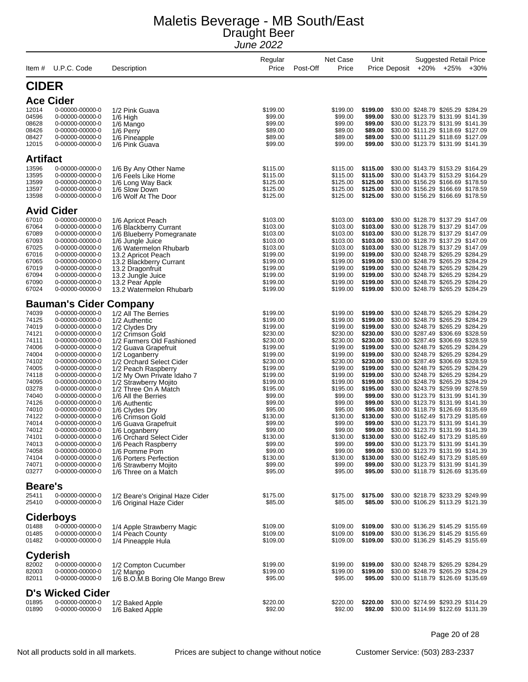|                 | U.P.C. Code                        |                                                            | Regular<br>Price     | Net Case<br>Post-Off<br>Price | Unit                 |               | <b>Suggested Retail Price</b><br>+20% +25%                               | $+30%$ |
|-----------------|------------------------------------|------------------------------------------------------------|----------------------|-------------------------------|----------------------|---------------|--------------------------------------------------------------------------|--------|
| Item #          |                                    | Description                                                |                      |                               |                      | Price Deposit |                                                                          |        |
| <b>CIDER</b>    |                                    |                                                            |                      |                               |                      |               |                                                                          |        |
|                 | <b>Ace Cider</b>                   |                                                            |                      |                               |                      |               |                                                                          |        |
| 12014           | 0-00000-00000-0                    | 1/2 Pink Guava                                             | \$199.00             | \$199.00                      | \$199.00             |               | \$30.00 \$248.79 \$265.29 \$284.29                                       |        |
| 04596           | 0-00000-00000-0                    | 1/6 High                                                   | \$99.00              | \$99.00                       | \$99.00              |               | \$30.00 \$123.79 \$131.99 \$141.39                                       |        |
| 08628           | 0-00000-00000-0                    | 1/6 Mango                                                  | \$99.00              | \$99.00                       | \$99.00              |               | \$30.00 \$123.79 \$131.99 \$141.39                                       |        |
| 08426           | 0-00000-00000-0                    | 1/6 Perry                                                  | \$89.00              | \$89.00                       | \$89.00              |               | \$30.00 \$111.29 \$118.69 \$127.09                                       |        |
| 08427<br>12015  | 0-00000-00000-0<br>0-00000-00000-0 | 1/6 Pineapple<br>1/6 Pink Guava                            | \$89.00<br>\$99.00   | \$89.00<br>\$99.00            | \$89.00<br>\$99.00   |               | \$30.00 \$111.29 \$118.69 \$127.09<br>\$30.00 \$123.79 \$131.99 \$141.39 |        |
| <b>Artifact</b> |                                    |                                                            |                      |                               |                      |               |                                                                          |        |
| 13596           | 0-00000-00000-0                    | 1/6 By Any Other Name                                      | \$115.00             | \$115.00                      | \$115.00             |               | \$30.00 \$143.79 \$153.29 \$164.29                                       |        |
| 13595           | 0-00000-00000-0                    | 1/6 Feels Like Home                                        | \$115.00             | \$115.00                      | \$115.00             |               | \$30.00 \$143.79 \$153.29 \$164.29                                       |        |
| 13599           | 0-00000-00000-0                    | 1/6 Long Way Back                                          | \$125.00             | \$125.00                      | \$125.00             |               | \$30.00 \$156.29 \$166.69 \$178.59                                       |        |
| 13597           | 0-00000-00000-0                    | 1/6 Slow Down                                              | \$125.00             | \$125.00                      | \$125.00             |               | \$30.00 \$156.29 \$166.69 \$178.59                                       |        |
| 13598           | 0-00000-00000-0                    | 1/6 Wolf At The Door                                       | \$125.00             | \$125.00                      | \$125.00             |               | \$30.00 \$156.29 \$166.69 \$178.59                                       |        |
|                 | <b>Avid Cider</b>                  |                                                            |                      |                               |                      |               |                                                                          |        |
| 67010           | 0-00000-00000-0                    | 1/6 Apricot Peach                                          | \$103.00             | \$103.00                      | \$103.00             |               | \$30.00 \$128.79 \$137.29 \$147.09                                       |        |
| 67064           | 0-00000-00000-0                    | 1/6 Blackberry Currant                                     | \$103.00             | \$103.00                      | \$103.00<br>\$103.00 |               | \$30.00 \$128.79 \$137.29 \$147.09<br>\$30.00 \$128.79 \$137.29 \$147.09 |        |
| 67089<br>67093  | 0-00000-00000-0<br>0-00000-00000-0 | 1/6 Blueberry Pomegranate<br>1/6 Jungle Juice              | \$103.00<br>\$103.00 | \$103.00<br>\$103.00          | \$103.00             |               | \$30.00 \$128.79 \$137.29 \$147.09                                       |        |
| 67025           | 0-00000-00000-0                    | 1/6 Watermelon Rhubarb                                     | \$103.00             | \$103.00                      | \$103.00             |               | \$30.00 \$128.79 \$137.29 \$147.09                                       |        |
| 67016           | 0-00000-00000-0                    | 13.2 Apricot Peach                                         | \$199.00             | \$199.00                      | \$199.00             |               | \$30.00 \$248.79 \$265.29 \$284.29                                       |        |
| 67065           | 0-00000-00000-0                    | 13.2 Blackberry Currant                                    | \$199.00             | \$199.00                      | \$199.00             |               | \$30.00 \$248.79 \$265.29 \$284.29                                       |        |
| 67019           | 0-00000-00000-0                    | 13.2 Dragonfruit                                           | \$199.00             | \$199.00                      | \$199.00             |               | \$30.00 \$248.79 \$265.29 \$284.29                                       |        |
| 67094           | 0-00000-00000-0                    | 13.2 Jungle Juice                                          | \$199.00             | \$199.00                      | \$199.00             |               | \$30.00 \$248.79 \$265.29 \$284.29                                       |        |
| 67090<br>67024  | 0-00000-00000-0<br>0-00000-00000-0 | 13.2 Pear Apple<br>13.2 Watermelon Rhubarb                 | \$199.00<br>\$199.00 | \$199.00<br>\$199.00          | \$199.00<br>\$199.00 |               | \$30.00 \$248.79 \$265.29 \$284.29<br>\$30.00 \$248.79 \$265.29 \$284.29 |        |
|                 | <b>Bauman's Cider Company</b>      |                                                            |                      |                               |                      |               |                                                                          |        |
|                 |                                    |                                                            |                      |                               |                      |               |                                                                          |        |
| 74039<br>74125  | 0-00000-00000-0<br>0-00000-00000-0 | 1/2 All The Berries<br>1/2 Authentic                       | \$199.00<br>\$199.00 | \$199.00<br>\$199.00          | \$199.00<br>\$199.00 |               | \$30.00 \$248.79 \$265.29 \$284.29<br>\$30.00 \$248.79 \$265.29 \$284.29 |        |
| 74019           | 0-00000-00000-0                    | 1/2 Clydes Dry                                             | \$199.00             | \$199.00                      | \$199.00             |               | \$30.00 \$248.79 \$265.29 \$284.29                                       |        |
| 74121           | 0-00000-00000-0                    | 1/2 Crimson Gold                                           | \$230.00             | \$230.00                      | \$230.00             |               | \$30.00 \$287.49 \$306.69 \$328.59                                       |        |
| 74111           | 0-00000-00000-0                    | 1/2 Farmers Old Fashioned                                  | \$230.00             | \$230.00                      | \$230.00             |               | \$30.00 \$287.49 \$306.69 \$328.59                                       |        |
| 74006           | 0-00000-00000-0                    | 1/2 Guava Grapefruit                                       | \$199.00             | \$199.00                      | \$199.00             |               | \$30.00 \$248.79 \$265.29 \$284.29                                       |        |
| 74004           | 0-00000-00000-0                    | 1/2 Loganberry                                             | \$199.00             | \$199.00                      | \$199.00             |               | \$30.00 \$248.79 \$265.29 \$284.29                                       |        |
| 74102           | 0-00000-00000-0                    | 1/2 Orchard Select Cider                                   | \$230.00             | \$230.00                      | \$230.00             |               | \$30.00 \$287.49 \$306.69 \$328.59                                       |        |
| 74005<br>74118  | 0-00000-00000-0<br>0-00000-00000-0 | 1/2 Peach Raspberry<br>1/2 My Own Private Idaho 7          | \$199.00<br>\$199.00 | \$199.00<br>\$199.00          | \$199.00<br>\$199.00 |               | \$30.00 \$248.79 \$265.29 \$284.29<br>\$30.00 \$248.79 \$265.29 \$284.29 |        |
| 74095           | 0-00000-00000-0                    | 1/2 Strawberry Mojito                                      | \$199.00             | \$199.00                      | \$199.00             |               | \$30.00 \$248.79 \$265.29 \$284.29                                       |        |
| 03278           | 0-00000-00000-0                    | 1/2 Three On A Match                                       | \$195.00             | \$195.00                      | \$195.00             |               | \$30.00 \$243.79 \$259.99 \$278.59                                       |        |
| 74040           | 0-00000-00000-0                    | 1/6 All the Berries                                        | \$99.00              | \$99.00                       | \$99.00              |               | \$30.00 \$123.79 \$131.99 \$141.39                                       |        |
| 74126           | 0-00000-00000-0                    | 1/6 Authentic                                              | \$99.00              | \$99.00                       | \$99.00              |               | \$30.00 \$123.79 \$131.99 \$141.39                                       |        |
| 74010           | 0-00000-00000-0                    | 1/6 Clydes Dry                                             | \$95.00              | \$95.00                       | \$95.00              |               | \$30.00 \$118.79 \$126.69 \$135.69                                       |        |
| 74122           | 0-00000-00000-0                    | 1/6 Crimson Gold                                           | \$130.00             | \$130.00                      | \$130.00             |               | \$30.00 \$162.49 \$173.29 \$185.69                                       |        |
| 74014<br>74012  | 0-00000-00000-0<br>0-00000-00000-0 | 1/6 Guava Grapefruit                                       | \$99.00<br>\$99.00   | \$99.00<br>\$99.00            | \$99.00<br>\$99.00   |               | \$30.00 \$123.79 \$131.99 \$141.39<br>\$30.00 \$123.79 \$131.99 \$141.39 |        |
| 74101           | 0-00000-00000-0                    | 1/6 Loganberry<br>1/6 Orchard Select Cider                 | \$130.00             | \$130.00                      | \$130.00             |               | \$30.00 \$162.49 \$173.29 \$185.69                                       |        |
| 74013           | 0-00000-00000-0                    | 1/6 Peach Raspberry                                        | \$99.00              | \$99.00                       | \$99.00              |               | \$30.00 \$123.79 \$131.99 \$141.39                                       |        |
| 74058           | 0-00000-00000-0                    | 1/6 Pomme Pom                                              | \$99.00              | \$99.00                       | \$99.00              |               | \$30.00 \$123.79 \$131.99 \$141.39                                       |        |
| 74104           | 0-00000-00000-0                    | 1/6 Porters Perfection                                     | \$130.00             | \$130.00                      | \$130.00             |               | \$30.00 \$162.49 \$173.29 \$185.69                                       |        |
| 74071<br>03277  | 0-00000-00000-0<br>0-00000-00000-0 | 1/6 Strawberry Mojito<br>1/6 Three on a Match              | \$99.00<br>\$95.00   | \$99.00<br>\$95.00            | \$99.00<br>\$95.00   |               | \$30.00 \$123.79 \$131.99 \$141.39<br>\$30.00 \$118.79 \$126.69 \$135.69 |        |
| <b>Beare's</b>  |                                    |                                                            |                      |                               |                      |               |                                                                          |        |
|                 |                                    |                                                            |                      |                               |                      |               |                                                                          |        |
| 25411<br>25410  | 0-00000-00000-0<br>0-00000-00000-0 | 1/2 Beare's Original Haze Cider<br>1/6 Original Haze Cider | \$175.00<br>\$85.00  | \$175.00<br>\$85.00           | \$175.00<br>\$85.00  |               | \$30.00 \$218.79 \$233.29 \$249.99<br>\$30.00 \$106.29 \$113.29 \$121.39 |        |
|                 | <b>Ciderboys</b>                   |                                                            |                      |                               |                      |               |                                                                          |        |
|                 |                                    |                                                            |                      |                               |                      |               |                                                                          |        |
| 01488<br>01485  | 0-00000-00000-0<br>0-00000-00000-0 | 1/4 Apple Strawberry Magic                                 | \$109.00<br>\$109.00 | \$109.00<br>\$109.00          | \$109.00<br>\$109.00 |               | \$30.00 \$136.29 \$145.29 \$155.69<br>\$30.00 \$136.29 \$145.29 \$155.69 |        |
| 01482           | 0-00000-00000-0                    | 1/4 Peach County<br>1/4 Pineapple Hula                     | \$109.00             | \$109.00                      | \$109.00             |               | \$30.00 \$136.29 \$145.29 \$155.69                                       |        |
| <b>Cyderish</b> |                                    |                                                            |                      |                               |                      |               |                                                                          |        |
| 82002           | 0-00000-00000-0                    | 1/2 Compton Cucumber                                       | \$199.00             | \$199.00                      | \$199.00             |               | \$30.00 \$248.79 \$265.29 \$284.29                                       |        |
| 82003           | 0-00000-00000-0                    | 1/2 Mango                                                  | \$199.00             | \$199.00                      | \$199.00             |               | \$30.00 \$248.79 \$265.29 \$284.29                                       |        |
| 82011           | 0-00000-00000-0                    | 1/6 B.O.M.B Boring Ole Mango Brew                          | \$95.00              | \$95.00                       | \$95.00              |               | \$30.00 \$118.79 \$126.69 \$135.69                                       |        |
|                 | <b>D's Wicked Cider</b>            |                                                            |                      |                               |                      |               |                                                                          |        |
| 01895           | 0-00000-00000-0                    | 1/2 Baked Apple                                            | \$220.00             | \$220.00                      | \$220.00             |               | \$30.00 \$274.99 \$293.29 \$314.29                                       |        |
| 01890           | 0-00000-00000-0                    | 1/6 Baked Apple                                            | \$92.00              | \$92.00                       | \$92.00              |               | \$30.00 \$114.99 \$122.69 \$131.39                                       |        |

Page 20 of 28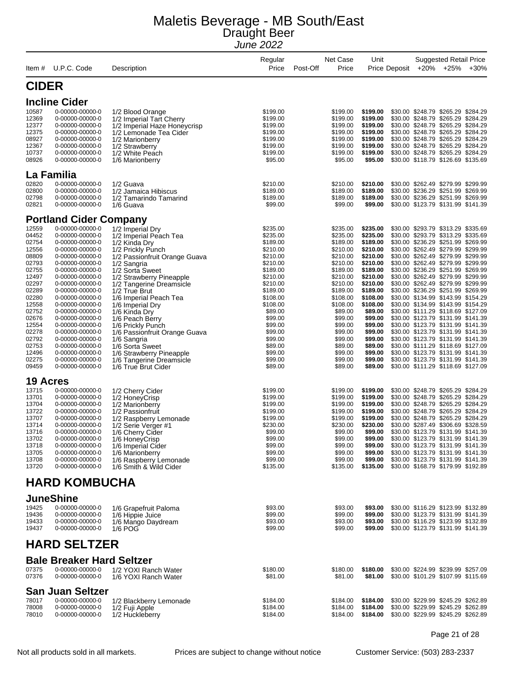| Item#                                                                                                                                                                                     | U.P.C. Code                                                                                                                                                                                                                                                                                                                                                                                                 | Description                                                                                                                                                                                                                                                                                                                                                                                                                                                                           | Regular<br>Price                                                                                                                                                                                                                                | Net Case<br>Post-Off<br>Price                                                                                                                                                                                                                   | Unit<br>Price Deposit                                                                                                                                                                                                                           | <b>Suggested Retail Price</b><br>$+20\%$ $+25\%$<br>$+30%$                                                                                                                                                                                                                                                                                                                                                                                                                                                                                                                                                                                                                                                                                                                                                                 |
|-------------------------------------------------------------------------------------------------------------------------------------------------------------------------------------------|-------------------------------------------------------------------------------------------------------------------------------------------------------------------------------------------------------------------------------------------------------------------------------------------------------------------------------------------------------------------------------------------------------------|---------------------------------------------------------------------------------------------------------------------------------------------------------------------------------------------------------------------------------------------------------------------------------------------------------------------------------------------------------------------------------------------------------------------------------------------------------------------------------------|-------------------------------------------------------------------------------------------------------------------------------------------------------------------------------------------------------------------------------------------------|-------------------------------------------------------------------------------------------------------------------------------------------------------------------------------------------------------------------------------------------------|-------------------------------------------------------------------------------------------------------------------------------------------------------------------------------------------------------------------------------------------------|----------------------------------------------------------------------------------------------------------------------------------------------------------------------------------------------------------------------------------------------------------------------------------------------------------------------------------------------------------------------------------------------------------------------------------------------------------------------------------------------------------------------------------------------------------------------------------------------------------------------------------------------------------------------------------------------------------------------------------------------------------------------------------------------------------------------------|
| <b>CIDER</b>                                                                                                                                                                              |                                                                                                                                                                                                                                                                                                                                                                                                             |                                                                                                                                                                                                                                                                                                                                                                                                                                                                                       |                                                                                                                                                                                                                                                 |                                                                                                                                                                                                                                                 |                                                                                                                                                                                                                                                 |                                                                                                                                                                                                                                                                                                                                                                                                                                                                                                                                                                                                                                                                                                                                                                                                                            |
|                                                                                                                                                                                           | <b>Incline Cider</b>                                                                                                                                                                                                                                                                                                                                                                                        |                                                                                                                                                                                                                                                                                                                                                                                                                                                                                       |                                                                                                                                                                                                                                                 |                                                                                                                                                                                                                                                 |                                                                                                                                                                                                                                                 |                                                                                                                                                                                                                                                                                                                                                                                                                                                                                                                                                                                                                                                                                                                                                                                                                            |
| 10587<br>12369<br>12377<br>12375<br>08927<br>12367<br>10737<br>08926                                                                                                                      | 0-00000-00000-0<br>0-00000-00000-0<br>0-00000-00000-0<br>0-00000-00000-0<br>0-00000-00000-0<br>0-00000-00000-0<br>0-00000-00000-0<br>0-00000-00000-0                                                                                                                                                                                                                                                        | 1/2 Blood Orange<br>1/2 Imperial Tart Cherry<br>1/2 Imperial Haze Honeycrisp<br>1/2 Lemonade Tea Cider<br>1/2 Marionberry<br>1/2 Strawberry<br>1/2 White Peach<br>1/6 Marionberry                                                                                                                                                                                                                                                                                                     | \$199.00<br>\$199.00<br>\$199.00<br>\$199.00<br>\$199.00<br>\$199.00<br>\$199.00<br>\$95.00                                                                                                                                                     | \$199.00<br>\$199.00<br>\$199.00<br>\$199.00<br>\$199.00<br>\$199.00<br>\$199.00<br>\$95.00                                                                                                                                                     | \$199.00<br>\$199.00<br>\$199.00<br>\$199.00<br>\$199.00<br>\$199.00<br>\$199.00<br>\$95.00                                                                                                                                                     | \$30.00 \$248.79 \$265.29 \$284.29<br>\$30.00 \$248.79 \$265.29 \$284.29<br>\$30.00 \$248.79 \$265.29 \$284.29<br>\$30.00 \$248.79 \$265.29 \$284.29<br>\$30.00 \$248.79 \$265.29 \$284.29<br>\$30.00 \$248.79 \$265.29 \$284.29<br>\$30.00 \$248.79 \$265.29 \$284.29<br>\$30.00 \$118.79 \$126.69 \$135.69                                                                                                                                                                                                                                                                                                                                                                                                                                                                                                               |
|                                                                                                                                                                                           | La Familia                                                                                                                                                                                                                                                                                                                                                                                                  |                                                                                                                                                                                                                                                                                                                                                                                                                                                                                       |                                                                                                                                                                                                                                                 |                                                                                                                                                                                                                                                 |                                                                                                                                                                                                                                                 |                                                                                                                                                                                                                                                                                                                                                                                                                                                                                                                                                                                                                                                                                                                                                                                                                            |
| 02820<br>02800<br>02798<br>02821                                                                                                                                                          | 0-00000-00000-0<br>0-00000-00000-0<br>0-00000-00000-0<br>0-00000-00000-0                                                                                                                                                                                                                                                                                                                                    | 1/2 Guava<br>1/2 Jamaica Hibiscus<br>1/2 Tamarindo Tamarind<br>1/6 Guava                                                                                                                                                                                                                                                                                                                                                                                                              | \$210.00<br>\$189.00<br>\$189.00<br>\$99.00                                                                                                                                                                                                     | \$210.00<br>\$189.00<br>\$189.00<br>\$99.00                                                                                                                                                                                                     | \$210.00<br>\$189.00<br>\$189.00<br>\$99.00                                                                                                                                                                                                     | \$30.00 \$262.49 \$279.99 \$299.99<br>\$30.00 \$236.29 \$251.99 \$269.99<br>\$30.00 \$236.29 \$251.99 \$269.99<br>\$30.00 \$123.79 \$131.99 \$141.39                                                                                                                                                                                                                                                                                                                                                                                                                                                                                                                                                                                                                                                                       |
|                                                                                                                                                                                           | <b>Portland Cider Company</b>                                                                                                                                                                                                                                                                                                                                                                               |                                                                                                                                                                                                                                                                                                                                                                                                                                                                                       |                                                                                                                                                                                                                                                 |                                                                                                                                                                                                                                                 |                                                                                                                                                                                                                                                 |                                                                                                                                                                                                                                                                                                                                                                                                                                                                                                                                                                                                                                                                                                                                                                                                                            |
| 12559<br>04452<br>02754<br>12556<br>08809<br>02793<br>02755<br>12497<br>02297<br>02289<br>02280<br>12558<br>02752<br>02676<br>12554<br>02278<br>02792<br>02753<br>12496<br>02275<br>09459 | 0-00000-00000-0<br>0-00000-00000-0<br>0-00000-00000-0<br>0-00000-00000-0<br>0-00000-00000-0<br>0-00000-00000-0<br>0-00000-00000-0<br>0-00000-00000-0<br>0-00000-00000-0<br>0-00000-00000-0<br>0-00000-00000-0<br>0-00000-00000-0<br>0-00000-00000-0<br>0-00000-00000-0<br>0-00000-00000-0<br>0-00000-00000-0<br>0-00000-00000-0<br>0-00000-00000-0<br>0-00000-00000-0<br>0-00000-00000-0<br>0-00000-00000-0 | 1/2 Imperial Dry<br>1/2 Imperial Peach Tea<br>1/2 Kinda Dry<br>1/2 Prickly Punch<br>1/2 Passionfruit Orange Guava<br>1/2 Sangria<br>1/2 Sorta Sweet<br>1/2 Strawberry Pineapple<br>1/2 Tangerine Dreamsicle<br>1/2 True Brut<br>1/6 Imperial Peach Tea<br>1/6 Imperial Dry<br>1/6 Kinda Dry<br>1/6 Peach Berry<br>1/6 Prickly Punch<br>1/6 Passionfruit Orange Guava<br>1/6 Sangria<br>1/6 Sorta Sweet<br>1/6 Strawberry Pineapple<br>1/6 Tangerine Dreamsicle<br>1/6 True Brut Cider | \$235.00<br>\$235.00<br>\$189.00<br>\$210.00<br>\$210.00<br>\$210.00<br>\$189.00<br>\$210.00<br>\$210.00<br>\$189.00<br>\$108.00<br>\$108.00<br>\$89.00<br>\$99.00<br>\$99.00<br>\$99.00<br>\$99.00<br>\$89.00<br>\$99.00<br>\$99.00<br>\$89.00 | \$235.00<br>\$235.00<br>\$189.00<br>\$210.00<br>\$210.00<br>\$210.00<br>\$189.00<br>\$210.00<br>\$210.00<br>\$189.00<br>\$108.00<br>\$108.00<br>\$89.00<br>\$99.00<br>\$99.00<br>\$99.00<br>\$99.00<br>\$89.00<br>\$99.00<br>\$99.00<br>\$89.00 | \$235.00<br>\$235.00<br>\$189.00<br>\$210.00<br>\$210.00<br>\$210.00<br>\$189.00<br>\$210.00<br>\$210.00<br>\$189.00<br>\$108.00<br>\$108.00<br>\$89.00<br>\$99.00<br>\$99.00<br>\$99.00<br>\$99.00<br>\$89.00<br>\$99.00<br>\$99.00<br>\$89.00 | \$30.00 \$293.79 \$313.29 \$335.69<br>\$30.00 \$293.79 \$313.29 \$335.69<br>\$30.00 \$236.29 \$251.99 \$269.99<br>\$30.00 \$262.49 \$279.99 \$299.99<br>\$30.00 \$262.49 \$279.99 \$299.99<br>\$30.00 \$262.49 \$279.99 \$299.99<br>\$30.00 \$236.29 \$251.99 \$269.99<br>\$30.00 \$262.49 \$279.99 \$299.99<br>\$30.00 \$262.49 \$279.99 \$299.99<br>\$30.00 \$236.29 \$251.99 \$269.99<br>\$30.00 \$134.99 \$143.99 \$154.29<br>\$30.00 \$134.99 \$143.99 \$154.29<br>\$30.00 \$111.29 \$118.69 \$127.09<br>\$30.00 \$123.79 \$131.99 \$141.39<br>\$30.00 \$123.79 \$131.99 \$141.39<br>\$30.00 \$123.79 \$131.99 \$141.39<br>\$30.00 \$123.79 \$131.99 \$141.39<br>\$30.00 \$111.29 \$118.69 \$127.09<br>\$30.00 \$123.79 \$131.99 \$141.39<br>\$30.00 \$123.79 \$131.99 \$141.39<br>\$30.00 \$111.29 \$118.69 \$127.09 |
| <b>19 Acres</b>                                                                                                                                                                           |                                                                                                                                                                                                                                                                                                                                                                                                             |                                                                                                                                                                                                                                                                                                                                                                                                                                                                                       |                                                                                                                                                                                                                                                 |                                                                                                                                                                                                                                                 |                                                                                                                                                                                                                                                 |                                                                                                                                                                                                                                                                                                                                                                                                                                                                                                                                                                                                                                                                                                                                                                                                                            |
| 13715<br>13701<br>13704<br>13722<br>13707<br>13714<br>13716<br>13702<br>13718<br>13705<br>13708<br>13720                                                                                  | 0-00000-00000-0<br>0-00000-00000-0<br>0-00000-00000-0<br>0-00000-00000-0<br>0-00000-00000-0<br>0-00000-00000-0<br>0-00000-00000-0<br>0-00000-00000-0<br>0-00000-00000-0<br>0-00000-00000-0<br>0-00000-00000-0<br>0-00000-00000-0                                                                                                                                                                            | 1/2 Cherry Cider<br>1/2 HoneyCrisp<br>1/2 Marionberry<br>1/2 Passionfruit<br>1/2 Raspberry Lemonade<br>1/2 Serie Verger #1<br>1/6 Cherry Cider<br>1/6 HoneyCrisp<br>1/6 Imperial Cider<br>1/6 Marionberry<br>1/6 Raspberry Lemonade<br>1/6 Smith & Wild Cider                                                                                                                                                                                                                         | \$199.00<br>\$199.00<br>\$199.00<br>\$199.00<br>\$199.00<br>\$230.00<br>\$99.00<br>\$99.00<br>\$99.00<br>\$99.00<br>\$99.00<br>\$135.00                                                                                                         | \$199.00<br>\$199.00<br>\$199.00<br>\$199.00<br>\$199.00<br>\$230.00<br>\$99.00<br>\$99.00<br>\$99.00<br>\$99.00<br>\$99.00<br>\$135.00                                                                                                         | \$199.00<br>\$199.00<br>\$199.00<br>\$199.00<br>\$199.00<br>\$230.00<br>\$99.00<br>\$99.00<br>\$99.00<br>\$99.00<br>\$99.00<br>\$135.00                                                                                                         | \$30.00 \$248.79 \$265.29 \$284.29<br>\$30.00 \$248.79 \$265.29 \$284.29<br>\$30.00 \$248.79 \$265.29 \$284.29<br>\$30.00 \$248.79 \$265.29 \$284.29<br>\$30.00 \$248.79 \$265.29 \$284.29<br>\$30.00 \$287.49 \$306.69 \$328.59<br>\$30.00 \$123.79 \$131.99 \$141.39<br>\$30.00 \$123.79 \$131.99 \$141.39<br>\$30.00 \$123.79 \$131.99 \$141.39<br>\$30.00 \$123.79 \$131.99 \$141.39<br>\$30.00 \$123.79 \$131.99 \$141.39<br>\$30.00 \$168.79 \$179.99 \$192.89                                                                                                                                                                                                                                                                                                                                                       |
|                                                                                                                                                                                           | <b>HARD KOMBUCHA</b>                                                                                                                                                                                                                                                                                                                                                                                        |                                                                                                                                                                                                                                                                                                                                                                                                                                                                                       |                                                                                                                                                                                                                                                 |                                                                                                                                                                                                                                                 |                                                                                                                                                                                                                                                 |                                                                                                                                                                                                                                                                                                                                                                                                                                                                                                                                                                                                                                                                                                                                                                                                                            |
| 19425<br>19436<br>19433<br>19437                                                                                                                                                          | <b>JuneShine</b><br>0-00000-00000-0<br>0-00000-00000-0<br>0-00000-00000-0<br>0-00000-00000-0                                                                                                                                                                                                                                                                                                                | 1/6 Grapefruit Paloma<br>1/6 Hippie Juice<br>1/6 Mango Daydream<br>1/6 POG                                                                                                                                                                                                                                                                                                                                                                                                            | \$93.00<br>\$99.00<br>\$93.00<br>\$99.00                                                                                                                                                                                                        | \$93.00<br>\$99.00<br>\$93.00<br>\$99.00                                                                                                                                                                                                        | \$93.00<br>\$99.00<br>\$93.00<br>\$99.00                                                                                                                                                                                                        | \$30.00 \$116.29 \$123.99 \$132.89<br>\$30.00 \$123.79 \$131.99 \$141.39<br>\$30.00 \$116.29 \$123.99 \$132.89<br>\$30.00 \$123.79 \$131.99 \$141.39                                                                                                                                                                                                                                                                                                                                                                                                                                                                                                                                                                                                                                                                       |
|                                                                                                                                                                                           | <b>HARD SELTZER</b>                                                                                                                                                                                                                                                                                                                                                                                         |                                                                                                                                                                                                                                                                                                                                                                                                                                                                                       |                                                                                                                                                                                                                                                 |                                                                                                                                                                                                                                                 |                                                                                                                                                                                                                                                 |                                                                                                                                                                                                                                                                                                                                                                                                                                                                                                                                                                                                                                                                                                                                                                                                                            |
| 07375<br>07376                                                                                                                                                                            | <b>Bale Breaker Hard Seltzer</b><br>0-00000-00000-0<br>0-00000-00000-0                                                                                                                                                                                                                                                                                                                                      | 1/2 YOXI Ranch Water<br>1/6 YOXI Ranch Water                                                                                                                                                                                                                                                                                                                                                                                                                                          | \$180.00<br>\$81.00                                                                                                                                                                                                                             | \$180.00<br>\$81.00                                                                                                                                                                                                                             | \$180.00<br>\$81.00                                                                                                                                                                                                                             | \$30.00 \$224.99 \$239.99 \$257.09<br>\$30.00 \$101.29 \$107.99 \$115.69                                                                                                                                                                                                                                                                                                                                                                                                                                                                                                                                                                                                                                                                                                                                                   |
| 78017<br>78008<br>78010                                                                                                                                                                   | <b>San Juan Seltzer</b><br>0-00000-00000-0<br>0-00000-00000-0<br>0-00000-00000-0                                                                                                                                                                                                                                                                                                                            | 1/2 Blackberry Lemonade<br>1/2 Fuji Apple<br>1/2 Huckleberry                                                                                                                                                                                                                                                                                                                                                                                                                          | \$184.00<br>\$184.00<br>\$184.00                                                                                                                                                                                                                | \$184.00<br>\$184.00<br>\$184.00                                                                                                                                                                                                                | \$184.00<br>\$184.00<br>\$184.00                                                                                                                                                                                                                | \$30.00 \$229.99 \$245.29 \$262.89<br>\$30.00 \$229.99 \$245.29 \$262.89<br>\$30.00 \$229.99 \$245.29 \$262.89                                                                                                                                                                                                                                                                                                                                                                                                                                                                                                                                                                                                                                                                                                             |

Page 21 of 28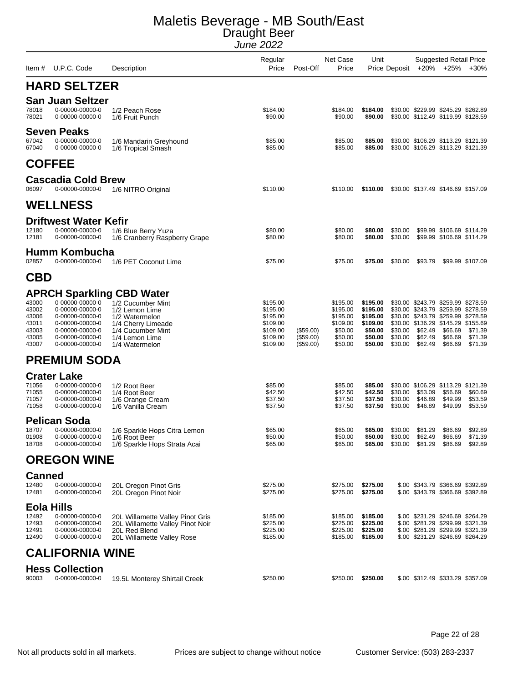| Item #                                                      | U.P.C. Code                                                                                                                       | Description                                                                                                                                                              | Regular<br>Price                                                                 | Post-Off                            | Net Case<br>Price                                                             | Unit                                                                          | Price Deposit                                 |                               | <b>Suggested Retail Price</b><br>+20% +25%                                                                                                                                            | $+30%$                                                               |
|-------------------------------------------------------------|-----------------------------------------------------------------------------------------------------------------------------------|--------------------------------------------------------------------------------------------------------------------------------------------------------------------------|----------------------------------------------------------------------------------|-------------------------------------|-------------------------------------------------------------------------------|-------------------------------------------------------------------------------|-----------------------------------------------|-------------------------------|---------------------------------------------------------------------------------------------------------------------------------------------------------------------------------------|----------------------------------------------------------------------|
|                                                             | <b>HARD SELTZER</b>                                                                                                               |                                                                                                                                                                          |                                                                                  |                                     |                                                                               |                                                                               |                                               |                               |                                                                                                                                                                                       |                                                                      |
| 78018<br>78021                                              | <b>San Juan Seltzer</b><br>0-00000-00000-0<br>0-00000-00000-0                                                                     | 1/2 Peach Rose<br>1/6 Fruit Punch                                                                                                                                        | \$184.00<br>\$90.00                                                              |                                     | \$184.00<br>\$90.00                                                           | \$184.00<br>\$90.00                                                           |                                               |                               | \$30.00 \$229.99 \$245.29 \$262.89<br>\$30.00 \$112.49 \$119.99 \$128.59                                                                                                              |                                                                      |
| 67042<br>67040                                              | <b>Seven Peaks</b><br>0-00000-00000-0<br>0-00000-00000-0                                                                          | 1/6 Mandarin Greyhound<br>1/6 Tropical Smash                                                                                                                             | \$85.00<br>\$85.00                                                               |                                     | \$85.00<br>\$85.00                                                            | \$85.00<br>\$85.00                                                            |                                               |                               | \$30.00 \$106.29 \$113.29 \$121.39<br>\$30.00 \$106.29 \$113.29 \$121.39                                                                                                              |                                                                      |
|                                                             | <b>COFFEE</b>                                                                                                                     |                                                                                                                                                                          |                                                                                  |                                     |                                                                               |                                                                               |                                               |                               |                                                                                                                                                                                       |                                                                      |
| 06097                                                       | <b>Cascadia Cold Brew</b><br>0-00000-00000-0                                                                                      | 1/6 NITRO Original                                                                                                                                                       | \$110.00                                                                         |                                     | \$110.00                                                                      | \$110.00                                                                      |                                               |                               | \$30.00 \$137.49 \$146.69 \$157.09                                                                                                                                                    |                                                                      |
|                                                             | <b>WELLNESS</b>                                                                                                                   |                                                                                                                                                                          |                                                                                  |                                     |                                                                               |                                                                               |                                               |                               |                                                                                                                                                                                       |                                                                      |
| 12180<br>12181                                              | <b>Driftwest Water Kefir</b><br>0-00000-00000-0<br>0-00000-00000-0                                                                | 1/6 Blue Berry Yuza<br>1/6 Cranberry Raspberry Grape                                                                                                                     | \$80.00<br>\$80.00                                                               |                                     | \$80.00<br>\$80.00                                                            | \$80.00<br>\$80.00                                                            | \$30.00<br>\$30.00                            |                               | \$99.99 \$106.69 \$114.29<br>\$99.99 \$106.69 \$114.29                                                                                                                                |                                                                      |
| 02857                                                       | <b>Humm Kombucha</b><br>0-00000-00000-0                                                                                           | 1/6 PET Coconut Lime                                                                                                                                                     | \$75.00                                                                          |                                     | \$75.00                                                                       | \$75.00                                                                       | \$30.00                                       | \$93.79                       |                                                                                                                                                                                       | \$99.99 \$107.09                                                     |
| <b>CBD</b>                                                  |                                                                                                                                   |                                                                                                                                                                          |                                                                                  |                                     |                                                                               |                                                                               |                                               |                               |                                                                                                                                                                                       |                                                                      |
| 43000<br>43002<br>43006<br>43011<br>43003<br>43005<br>43007 | 0-00000-00000-0<br>0-00000-00000-0<br>0-00000-00000-0<br>0-00000-00000-0<br>0-00000-00000-0<br>0-00000-00000-0<br>0-00000-00000-0 | <b>APRCH Sparkling CBD Water</b><br>1/2 Cucumber Mint<br>1/2 Lemon Lime<br>1/2 Watermelon<br>1/4 Cherry Limeade<br>1/4 Cucumber Mint<br>1/4 Lemon Lime<br>1/4 Watermelon | \$195.00<br>\$195.00<br>\$195.00<br>\$109.00<br>\$109.00<br>\$109.00<br>\$109.00 | (\$59.00)<br>(\$59.00)<br>(\$59.00) | \$195.00<br>\$195.00<br>\$195.00<br>\$109.00<br>\$50.00<br>\$50.00<br>\$50.00 | \$195.00<br>\$195.00<br>\$195.00<br>\$109.00<br>\$50.00<br>\$50.00<br>\$50.00 | \$30.00<br>\$30.00<br>\$30.00                 | \$62.49<br>\$62.49<br>\$62.49 | \$30.00 \$243.79 \$259.99 \$278.59<br>\$30.00 \$243.79 \$259.99 \$278.59<br>\$30.00 \$243.79 \$259.99 \$278.59<br>\$30.00 \$136.29 \$145.29 \$155.69<br>\$66.69<br>\$66.69<br>\$66.69 | \$71.39<br>\$71.39<br>\$71.39                                        |
|                                                             | <b>PREMIUM SODA</b>                                                                                                               |                                                                                                                                                                          |                                                                                  |                                     |                                                                               |                                                                               |                                               |                               |                                                                                                                                                                                       |                                                                      |
| 71056<br>71055<br>71057<br>71058                            | <b>Crater Lake</b><br>0-00000-00000-0<br>0-00000-00000-0<br>0-00000-00000-0<br>0-00000-00000-0                                    | 1/2 Root Beer<br>1/4 Root Beer<br>1/6 Orange Cream<br>1/6 Vanilla Cream                                                                                                  | \$85.00<br>\$42.50<br>\$37.50<br>\$37.50                                         |                                     | \$85.00<br>\$42.50<br>\$37.50<br>\$37.50                                      | \$85.00<br>\$42.50<br>\$37.50<br>\$37.50                                      | \$30.00<br>\$30.00<br>\$30.00                 | \$53.09<br>\$46.89<br>\$46.89 | \$30.00 \$106.29 \$113.29 \$121.39<br>\$56.69<br>\$49.99<br>\$49.99                                                                                                                   | \$60.69<br>\$53.59<br>\$53.59                                        |
| 18707<br>01908<br>18708                                     | <b>Pelican Soda</b><br>0-00000-00000-0<br>0-00000-00000-0<br>0-00000-00000-0                                                      | 1/6 Sparkle Hops Citra Lemon<br>1/6 Root Beer<br>1/6 Sparkle Hops Strata Acai                                                                                            | \$65.00<br>\$50.00<br>\$65.00                                                    |                                     | \$65.00<br>\$50.00<br>\$65.00                                                 | \$65.00                                                                       | \$30.00<br>\$50.00 \$30.00<br>\$65.00 \$30.00 | \$81.29<br>\$62.49            | \$86.69<br>\$66.69<br>\$81.29 \$86.69                                                                                                                                                 | \$92.89<br>\$71.39<br>\$92.89                                        |
|                                                             | <b>OREGON WINE</b>                                                                                                                |                                                                                                                                                                          |                                                                                  |                                     |                                                                               |                                                                               |                                               |                               |                                                                                                                                                                                       |                                                                      |
| <b>Canned</b><br>12480<br>12481                             | 0-00000-00000-0<br>0-00000-00000-0                                                                                                | 20L Oregon Pinot Gris<br>20L Oregon Pinot Noir                                                                                                                           | \$275.00<br>\$275.00                                                             |                                     | \$275.00<br>\$275.00                                                          | \$275.00<br>\$275.00                                                          |                                               |                               |                                                                                                                                                                                       | \$.00 \$343.79 \$366.69 \$392.89<br>\$.00 \$343.79 \$366.69 \$392.89 |
| <b>Eola Hills</b><br>12492<br>12493<br>12491<br>12490       | 0-00000-00000-0<br>0-00000-00000-0<br>0-00000-00000-0<br>0-00000-00000-0                                                          | 20L Willamette Valley Pinot Gris<br>20L Willamette Valley Pinot Noir<br>20L Red Blend<br>20L Willamette Valley Rose                                                      | \$185.00<br>\$225.00<br>\$225.00<br>\$185.00                                     |                                     | \$185.00<br>\$225.00<br>\$225.00<br>\$185.00                                  | \$185.00<br>\$225.00<br>\$225.00<br>\$185.00                                  |                                               |                               | \$.00 \$231.29 \$246.69 \$264.29<br>\$.00 \$231.29 \$246.69 \$264.29                                                                                                                  | \$.00 \$281.29 \$299.99 \$321.39<br>\$.00 \$281.29 \$299.99 \$321.39 |
|                                                             | <b>CALIFORNIA WINE</b>                                                                                                            |                                                                                                                                                                          |                                                                                  |                                     |                                                                               |                                                                               |                                               |                               |                                                                                                                                                                                       |                                                                      |
| 90003                                                       | <b>Hess Collection</b><br>0-00000-00000-0                                                                                         | 19.5L Monterey Shirtail Creek                                                                                                                                            | \$250.00                                                                         |                                     | \$250.00                                                                      | \$250.00                                                                      |                                               |                               | \$.00 \$312.49 \$333.29 \$357.09                                                                                                                                                      |                                                                      |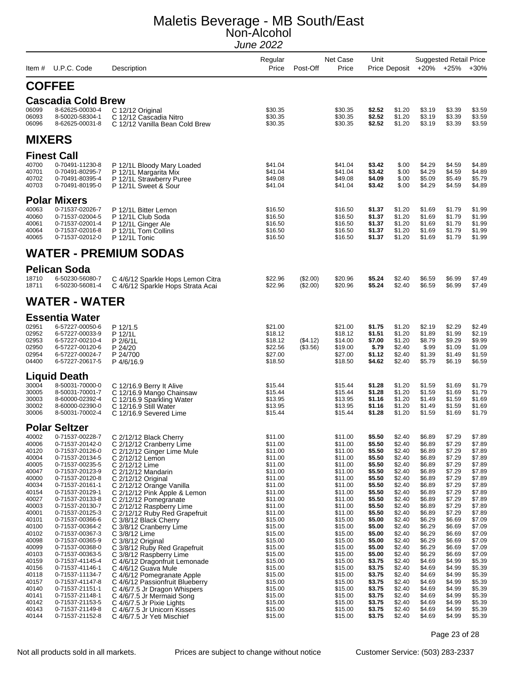| ltem #         | U.P.C. Code                              | Description                                              | Regular<br>Price   | Post-Off | <b>Net Case</b><br>Price | Unit             | <b>Price Deposit</b> | $+20%$           | <b>Suggested Retail Price</b><br>$+25%$ | $+30%$           |
|----------------|------------------------------------------|----------------------------------------------------------|--------------------|----------|--------------------------|------------------|----------------------|------------------|-----------------------------------------|------------------|
|                | <b>COFFEE</b>                            |                                                          |                    |          |                          |                  |                      |                  |                                         |                  |
|                | <b>Cascadia Cold Brew</b>                |                                                          |                    |          |                          |                  |                      |                  |                                         |                  |
| 06099          | 8-62625-00030-4                          | C 12/12 Original                                         | \$30.35            |          | \$30.35                  | \$2.52           | \$1.20               | \$3.19           | \$3.39                                  | \$3.59           |
| 06093<br>06096 | 8-50020-58304-1<br>8-62625-00031-8       | C 12/12 Cascadia Nitro<br>C 12/12 Vanilla Bean Cold Brew | \$30.35<br>\$30.35 |          | \$30.35<br>\$30.35       | \$2.52<br>\$2.52 | \$1.20<br>\$1.20     | \$3.19<br>\$3.19 | \$3.39<br>\$3.39                        | \$3.59<br>\$3.59 |
|                | <b>MIXERS</b>                            |                                                          |                    |          |                          |                  |                      |                  |                                         |                  |
|                |                                          |                                                          |                    |          |                          |                  |                      |                  |                                         |                  |
|                | <b>Finest Call</b>                       |                                                          |                    |          |                          |                  |                      |                  |                                         |                  |
| 40700<br>40701 | 0-70491-11230-8<br>0-70491-80295-7       | P 12/1L Bloody Mary Loaded                               | \$41.04<br>\$41.04 |          | \$41.04<br>\$41.04       | \$3.42<br>\$3.42 | \$.00<br>\$.00       | \$4.29<br>\$4.29 | \$4.59<br>\$4.59                        | \$4.89<br>\$4.89 |
| 40702          | 0-70491-80395-4                          | P 12/1L Margarita Mix<br>P 12/1L Strawberry Puree        | \$49.08            |          | \$49.08                  | \$4.09           | \$.00                | \$5.09           | \$5.49                                  | \$5.79           |
| 40703          | 0-70491-80195-0                          | P 12/1L Sweet & Sour                                     | \$41.04            |          | \$41.04                  | \$3.42           | \$.00                | \$4.29           | \$4.59                                  | \$4.89           |
|                | <b>Polar Mixers</b>                      |                                                          |                    |          |                          |                  |                      |                  |                                         |                  |
| 40063          | 0-71537-02026-7                          | P 12/1L Bitter Lemon                                     | \$16.50            |          | \$16.50                  | \$1.37           | \$1.20               | \$1.69           | \$1.79                                  | \$1.99           |
| 40060          | 0-71537-02004-5                          | P 12/1L Club Soda                                        | \$16.50            |          | \$16.50                  | \$1.37           | \$1.20               | \$1.69           | \$1.79                                  | \$1.99           |
| 40061<br>40064 | 0-71537-02001-4<br>0-71537-02016-8       | P 12/1L Ginger Ale<br>P 12/1L Tom Collins                | \$16.50<br>\$16.50 |          | \$16.50<br>\$16.50       | \$1.37<br>\$1.37 | \$1.20<br>\$1.20     | \$1.69<br>\$1.69 | \$1.79<br>\$1.79                        | \$1.99<br>\$1.99 |
| 40065          | 0-71537-02012-0                          | P 12/1L Tonic                                            | \$16.50            |          | \$16.50                  | \$1.37           | \$1.20               | \$1.69           | \$1.79                                  | \$1.99           |
|                |                                          | WATER - PREMIUM SODAS                                    |                    |          |                          |                  |                      |                  |                                         |                  |
|                | <b>Pelican Soda</b>                      |                                                          |                    |          |                          |                  |                      |                  |                                         |                  |
| 18710          | 6-50230-56080-7                          | C 4/6/12 Sparkle Hops Lemon Citra                        | \$22.96            | (\$2.00) | \$20.96                  | \$5.24           | \$2.40               | \$6.59           | \$6.99                                  | \$7.49           |
| 18711          | 6-50230-56081-4                          | C 4/6/12 Sparkle Hops Strata Acai                        | \$22.96            | (\$2.00) | \$20.96                  | \$5.24           | \$2.40               | \$6.59           | \$6.99                                  | \$7.49           |
|                | WATER - WATER                            |                                                          |                    |          |                          |                  |                      |                  |                                         |                  |
|                |                                          |                                                          |                    |          |                          |                  |                      |                  |                                         |                  |
| 02951          | <b>Essentia Water</b><br>6-57227-00050-6 |                                                          | \$21.00            |          |                          |                  |                      | \$2.19           | \$2.29                                  | \$2.49           |
| 02952          | 6-57227-00033-9                          | P 12/1.5<br>P 12/1L                                      | \$18.12            |          | \$21.00<br>\$18.12       | \$1.75<br>\$1.51 | \$1.20<br>\$1.20     | \$1.89           | \$1.99                                  | \$2.19           |
| 02953          | 6-57227-00210-4                          | P 2/6/1L                                                 | \$18.12            | (\$4.12) | \$14.00                  | \$7.00           | \$1.20               | \$8.79           | \$9.29                                  | \$9.99           |
| 02950<br>02954 | 6-57227-00120-6<br>6-57227-00024-7       | P 24/20                                                  | \$22.56<br>\$27.00 | (\$3.56) | \$19.00<br>\$27.00       | \$.79<br>\$1.12  | \$2.40<br>\$2.40     | \$.99<br>\$1.39  | \$1.09<br>\$1.49                        | \$1.09<br>\$1.59 |
| 04400          | 6-57227-20617-5                          | P 24/700<br>P4/6/16.9                                    | \$18.50            |          | \$18.50                  | \$4.62           | \$2.40               | \$5.79           | \$6.19                                  | \$6.59           |
|                | Liquid Death                             |                                                          |                    |          |                          |                  |                      |                  |                                         |                  |
| 30004          | 8-50031-70000-0                          | C 12/16.9 Berry It Alive                                 | \$15.44            |          | \$15.44                  | \$1.28           | \$1.20               | \$1.59           | \$1.69                                  | \$1.79           |
| 30005          | 8-50031-70001-7                          | C 12/16.9 Mango Chainsaw                                 | \$15.44            |          | \$15.44                  | \$1.28           | \$1.20               | \$1.59           | \$1.69                                  | \$1.79           |
| 30003          | 8-60000-02392-4                          | C 12/16.9 Sparkling Water                                | \$13.95            |          | \$13.95                  | \$1.16           | \$1.20               | \$1.49           | \$1.59                                  | \$1.69           |
| 30002<br>30006 | 8-60000-02390-0<br>8-50031-70002-4       | C 12/16.9 Still Water<br>C 12/16.9 Severed Lime          | \$13.95<br>\$15.44 |          | \$13.95<br>\$15.44       | \$1.16<br>\$1.28 | \$1.20<br>\$1.20     | \$1.49<br>\$1.59 | \$1.59<br>\$1.69                        | \$1.69<br>\$1.79 |
|                | <b>Polar Seltzer</b>                     |                                                          |                    |          |                          |                  |                      |                  |                                         |                  |
| 40002          | 0-71537-00228-7                          | C 2/12/12 Black Cherry                                   | \$11.00            |          | \$11.00                  | \$5.50           | \$2.40               | \$6.89           | \$7.29                                  | \$7.89           |
| 40006          | 0-71537-20142-0                          | C 2/12/12 Cranberry Lime                                 | \$11.00            |          | \$11.00                  | \$5.50           | \$2.40               | \$6.89           | \$7.29                                  | \$7.89           |
| 40120          | 0-71537-20126-0                          | C 2/12/12 Ginger Lime Mule                               | \$11.00            |          | \$11.00                  | \$5.50           | \$2.40               | \$6.89           | \$7.29                                  | \$7.89           |
| 40004<br>40005 | 0-71537-20134-5<br>0-71537-00235-5       | C 2/12/12 Lemon<br>C 2/12/12 Lime                        | \$11.00<br>\$11.00 |          | \$11.00<br>\$11.00       | \$5.50<br>\$5.50 | \$2.40<br>\$2.40     | \$6.89<br>\$6.89 | \$7.29<br>\$7.29                        | \$7.89<br>\$7.89 |
| 40047          | 0-71537-20123-9                          | C 2/12/12 Mandarin                                       | \$11.00            |          | \$11.00                  | \$5.50           | \$2.40               | \$6.89           | \$7.29                                  | \$7.89           |
| 40000          | 0-71537-20120-8                          | C 2/12/12 Original                                       | \$11.00            |          | \$11.00                  | \$5.50           | \$2.40               | \$6.89           | \$7.29                                  | \$7.89           |
| 40034<br>40154 | 0-71537-20161-1<br>0-71537-20129-1       | C 2/12/12 Orange Vanilla<br>C 2/12/12 Pink Apple & Lemon | \$11.00<br>\$11.00 |          | \$11.00<br>\$11.00       | \$5.50<br>\$5.50 | \$2.40<br>\$2.40     | \$6.89<br>\$6.89 | \$7.29<br>\$7.29                        | \$7.89<br>\$7.89 |
| 40027          | 0-71537-20133-8                          | C 2/12/12 Pomegranate                                    | \$11.00            |          | \$11.00                  | \$5.50           | \$2.40               | \$6.89           | \$7.29                                  | \$7.89           |
| 40003          | 0-71537-20130-7                          | C 2/12/12 Raspberry Lime                                 | \$11.00            |          | \$11.00                  | \$5.50           | \$2.40               | \$6.89           | \$7.29                                  | \$7.89           |
| 40001<br>40101 | 0-71537-20125-3<br>0-71537-00366-6       | C 2/12/12 Ruby Red Grapefruit<br>C 3/8/12 Black Cherry   | \$11.00<br>\$15.00 |          | \$11.00<br>\$15.00       | \$5.50<br>\$5.00 | \$2.40<br>\$2.40     | \$6.89<br>\$6.29 | \$7.29<br>\$6.69                        | \$7.89<br>\$7.09 |
| 40100          | 0-71537-00364-2                          | C 3/8/12 Cranberry Lime                                  | \$15.00            |          | \$15.00                  | \$5.00           | \$2.40               | \$6.29           | \$6.69                                  | \$7.09           |
| 40102          | 0-71537-00367-3                          | C 3/8/12 Lime                                            | \$15.00            |          | \$15.00                  | \$5.00           | \$2.40               | \$6.29           | \$6.69                                  | \$7.09           |
| 40098<br>40099 | 0-71537-00365-9<br>0-71537-00368-0       | C 3/8/12 Original<br>C 3/8/12 Ruby Red Grapefruit        | \$15.00<br>\$15.00 |          | \$15.00<br>\$15.00       | \$5.00<br>\$5.00 | \$2.40<br>\$2.40     | \$6.29<br>\$6.29 | \$6.69<br>\$6.69                        | \$7.09<br>\$7.09 |
| 40103          | 0-71537-00363-5                          | C 3/8/12 Raspberry Lime                                  | \$15.00            |          | \$15.00                  | \$5.00           | \$2.40               | \$6.29           | \$6.69                                  | \$7.09           |
| 40159          | 0-71537-41145-4                          | C 4/6/12 Dragonfruit Lemonade                            | \$15.00            |          | \$15.00                  | \$3.75           | \$2.40               | \$4.69           | \$4.99                                  | \$5.39           |
| 40156<br>40118 | 0-71537-41146-1<br>0-71537-11134-7       | C 4/6/12 Guava Mule<br>C 4/6/12 Pomegranate Apple        | \$15.00<br>\$15.00 |          | \$15.00<br>\$15.00       | \$3.75<br>\$3.75 | \$2.40<br>\$2.40     | \$4.69<br>\$4.69 | \$4.99<br>\$4.99                        | \$5.39<br>\$5.39 |
| 40157          | 0-71537-41147-8                          | C 4/6/12 Passionfruit Blueberry                          | \$15.00            |          | \$15.00                  | \$3.75           | \$2.40               | \$4.69           | \$4.99                                  | \$5.39           |
| 40140          | 0-71537-21151-1                          | C 4/6/7.5 Jr Dragon Whispers                             | \$15.00            |          | \$15.00                  | \$3.75           | \$2.40               | \$4.69           | \$4.99                                  | \$5.39           |
| 40141<br>40142 | 0-71537-21148-1<br>0-71537-21153-5       | C 4/6/7.5 Jr Mermaid Song                                | \$15.00<br>\$15.00 |          | \$15.00<br>\$15.00       | \$3.75<br>\$3.75 | \$2.40<br>\$2.40     | \$4.69<br>\$4.69 | \$4.99<br>\$4.99                        | \$5.39<br>\$5.39 |
| 40143          | 0-71537-21149-8                          | C 4/6/7.5 Jr Pixie Lights<br>C 4/6/7.5 Jr Unicorn Kisses | \$15.00            |          | \$15.00                  | \$3.75           | \$2.40               | \$4.69           | \$4.99                                  | \$5.39           |
| 40144          | 0-71537-21152-8                          | C 4/6/7.5 Jr Yeti Mischief                               | \$15.00            |          | \$15.00                  | \$3.75           | \$2.40               | \$4.69           | \$4.99                                  | \$5.39           |

Page 23 of 28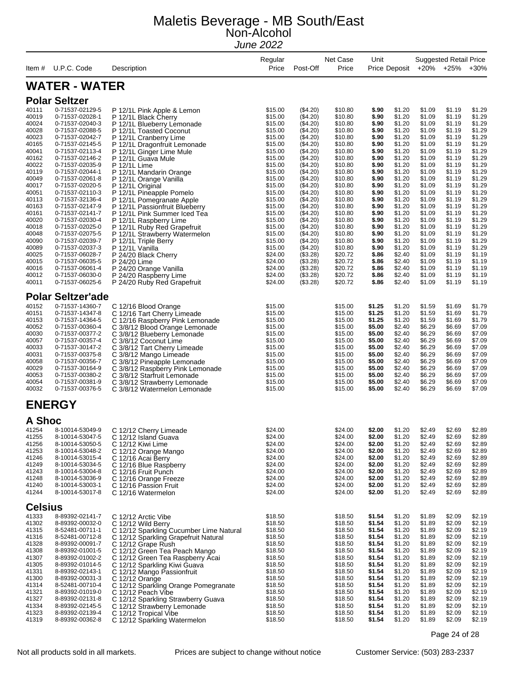| Item #                                                                                                                                                                  | U.P.C. Code                                                                                                                                                                                                                                                                                                                                                                                   | Description                                                                                                                                                                                                                                                                                                                                                                                                                                                                                                                           | Regular<br>Price                                                                                                                                                                                              | Post-Off                                                                                                                                                                                                                         | Net Case<br>Price                                                                                                                                                                                             | Unit<br>Price Deposit                                                                                                                                                   |                                                                                                                                                                                            |                                                                                                                                                                                            | <b>Suggested Retail Price</b><br>+20% +25%                                                                                                                                                 | $+30%$                                                                                                                                                                                     |
|-------------------------------------------------------------------------------------------------------------------------------------------------------------------------|-----------------------------------------------------------------------------------------------------------------------------------------------------------------------------------------------------------------------------------------------------------------------------------------------------------------------------------------------------------------------------------------------|---------------------------------------------------------------------------------------------------------------------------------------------------------------------------------------------------------------------------------------------------------------------------------------------------------------------------------------------------------------------------------------------------------------------------------------------------------------------------------------------------------------------------------------|---------------------------------------------------------------------------------------------------------------------------------------------------------------------------------------------------------------|----------------------------------------------------------------------------------------------------------------------------------------------------------------------------------------------------------------------------------|---------------------------------------------------------------------------------------------------------------------------------------------------------------------------------------------------------------|-------------------------------------------------------------------------------------------------------------------------------------------------------------------------|--------------------------------------------------------------------------------------------------------------------------------------------------------------------------------------------|--------------------------------------------------------------------------------------------------------------------------------------------------------------------------------------------|--------------------------------------------------------------------------------------------------------------------------------------------------------------------------------------------|--------------------------------------------------------------------------------------------------------------------------------------------------------------------------------------------|
|                                                                                                                                                                         | <b>WATER - WATER</b>                                                                                                                                                                                                                                                                                                                                                                          |                                                                                                                                                                                                                                                                                                                                                                                                                                                                                                                                       |                                                                                                                                                                                                               |                                                                                                                                                                                                                                  |                                                                                                                                                                                                               |                                                                                                                                                                         |                                                                                                                                                                                            |                                                                                                                                                                                            |                                                                                                                                                                                            |                                                                                                                                                                                            |
|                                                                                                                                                                         |                                                                                                                                                                                                                                                                                                                                                                                               |                                                                                                                                                                                                                                                                                                                                                                                                                                                                                                                                       |                                                                                                                                                                                                               |                                                                                                                                                                                                                                  |                                                                                                                                                                                                               |                                                                                                                                                                         |                                                                                                                                                                                            |                                                                                                                                                                                            |                                                                                                                                                                                            |                                                                                                                                                                                            |
| 40111<br>40019<br>40024<br>40028<br>40023<br>40165<br>40041<br>40162<br>40022<br>40119<br>40049<br>40017<br>40051<br>40113<br>40163<br>40161<br>40020<br>40018<br>40048 | <b>Polar Seltzer</b><br>0-71537-02129-5<br>0-71537-02028-1<br>0-71537-02040-3<br>0-71537-02088-5<br>0-71537-02042-7<br>0-71537-02145-5<br>0-71537-02113-4<br>0-71537-02146-2<br>0-71537-02035-9<br>0-71537-02044-1<br>0-71537-02061-8<br>0-71537-02020-5<br>0-71537-02110-3<br>0-71537-32136-4<br>0-71537-02147-9<br>0-71537-02141-7<br>0-71537-02030-4<br>0-71537-02025-0<br>0-71537-02075-5 | P 12/1L Pink Apple & Lemon<br>P 12/1L Black Cherry<br>P 12/1L Blueberry Lemonade<br>P 12/1L Toasted Coconut<br>P 12/1L Cranberry Lime<br>P 12/1L Dragonfruit Lemonade<br>P 12/1L Ginger Lime Mule<br>P 12/1L Guava Mule<br>P 12/1L Lime<br>P 12/1L Mandarin Orange<br>P 12/1L Orange Vanilla<br>P 12/1L Original<br>P 12/1L Pineapple Pomelo<br>P 12/1L Pomegranate Apple<br>P 12/1L Passionfruit Blueberry<br>P 12/1L Pink Summer Iced Tea<br>P 12/1L Raspberry Lime<br>P 12/1L Ruby Red Grapefruit<br>P 12/1L Strawberry Watermelon | \$15.00<br>\$15.00<br>\$15.00<br>\$15.00<br>\$15.00<br>\$15.00<br>\$15.00<br>\$15.00<br>\$15.00<br>\$15.00<br>\$15.00<br>\$15.00<br>\$15.00<br>\$15.00<br>\$15.00<br>\$15.00<br>\$15.00<br>\$15.00<br>\$15.00 | (\$4.20)<br>(\$4.20)<br>(\$4.20)<br>(\$4.20)<br>(\$4.20)<br>(\$4.20)<br>(\$4.20)<br>(\$4.20)<br>(\$4.20)<br>(\$4.20)<br>(\$4.20)<br>(\$4.20)<br>(\$4.20)<br>(\$4.20)<br>(\$4.20)<br>(\$4.20)<br>(\$4.20)<br>(\$4.20)<br>(\$4.20) | \$10.80<br>\$10.80<br>\$10.80<br>\$10.80<br>\$10.80<br>\$10.80<br>\$10.80<br>\$10.80<br>\$10.80<br>\$10.80<br>\$10.80<br>\$10.80<br>\$10.80<br>\$10.80<br>\$10.80<br>\$10.80<br>\$10.80<br>\$10.80<br>\$10.80 | \$.90<br>\$.90<br>\$.90<br>\$.90<br>\$.90<br>\$.90<br>\$.90<br>\$.90<br>\$.90<br>\$.90<br>\$.90<br>\$.90<br>\$.90<br>\$.90<br>\$.90<br>\$.90<br>\$.90<br>\$.90<br>\$.90 | \$1.20<br>\$1.20<br>\$1.20<br>\$1.20<br>\$1.20<br>\$1.20<br>\$1.20<br>\$1.20<br>\$1.20<br>\$1.20<br>\$1.20<br>\$1.20<br>\$1.20<br>\$1.20<br>\$1.20<br>\$1.20<br>\$1.20<br>\$1.20<br>\$1.20 | \$1.09<br>\$1.09<br>\$1.09<br>\$1.09<br>\$1.09<br>\$1.09<br>\$1.09<br>\$1.09<br>\$1.09<br>\$1.09<br>\$1.09<br>\$1.09<br>\$1.09<br>\$1.09<br>\$1.09<br>\$1.09<br>\$1.09<br>\$1.09<br>\$1.09 | \$1.19<br>\$1.19<br>\$1.19<br>\$1.19<br>\$1.19<br>\$1.19<br>\$1.19<br>\$1.19<br>\$1.19<br>\$1.19<br>\$1.19<br>\$1.19<br>\$1.19<br>\$1.19<br>\$1.19<br>\$1.19<br>\$1.19<br>\$1.19<br>\$1.19 | \$1.29<br>\$1.29<br>\$1.29<br>\$1.29<br>\$1.29<br>\$1.29<br>\$1.29<br>\$1.29<br>\$1.29<br>\$1.29<br>\$1.29<br>\$1.29<br>\$1.29<br>\$1.29<br>\$1.29<br>\$1.29<br>\$1.29<br>\$1.29<br>\$1.29 |
| 40090<br>40089<br>40025<br>40015<br>40016<br>40012<br>40011                                                                                                             | 0-71537-02039-7<br>0-71537-02037-3<br>0-71537-06028-7<br>0-71537-06035-5<br>0-71537-06061-4<br>0-71537-06030-0<br>0-71537-06025-6                                                                                                                                                                                                                                                             | P 12/1L Triple Berry<br>P 12/1L Vanilla<br>P 24/20 Black Cherry<br>P 24/20 Lime<br>P 24/20 Orange Vanilla<br>P 24/20 Raspberry Lime<br>P 24/20 Ruby Red Grapefruit                                                                                                                                                                                                                                                                                                                                                                    | \$15.00<br>\$15.00<br>\$24.00<br>\$24.00<br>\$24.00<br>\$24.00<br>\$24.00                                                                                                                                     | (\$4.20)<br>(\$4.20)<br>(\$3.28)<br>(\$3.28)<br>(\$3.28)<br>(\$3.28)<br>(\$3.28)                                                                                                                                                 | \$10.80<br>\$10.80<br>\$20.72<br>\$20.72<br>\$20.72<br>\$20.72<br>\$20.72                                                                                                                                     | \$.90<br>\$.90<br>\$.86<br>\$.86<br>\$.86<br>\$.86<br>\$.86                                                                                                             | \$1.20<br>\$1.20<br>\$2.40<br>\$2.40<br>\$2.40<br>\$2.40<br>\$2.40                                                                                                                         | \$1.09<br>\$1.09<br>\$1.09<br>\$1.09<br>\$1.09<br>\$1.09<br>\$1.09                                                                                                                         | \$1.19<br>\$1.19<br>\$1.19<br>\$1.19<br>\$1.19<br>\$1.19<br>\$1.19                                                                                                                         | \$1.29<br>\$1.29<br>\$1.19<br>\$1.19<br>\$1.19<br>\$1.19<br>\$1.19                                                                                                                         |
| 40152<br>40151<br>40153<br>40052<br>40030<br>40057<br>40033<br>40031<br>40058<br>40029<br>40053<br>40054<br>40032                                                       | <b>Polar Seltzer'ade</b><br>0-71537-14360-7<br>0-71537-14347-8<br>0-71537-14364-5<br>0-71537-00360-4<br>0-71537-00377-2<br>0-71537-00357-4<br>0-71537-30147-2<br>0-71537-00375-8<br>0-71537-00356-7<br>0-71537-30164-9<br>0-71537-00380-2<br>0-71537-00381-9<br>0-71537-00376-5                                                                                                               | C 12/16 Blood Orange<br>C 12/16 Tart Cherry Limeade<br>C 12/16 Raspberry Pink Lemonade<br>C 3/8/12 Blood Orange Lemonade<br>C 3/8/12 Blueberry Lemonade<br>C 3/8/12 Coconut Lime<br>C 3/8/12 Tart Cherry Limeade<br>C 3/8/12 Mango Limeade<br>C 3/8/12 Pineapple Lemonade<br>C 3/8/12 Raspberry Pink Lemonade<br>C 3/8/12 Starfruit Lemonade<br>C 3/8/12 Strawberry Lemonade<br>C 3/8/12 Watermelon Lemonade                                                                                                                          | \$15.00<br>\$15.00<br>\$15.00<br>\$15.00<br>\$15.00<br>\$15.00<br>\$15.00<br>\$15.00<br>\$15.00<br>\$15.00<br>\$15.00<br>\$15.00<br>\$15.00                                                                   |                                                                                                                                                                                                                                  | \$15.00<br>\$15.00<br>\$15.00<br>\$15.00<br>\$15.00<br>\$15.00<br>\$15.00<br>\$15.00<br>\$15.00<br>\$15.00<br>\$15.00<br>\$15.00<br>\$15.00                                                                   | \$1.25<br>\$1.25<br>\$1.25<br>\$5.00<br>\$5.00<br>\$5.00<br>\$5.00<br>\$5.00<br>\$5.00<br>\$5.00<br>\$5.00<br>\$5.00<br>\$5.00                                          | \$1.20<br>\$1.20<br>\$1.20<br>\$2.40<br>\$2.40<br>\$2.40<br>\$2.40<br>\$2.40<br>\$2.40<br>\$2.40<br>\$2.40<br>\$2.40<br>\$2.40                                                             | \$1.59<br>\$1.59<br>\$1.59<br>\$6.29<br>\$6.29<br>\$6.29<br>\$6.29<br>\$6.29<br>\$6.29<br>\$6.29<br>\$6.29<br>\$6.29<br>\$6.29                                                             | \$1.69<br>\$1.69<br>\$1.69<br>\$6.69<br>\$6.69<br>\$6.69<br>\$6.69<br>\$6.69<br>\$6.69<br>\$6.69<br>\$6.69<br>\$6.69<br>\$6.69                                                             | \$1.79<br>\$1.79<br>\$1.79<br>\$7.09<br>\$7.09<br>\$7.09<br>\$7.09<br>\$7.09<br>\$7.09<br>\$7.09<br>\$7.09<br>\$7.09<br>\$7.09                                                             |
|                                                                                                                                                                         | <b>ENERGY</b>                                                                                                                                                                                                                                                                                                                                                                                 |                                                                                                                                                                                                                                                                                                                                                                                                                                                                                                                                       |                                                                                                                                                                                                               |                                                                                                                                                                                                                                  |                                                                                                                                                                                                               |                                                                                                                                                                         |                                                                                                                                                                                            |                                                                                                                                                                                            |                                                                                                                                                                                            |                                                                                                                                                                                            |
| A Shoc<br>41254<br>41255<br>41256<br>41253<br>41246<br>41249<br>41243<br>41248<br>41240<br>41244                                                                        | 8-10014-53049-9<br>8-10014-53047-5<br>8-10014-53050-5<br>8-10014-53048-2<br>8-10014-53015-4<br>8-10014-53034-5<br>8-10014-53004-8<br>8-10014-53036-9<br>8-10014-53003-1<br>8-10014-53017-8                                                                                                                                                                                                    | C 12/12 Cherry Limeade<br>C 12/12 Island Guava<br>C 12/12 Kiwi Lime<br>C 12/12 Orange Mango<br>C 12/16 Acai Berry<br>C 12/16 Blue Raspberry<br>C 12/16 Fruit Punch<br>C 12/16 Orange Freeze<br>C 12/16 Passion Fruit<br>C 12/16 Watermelon                                                                                                                                                                                                                                                                                            | \$24.00<br>\$24.00<br>\$24.00<br>\$24.00<br>\$24.00<br>\$24.00<br>\$24.00<br>\$24.00<br>\$24.00<br>\$24.00                                                                                                    |                                                                                                                                                                                                                                  | \$24.00<br>\$24.00<br>\$24.00<br>\$24.00<br>\$24.00<br>\$24.00<br>\$24.00<br>\$24.00<br>\$24.00<br>\$24.00                                                                                                    | \$2.00<br>\$2.00<br>\$2.00<br>\$2.00<br>\$2.00<br>\$2.00<br>\$2.00<br>\$2.00<br>\$2.00<br>\$2.00                                                                        | \$1.20<br>\$1.20<br>\$1.20<br>\$1.20<br>\$1.20<br>\$1.20<br>\$1.20<br>\$1.20<br>\$1.20<br>\$1.20                                                                                           | \$2.49<br>\$2.49<br>\$2.49<br>\$2.49<br>\$2.49<br>\$2.49<br>\$2.49<br>\$2.49<br>\$2.49<br>\$2.49                                                                                           | \$2.69<br>\$2.69<br>\$2.69<br>\$2.69<br>\$2.69<br>\$2.69<br>\$2.69<br>\$2.69<br>\$2.69<br>\$2.69                                                                                           | \$2.89<br>\$2.89<br>\$2.89<br>\$2.89<br>\$2.89<br>\$2.89<br>\$2.89<br>\$2.89<br>\$2.89<br>\$2.89                                                                                           |
| <b>Celsius</b>                                                                                                                                                          |                                                                                                                                                                                                                                                                                                                                                                                               |                                                                                                                                                                                                                                                                                                                                                                                                                                                                                                                                       |                                                                                                                                                                                                               |                                                                                                                                                                                                                                  |                                                                                                                                                                                                               |                                                                                                                                                                         |                                                                                                                                                                                            |                                                                                                                                                                                            |                                                                                                                                                                                            |                                                                                                                                                                                            |
| 41333<br>41302<br>41315<br>41316<br>41328<br>41308<br>41307<br>41305<br>41331<br>41300<br>41314<br>41321<br>41327<br>41334<br>41323<br>41319                            | 8-89392-02141-7<br>8-89392-00032-0<br>8-52481-00711-1<br>8-52481-00712-8<br>8-89392-00091-7<br>8-89392-01001-5<br>8-89392-01002-2<br>8-89392-01014-5<br>8-89392-02143-1<br>8-89392-00031-3<br>8-52481-00710-4<br>8-89392-01019-0<br>8-89392-02131-8<br>8-89392-02145-5<br>8-89392-02139-4<br>8-89392-00362-8                                                                                  | C 12/12 Arctic Vibe<br>C 12/12 Wild Berry<br>C 12/12 Sparkling Cucumber Lime Natural<br>C 12/12 Sparkling Grapefruit Natural<br>C 12/12 Grape Rush<br>C 12/12 Green Tea Peach Mango<br>C 12/12 Green Tea Raspberry Acai<br>C 12/12 Sparkling Kiwi Guava<br>C 12/12 Mango Passionfruit<br>C 12/12 Orange<br>C 12/12 Sparkling Orange Pomegranate<br>C 12/12 Peach Vibe<br>C 12/12 Sparkling Strawberry Guava<br>C 12/12 Strawberry Lemonade<br>C 12/12 Tropical Vibe<br>C 12/12 Sparkling Watermelon                                   | \$18.50<br>\$18.50<br>\$18.50<br>\$18.50<br>\$18.50<br>\$18.50<br>\$18.50<br>\$18.50<br>\$18.50<br>\$18.50<br>\$18.50<br>\$18.50<br>\$18.50<br>\$18.50<br>\$18.50<br>\$18.50                                  |                                                                                                                                                                                                                                  | \$18.50<br>\$18.50<br>\$18.50<br>\$18.50<br>\$18.50<br>\$18.50<br>\$18.50<br>\$18.50<br>\$18.50<br>\$18.50<br>\$18.50<br>\$18.50<br>\$18.50<br>\$18.50<br>\$18.50<br>\$18.50                                  | \$1.54<br>\$1.54<br>\$1.54<br>\$1.54<br>\$1.54<br>\$1.54<br>\$1.54<br>\$1.54<br>\$1.54<br>\$1.54<br>\$1.54<br>\$1.54<br>\$1.54<br>\$1.54<br>\$1.54<br>\$1.54            | \$1.20<br>\$1.20<br>\$1.20<br>\$1.20<br>\$1.20<br>\$1.20<br>\$1.20<br>\$1.20<br>\$1.20<br>\$1.20<br>\$1.20<br>\$1.20<br>\$1.20<br>\$1.20<br>\$1.20<br>\$1.20                               | \$1.89<br>\$1.89<br>\$1.89<br>\$1.89<br>\$1.89<br>\$1.89<br>\$1.89<br>\$1.89<br>\$1.89<br>\$1.89<br>\$1.89<br>\$1.89<br>\$1.89<br>\$1.89<br>\$1.89<br>\$1.89                               | \$2.09<br>\$2.09<br>\$2.09<br>\$2.09<br>\$2.09<br>\$2.09<br>\$2.09<br>\$2.09<br>\$2.09<br>\$2.09<br>\$2.09<br>\$2.09<br>\$2.09<br>\$2.09<br>\$2.09<br>\$2.09                               | \$2.19<br>\$2.19<br>\$2.19<br>\$2.19<br>\$2.19<br>\$2.19<br>\$2.19<br>\$2.19<br>\$2.19<br>\$2.19<br>\$2.19<br>\$2.19<br>\$2.19<br>\$2.19<br>\$2.19<br>\$2.19                               |

Page 24 of 28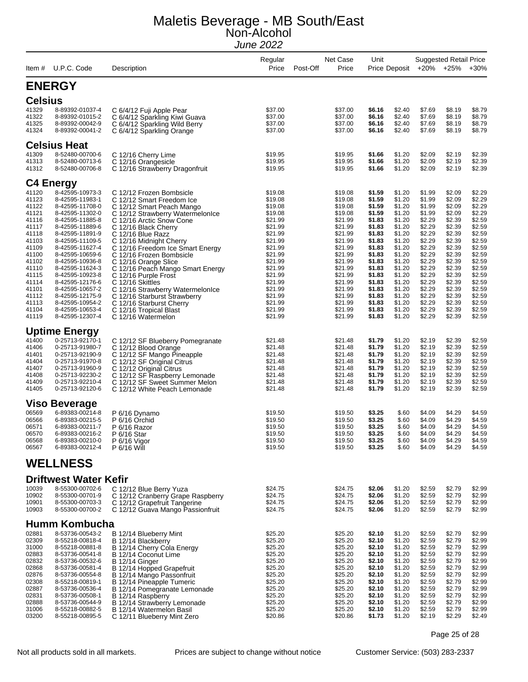| Item #                  | U.P.C. Code                                           | Description                                                                                | Regular<br>Price              | Net Case<br>Post-Off<br>Price | Unit                       | Price Deposit              |                            | <b>Suggested Retail Price</b><br>+20% +25% | $+30%$                     |
|-------------------------|-------------------------------------------------------|--------------------------------------------------------------------------------------------|-------------------------------|-------------------------------|----------------------------|----------------------------|----------------------------|--------------------------------------------|----------------------------|
|                         | <b>ENERGY</b>                                         |                                                                                            |                               |                               |                            |                            |                            |                                            |                            |
| <b>Celsius</b>          |                                                       |                                                                                            |                               |                               |                            |                            |                            |                                            |                            |
| 41329<br>41322<br>41325 | 8-89392-01037-4<br>8-89392-01015-2<br>8-89392-00042-9 | C 6/4/12 Fuji Apple Pear<br>C 6/4/12 Sparkling Kiwi Guava<br>C 6/4/12 Sparkling Wild Berry | \$37.00<br>\$37.00<br>\$37.00 | \$37.00<br>\$37.00<br>\$37.00 | \$6.16<br>\$6.16<br>\$6.16 | \$2.40<br>\$2.40<br>\$2.40 | \$7.69<br>\$7.69<br>\$7.69 | \$8.19<br>\$8.19<br>\$8.19                 | \$8.79<br>\$8.79<br>\$8.79 |
| 41324                   | 8-89392-00041-2                                       | C 6/4/12 Sparkling Orange                                                                  | \$37.00                       | \$37.00                       | \$6.16                     | \$2.40                     | \$7.69                     | \$8.19                                     | \$8.79                     |
|                         | <b>Celsius Heat</b>                                   |                                                                                            |                               |                               |                            |                            |                            |                                            |                            |
| 41309                   | 8-52480-00700-6                                       | C 12/16 Cherry Lime                                                                        | \$19.95                       | \$19.95                       | \$1.66                     | \$1.20                     | \$2.09                     | \$2.19                                     | \$2.39                     |
| 41313<br>41312          | 8-52480-00713-6<br>8-52480-00706-8                    | C 12/16 Orangesicle<br>C 12/16 Strawberry Dragonfruit                                      | \$19.95<br>\$19.95            | \$19.95<br>\$19.95            | \$1.66<br>\$1.66           | \$1.20<br>\$1.20           | \$2.09<br>\$2.09           | \$2.19<br>\$2.19                           | \$2.39<br>\$2.39           |
|                         |                                                       |                                                                                            |                               |                               |                            |                            |                            |                                            |                            |
|                         | <b>C4 Energy</b>                                      |                                                                                            |                               |                               |                            |                            |                            |                                            |                            |
| 41120                   | 8-42595-10973-3                                       | C 12/12 Frozen Bombsicle                                                                   | \$19.08                       | \$19.08                       | \$1.59                     | \$1.20                     | \$1.99                     | \$2.09                                     | \$2.29                     |
| 41123<br>41122          | 8-42595-11983-1<br>8-42595-11708-0                    | C 12/12 Smart Freedom Ice<br>C 12/12 Smart Peach Mango                                     | \$19.08<br>\$19.08            | \$19.08<br>\$19.08            | \$1.59<br>\$1.59           | \$1.20<br>\$1.20           | \$1.99<br>\$1.99           | \$2.09<br>\$2.09                           | \$2.29<br>\$2.29           |
| 41121                   | 8-42595-11302-0                                       | C 12/12 Strawberry Watermelonice                                                           | \$19.08                       | \$19.08                       | \$1.59                     | \$1.20                     | \$1.99                     | \$2.09                                     | \$2.29                     |
| 41116                   | 8-42595-11885-8                                       | C 12/16 Arctic Snow Cone                                                                   | \$21.99                       | \$21.99                       | \$1.83                     | \$1.20                     | \$2.29                     | \$2.39                                     | \$2.59                     |
| 41117<br>41118          | 8-42595-11889-6<br>8-42595-11891-9                    | C 12/16 Black Cherry<br>C 12/16 Blue Razz                                                  | \$21.99<br>\$21.99            | \$21.99<br>\$21.99            | \$1.83<br>\$1.83           | \$1.20<br>\$1.20           | \$2.29<br>\$2.29           | \$2.39<br>\$2.39                           | \$2.59<br>\$2.59           |
| 41103                   | 8-42595-11109-5                                       | C 12/16 Midnight Cherry                                                                    | \$21.99                       | \$21.99                       | \$1.83                     | \$1.20                     | \$2.29                     | \$2.39                                     | \$2.59                     |
| 41109                   | 8-42595-11627-4                                       | C 12/16 Freedom Ice Smart Energy                                                           | \$21.99                       | \$21.99                       | \$1.83                     | \$1.20                     | \$2.29                     | \$2.39                                     | \$2.59                     |
| 41100                   | 8-42595-10659-6                                       | C 12/16 Frozen Bombsicle                                                                   | \$21.99                       | \$21.99                       | \$1.83                     | \$1.20                     | \$2.29                     | \$2.39                                     | \$2.59                     |
| 41102<br>41110          | 8-42595-10936-8<br>8-42595-11624-3                    | C 12/16 Orange Slice<br>C 12/16 Peach Mango Smart Energy                                   | \$21.99<br>\$21.99            | \$21.99<br>\$21.99            | \$1.83<br>\$1.83           | \$1.20<br>\$1.20           | \$2.29<br>\$2.29           | \$2.39<br>\$2.39                           | \$2.59<br>\$2.59           |
| 41115                   | 8-42595-10923-8                                       | C 12/16 Purple Frost                                                                       | \$21.99                       | \$21.99                       | \$1.83                     | \$1.20                     | \$2.29                     | \$2.39                                     | \$2.59                     |
| 41114                   | 8-42595-12176-6                                       | C 12/16 Skittles                                                                           | \$21.99                       | \$21.99                       | \$1.83                     | \$1.20                     | \$2.29                     | \$2.39                                     | \$2.59                     |
| 41101<br>41112          | 8-42595-10657-2<br>8-42595-12175-9                    | C 12/16 Strawberry WatermelonIce<br>C 12/16 Starburst Strawberry                           | \$21.99<br>\$21.99            | \$21.99<br>\$21.99            | \$1.83<br>\$1.83           | \$1.20<br>\$1.20           | \$2.29<br>\$2.29           | \$2.39<br>\$2.39                           | \$2.59<br>\$2.59           |
| 41113                   | 8-42595-10954-2                                       | C 12/16 Starburst Cherry                                                                   | \$21.99                       | \$21.99                       | \$1.83                     | \$1.20                     | \$2.29                     | \$2.39                                     | \$2.59                     |
| 41104                   | 8-42595-10653-4                                       | C 12/16 Tropical Blast                                                                     | \$21.99                       | \$21.99                       | \$1.83                     | \$1.20                     | \$2.29                     | \$2.39                                     | \$2.59                     |
| 41119                   | 8-42595-12307-4                                       | C 12/16 Watermelon                                                                         | \$21.99                       | \$21.99                       | \$1.83                     | \$1.20                     | \$2.29                     | \$2.39                                     | \$2.59                     |
|                         | <b>Uptime Energy</b>                                  |                                                                                            |                               |                               |                            |                            |                            |                                            |                            |
| 41400                   | 0-25713-92170-1                                       | C 12/12 SF Blueberry Pomegranate                                                           | \$21.48                       | \$21.48                       | \$1.79                     | \$1.20                     | \$2.19                     | \$2.39                                     | \$2.59                     |
| 41406                   | 0-25713-91980-7                                       | C 12/12 Blood Orange                                                                       | \$21.48                       | \$21.48                       | \$1.79                     | \$1.20                     | \$2.19                     | \$2.39                                     | \$2.59                     |
| 41401<br>41404          | 0-25713-92190-9<br>0-25713-91970-8                    | C 12/12 SF Mango Pineapple                                                                 | \$21.48<br>\$21.48            | \$21.48<br>\$21.48            | \$1.79<br>\$1.79           | \$1.20<br>\$1.20           | \$2.19<br>\$2.19           | \$2.39<br>\$2.39                           | \$2.59<br>\$2.59           |
| 41407                   | 0-25713-91960-9                                       | C 12/12 SF Original Citrus<br>C 12/12 Original Citrus                                      | \$21.48                       | \$21.48                       | \$1.79                     | \$1.20                     | \$2.19                     | \$2.39                                     | \$2.59                     |
| 41408                   | 0-25713-92230-2                                       | C 12/12 SF Raspberry Lemonade                                                              | \$21.48                       | \$21.48                       | \$1.79                     | \$1.20                     | \$2.19                     | \$2.39                                     | \$2.59                     |
| 41409<br>41405          | 0-25713-92210-4<br>0-25713-92120-6                    | C 12/12 SF Sweet Summer Melon<br>C 12/12 White Peach Lemonade                              | \$21.48<br>\$21.48            | \$21.48<br>\$21.48            | \$1.79<br>\$1.79           | \$1.20<br>\$1.20           | \$2.19<br>\$2.19           | \$2.39<br>\$2.39                           | \$2.59<br>\$2.59           |
|                         |                                                       |                                                                                            |                               |                               |                            |                            |                            |                                            |                            |
|                         | <b>Viso Beverage</b>                                  |                                                                                            |                               |                               |                            |                            |                            |                                            |                            |
| 06569                   | 6-89383-00214-8                                       | P 6/16 Dynamo                                                                              | \$19.50                       | \$19.50                       | \$3.25                     | \$.60                      | \$4.09                     | \$4.29                                     | \$4.59                     |
| 06566<br>06571          | 6-89383-00215-5<br>6-89383-00211-7                    | P 6/16 Orchid                                                                              | \$19.50<br>\$19.50            | \$19.50                       | \$3.25<br>\$3.25           | \$.60<br>\$.60             | \$4.09<br>\$4.09           | \$4.29<br>\$4.29                           | \$4.59<br>\$4.59           |
| 06570                   | 6-89383-00216-2                                       | P 6/16 Razor<br>P 6/16 Star                                                                | \$19.50                       | \$19.50<br>\$19.50            | \$3.25                     | \$.60                      | \$4.09                     | \$4.29                                     | \$4.59                     |
| 06568                   | 6-89383-00210-0                                       | P 6/16 Vigor                                                                               | \$19.50                       | \$19.50                       | \$3.25                     | \$.60                      | \$4.09                     | \$4.29                                     | \$4.59                     |
| 06567                   | 6-89383-00212-4                                       | P 6/16 Will                                                                                | \$19.50                       | \$19.50                       | \$3.25                     | \$.60                      | \$4.09                     | \$4.29                                     | \$4.59                     |
|                         | <b>WELLNESS</b>                                       |                                                                                            |                               |                               |                            |                            |                            |                                            |                            |
|                         | <b>Driftwest Water Kefir</b>                          |                                                                                            |                               |                               |                            |                            |                            |                                            |                            |
| 10039                   | 8-55300-00702-6                                       | C 12/12 Blue Berry Yuza                                                                    | \$24.75                       | \$24.75                       | \$2.06                     | \$1.20                     | \$2.59                     | \$2.79                                     | \$2.99                     |
| 10902                   | 8-55300-00701-9                                       | C 12/12 Cranberry Grape Raspberry                                                          | \$24.75                       | \$24.75                       | \$2.06                     | \$1.20                     | \$2.59                     | \$2.79                                     | \$2.99                     |
| 10901<br>10903          | 8-55300-00703-3<br>8-55300-00700-2                    | C 12/12 Grapefruit Tangerine<br>C 12/12 Guava Mango Passionfruit                           | \$24.75<br>\$24.75            | \$24.75<br>\$24.75            | \$2.06<br>\$2.06           | \$1.20<br>\$1.20           | \$2.59<br>\$2.59           | \$2.79<br>\$2.79                           | \$2.99<br>\$2.99           |
|                         |                                                       |                                                                                            |                               |                               |                            |                            |                            |                                            |                            |
|                         | <b>Humm Kombucha</b>                                  |                                                                                            |                               |                               |                            |                            |                            |                                            |                            |
| 02881                   | 8-53736-00543-2                                       | B 12/14 Blueberry Mint                                                                     | \$25.20                       | \$25.20                       | \$2.10                     | \$1.20                     | \$2.59                     | \$2.79                                     | \$2.99                     |
| 02309<br>31000          | 8-55218-00818-4<br>8-55218-00881-8                    | B 12/14 Blackberry<br>B 12/14 Cherry Cola Energy                                           | \$25.20<br>\$25.20            | \$25.20<br>\$25.20            | \$2.10<br>\$2.10           | \$1.20<br>\$1.20           | \$2.59<br>\$2.59           | \$2.79<br>\$2.79                           | \$2.99<br>\$2.99           |
| 02883                   | 8-53736-00541-8                                       | B 12/14 Coconut Lime                                                                       | \$25.20                       | \$25.20                       | \$2.10                     | \$1.20                     | \$2.59                     | \$2.79                                     | \$2.99                     |
| 02832                   | 8-53736-00532-6                                       | B 12/14 Ginger                                                                             | \$25.20                       | \$25.20                       | \$2.10                     | \$1.20                     | \$2.59                     | \$2.79                                     | \$2.99                     |
| 02868<br>02876          | 8-53736-00581-4<br>8-53736-00554-8                    | B 12/14 Hopped Grapefruit                                                                  | \$25.20<br>\$25.20            | \$25.20<br>\$25.20            | \$2.10<br>\$2.10           | \$1.20<br>\$1.20           | \$2.59<br>\$2.59           | \$2.79<br>\$2.79                           | \$2.99<br>\$2.99           |
| 02308                   | 8-55218-00819-1                                       | B 12/14 Mango Passonfruit<br>B 12/14 Pineapple Tumeric                                     | \$25.20                       | \$25.20                       | \$2.10                     | \$1.20                     | \$2.59                     | \$2.79                                     | \$2.99                     |
| 02887                   | 8-53736-00536-4                                       | B 12/14 Pomegranate Lemonade                                                               | \$25.20                       | \$25.20                       | \$2.10                     | \$1.20                     | \$2.59                     | \$2.79                                     | \$2.99                     |
| 02831                   | 8-53736-00508-1                                       | B 12/14 Raspberry                                                                          | \$25.20                       | \$25.20                       | \$2.10                     | \$1.20                     | \$2.59                     | \$2.79                                     | \$2.99                     |
| 02888<br>31006          | 8-53736-00544-9<br>8-55218-00882-5                    | B 12/14 Strawberry Lemonade<br>B 12/14 Watermelon Basil                                    | \$25.20<br>\$25.20            | \$25.20<br>\$25.20            | \$2.10<br>\$2.10           | \$1.20<br>\$1.20           | \$2.59<br>\$2.59           | \$2.79<br>\$2.79                           | \$2.99<br>\$2.99           |
| 03200                   | 8-55218-00895-5                                       | C 12/11 Blueberry Mint Zero                                                                | \$20.86                       | \$20.86                       | \$1.73                     | \$1.20                     | \$2.19                     | \$2.29                                     | \$2.49                     |

Page 25 of 28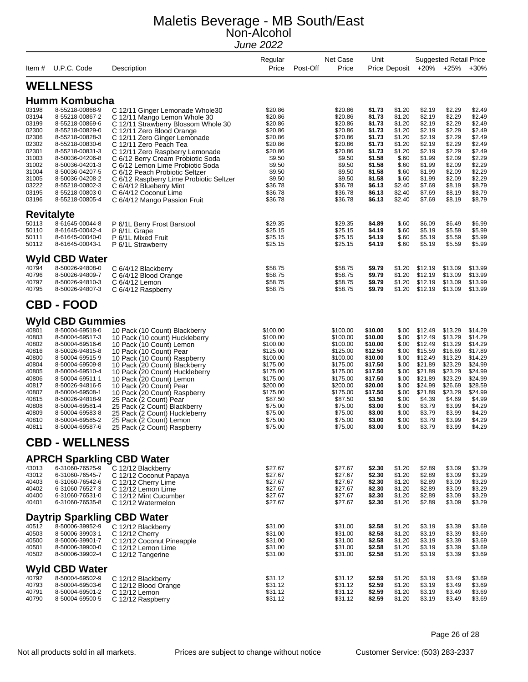| Item #                                                                                                                              | U.P.C. Code                                                                                                                                                                                                                                                                                                          | Description                                                                                                                                                                                                                                                                                                                                                                                                                                                                | Regular<br>Price                                                                                                                                                            | Net Case<br>Post-Off<br>Price                                                                                                                                               | Unit                                                                                                                                                         | Price Deposit                                                                                                                        |                                                                                                                                                              | <b>Suggested Retail Price</b><br>+20% +25%                                                                                                                   | $+30%$                                                                                                                                                       |
|-------------------------------------------------------------------------------------------------------------------------------------|----------------------------------------------------------------------------------------------------------------------------------------------------------------------------------------------------------------------------------------------------------------------------------------------------------------------|----------------------------------------------------------------------------------------------------------------------------------------------------------------------------------------------------------------------------------------------------------------------------------------------------------------------------------------------------------------------------------------------------------------------------------------------------------------------------|-----------------------------------------------------------------------------------------------------------------------------------------------------------------------------|-----------------------------------------------------------------------------------------------------------------------------------------------------------------------------|--------------------------------------------------------------------------------------------------------------------------------------------------------------|--------------------------------------------------------------------------------------------------------------------------------------|--------------------------------------------------------------------------------------------------------------------------------------------------------------|--------------------------------------------------------------------------------------------------------------------------------------------------------------|--------------------------------------------------------------------------------------------------------------------------------------------------------------|
|                                                                                                                                     | <b>WELLNESS</b>                                                                                                                                                                                                                                                                                                      |                                                                                                                                                                                                                                                                                                                                                                                                                                                                            |                                                                                                                                                                             |                                                                                                                                                                             |                                                                                                                                                              |                                                                                                                                      |                                                                                                                                                              |                                                                                                                                                              |                                                                                                                                                              |
|                                                                                                                                     | <b>Humm Kombucha</b>                                                                                                                                                                                                                                                                                                 |                                                                                                                                                                                                                                                                                                                                                                                                                                                                            |                                                                                                                                                                             |                                                                                                                                                                             |                                                                                                                                                              |                                                                                                                                      |                                                                                                                                                              |                                                                                                                                                              |                                                                                                                                                              |
| 03198<br>03194<br>03199<br>02300<br>02306<br>02302<br>02301<br>31003<br>31002<br>31004<br>31005<br>03222<br>03195<br>03196          | 8-55218-00868-9<br>8-55218-00867-2<br>8-55218-00869-6<br>8-55218-00829-0<br>8-55218-00828-3<br>8-55218-00830-6<br>8-55218-00831-3<br>8-50036-04206-8<br>8-50036-04201-3<br>8-50036-04207-5<br>8-50036-04208-2<br>8-55218-00802-3<br>8-55218-00803-0<br>8-55218-00805-4                                               | C 12/11 Ginger Lemonade Whole30<br>C 12/11 Mango Lemon Whole 30<br>C 12/11 Strawberry Blossom Whole 30<br>C 12/11 Zero Blood Orange<br>C 12/11 Zero Ginger Lemonade<br>C 12/11 Zero Peach Tea<br>C 12/11 Zero Raspberry Lemonade<br>C 6/12 Berry Cream Probiotic Soda<br>C 6/12 Lemon Lime Probiotic Soda<br>C 6/12 Peach Probiotic Seltzer<br>C 6/12 Raspberry Lime Probiotic Seltzer<br>C 6/4/12 Blueberry Mint<br>C 6/4/12 Coconut Lime<br>C 6/4/12 Mango Passion Fruit | \$20.86<br>\$20.86<br>\$20.86<br>\$20.86<br>\$20.86<br>\$20.86<br>\$20.86<br>\$9.50<br>\$9.50<br>\$9.50<br>\$9.50<br>\$36.78<br>\$36.78<br>\$36.78                          | \$20.86<br>\$20.86<br>\$20.86<br>\$20.86<br>\$20.86<br>\$20.86<br>\$20.86<br>\$9.50<br>\$9.50<br>\$9.50<br>\$9.50<br>\$36.78<br>\$36.78<br>\$36.78                          | \$1.73<br>\$1.73<br>\$1.73<br>\$1.73<br>\$1.73<br>\$1.73<br>\$1.73<br>\$1.58<br>\$1.58<br>\$1.58<br>\$1.58<br>\$6.13<br>\$6.13<br>\$6.13                     | \$1.20<br>\$1.20<br>\$1.20<br>\$1.20<br>\$1.20<br>\$1.20<br>\$1.20<br>\$.60<br>\$.60<br>\$.60<br>\$.60<br>\$2.40<br>\$2.40<br>\$2.40 | \$2.19<br>\$2.19<br>\$2.19<br>\$2.19<br>\$2.19<br>\$2.19<br>\$2.19<br>\$1.99<br>\$1.99<br>\$1.99<br>\$1.99<br>\$7.69<br>\$7.69<br>\$7.69                     | \$2.29<br>\$2.29<br>\$2.29<br>\$2.29<br>\$2.29<br>\$2.29<br>\$2.29<br>\$2.09<br>\$2.09<br>\$2.09<br>\$2.09<br>\$8.19<br>\$8.19<br>\$8.19                     | \$2.49<br>\$2.49<br>\$2.49<br>\$2.49<br>\$2.49<br>\$2.49<br>\$2.49<br>\$2.29<br>\$2.29<br>\$2.29<br>\$2.29<br>\$8.79<br>\$8.79<br>\$8.79                     |
| <b>Revitalyte</b>                                                                                                                   |                                                                                                                                                                                                                                                                                                                      |                                                                                                                                                                                                                                                                                                                                                                                                                                                                            |                                                                                                                                                                             |                                                                                                                                                                             |                                                                                                                                                              |                                                                                                                                      |                                                                                                                                                              |                                                                                                                                                              |                                                                                                                                                              |
| 50113<br>50110<br>50111<br>50112                                                                                                    | 8-61645-00044-8<br>8-61645-00042-4<br>8-61645-00040-0<br>8-61645-00043-1                                                                                                                                                                                                                                             | P 6/1L Berry Frost Barstool<br>P 6/1L Grape<br>P 6/1L Mixed Fruit<br>P 6/1L Strawberry                                                                                                                                                                                                                                                                                                                                                                                     | \$29.35<br>\$25.15<br>\$25.15<br>\$25.15                                                                                                                                    | \$29.35<br>\$25.15<br>\$25.15<br>\$25.15                                                                                                                                    | \$4.89<br>\$4.19<br>\$4.19<br>\$4.19                                                                                                                         | \$.60<br>\$.60<br>\$.60<br>\$.60                                                                                                     | \$6.09<br>\$5.19<br>\$5.19<br>\$5.19                                                                                                                         | \$6.49<br>\$5.59<br>\$5.59<br>\$5.59                                                                                                                         | \$6.99<br>\$5.99<br>\$5.99<br>\$5.99                                                                                                                         |
| 40794<br>40796<br>40797<br>40795                                                                                                    | <b>Wyld CBD Water</b><br>8-50026-94808-0<br>8-50026-94809-7<br>8-50026-94810-3<br>8-50026-94807-3                                                                                                                                                                                                                    | C 6/4/12 Blackberry<br>C 6/4/12 Blood Orange<br>C 6/4/12 Lemon<br>C 6/4/12 Raspberry                                                                                                                                                                                                                                                                                                                                                                                       | \$58.75<br>\$58.75<br>\$58.75<br>\$58.75                                                                                                                                    | \$58.75<br>\$58.75<br>\$58.75<br>\$58.75                                                                                                                                    | \$9.79<br>\$9.79<br>\$9.79<br>\$9.79                                                                                                                         | \$1.20<br>\$1.20<br>\$1.20<br>\$1.20                                                                                                 | \$12.19<br>\$12.19<br>\$12.19<br>\$12.19                                                                                                                     | \$13.09<br>\$13.09<br>\$13.09<br>\$13.09                                                                                                                     | \$13.99<br>\$13.99<br>\$13.99<br>\$13.99                                                                                                                     |
|                                                                                                                                     | <b>CBD - FOOD</b>                                                                                                                                                                                                                                                                                                    |                                                                                                                                                                                                                                                                                                                                                                                                                                                                            |                                                                                                                                                                             |                                                                                                                                                                             |                                                                                                                                                              |                                                                                                                                      |                                                                                                                                                              |                                                                                                                                                              |                                                                                                                                                              |
| 40801<br>40803<br>40802<br>40816<br>40800<br>40804<br>40805<br>40806<br>40817<br>40807<br>40815<br>40808<br>40809<br>40810<br>40811 | <b>Wyld CBD Gummies</b><br>8-50004-69518-0<br>8-50004-69517-3<br>8-50004-69516-6<br>8-50026-94815-8<br>8-50004-69515-9<br>8-50004-69509-8<br>8-50004-69510-4<br>8-50004-69511-1<br>8-50026-94816-5<br>8-50004-69508-1<br>8-50026-94818-9<br>8-50004-69581-4<br>8-50004-69583-8<br>8-50004-69585-2<br>8-50004-69587-6 | 10 Pack (10 Count) Blackberry<br>10 Pack (10 count) Huckleberry<br>10 Pack (10 Count) Lemon<br>10 Pack (10 Count) Pear<br>10 Pack (10 Count) Raspberry<br>10 Pack (20 Count) Blackberry<br>10 Pack (20 Count) Huckleberry<br>10 Pack (20 Count) Lemon<br>10 Pack (20 Count) Pear<br>10 Pack (20 Count) Raspberry<br>25 Pack (2 Count) Pear<br>25 Pack (2 Count) Blackberry<br>25 Pack (2 Count) Huckleberry<br>25 Pack (2 Count) Lemon<br>25 Pack (2 Count) Raspberry      | \$100.00<br>\$100.00<br>\$100.00<br>\$125.00<br>\$100.00<br>\$175.00<br>\$175.00<br>\$175.00<br>\$200.00<br>\$175.00<br>\$87.50<br>\$75.00<br>\$75.00<br>\$75.00<br>\$75.00 | \$100.00<br>\$100.00<br>\$100.00<br>\$125.00<br>\$100.00<br>\$175.00<br>\$175.00<br>\$175.00<br>\$200.00<br>\$175.00<br>\$87.50<br>\$75.00<br>\$75.00<br>\$75.00<br>\$75.00 | \$10.00<br>\$10.00<br>\$10.00<br>\$12.50<br>\$10.00<br>\$17.50<br>\$17.50<br>\$17.50<br>\$20.00<br>\$17.50<br>\$3.50<br>\$3.00<br>\$3.00<br>\$3.00<br>\$3.00 | \$.00<br>\$.00<br>\$.00<br>\$.00<br>\$.00<br>\$.00<br>\$.00<br>\$.00<br>\$.00<br>\$.00<br>\$.00<br>\$.00<br>\$.00<br>\$.00<br>\$.00  | \$12.49<br>\$12.49<br>\$12.49<br>\$15.59<br>\$12.49<br>\$21.89<br>\$21.89<br>\$21.89<br>\$24.99<br>\$21.89<br>\$4.39<br>\$3.79<br>\$3.79<br>\$3.79<br>\$3.79 | \$13.29<br>\$13.29<br>\$13.29<br>\$16.69<br>\$13.29<br>\$23.29<br>\$23.29<br>\$23.29<br>\$26.69<br>\$23.29<br>\$4.69<br>\$3.99<br>\$3.99<br>\$3.99<br>\$3.99 | \$14.29<br>\$14.29<br>\$14.29<br>\$17.89<br>\$14.29<br>\$24.99<br>\$24.99<br>\$24.99<br>\$28.59<br>\$24.99<br>\$4.99<br>\$4.29<br>\$4.29<br>\$4.29<br>\$4.29 |
|                                                                                                                                     | <b>CBD - WELLNESS</b>                                                                                                                                                                                                                                                                                                |                                                                                                                                                                                                                                                                                                                                                                                                                                                                            |                                                                                                                                                                             |                                                                                                                                                                             |                                                                                                                                                              |                                                                                                                                      |                                                                                                                                                              |                                                                                                                                                              |                                                                                                                                                              |
| 43013<br>43012<br>40403<br>40402<br>40400<br>40401                                                                                  | 6-31060-76525-9<br>6-31060-76545-7<br>6-31060-76542-6<br>6-31060-76527-3<br>6-31060-76531-0<br>6-31060-76535-8                                                                                                                                                                                                       | <b>APRCH Sparkling CBD Water</b><br>C 12/12 Blackberry<br>C 12/12 Coconut Papaya<br>C 12/12 Cherry Lime<br>C 12/12 Lemon Lime<br>C 12/12 Mint Cucumber<br>C 12/12 Watermelon                                                                                                                                                                                                                                                                                               | \$27.67<br>\$27.67<br>\$27.67<br>\$27.67<br>\$27.67<br>\$27.67                                                                                                              | \$27.67<br>\$27.67<br>\$27.67<br>\$27.67<br>\$27.67<br>\$27.67                                                                                                              | \$2.30<br>\$2.30<br>\$2.30<br>\$2.30<br>\$2.30<br>\$2.30                                                                                                     | \$1.20<br>\$1.20<br>\$1.20<br>\$1.20<br>\$1.20<br>\$1.20                                                                             | \$2.89<br>\$2.89<br>\$2.89<br>\$2.89<br>\$2.89<br>\$2.89                                                                                                     | \$3.09<br>\$3.09<br>\$3.09<br>\$3.09<br>\$3.09<br>\$3.09                                                                                                     | \$3.29<br>\$3.29<br>\$3.29<br>\$3.29<br>\$3.29<br>\$3.29                                                                                                     |
|                                                                                                                                     |                                                                                                                                                                                                                                                                                                                      | <b>Daytrip Sparkling CBD Water</b>                                                                                                                                                                                                                                                                                                                                                                                                                                         |                                                                                                                                                                             |                                                                                                                                                                             |                                                                                                                                                              |                                                                                                                                      |                                                                                                                                                              |                                                                                                                                                              |                                                                                                                                                              |
| 40512<br>40503<br>40500<br>40501<br>40502                                                                                           | 8-50006-39952-9<br>8-50006-39903-1<br>8-50006-39901-7<br>8-50006-39900-0<br>8-50006-39902-4                                                                                                                                                                                                                          | C 12/12 Blackberry<br>C 12/12 Cherry<br>C 12/12 Coconut Pineapple<br>C 12/12 Lemon Lime<br>C 12/12 Tangerine                                                                                                                                                                                                                                                                                                                                                               | \$31.00<br>\$31.00<br>\$31.00<br>\$31.00<br>\$31.00                                                                                                                         | \$31.00<br>\$31.00<br>\$31.00<br>\$31.00<br>\$31.00                                                                                                                         | \$2.58<br>\$2.58<br>\$2.58<br>\$2.58<br>\$2.58                                                                                                               | \$1.20<br>\$1.20<br>\$1.20<br>\$1.20<br>\$1.20                                                                                       | \$3.19<br>\$3.19<br>\$3.19<br>\$3.19<br>\$3.19                                                                                                               | \$3.39<br>\$3.39<br>\$3.39<br>\$3.39<br>\$3.39                                                                                                               | \$3.69<br>\$3.69<br>\$3.69<br>\$3.69<br>\$3.69                                                                                                               |
| 40792<br>40793<br>40791<br>40790                                                                                                    | <b>Wyld CBD Water</b><br>8-50004-69502-9<br>8-50004-69503-6<br>8-50004-69501-2<br>8-50004-69500-5                                                                                                                                                                                                                    | C 12/12 Blackberry<br>C 12/12 Blood Orange<br>C 12/12 Lemon<br>C 12/12 Raspberry                                                                                                                                                                                                                                                                                                                                                                                           | \$31.12<br>\$31.12<br>\$31.12<br>\$31.12                                                                                                                                    | \$31.12<br>\$31.12<br>\$31.12<br>\$31.12                                                                                                                                    | \$2.59<br>\$2.59<br>\$2.59<br>\$2.59                                                                                                                         | \$1.20<br>\$1.20<br>\$1.20<br>\$1.20                                                                                                 | \$3.19<br>\$3.19<br>\$3.19<br>\$3.19                                                                                                                         | \$3.49<br>\$3.49<br>\$3.49<br>\$3.49                                                                                                                         | \$3.69<br>\$3.69<br>\$3.69<br>\$3.69                                                                                                                         |

Page 26 of 28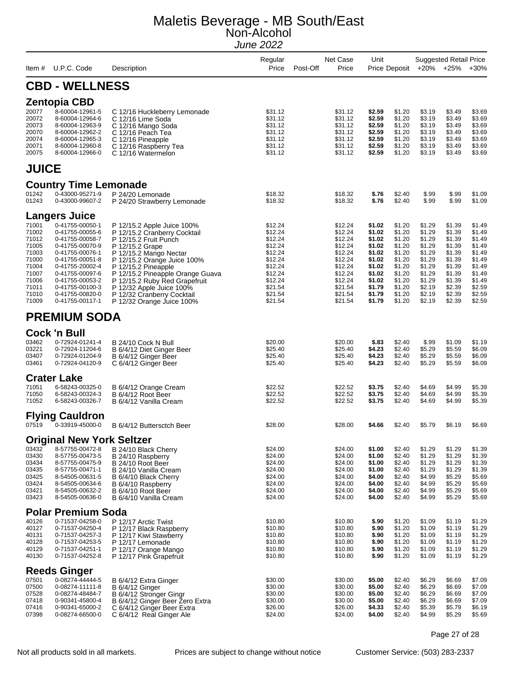| ltem #                                                                                                   | U.P.C. Code                                                                                                                                                                                                                                              | Description                                                                                                                                                                                                                                                                                                                                        | Regular<br>Price                                                                                                                 | Post-Off | Net Case<br>Price                                                                                                                | Unit                                                                                                                 | Price Deposit                                                                                                        |                                                                                                                      | <b>Suggested Retail Price</b><br>+20% +25%                                                                           | $+30%$                                                                                                               |
|----------------------------------------------------------------------------------------------------------|----------------------------------------------------------------------------------------------------------------------------------------------------------------------------------------------------------------------------------------------------------|----------------------------------------------------------------------------------------------------------------------------------------------------------------------------------------------------------------------------------------------------------------------------------------------------------------------------------------------------|----------------------------------------------------------------------------------------------------------------------------------|----------|----------------------------------------------------------------------------------------------------------------------------------|----------------------------------------------------------------------------------------------------------------------|----------------------------------------------------------------------------------------------------------------------|----------------------------------------------------------------------------------------------------------------------|----------------------------------------------------------------------------------------------------------------------|----------------------------------------------------------------------------------------------------------------------|
|                                                                                                          | <b>CBD - WELLNESS</b>                                                                                                                                                                                                                                    |                                                                                                                                                                                                                                                                                                                                                    |                                                                                                                                  |          |                                                                                                                                  |                                                                                                                      |                                                                                                                      |                                                                                                                      |                                                                                                                      |                                                                                                                      |
| 20077<br>20072<br>20073<br>20070<br>20074<br>20071<br>20075                                              | <b>Zentopia CBD</b><br>8-60004-12961-5<br>8-60004-12964-6<br>8-60004-12963-9<br>8-60004-12962-2<br>8-60004-12965-3<br>8-60004-12960-8<br>8-60004-12966-0                                                                                                 | C 12/16 Huckleberry Lemonade<br>C 12/16 Lime Soda<br>C 12/16 Mango Soda<br>C 12/16 Peach Tea<br>C 12/16 Pineapple<br>C 12/16 Raspberry Tea<br>C 12/16 Watermelon                                                                                                                                                                                   | \$31.12<br>\$31.12<br>\$31.12<br>\$31.12<br>\$31.12<br>\$31.12<br>\$31.12                                                        |          | \$31.12<br>\$31.12<br>\$31.12<br>\$31.12<br>\$31.12<br>\$31.12<br>\$31.12                                                        | \$2.59<br>\$2.59<br>\$2.59<br>\$2.59<br>\$2.59<br>\$2.59<br>\$2.59                                                   | \$1.20<br>\$1.20<br>\$1.20<br>\$1.20<br>\$1.20<br>\$1.20<br>\$1.20                                                   | \$3.19<br>\$3.19<br>\$3.19<br>\$3.19<br>\$3.19<br>\$3.19<br>\$3.19                                                   | \$3.49<br>\$3.49<br>\$3.49<br>\$3.49<br>\$3.49<br>\$3.49<br>\$3.49                                                   | \$3.69<br>\$3.69<br>\$3.69<br>\$3.69<br>\$3.69<br>\$3.69<br>\$3.69                                                   |
| <b>JUICE</b>                                                                                             |                                                                                                                                                                                                                                                          |                                                                                                                                                                                                                                                                                                                                                    |                                                                                                                                  |          |                                                                                                                                  |                                                                                                                      |                                                                                                                      |                                                                                                                      |                                                                                                                      |                                                                                                                      |
| 01242<br>01243                                                                                           | <b>Country Time Lemonade</b><br>0-43000-95271-9<br>0-43000-99607-2                                                                                                                                                                                       | P 24/20 Lemonade<br>P 24/20 Strawberry Lemonade                                                                                                                                                                                                                                                                                                    | \$18.32<br>\$18.32                                                                                                               |          | \$18.32<br>\$18.32                                                                                                               | \$.76<br>\$.76                                                                                                       | \$2.40<br>\$2.40                                                                                                     | \$.99<br>\$.99                                                                                                       | \$.99<br>\$.99                                                                                                       | \$1.09<br>\$1.09                                                                                                     |
| 71001<br>71002<br>71012<br>71005<br>71003<br>71000<br>71004<br>71007<br>71006<br>71011<br>71010<br>71009 | <b>Langers Juice</b><br>0-41755-00050-1<br>0-41755-00055-6<br>0-41755-00058-7<br>0-41755-00070-9<br>0-41755-00076-1<br>0-41755-00051-8<br>0-41755-20002-4<br>0-41755-00097-6<br>0-41755-00053-2<br>0-41755-00100-3<br>0-41755-00820-0<br>0-41755-00117-1 | P 12/15.2 Apple Juice 100%<br>P 12/15.2 Cranberry Cocktail<br>P 12/15.2 Fruit Punch<br>P 12/15.2 Grape<br>P 12/15.2 Mango Nectar<br>P 12/15.2 Orange Juice 100%<br>P 12/15.2 Pineapple<br>P 12/15.2 Pineapple Orange Guava<br>P 12/15.2 Ruby Red Grapefruit<br>P 12/32 Apple Juice 100%<br>P 12/32 Cranberry Cocktail<br>P 12/32 Orange Juice 100% | \$12.24<br>\$12.24<br>\$12.24<br>\$12.24<br>\$12.24<br>\$12.24<br>\$12.24<br>\$12.24<br>\$12.24<br>\$21.54<br>\$21.54<br>\$21.54 |          | \$12.24<br>\$12.24<br>\$12.24<br>\$12.24<br>\$12.24<br>\$12.24<br>\$12.24<br>\$12.24<br>\$12.24<br>\$21.54<br>\$21.54<br>\$21.54 | \$1.02<br>\$1.02<br>\$1.02<br>\$1.02<br>\$1.02<br>\$1.02<br>\$1.02<br>\$1.02<br>\$1.02<br>\$1.79<br>\$1.79<br>\$1.79 | \$1.20<br>\$1.20<br>\$1.20<br>\$1.20<br>\$1.20<br>\$1.20<br>\$1.20<br>\$1.20<br>\$1.20<br>\$1.20<br>\$1.20<br>\$1.20 | \$1.29<br>\$1.29<br>\$1.29<br>\$1.29<br>\$1.29<br>\$1.29<br>\$1.29<br>\$1.29<br>\$1.29<br>\$2.19<br>\$2.19<br>\$2.19 | \$1.39<br>\$1.39<br>\$1.39<br>\$1.39<br>\$1.39<br>\$1.39<br>\$1.39<br>\$1.39<br>\$1.39<br>\$2.39<br>\$2.39<br>\$2.39 | \$1.49<br>\$1.49<br>\$1.49<br>\$1.49<br>\$1.49<br>\$1.49<br>\$1.49<br>\$1.49<br>\$1.49<br>\$2.59<br>\$2.59<br>\$2.59 |
|                                                                                                          | <b>PREMIUM SODA</b>                                                                                                                                                                                                                                      |                                                                                                                                                                                                                                                                                                                                                    |                                                                                                                                  |          |                                                                                                                                  |                                                                                                                      |                                                                                                                      |                                                                                                                      |                                                                                                                      |                                                                                                                      |
| 03462<br>03221<br>03407<br>03461                                                                         | <b>Cock 'n Bull</b><br>0-72924-01241-4<br>0-72924-11204-6<br>0-72924-01204-9<br>0-72924-04120-9                                                                                                                                                          | B 24/10 Cock N Bull<br>B 6/4/12 Diet Ginger Beer<br>B 6/4/12 Ginger Beer<br>C 6/4/12 Ginger Beer                                                                                                                                                                                                                                                   | \$20.00<br>\$25.40<br>\$25.40<br>\$25.40                                                                                         |          | \$20.00<br>\$25.40<br>\$25.40<br>\$25.40                                                                                         | \$.83<br>\$4.23<br>\$4.23<br>\$4.23                                                                                  | \$2.40<br>\$2.40<br>\$2.40<br>\$2.40                                                                                 | \$.99<br>\$5.29<br>\$5.29<br>\$5.29                                                                                  | \$1.09<br>\$5.59<br>\$5.59<br>\$5.59                                                                                 | \$1.19<br>\$6.09<br>\$6.09<br>\$6.09                                                                                 |
| 71051<br>71050<br>71052                                                                                  | <b>Crater Lake</b><br>6-58243-00325-0<br>6-58243-00324-3<br>6-58243-00326-7                                                                                                                                                                              | B 6/4/12 Orange Cream<br>B 6/4/12 Root Beer<br>B 6/4/12 Vanilla Cream                                                                                                                                                                                                                                                                              | \$22.52<br>\$22.52<br>\$22.52                                                                                                    |          | \$22.52<br>\$22.52<br>\$22.52                                                                                                    | \$3.75<br>\$3.75<br>\$3.75                                                                                           | \$2.40<br>\$2.40<br>\$2.40                                                                                           | \$4.69<br>\$4.69<br>\$4.69                                                                                           | \$4.99<br>\$4.99<br>\$4.99                                                                                           | \$5.39<br>\$5.39<br>\$5.39                                                                                           |
| 07519                                                                                                    | <b>Flying Cauldron</b><br>0-33919-45000-0                                                                                                                                                                                                                | B 6/4/12 Buttersctch Beer                                                                                                                                                                                                                                                                                                                          | \$28.00                                                                                                                          |          | \$28.00                                                                                                                          | \$4.66                                                                                                               | \$2.40                                                                                                               | \$5.79                                                                                                               | \$6.19                                                                                                               | \$6.69                                                                                                               |
| 03432<br>03430<br>03434<br>03435<br>03425<br>03424<br>03421<br>03423                                     | <b>Original New York Seltzer</b><br>8-57755-00472-8<br>8-57755-00473-5<br>8-57755-00475-9<br>8-57755-00471-1<br>8-54505-00631-5<br>8-54505-00634-6<br>8-54505-00632-2<br>8-54505-00636-0                                                                 | B 24/10 Black Cherry<br>B 24/10 Raspberry<br>B 24/10 Root Beer<br>B 24/10 Vanilla Cream<br>B 6/4/10 Black Cherry<br>B 6/4/10 Raspberry<br>B 6/4/10 Root Beer<br>B 6/4/10 Vanilla Cream                                                                                                                                                             | \$24.00<br>\$24.00<br>\$24.00<br>\$24.00<br>\$24.00<br>\$24.00<br>\$24.00<br>\$24.00                                             |          | \$24.00<br>\$24.00<br>\$24.00<br>\$24.00<br>\$24.00<br>\$24.00<br>\$24.00<br>\$24.00                                             | \$1.00<br>\$1.00<br>\$1.00<br>\$1.00<br>\$4.00<br>\$4.00<br>\$4.00<br>\$4.00                                         | \$2.40<br>\$2.40<br>\$2.40<br>\$2.40<br>\$2.40<br>\$2.40<br>\$2.40<br>\$2.40                                         | \$1.29<br>\$1.29<br>\$1.29<br>\$1.29<br>\$4.99<br>\$4.99<br>\$4.99<br>\$4.99                                         | \$1.29<br>\$1.29<br>\$1.29<br>\$1.29<br>\$5.29<br>\$5.29<br>\$5.29<br>\$5.29                                         | \$1.39<br>\$1.39<br>\$1.39<br>\$1.39<br>\$5.69<br>\$5.69<br>\$5.69<br>\$5.69                                         |
| 40126<br>40127<br>40131<br>40128<br>40129<br>40130                                                       | <b>Polar Premium Soda</b><br>0-71537-04258-0<br>0-71537-04250-4<br>0-71537-04257-3<br>0-71537-04253-5<br>0-71537-04251-1<br>0-71537-04252-8                                                                                                              | P 12/17 Arctic Twist<br>P 12/17 Black Raspberry<br>P 12/17 Kiwi Stawberry<br>P 12/17 Lemonade<br>P 12/17 Orange Mango<br>P 12/17 Pink Grapefruit                                                                                                                                                                                                   | \$10.80<br>\$10.80<br>\$10.80<br>\$10.80<br>\$10.80<br>\$10.80                                                                   |          | \$10.80<br>\$10.80<br>\$10.80<br>\$10.80<br>\$10.80<br>\$10.80                                                                   | \$.90<br>\$.90<br>\$.90<br>\$.90<br>\$.90<br>\$.90                                                                   | \$1.20<br>\$1.20<br>\$1.20<br>\$1.20<br>\$1.20<br>\$1.20                                                             | \$1.09<br>\$1.09<br>\$1.09<br>\$1.09<br>\$1.09<br>\$1.09                                                             | \$1.19<br>\$1.19<br>\$1.19<br>\$1.19<br>\$1.19<br>\$1.19                                                             | \$1.29<br>\$1.29<br>\$1.29<br>\$1.29<br>\$1.29<br>\$1.29                                                             |
| 07501<br>07500<br>07528<br>07418<br>07416<br>07398                                                       | <b>Reeds Ginger</b><br>0-08274-44444-5<br>0-08274-11111-8<br>0-08274-48484-7<br>0-90341-45800-4<br>0-90341-65000-2<br>0-08274-66500-0                                                                                                                    | B 6/4/12 Extra Ginger<br><b>B</b> 6/4/12 Ginger<br>B 6/4/12 Stronger Gingr<br>B 6/4/12 Ginger Beer Zero Extra<br>C 6/4/12 Ginger Beer Extra<br>C 6/4/12 Real Ginger Ale                                                                                                                                                                            | \$30.00<br>\$30.00<br>\$30.00<br>\$30.00<br>\$26.00<br>\$24.00                                                                   |          | \$30.00<br>\$30.00<br>\$30.00<br>\$30.00<br>\$26.00<br>\$24.00                                                                   | \$5.00<br>\$5.00<br>\$5.00<br>\$5.00<br>\$4.33<br>\$4.00                                                             | \$2.40<br>\$2.40<br>\$2.40<br>\$2.40<br>\$2.40<br>\$2.40                                                             | \$6.29<br>\$6.29<br>\$6.29<br>\$6.29<br>\$5.39<br>\$4.99                                                             | \$6.69<br>\$6.69<br>\$6.69<br>\$6.69<br>\$5.79<br>\$5.29                                                             | \$7.09<br>\$7.09<br>\$7.09<br>\$7.09<br>\$6.19<br>\$5.69                                                             |

#### Page 27 of 28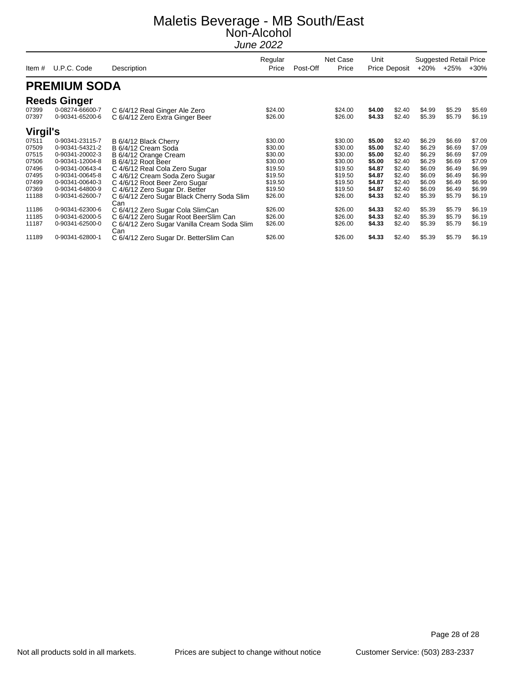|                 |                                    |                                                                  | Regular            |          | Net Case           | Unit             |                      |                  | <b>Suggested Retail Price</b> |                  |
|-----------------|------------------------------------|------------------------------------------------------------------|--------------------|----------|--------------------|------------------|----------------------|------------------|-------------------------------|------------------|
| Item#           | U.P.C. Code                        | Description                                                      | Price              | Post-Off | Price              |                  | <b>Price Deposit</b> |                  | +20% +25%                     | $+30%$           |
|                 | <b>PREMIUM SODA</b>                |                                                                  |                    |          |                    |                  |                      |                  |                               |                  |
|                 | <b>Reeds Ginger</b>                |                                                                  |                    |          |                    |                  |                      |                  |                               |                  |
| 07399<br>07397  | 0-08274-66600-7<br>0-90341-65200-6 | C 6/4/12 Real Ginger Ale Zero<br>C 6/4/12 Zero Extra Ginger Beer | \$24.00<br>\$26.00 |          | \$24.00<br>\$26.00 | \$4.00<br>\$4.33 | \$2.40<br>\$2.40     | \$4.99<br>\$5.39 | \$5.29<br>\$5.79              | \$5.69<br>\$6.19 |
| <b>Virgil's</b> |                                    |                                                                  |                    |          |                    |                  |                      |                  |                               |                  |
| 07511           | 0-90341-23115-7                    | B 6/4/12 Black Cherry                                            | \$30.00            |          | \$30.00            | \$5.00           | \$2.40               | \$6.29           | \$6.69                        | \$7.09           |
| 07509           | 0-90341-54321-2                    | B 6/4/12 Cream Soda                                              | \$30.00            |          | \$30.00            | \$5.00           | \$2.40               | \$6.29           | \$6.69                        | \$7.09           |
| 07515           | 0-90341-20002-3                    | B 6/4/12 Orange Cream                                            | \$30.00            |          | \$30.00            | \$5.00           | \$2.40               | \$6.29           | \$6.69                        | \$7.09           |
| 07506           | 0-90341-12004-8                    | B 6/4/12 Root Beer                                               | \$30.00            |          | \$30.00            | \$5.00           | \$2.40               | \$6.29           | \$6.69                        | \$7.09           |
| 07496           | 0-90341-00643-4                    | C 4/6/12 Real Cola Zero Sugar                                    | \$19.50            |          | \$19.50            | \$4.87           | \$2.40               | \$6.09           | \$6.49                        | \$6.99           |
| 07495           | 0-90341-00645-8                    | C 4/6/12 Cream Soda Zero Sugar                                   | \$19.50            |          | \$19.50            | \$4.87           | \$2.40               | \$6.09           | \$6.49                        | \$6.99           |
| 07499           | 0-90341-00640-3                    | C 4/6/12 Root Beer Zero Sugar                                    | \$19.50            |          | \$19.50            | \$4.87           | \$2.40               | \$6.09           | \$6.49                        | \$6.99           |
| 07369           | 0-90341-64800-9                    | C 4/6/12 Zero Sugar Dr. Better                                   | \$19.50            |          | \$19.50            | \$4.87           | \$2.40               | \$6.09           | \$6.49                        | \$6.99           |
| 11188           | 0-90341-62600-7                    | C 6/4/12 Zero Sugar Black Cherry Soda Slim<br>Can                | \$26.00            |          | \$26.00            | \$4.33           | \$2.40               | \$5.39           | \$5.79                        | \$6.19           |
| 11186           | 0-90341-62300-6                    | C 6/4/12 Zero Sugar Cola SlimCan                                 | \$26.00            |          | \$26.00            | \$4.33           | \$2.40               | \$5.39           | \$5.79                        | \$6.19           |
| 11185           | 0-90341-62000-5                    | C 6/4/12 Zero Sugar Root BeerSlim Can                            | \$26.00            |          | \$26.00            | \$4.33           | \$2.40               | \$5.39           | \$5.79                        | \$6.19           |
| 11187           | 0-90341-62500-0                    | C 6/4/12 Zero Sugar Vanilla Cream Soda Slim<br>Can               | \$26.00            |          | \$26.00            | \$4.33           | \$2.40               | \$5.39           | \$5.79                        | \$6.19           |
| 11189           | 0-90341-62800-1                    | C 6/4/12 Zero Sugar Dr. BetterSlim Can                           | \$26.00            |          | \$26.00            | \$4.33           | \$2.40               | \$5.39           | \$5.79                        | \$6.19           |

Page 28 of 28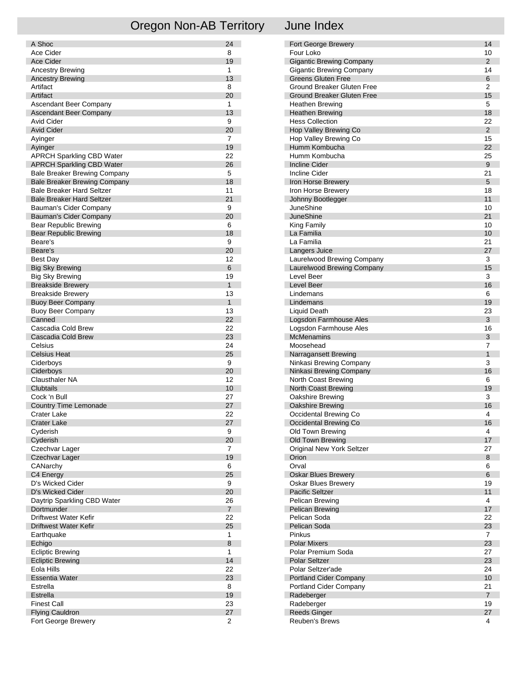# Oregon Non-AB Territory June Index

| A Shoc                              | 24                   |
|-------------------------------------|----------------------|
| Ace Cider                           | 8                    |
| <b>Ace Cider</b>                    | 19                   |
| <b>Ancestry Brewing</b>             | 1                    |
| <b>Ancestry Brewing</b>             | 13                   |
| Artifact                            | 8                    |
| Artifact                            | 20                   |
| Ascendant Beer Company              | 1                    |
| Ascendant Beer Company              | 13                   |
| Avid Cider                          | 9                    |
| <b>Avid Cider</b>                   | 20<br>$\overline{7}$ |
| Ayinger<br>Ayinger                  | 19                   |
| <b>APRCH Sparkling CBD Water</b>    | 22                   |
| <b>APRCH Sparkling CBD Water</b>    | 26                   |
| <b>Bale Breaker Brewing Company</b> | 5                    |
| <b>Bale Breaker Brewing Company</b> | 18                   |
| <b>Bale Breaker Hard Seltzer</b>    | 11                   |
| <b>Bale Breaker Hard Seltzer</b>    | 21                   |
| Bauman's Cider Company              | 9                    |
| Bauman's Cider Company              | 20                   |
| <b>Bear Republic Brewing</b>        | 6                    |
| <b>Bear Republic Brewing</b>        | 18                   |
| Beare's                             | 9                    |
| Beare's                             | 20                   |
| <b>Best Day</b>                     | 12                   |
| <b>Big Sky Brewing</b>              | 6                    |
| <b>Big Sky Brewing</b>              | 19                   |
| <b>Breakside Brewery</b>            | $\mathbf{1}$         |
| <b>Breakside Brewery</b>            | 13                   |
| <b>Buoy Beer Company</b>            | $\mathbf{1}$         |
| <b>Buoy Beer Company</b><br>Canned  | 13<br>22             |
| Cascadia Cold Brew                  | 22                   |
| Cascadia Cold Brew                  | 23                   |
| Celsius                             | 24                   |
| <b>Celsius Heat</b>                 | 25                   |
| Ciderboys                           | 9                    |
| Ciderboys                           | 20                   |
| <b>Clausthaler NA</b>               | 12                   |
| Clubtails                           | 10                   |
| Cock 'n Bull                        | 27                   |
| <b>Country Time Lemonade</b>        | 27                   |
| Crater Lake                         | 22                   |
| <b>Crater Lake</b>                  | 27                   |
| Cyderish                            | 9                    |
| Cyderish                            | 20                   |
| Czechvar Lager                      | 7                    |
| Czechvar Lager                      | 19                   |
| CANarchy<br>C4 Energy               | 6<br>25              |
| D's Wicked Cider                    | 9                    |
| D's Wicked Cider                    | 20                   |
| Daytrip Sparkling CBD Water         | 26                   |
| Dortmunder                          | $\overline{7}$       |
| Driftwest Water Kefir               | 22                   |
| Driftwest Water Kefir               | 25                   |
| Earthquake                          | 1                    |
| Echigo                              | 8                    |
| <b>Ecliptic Brewing</b>             | 1                    |
| <b>Ecliptic Brewing</b>             | 14                   |
| Eola Hills                          | 22                   |
| <b>Essentia Water</b>               | 23                   |
| Estrella                            | 8                    |
| Estrella                            | 19                   |
| <b>Finest Call</b>                  | 23                   |
| <b>Flying Cauldron</b>              | 27                   |
| Fort George Brewery                 | 2                    |

| Fort George Brewery<br>Four Loko<br><b>Gigantic Brewing Company</b> | 14             |
|---------------------------------------------------------------------|----------------|
|                                                                     |                |
|                                                                     | 10             |
|                                                                     | $\overline{2}$ |
| <b>Gigantic Brewing Company</b>                                     | 14             |
| <b>Greens Gluten Free</b>                                           | 6              |
| Ground Breaker Gluten Free                                          | 2              |
|                                                                     |                |
| <b>Ground Breaker Gluten Free</b>                                   | 15             |
| Heathen Brewing                                                     | 5              |
| <b>Heathen Brewing</b>                                              | 18             |
| <b>Hess Collection</b>                                              | 22             |
| Hop Valley Brewing Co                                               | $\overline{2}$ |
| Hop Valley Brewing Co                                               | 15             |
| Humm Kombucha                                                       | 22             |
| Humm Kombucha                                                       | 25             |
| <b>Incline Cider</b>                                                | 9              |
| <b>Incline Cider</b>                                                | 21             |
| Iron Horse Brewery                                                  | 5              |
| Iron Horse Brewery                                                  | 18             |
| Johnny Bootlegger                                                   | 11             |
| JuneShine                                                           | 10             |
| <b>JuneShine</b>                                                    | 21             |
| King Family                                                         | 10             |
| La Familia                                                          | 10             |
|                                                                     |                |
| La Familia                                                          | 21             |
| Langers Juice                                                       | 27             |
| Laurelwood Brewing Company                                          | 3              |
| Laurelwood Brewing Company                                          | 15             |
| Level Beer                                                          | 3              |
| Level Beer                                                          | 16             |
| Lindemans                                                           | 6              |
|                                                                     | 19             |
| Lindemans                                                           |                |
| Liquid Death                                                        | 23             |
| Logsdon Farmhouse Ales                                              | 3              |
| Logsdon Farmhouse Ales                                              | 16             |
| <b>McMenamins</b>                                                   | 3              |
| Moosehead                                                           | 7              |
| Narragansett Brewing                                                | 1              |
| Ninkasi Brewing Company                                             | 3              |
| Ninkasi Brewing Company                                             | 16             |
|                                                                     |                |
| North Coast Brewing                                                 | 6              |
| North Coast Brewing                                                 | 19             |
| Oakshire Brewing                                                    | 3              |
| Oakshire Brewing                                                    | 16             |
| Occidental Brewing Co                                               | 4              |
| Occidental Brewing Co                                               | 16             |
| Old Town Brewing                                                    | 4              |
| Old Town Brewing                                                    | 17             |
| Original New York Seltzer                                           | 27             |
| Orion                                                               | 8              |
| Orval                                                               | 6              |
| <b>Oskar Blues Brewery</b>                                          | 6              |
| Oskar Blues Brewery                                                 | 19             |
| <b>Pacific Seltzer</b>                                              | 11             |
| Pelican Brewing                                                     | 4              |
| Pelican Brewing                                                     | 17             |
| Pelican Soda                                                        | 22             |
| Pelican Soda                                                        | 23             |
| Pinkus                                                              | 7              |
| <b>Polar Mixers</b>                                                 | 23             |
| Polar Premium Soda                                                  | 27             |
| <b>Polar Seltzer</b>                                                | 23             |
| Polar Seltzer'ade                                                   | 24             |
|                                                                     | 10             |
| Portland Cider Company                                              | 21             |
| Portland Cider Company                                              | $\overline{7}$ |
| Radeberger                                                          | 19             |
| Radeberger<br><b>Reeds Ginger</b>                                   | 27             |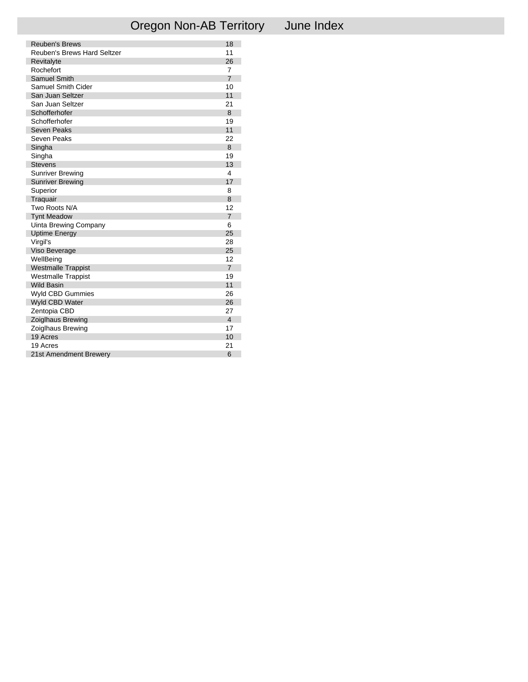|  | June Inde |  |
|--|-----------|--|
|  |           |  |

| <b>Reuben's Brews</b>       | 18             |
|-----------------------------|----------------|
| Reuben's Brews Hard Seltzer | 11             |
| Revitalyte                  | 26             |
| Rochefort                   | $\overline{7}$ |
| <b>Samuel Smith</b>         | $\overline{7}$ |
| <b>Samuel Smith Cider</b>   | 10             |
| San Juan Seltzer            | 11             |
| San Juan Seltzer            | 21             |
| Schofferhofer               | 8              |
| Schofferhofer               | 19             |
| Seven Peaks                 | 11             |
| Seven Peaks                 | 22             |
| Singha                      | 8              |
| Singha                      | 19             |
| <b>Stevens</b>              | 13             |
| <b>Sunriver Brewing</b>     | 4              |
| <b>Sunriver Brewing</b>     | 17             |
| Superior                    | 8              |
| Traquair                    | 8              |
| Two Roots N/A               | 12             |
| <b>Tynt Meadow</b>          | 7              |
| Uinta Brewing Company       | 6              |
| <b>Uptime Energy</b>        | 25             |
| Virgil's                    | 28             |
| Viso Beverage               | 25             |
| WellBeing                   | 12             |
| <b>Westmalle Trappist</b>   | $\overline{7}$ |
| <b>Westmalle Trappist</b>   | 19             |
| <b>Wild Basin</b>           | 11             |
| Wyld CBD Gummies            | 26             |
| Wyld CBD Water              | 26             |
| Zentopia CBD                | 27             |
| <b>Zoiglhaus Brewing</b>    | 4              |
| Zoiglhaus Brewing           | 17             |
| 19 Acres                    | 10             |
| 19 Acres                    | 21             |
| 21st Amendment Brewery      | 6              |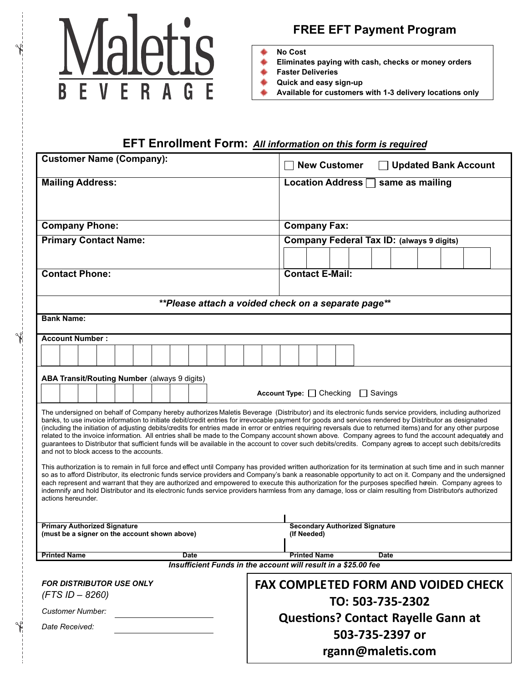

**FREE EFT Payment Program**

**No Cost**

- **Eliminates paying with cash, checks or money orders** ۰
- **Faster Deliveries**
- **Quick and easy sign-up**
- **Available for customers with 1-3 delivery locations only**

### **EFT Enrollment Form:** *All information on this form is required*

| <b>Customer Name (Company):</b>                                                                                                                                                                                                                                                                                                                                                                                                                                                                                                                                                                                                                                                                                                                                                                                                                        |                                              |  |  |  |  |  |  |  |                                            |                                           |                        | <b>New Customer</b><br><b>Updated Bank Account</b> |                               |  |      |  |                   |  |                 |                                                  |  |  |  |  |  |  |
|--------------------------------------------------------------------------------------------------------------------------------------------------------------------------------------------------------------------------------------------------------------------------------------------------------------------------------------------------------------------------------------------------------------------------------------------------------------------------------------------------------------------------------------------------------------------------------------------------------------------------------------------------------------------------------------------------------------------------------------------------------------------------------------------------------------------------------------------------------|----------------------------------------------|--|--|--|--|--|--|--|--------------------------------------------|-------------------------------------------|------------------------|----------------------------------------------------|-------------------------------|--|------|--|-------------------|--|-----------------|--------------------------------------------------|--|--|--|--|--|--|
| <b>Mailing Address:</b>                                                                                                                                                                                                                                                                                                                                                                                                                                                                                                                                                                                                                                                                                                                                                                                                                                |                                              |  |  |  |  |  |  |  |                                            |                                           |                        | <b>Location Address</b><br>same as mailing         |                               |  |      |  |                   |  |                 |                                                  |  |  |  |  |  |  |
| <b>Company Phone:</b>                                                                                                                                                                                                                                                                                                                                                                                                                                                                                                                                                                                                                                                                                                                                                                                                                                  |                                              |  |  |  |  |  |  |  |                                            |                                           |                        | <b>Company Fax:</b>                                |                               |  |      |  |                   |  |                 |                                                  |  |  |  |  |  |  |
| <b>Primary Contact Name:</b>                                                                                                                                                                                                                                                                                                                                                                                                                                                                                                                                                                                                                                                                                                                                                                                                                           |                                              |  |  |  |  |  |  |  |                                            |                                           |                        |                                                    |                               |  |      |  |                   |  |                 | <b>Company Federal Tax ID: (always 9 digits)</b> |  |  |  |  |  |  |
|                                                                                                                                                                                                                                                                                                                                                                                                                                                                                                                                                                                                                                                                                                                                                                                                                                                        |                                              |  |  |  |  |  |  |  |                                            |                                           |                        |                                                    |                               |  |      |  |                   |  |                 |                                                  |  |  |  |  |  |  |
| <b>Contact Phone:</b>                                                                                                                                                                                                                                                                                                                                                                                                                                                                                                                                                                                                                                                                                                                                                                                                                                  |                                              |  |  |  |  |  |  |  |                                            |                                           | <b>Contact E-Mail:</b> |                                                    |                               |  |      |  |                   |  |                 |                                                  |  |  |  |  |  |  |
| **Please attach a voided check on a separate page**                                                                                                                                                                                                                                                                                                                                                                                                                                                                                                                                                                                                                                                                                                                                                                                                    |                                              |  |  |  |  |  |  |  |                                            |                                           |                        |                                                    |                               |  |      |  |                   |  |                 |                                                  |  |  |  |  |  |  |
| <b>Bank Name:</b>                                                                                                                                                                                                                                                                                                                                                                                                                                                                                                                                                                                                                                                                                                                                                                                                                                      |                                              |  |  |  |  |  |  |  |                                            |                                           |                        |                                                    |                               |  |      |  |                   |  |                 |                                                  |  |  |  |  |  |  |
|                                                                                                                                                                                                                                                                                                                                                                                                                                                                                                                                                                                                                                                                                                                                                                                                                                                        | <b>Account Number:</b>                       |  |  |  |  |  |  |  |                                            |                                           |                        |                                                    |                               |  |      |  |                   |  |                 |                                                  |  |  |  |  |  |  |
|                                                                                                                                                                                                                                                                                                                                                                                                                                                                                                                                                                                                                                                                                                                                                                                                                                                        |                                              |  |  |  |  |  |  |  |                                            |                                           |                        |                                                    |                               |  |      |  |                   |  |                 |                                                  |  |  |  |  |  |  |
|                                                                                                                                                                                                                                                                                                                                                                                                                                                                                                                                                                                                                                                                                                                                                                                                                                                        | ABA Transit/Routing Number (always 9 digits) |  |  |  |  |  |  |  |                                            |                                           |                        |                                                    |                               |  |      |  |                   |  |                 |                                                  |  |  |  |  |  |  |
|                                                                                                                                                                                                                                                                                                                                                                                                                                                                                                                                                                                                                                                                                                                                                                                                                                                        |                                              |  |  |  |  |  |  |  |                                            |                                           |                        |                                                    | Account Type: $\Box$ Checking |  |      |  |                   |  | $\Box$ Savings  |                                                  |  |  |  |  |  |  |
| The undersigned on behalf of Company hereby authorizes Maletis Beverage (Distributor) and its electronic funds service providers, including authorized<br>banks, to use invoice information to initiate debit/credit entries for irrevocable payment for goods and services rendered by Distributor as designated<br>(including the initiation of adjusting debits/credits for entries made in error or entries requiring reversals due to returned items) and for any other purpose<br>related to the invoice information. All entries shall be made to the Company account shown above. Company agrees to fund the account adequately and<br>guarantees to Distributor that sufficient funds will be available in the account to cover such debits/credits. Company agrees to accept such debits/credits<br>and not to block access to the accounts. |                                              |  |  |  |  |  |  |  |                                            |                                           |                        |                                                    |                               |  |      |  |                   |  |                 |                                                  |  |  |  |  |  |  |
| This authorization is to remain in full force and effect until Company has provided written authorization for its termination at such time and in such manner<br>so as to afford Distributor, its electronic funds service providers and Company's bank a reasonable opportunity to act on it. Company and the undersigned<br>each represent and warrant that they are authorized and empowered to execute this authorization for the purposes specified heein. Company agrees to<br>indemnify and hold Distributor and its electronic funds service providers harmless from any damage, loss or claim resulting from Distributor's authorized<br>actions hereunder.                                                                                                                                                                                   |                                              |  |  |  |  |  |  |  |                                            |                                           |                        |                                                    |                               |  |      |  |                   |  |                 |                                                  |  |  |  |  |  |  |
| <b>Primary Authorized Signature</b>                                                                                                                                                                                                                                                                                                                                                                                                                                                                                                                                                                                                                                                                                                                                                                                                                    |                                              |  |  |  |  |  |  |  |                                            | <b>Secondary Authorized Signature</b>     |                        |                                                    |                               |  |      |  |                   |  |                 |                                                  |  |  |  |  |  |  |
| (must be a signer on the account shown above)                                                                                                                                                                                                                                                                                                                                                                                                                                                                                                                                                                                                                                                                                                                                                                                                          |                                              |  |  |  |  |  |  |  |                                            |                                           |                        | (If Needed)                                        |                               |  |      |  |                   |  |                 |                                                  |  |  |  |  |  |  |
| <b>Printed Name</b><br>Date<br>Insufficient Funds in the account will result in a \$25.00 fee                                                                                                                                                                                                                                                                                                                                                                                                                                                                                                                                                                                                                                                                                                                                                          |                                              |  |  |  |  |  |  |  |                                            | <b>Printed Name</b>                       |                        |                                                    |                               |  | Date |  |                   |  |                 |                                                  |  |  |  |  |  |  |
|                                                                                                                                                                                                                                                                                                                                                                                                                                                                                                                                                                                                                                                                                                                                                                                                                                                        |                                              |  |  |  |  |  |  |  |                                            |                                           |                        |                                                    |                               |  |      |  |                   |  |                 |                                                  |  |  |  |  |  |  |
| <b>FOR DISTRIBUTOR USE ONLY</b><br>$(FTS$ ID $-$ 8260)                                                                                                                                                                                                                                                                                                                                                                                                                                                                                                                                                                                                                                                                                                                                                                                                 |                                              |  |  |  |  |  |  |  | <b>FAX COMPLETED FORM AND VOIDED CHECK</b> |                                           |                        |                                                    |                               |  |      |  |                   |  |                 |                                                  |  |  |  |  |  |  |
| <b>Customer Number:</b>                                                                                                                                                                                                                                                                                                                                                                                                                                                                                                                                                                                                                                                                                                                                                                                                                                |                                              |  |  |  |  |  |  |  |                                            |                                           | TO: 503-735-2302       |                                                    |                               |  |      |  |                   |  |                 |                                                  |  |  |  |  |  |  |
| Date Received:                                                                                                                                                                                                                                                                                                                                                                                                                                                                                                                                                                                                                                                                                                                                                                                                                                         |                                              |  |  |  |  |  |  |  |                                            | <b>Questions? Contact Rayelle Gann at</b> |                        |                                                    |                               |  |      |  |                   |  |                 |                                                  |  |  |  |  |  |  |
|                                                                                                                                                                                                                                                                                                                                                                                                                                                                                                                                                                                                                                                                                                                                                                                                                                                        |                                              |  |  |  |  |  |  |  |                                            |                                           |                        |                                                    |                               |  |      |  |                   |  | 503-735-2397 or |                                                  |  |  |  |  |  |  |
|                                                                                                                                                                                                                                                                                                                                                                                                                                                                                                                                                                                                                                                                                                                                                                                                                                                        |                                              |  |  |  |  |  |  |  |                                            |                                           |                        |                                                    |                               |  |      |  | rgann@maletis.com |  |                 |                                                  |  |  |  |  |  |  |